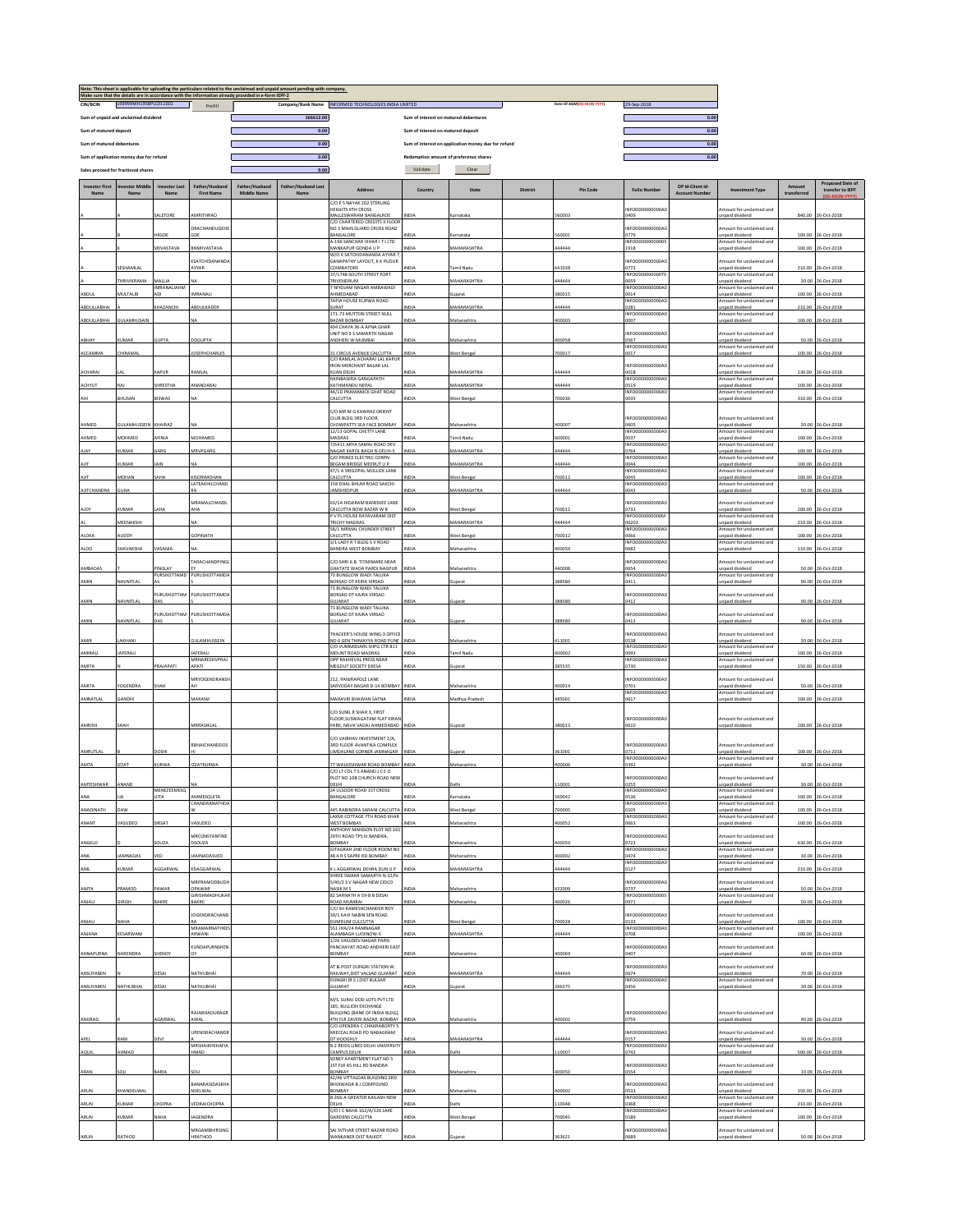|                               |                                         |                             |                                             | Note: This sheet is applicable for uploading the particulars related to the unclaimed and unpaid amount<br>Make sure that the details are in accordance with the information already provided in e-form IEPF-2 | sending with company.       |                                                                        |                                       |                                                     |          |                          |                           |                                          |                                             |             |                                             |
|-------------------------------|-----------------------------------------|-----------------------------|---------------------------------------------|----------------------------------------------------------------------------------------------------------------------------------------------------------------------------------------------------------------|-----------------------------|------------------------------------------------------------------------|---------------------------------------|-----------------------------------------------------|----------|--------------------------|---------------------------|------------------------------------------|---------------------------------------------|-------------|---------------------------------------------|
| CIN/BCIN                      | L99999MH1958PLC011001                   |                             | Prefill                                     |                                                                                                                                                                                                                |                             | Company/Bank Name INFORMED TECHNOLOGIES INDIA LIMITED                  |                                       |                                                     |          | Date Of AGM(DD-MON-YYYY) | 29-Sep-2018               |                                          |                                             |             |                                             |
|                               | Sum of unpaid and unclaimed dividend    |                             |                                             |                                                                                                                                                                                                                | 166612.00                   |                                                                        | Sum of interest on matured debentures |                                                     |          |                          |                           | 0.00                                     |                                             |             |                                             |
| Sum of matured deposit        |                                         |                             |                                             |                                                                                                                                                                                                                | 0.00                        |                                                                        | Sum of interest on matured deposit    |                                                     |          |                          |                           | 0.00                                     |                                             |             |                                             |
| Sum of matured debentures     |                                         |                             |                                             |                                                                                                                                                                                                                | 0.00                        |                                                                        |                                       | Sum of interest on application money due for refund |          |                          |                           | 0.00                                     |                                             |             |                                             |
|                               | Sum of application money due for refund |                             |                                             |                                                                                                                                                                                                                | 0.00                        |                                                                        |                                       | Redemption amount of preference shares              |          |                          |                           | 0.00                                     |                                             |             |                                             |
|                               |                                         |                             |                                             |                                                                                                                                                                                                                | 0.00                        |                                                                        | Validate                              | Clear                                               |          |                          |                           |                                          |                                             |             |                                             |
|                               | Sales proceed for fractional shares     |                             |                                             |                                                                                                                                                                                                                |                             |                                                                        |                                       |                                                     |          |                          |                           |                                          |                                             |             |                                             |
| <b>Investor First</b><br>Name | Name                                    | Investor Las<br>Name        | ather/Husbar<br><b>First Name</b>           | Father/Husband<br>Middle Name                                                                                                                                                                                  | Father/Husband Last<br>Name | Address                                                                | Country                               | State                                               | District | Pin Code                 | <b>Folio Number</b>       | DP Id-Client Id<br><b>Account Number</b> | <b>Investment Type</b>                      | transferred | <b>Proposed Date of</b><br>transfer to IEPF |
|                               |                                         |                             |                                             |                                                                                                                                                                                                                |                             | C/O P S NAYAK 202 STERLING                                             |                                       |                                                     |          |                          |                           |                                          |                                             |             |                                             |
|                               |                                         |                             |                                             |                                                                                                                                                                                                                |                             | EIGHTS 9TH CROSS                                                       |                                       |                                                     |          |                          | NFO0000000000A            |                                          | mount for unclaimed and                     |             |                                             |
|                               |                                         | ALETORE                     | <b>MRITHRAO</b>                             |                                                                                                                                                                                                                |                             | <b>AALLESWARAM BANGALROE</b><br>C/O CHARTERED CREDITS II FLOOI         | NDIA                                  | Karnataka                                           |          | 60003                    | 0409                      |                                          | npaid dividend                              | 840.00      | 26-Oct-2018                                 |
|                               |                                         | HEGDE                       | DRACHANDUGEHE                               |                                                                                                                                                                                                                |                             | NO 3 MAIN GUARD CROSS ROAD<br>ANGALORE                                 | IDIA                                  | Karnataka                                           |          | 60001                    | NFO0000000000A0<br>1779   |                                          | mount for unclaimed and<br>unpaid dividend  |             | 100.00 26-Oct-2018                          |
|                               |                                         |                             | RNSRIVASTAVA                                |                                                                                                                                                                                                                |                             | 4-196 SANCHAR VIHAR I T I LTD                                          |                                       |                                                     |          |                          | INFO000000000005          |                                          | Amount for unclaimed and                    |             |                                             |
|                               |                                         | <b>SRIVASTAVA</b>           |                                             |                                                                                                                                                                                                                |                             | MANKAPUR GONDA U P<br>W/O K SATCHIDANANDA AYYAR 7                      | NDIA                                  | MAHARASHTRA                                         |          | 44444                    | 1918                      |                                          | npaid dividend                              | 100.00      | 26-Oct-2018                                 |
|                               | ESHAMLAL                                |                             | <b>KSATCHIDANANDA</b><br>AYYAR              |                                                                                                                                                                                                                |                             | SANAPATHY LAYOUT, K K PUDUR<br>COIMBATORE                              | VDIA                                  | Tamil Nadu                                          |          | 41038                    | NFO0000000000A<br>0773    |                                          | mount for unclaimed and<br>unpaid dividend  |             | 210.00 26-Oct-2018                          |
|                               | <b>HRIVIKRAMA</b>                       |                             |                                             |                                                                                                                                                                                                                |                             | 37/1748 SOUTH STREET FORT                                              | NDIA                                  | MAHARASHTRA                                         |          | 44444                    | INFO0000000000T0          |                                          | mount for unclaimed and                     |             |                                             |
|                               |                                         | MALLIA<br><b>MRANALIAHM</b> |                                             |                                                                                                                                                                                                                |                             | RIVENDRUM<br><b>NIYO IAM NAGAR AMRAWADI</b>                            |                                       |                                                     |          |                          | 0059<br>INFO0000000000A0  |                                          | npaid dividend<br>Amount for unclaimed and  | 20.00       | 26-Oct-2018                                 |
| ABDL                          | <b>IULTALIB</b>                         |                             | MRANAL                                      |                                                                                                                                                                                                                |                             | AHMEDABAD<br><b>TAPIA HOUSE KURWA ROAD</b>                             | VDIA                                  | uiarat                                              |          | 80015                    | 0014<br>INFO0000000000A0  |                                          | inpaid dividend<br>mount for unclaimed and  | 100.00      | 26-Oct-2018                                 |
| ABDULLABHAI                   |                                         | <b>HAZANCHI</b>             | ABDULKADER                                  |                                                                                                                                                                                                                |                             | TASHI<br>171-73 MUTTON STREET NULL                                     | <b>NDIA</b>                           | MAHARASHTRA                                         |          | 44444                    | 0281<br>INFO000000000040  |                                          | npaid dividend<br>Amount for unclaimed and  | 210.00      | 26-Oct-2018                                 |
| ABDULLABHAI                   | <b>GULAMHUSAIN</b>                      |                             |                                             |                                                                                                                                                                                                                |                             | BAZAR BOMBAY                                                           | <b>VDIA</b>                           | Maharashtra                                         |          | 100003                   | 0007                      |                                          | npaid dividend                              |             | 100.00 26-Oct-2018                          |
|                               |                                         |                             |                                             |                                                                                                                                                                                                                |                             | 104 CHAYA 36-A APNA GHAR<br>UNIT NO 9 S SAMARTH NAGAR                  |                                       |                                                     |          |                          | INFO0000000000A0          |                                          | nount for unclaimed and                     |             |                                             |
| ABHAY                         | <b>UMAR</b>                             | <b>SUPTA</b>                | OGUPTA                                      |                                                                                                                                                                                                                |                             | <b>INDHERI W MUMBAI</b>                                                | NDIA                                  | Maharashtra                                         |          | 100058                   | 0567<br>INFO0000000000A   |                                          | npaid dividend<br>Amount for unclaimed and  | 50.00       | 26-Oct-2018                                 |
| ACCAMMA                       | CHIRAMAL                                |                             | <b>IOSEPHCHARLES</b>                        |                                                                                                                                                                                                                |                             | 1 CIRCUS AVENUE CALCUTTA                                               | NDIA                                  | West Benga                                          |          | 700017                   | 0017                      |                                          | npaid dividend                              |             | 100.00 26-Oct-201                           |
|                               |                                         |                             |                                             |                                                                                                                                                                                                                |                             | C/O RAMLAL ACHARAJ LAL KAPUR<br>RON MERCHANT BASAR LAL                 |                                       |                                                     |          |                          | INFO0000000000A0          |                                          | mount for undaimed and                      |             |                                             |
| ACHARAJ                       |                                         | CAPUR                       | RAMLAI                                      |                                                                                                                                                                                                                |                             | <b>CUAN DELHI</b><br>RAINBASERA GANGAPATH                              | <b>NDIA</b>                           | MAHARASHTRA                                         |          | 44444                    | 0018<br>INFO0000000000A0  |                                          | npaid dividend<br>Amount for unclaimed and  | 130.00      | 26-Oct-2018                                 |
| ACHYUT                        | ı۵.                                     | HRESTHA                     | MANDARAJ                                    |                                                                                                                                                                                                                |                             | KATHMANDU NEPAL                                                        | NDIA                                  | MAHARASHTRA                                         |          | 44444                    | 0519                      |                                          | inpaid dividend                             | 100.00      | 26-Oct-2018                                 |
| AHI                           | BHUSAN                                  | <b>ISWAS</b>                |                                             |                                                                                                                                                                                                                |                             | <b>44/1D PRAMANICK GHAT ROAD</b><br>ALCUTTA                            | VDIA                                  | Vest Bengal                                         |          | '00036                   | INFO0000000000A0<br>0035  |                                          | Amount for unclaimed and<br>inpaid dividend |             | 310.00 26-Oct-2018                          |
|                               |                                         |                             |                                             |                                                                                                                                                                                                                |                             | C/O MR M G KHAIRAZ ORIENT                                              |                                       |                                                     |          |                          |                           |                                          |                                             |             |                                             |
|                               |                                         |                             |                                             |                                                                                                                                                                                                                |                             | CLUB BLDG 3RD FLOOR.                                                   |                                       |                                                     |          |                          | INFO0000000000A           |                                          | Amount for unclaimed and                    |             |                                             |
| AHMED                         | <b>GULAMHUSSEIN</b>                     | KHAIRAZ                     |                                             |                                                                                                                                                                                                                |                             | CHOWPATTY SEA FACE BOMBAY<br>12/13 GOPAL CHETTY LANE                   | NDIA                                  | Maharashtra                                         |          | 00007                    | 0605<br>INFO0000000000A0  |                                          | unpaid dividend<br>mount for undaimed and   | 20.00       | 26-Oct-2018                                 |
| AHMED                         | MOHMED                                  | <b>SEINIA</b>               | MOHAMED                                     |                                                                                                                                                                                                                |                             | <b>2ARDAM</b><br>7/6411 ARYA SAMAJ ROAD DEV                            | <b>NDIA</b>                           | Tamil Nadu                                          |          | 00001                    | 0037<br>INFO0000000000A   |                                          | npaid dividend<br>mount for unclaimed and   | 100.00      | 26-Oct-2018                                 |
| AJAY                          | UMAR                                    | GARG                        | MRVPGARG                                    |                                                                                                                                                                                                                |                             | NAGAR KAROL BAGH N DELHI-5                                             | NDIA                                  | MAHARASHTRA                                         |          | 144444                   | 0764                      |                                          | inpaid dividend                             | 100.00      | 26-Oct-2018                                 |
| AIIT                          | UMAR                                    | AIN                         |                                             |                                                                                                                                                                                                                |                             | C/O PRINCE ELECTRIC CORPN<br><b>BEGAM BRIDGE MEERUT U P</b>            | VDIA                                  | <b>MAHARASHTRA</b>                                  |          | 44444                    | INFO0000000000A0<br>044   |                                          | Amount for unclaimed and<br>unpaid dividend |             | 100.00 26-Oct-2018                          |
| AIIT                          | MOHAN                                   | <b>SAHA</b>                 | <b>ISORIMOHAN</b>                           |                                                                                                                                                                                                                |                             | 47/1 A SRIGOPAL MULLICK LANE<br>CALCUTTA                               | NDIA                                  | West Bengal                                         |          | 00012                    | INFO0000000000A0<br>0045  |                                          | Amount for unclaimed and<br>npaid dividend  | 100.00      | 26-Oct-2018                                 |
|                               |                                         |                             | ΔΤΕΔΚΗΙΙ ΓΗΔΝΟ                              |                                                                                                                                                                                                                |                             | 158 DHAL BHUM ROAD SAKCHI                                              |                                       |                                                     |          |                          | INFO0000000000A0          |                                          | Amount for unclaimed and                    |             |                                             |
| <b>AJITCHANDRA</b>            | <b>GUHA</b>                             |                             |                                             |                                                                                                                                                                                                                |                             | AMSHEDPUR                                                              | <b>VDIA</b>                           | MAHARASHTRA                                         |          | 44444                    | 0043                      |                                          | Inpaid dividend                             | 50.00       | 26-Oct-2018                                 |
| <b>AJOY</b>                   | <b>UMAR</b>                             |                             | MRAMALCHANDL<br><b>HA</b>                   |                                                                                                                                                                                                                |                             | 63/1A HIDARAM BANERJEE LANE<br>CALCUTTA BOW BAZAR W B                  | NDIA                                  | West Bengal                                         |          | 00012                    | INFO0000000000A<br>0733   |                                          | mount for unclaimed and<br>inpaid dividend  | 100.00      | 26-Oct-2018                                 |
|                               | MEENAKSH                                |                             |                                             |                                                                                                                                                                                                                |                             | V PL HOUSE RAYAVARAM DIST                                              | VDIA                                  | MAHARASHTRA                                         |          | 44444                    | INFO0000000000M           |                                          | Amount for unclaimed and                    |             | 26-Oct-2018                                 |
|                               |                                         |                             |                                             |                                                                                                                                                                                                                |                             | <b>TRICHY MADRAS</b><br>58/1 NIRMAL CHUNDER STREET                     |                                       |                                                     |          |                          | 00203<br>INFO0000000000A0 |                                          | inpaid dividend<br>mount for unclaimed and  | 210.00      |                                             |
| ALOKA                         | NUDDY                                   |                             | SOPINATH                                    |                                                                                                                                                                                                                |                             | CALCUTTA<br>3/1 LADY R T BLDG S V ROAD                                 | NDIA                                  | West Bengal                                         |          | '00012                   | 8000<br>INFO0000000000A0  |                                          | npaid dividend<br>mount for undaimed and    | 100.00      | 26-Oct-2018                                 |
| ALOO                          | HAVAKSHA                                | <b>/ASANIA</b>              |                                             |                                                                                                                                                                                                                |                             | BANDRA WEST BOMBAY                                                     | NDIA                                  | Maharashtra                                         |          | 100050                   | 0682                      |                                          | npaid dividend                              |             | 110.00 26-Oct-2018                          |
|                               |                                         |                             | <b>ARACHANDPING</b>                         |                                                                                                                                                                                                                |                             | C/O.SHRI K.B. TITARMARE NEAR                                           |                                       |                                                     |          |                          | INFO0000000000A           |                                          | nount for unclaimed and                     |             |                                             |
| AMBADAS                       |                                         | INGLAY<br>PURSHOTTAMD       | PURUSHOTTAMD/                               |                                                                                                                                                                                                                |                             | SHATATE WADA PARDI NAGPUR<br>73 BUNGLOW WADI TALUKA                    | NDIA                                  | Maharashtra                                         |          | 40008                    | 0654<br>INFO0000000000A0  |                                          | inpaid dividend<br>Amount for unclaimed and | 50.00       | 26-Oct-2018                                 |
| AMIN                          | NAVNITLAI                               |                             |                                             |                                                                                                                                                                                                                |                             | <b>ORSAD DT KEIRA VIRSAD</b>                                           | NDIA                                  | uiarat                                              |          | 388580                   | 1411                      |                                          | npaid dividend                              |             | 90.00 26-Oct-2018                           |
|                               |                                         | URUSHOTTAM                  | PURUSHOTTAMD                                |                                                                                                                                                                                                                |                             | 73 BUNGLOW WADI TALUKA<br>ORSAD DT KAIRA VIRSAD                        |                                       |                                                     |          |                          | INFO0000000000A0          |                                          | nount for unclaimed and                     |             |                                             |
| AMIN                          | NAVNITLAL                               | 2Ar                         |                                             |                                                                                                                                                                                                                |                             | <b>GUJARAT</b><br><b>73 BUNGLOW WADI TALUKA</b>                        | NDIA                                  | iujara                                              |          | 388580                   | 0412                      |                                          | inpaid dividend                             | 90.00       | 26-Oct-2018                                 |
| AMIN                          | NAVNITLAL                               | PURUSHOTTAM<br>DAS          | PURUSHOTTAMDA                               |                                                                                                                                                                                                                |                             | BORSAD DT KAIRA VIRSAD<br><b>JUJARAT</b>                               | <b>IDIA</b>                           | uiarat                                              |          | 88580                    | INFO0000000000A0<br>0413  |                                          | mount for unclaimed and<br>Inpaid dividend  | 90.00       | 26-Oct-2018                                 |
|                               |                                         |                             |                                             |                                                                                                                                                                                                                |                             |                                                                        |                                       |                                                     |          |                          |                           |                                          |                                             |             |                                             |
| AMIR                          | AKHANI                                  |                             | ULAMHUSSEIN                                 |                                                                                                                                                                                                                |                             | <b>THACKER'S HOUSE WING-3 OFFICE</b><br>IO 6 GEN THIMAYYA ROAD PUNE    | NDIA                                  | Maharashtra                                         |          | 11001                    | INFO0000000000A<br>0538   |                                          | nount for unclaimed and<br>npaid dividend   | 20.00       | 26-Oct-2018                                 |
| AMIRALI                       | <b>IAFERALI</b>                         |                             | <b>IAFERALI</b>                             |                                                                                                                                                                                                                |                             | C/O VUMMIDIARS SHPG CTR 811<br>MOUNT ROAD MADRAS                       | VDIA                                  | amil Nadu                                           |          | 00002                    | INFO0000000000A0<br>0093  |                                          | Amount for unclaimed and<br>Inpaid dividend | 100.00      | 26-Oct-2018                                 |
|                               |                                         |                             | <b>MRNARESHVPRAJ</b>                        |                                                                                                                                                                                                                |                             | OPP RAKHEVAL PRESS NEAR                                                |                                       |                                                     |          |                          | INFO0000000000A           |                                          | mount for unclaimed and                     |             |                                             |
| AMITA                         |                                         | PRAJAPATI                   | APATI                                       |                                                                                                                                                                                                                |                             | MEGDUT SOCIETY DEESA                                                   | NDIA                                  |                                                     |          | 885535                   | 0730                      |                                          | npaid dividend                              | 150.00      | 26-Oct-2018                                 |
| AMITA                         | YOGENDRA                                |                             | MRYOGENDRANS                                |                                                                                                                                                                                                                |                             | 212. PANJRAPOLE LANE<br>ARVODAY NAGAR D-14 BOMBAY                      | NDIA                                  | Maharashtra                                         |          | 00014                    | INFO0000000000A<br>0701   |                                          | mount for unclaimed and<br>Inpaid dividend  |             | 50.00 26-Oct-2018                           |
|                               |                                         |                             |                                             |                                                                                                                                                                                                                |                             |                                                                        |                                       |                                                     |          |                          | INFO0000000000A0          |                                          | mount for undaimed and                      |             |                                             |
| AMRATLAL                      | GANDHI                                  |                             | MAKANJI                                     |                                                                                                                                                                                                                |                             | MAHAVIR BHAWAN SATNA                                                   | NDIA                                  | Madhya Pradesh                                      |          | 185001                   | 0617                      |                                          | npaid dividend                              | 100.00      | 26-Oct-2018                                 |
|                               |                                         |                             |                                             |                                                                                                                                                                                                                |                             | C/O SUNIL R SHAH 3, FIRST<br><b>LOOR SUSWAGATAM FLAT KIRAN</b>         |                                       |                                                     |          |                          | INFO0000000000A0          |                                          | Amount for unclaimed and                    |             |                                             |
| AMRISH                        | SHAH                                    |                             | <b>VIRRASIKLA</b>                           |                                                                                                                                                                                                                |                             | ARK, NAVA VADAJ AHMEDABAD                                              | NDIA                                  | ujarat                                              |          | 80013                    | 0610                      |                                          | inpaid dividend                             |             | 100.00 26-Oct-2018                          |
|                               |                                         |                             |                                             |                                                                                                                                                                                                                |                             | <b>C/O VAIRHAV INVESTMENT 2/A</b>                                      |                                       |                                                     |          |                          |                           |                                          |                                             |             |                                             |
| AMRUTLAL                      |                                         | <b>DOSHI</b>                | RBHAICHANDDOS                               |                                                                                                                                                                                                                |                             | 3RD FLOOR AVANTIKA COMPLEX<br><b>IMDALANE CORNER JAMNAGAR</b>          | VDIA                                  | iuiarat                                             |          | 361001                   | INFO000000000040<br>0711  |                                          | Amount for unclaimed and<br>Inpaid dividend | 100.00      | 26-Oct-2018                                 |
|                               |                                         |                             |                                             |                                                                                                                                                                                                                |                             |                                                                        |                                       |                                                     |          |                          | INFO0000000000A           |                                          | mount for unclaimed and                     |             |                                             |
| <b>AMTA</b>                   | <b>ZZAT</b>                             | URWA                        | <b>ZZATKURWA</b>                            |                                                                                                                                                                                                                |                             | WALKESHWAR ROAD BOMBAY<br>C/O LT COL T S ANAND J C E O                 | NDIA                                  | Maharashtra                                         |          | 00006                    | 1392                      |                                          | inpaid dividend                             | 30.0        | 26-Oct-2018                                 |
| AMTESHWAR                     | ANAND                                   |                             |                                             |                                                                                                                                                                                                                |                             | PLOT NO 108 CHURCH ROAD NEW<br>DELHI                                   | NDIA                                  | Delhi                                               |          | 10001                    | INFO0000000000A0<br>0255  |                                          | Amount for unclaimed and<br>Inpaid dividend | 30.00       | 26-Oct-2018                                 |
|                               |                                         | MENEZEEMESQ                 |                                             |                                                                                                                                                                                                                |                             | 4 ULSOOR ROAD 1ST CROSS<br>ANGALORE                                    |                                       |                                                     |          | 60042                    | INFO0000000000A0          |                                          | mount for unclaimed and                     |             |                                             |
| ANA                           |                                         | <b>JITA</b>                 | AMMESQUITA<br>HANDRANATHD                   |                                                                                                                                                                                                                |                             |                                                                        | VDIA                                  | Karnataka                                           |          |                          | 0536<br>INFO0000000000A0  |                                          | unpaid dividend<br>mount for undaimed and   | 100.00      | 26-Oct-2018                                 |
| ANADINATH                     | DAW                                     |                             |                                             |                                                                                                                                                                                                                |                             | 45 RABINDRA SARANI CALCUTTA INDIA<br><b>AXMI COTTAGE 7TH ROAD KHAR</b> |                                       | West Benga                                          |          | 00005                    | 105<br>INFO0000000000A0   |                                          | npaid dividend<br>Amount for unclaimed and  |             | 100.00 26-Oct-2018                          |
| ANANT                         | ASUDEO                                  | <b>IRSAT</b>                | ASUDEO                                      |                                                                                                                                                                                                                |                             | <b>NEST BOMBAY</b><br><b>INTHONY MANSION PLOT NO 163</b>               | NDIA                                  | Maharashtra                                         |          | 00052                    |                           |                                          | npaid dividend                              |             | 100.00 26-Oct-2018                          |
|                               |                                         | <b>SOUZA</b>                | <b><i>MRCONSTANTINE</i></b><br><b>SOUZA</b> |                                                                                                                                                                                                                |                             | 29TH ROAD TPS III BANDRA,<br><b>YABANO</b>                             | <b>NDIA</b>                           | Maharashtra                                         |          | 100050                   | NFO0000000000A0           |                                          | mount for unclaimed and                     |             | 630.00 26-Oct-2018                          |
| ANGELO                        |                                         |                             |                                             |                                                                                                                                                                                                                |                             | SITAGRAH 2ND FLOOR ROOM NO                                             |                                       |                                                     |          |                          | 1723<br>INFO0000000000A0  |                                          | npaid dividend<br>Amount for unclaimed and  |             |                                             |
| ANIL                          | MNADAS                                  | ED.                         | AMNADASVED                                  |                                                                                                                                                                                                                |                             | <b>84 R S SAPRE RD BOMBAY</b>                                          | VDIA                                  | Maharashtra                                         |          | 00002                    | 1474<br>INFO0000000000A0  |                                          | npaid dividend<br>mount for unclaimed and   |             | 30.00 26-Oct-2018                           |
| ANIL                          | UMAR                                    | GGARWAL                     | DAGGARWAL                                   |                                                                                                                                                                                                                |                             | LAGGARWAL DEHRA DUN U P<br>SHREE SWAMI SAMARTH N-32/N-                 | NDIA                                  | <b>MAHARASHTRA</b>                                  |          | 14444                    | 127                       |                                          | npaid dividend                              | 210.00      | 26-Oct-2018                                 |
|                               |                                         |                             | MRPRAMODBUDH                                |                                                                                                                                                                                                                |                             | 140/2 S V NAGAR NEW CIDCO                                              |                                       |                                                     |          |                          | INFO0000000000A0          |                                          | mount for unclaimed and                     |             |                                             |
| ANITA                         | PRAMOD                                  | AWAR                        | <b>DPAWAR</b><br><b>SIRISHMADHUKAR</b>      |                                                                                                                                                                                                                |                             | <b>JASIK MS</b><br>32 SARNATH A 59-B B DESAI                           | NDIA                                  | Maharashtra                                         |          | 22009                    | 0737<br>INFO00000000000   |                                          | inpaid dividend<br>mount for undaimed and   |             | 50.00 26-Oct-2018                           |
| ANJALI                        | <b>SIRISH</b>                           | AKRE                        | <b>JAKRE</b>                                |                                                                                                                                                                                                                |                             | LABMUM GAOS<br>C/O SH RAMESHCHANDER ROY                                | VDIA                                  | Maharashtra                                         |          | 00026                    | 0971                      |                                          | npaid dividend                              | 50.00       | 26-Oct-2018                                 |
|                               |                                         |                             | <b>IOGENDRACHAND</b>                        |                                                                                                                                                                                                                |                             | 39/1 KAVI NABIN SEN ROAD                                               |                                       |                                                     |          |                          | INFO0000000000A           |                                          | mount for unclaimed and                     |             |                                             |
| <b>JALIAN</b>                 | NAHA                                    |                             | MRAMARNATHKES                               |                                                                                                                                                                                                                |                             | <b>UMDUM CULCUTTA</b><br>51 JHA/24 RAMNAGAR                            | NDIA                                  | West Bengal                                         |          | 00028                    | 0133<br>INFO0000000000A0  |                                          | inpaid dividend<br>mount for undaimed and   |             | 100.00 26-Oct-2018                          |
| ANJANA                        | <b>CESARWANI</b>                        |                             | ARWANI                                      |                                                                                                                                                                                                                |                             | LAMBAGH LUCKNOW-5<br>1/26 VASHDEV NAGAR PARSL                          | NDIA                                  | MAHARASHTRA                                         |          | 14444                    | 0708                      |                                          | npaid dividend                              | 100.00      | 26-Oct-2018                                 |
|                               |                                         |                             | KUNDAPURNSHEN                               |                                                                                                                                                                                                                |                             | ANCHAYAT ROAD ANDHERI EAST                                             |                                       |                                                     |          |                          | INFO0000000000A0          |                                          | mount for unclaimed and                     |             |                                             |
| ANNAPURNA                     | NARENDRA                                | HENOY                       |                                             |                                                                                                                                                                                                                |                             | <b>OMBAY</b>                                                           | NDIA                                  | Maharashtra                                         |          | 00069                    | 1407                      |                                          | inpaid dividend                             |             | 60.00 26-Oct-2018                           |
| ANSUYABEN                     |                                         | DESAL                       | NATHUBHAI                                   |                                                                                                                                                                                                                |                             | AT & POST DUNGRI STATION W<br>AILWAY, DIST VALSAD GUJARAT              | <b>NDIA</b>                           | <b>MAHARASHTRA</b>                                  |          | 144444                   | NFO0000000000A<br>1674    |                                          | mount for unclaimed and<br>npaid dividend   |             | 70.00 26-Oct-2018                           |
|                               | NATHUBHAI                               | <b>DESAI</b>                | NATHUBHA                                    |                                                                                                                                                                                                                |                             | DUNGRI (R S ) DIST BULSAR<br><b>JUJARAT</b>                            | NDIA                                  |                                                     |          | 96375                    | INFO0000000000A<br>1456   |                                          | Amount for unclaimed and<br>npaid dividend  |             |                                             |
| ANSUYABEN                     |                                         |                             |                                             |                                                                                                                                                                                                                |                             |                                                                        |                                       | ujarat                                              |          |                          |                           |                                          |                                             |             | 30.00 26-Oct-2018                           |
|                               |                                         |                             |                                             |                                                                                                                                                                                                                |                             | M/S. SURAJ ODD-LOTS PVT LTD<br>185. BULLION EXCHANGE                   |                                       |                                                     |          |                          |                           |                                          |                                             |             |                                             |
| ANURAG                        |                                         | GARWA                       | RAJABHADURAGE                               |                                                                                                                                                                                                                |                             | BUILDING (BANK OF INDIA BLDG),<br>ITH FLR ZAVERI BAZAR, BOMBAY         | VDIA                                  | Maharashtra                                         |          | 00002                    | INFO0000000000A0          |                                          | mount for unclaimed and                     |             | 40.00 26-Oct-2018                           |
|                               |                                         |                             |                                             |                                                                                                                                                                                                                |                             | C/O UPENDRA C CHAKRABORTY 5                                            |                                       |                                                     |          |                          |                           |                                          | npaid dividend                              |             |                                             |
| APEL                          | RANI                                    | DEVI                        | JPENDRACHANDE                               |                                                                                                                                                                                                                |                             | MIECCAL ROAD PO NABAGRAM<br>DT HOOGHLY                                 | NDIA                                  | MAHARASHTRA                                         |          | 144444                   | NFO0000000000A0<br>157    |                                          | mount for unclaimed and<br>npaid dividend   |             | 30.00 26-Oct-2018                           |
|                               | HMAD                                    |                             | MRSHAIKHSHAFIA<br><b>IMAD</b>               |                                                                                                                                                                                                                |                             | 3-2 REIDS LINES DELHI UNIVERSIT<br>CAMPUS DELHI                        | VDIA                                  | elhi                                                |          | 10007                    | INFO0000000000A0<br>1742  |                                          | Amount for unclaimed and                    |             | 500.00 26-Oct-201                           |
| AQUII                         |                                         |                             |                                             |                                                                                                                                                                                                                |                             | ONEY APARTMENT FLAT NO 5                                               |                                       |                                                     |          |                          |                           |                                          | npaid divident                              |             |                                             |
| ARAN                          | SOLI                                    | <b>ARIA</b>                 | SOLI                                        |                                                                                                                                                                                                                |                             | 1ST FLR 45 HILL RD BANDRA<br><b>OMBAY</b>                              | NDIA                                  | Maharashtra                                         |          | 100050                   | INFO0000000000A<br>0554   |                                          | mount for unclaimed and<br>npaid dividend   |             | 10.00 26-Oct-2018                           |
|                               |                                         |                             | BANARASIDASKHA                              |                                                                                                                                                                                                                |                             | 12/46 VITTALDAS BUILDING 3RD<br><b>BHOIWADA BJ COMPOUND</b>            |                                       |                                                     |          |                          | INFO0000000000A0          |                                          | Amount for unclaimed and                    |             |                                             |
| ARUN                          | KHANDELWA                               |                             | VDELWA                                      |                                                                                                                                                                                                                |                             | YABANG                                                                 |                                       | Maharashtra                                         |          | 00002                    | 0533                      |                                          | unpaid dividend                             | 250.00      | 26-Oct-2018                                 |
| ARUN                          | UMAR                                    | HOPRA                       | <b>/EDRAICHOPRA</b>                         |                                                                                                                                                                                                                |                             | B-266-A GREATER KAILASH NEW<br>ELHI                                    | VDIA                                  | Delhi                                               |          | 10048                    | INFO0000000000A0<br>368   |                                          | mount for undaimed and<br>npaid dividend    | 210.00      | 26-Oct-2018                                 |
| ARUN                          | <b>JMAR</b>                             | AHA                         | AGENDRA                                     |                                                                                                                                                                                                                |                             | C/O J C NAHA 162/A/126 LAKE<br>ARDENS CALCUTTA                         | VDIA                                  | Vest Benga                                          |          | 00045                    | INFO000000000A0<br>189    |                                          | Amount for unclaimed and<br>npaid dividend  |             | 100.00 26-Oct-2018                          |
|                               |                                         |                             | <b><i>URGAMBHIRSING</i></b>                 |                                                                                                                                                                                                                |                             | AI SVTHAR STREET BAZAR ROAD                                            |                                       |                                                     |          |                          | NFO0000000000A0           |                                          |                                             |             |                                             |
| ARUN                          | ATHOD                                   |                             | <b>IRATHOD</b>                              |                                                                                                                                                                                                                |                             | <b><i>NANKANER DIST RAJKOT</i></b>                                     | NDIA                                  | uiarat                                              |          | 63621                    | 689                       |                                          | mount for unclaimed and<br>npaid dividend   |             | 50.00 26-Oct-2018                           |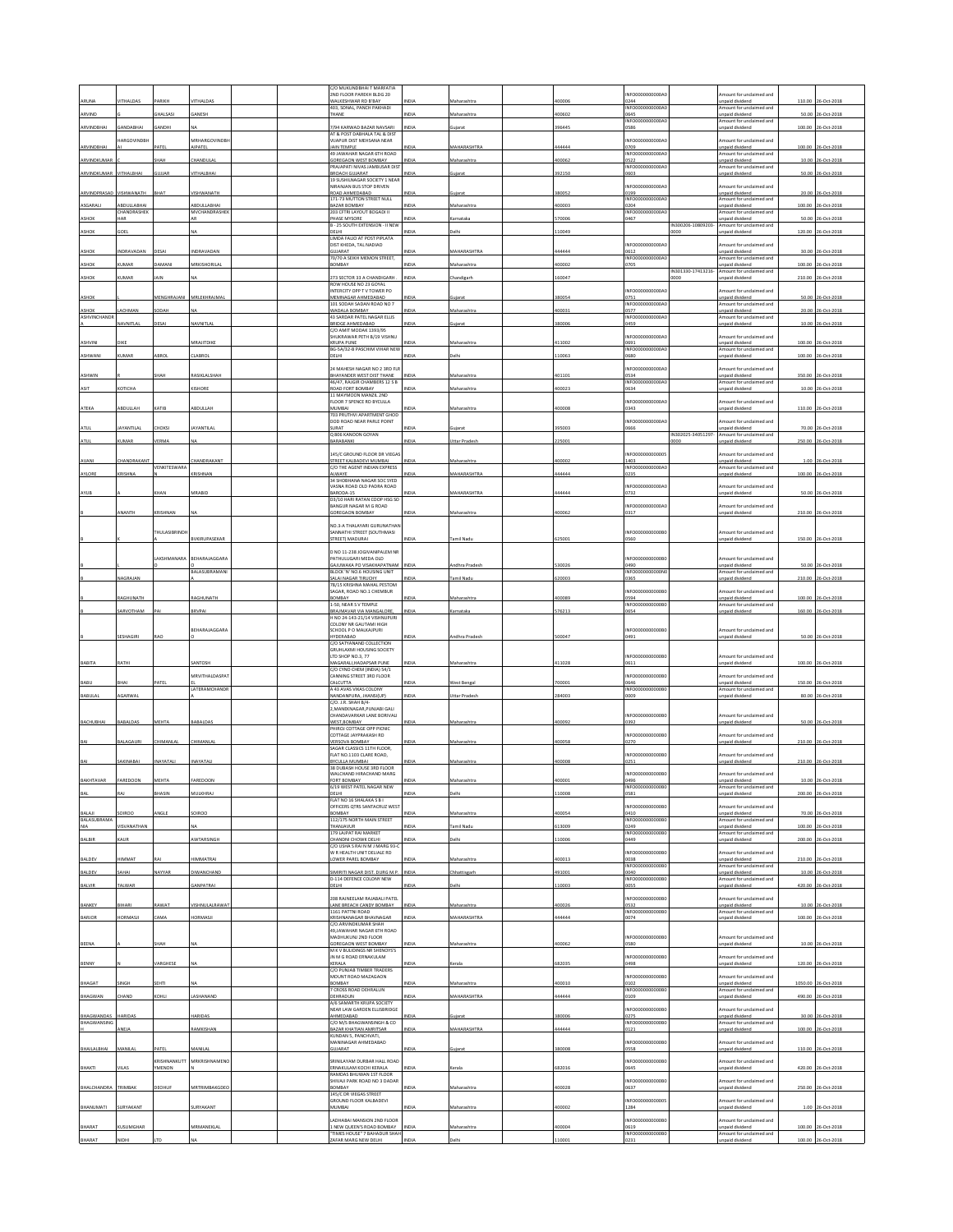|                              |                            |                            |                              |  | C/O MUKUNDBHAI T MARFATIA<br>2ND FLOOR PAREKH BLDG 20             |              |                      |        | NFO0000000000A                       |                    | mount for unclaimed and                     |         |                    |
|------------------------------|----------------------------|----------------------------|------------------------------|--|-------------------------------------------------------------------|--------------|----------------------|--------|--------------------------------------|--------------------|---------------------------------------------|---------|--------------------|
|                              | THALDAS                    |                            | THALDA                       |  | WALKESHWAR RD B'BAY<br>403, SONAL, PANCH PAKHADI                  |              | faharashtra          | 00006  | 0244<br>INFO0000000000A              |                    | inpaid dividend<br>mount for unclaimed and  | 110.00  |                    |
| ARVIND                       |                            | HALSASI                    | GANESH                       |  | THANE                                                             | INDIA        | Maharashtra          | 400602 | 1645                                 |                    | npaid dividend                              |         | 50.00 26-Oct-2018  |
| ARVINDBHA                    | ANDABHAI                   | ANDHI                      |                              |  | 7/94 KARWAD BAZAR NAVSARI                                         | <b>NDM</b>   | ujarat               | 396445 | INFO0000000000A<br>)586              |                    | mount for unclaimed and<br>npaid dividend   |         | 100.00 26-Oct-2018 |
|                              | <b>IARGOVINDBH</b>         |                            | MRHARGOVINDBI                |  | AT & POST DABHALA TAL & DIST<br>VIJAPUR DIST MEHSANA NEAR         |              |                      |        | NFO0000000000A                       |                    | mount for undaimed and                      |         |                    |
| ARVINDBHAI                   |                            | PATEL                      | AIPATEL                      |  | JAIN TEMPLE<br>49 JAWAHAR NAGAR 6TH ROAD                          | <b>NDIA</b>  | MAHARASHTRA          | 444444 | 3709<br>INFO0000000000A              |                    | npaid dividend<br>Amount for unclaimed and  |         | 100.00 26-Oct-2018 |
| ARVINDKUMA                   |                            | НАН                        | <b>HANDULA</b>               |  | GOREGAON WEST BOMBAY<br>RAJAPATI NIVAS JAMBUSAR DIST              | NDIA         | Maharashtra          | 100062 | 0522<br>NFO0000000000A               |                    | inpaid dividend<br>mount for unclaimed and  |         | 10.00 26-Oct-2018  |
| ARVINDKUMAR                  | VITHALBHAI                 | GUJJAR                     | VITHALBHAI                   |  | BROACH GUJARAT<br>19 SUSHILNAGAR SOCIETY 1 NEAR                   | INDIA        | ujarat               | 392150 | 0603                                 |                    | npaid dividend                              |         | 50.00 26-Oct-2018  |
|                              |                            |                            |                              |  | NIRANJAN BUS STOP DRIVEN                                          |              |                      |        | NFO0000000000A                       |                    | mount for unclaimed and                     |         |                    |
| ARVINDPRASAD                 | VISHWANATH                 | BHAT                       | <b>ISHWANATH</b>             |  | ROAD AHMEDABAD<br>171-73 MUTTON STREET NULL                       | <b>VDM</b>   | ujarat               | 380052 | 0199<br>NFO0000000000A               |                    | inpaid dividend<br>mount for unclaimed and  |         | 20.00 26-Oct-2018  |
| ASGARALI                     | ABDULLABHAI<br>CHANDRASHEK |                            | ABDULLABHAI<br>MVCHANDRASHEI |  | BAZAR BOMBAY<br>203 CFTRI LAYOUT BOGADI II                        | INDIA        | Maharashtra          | 400003 | 0204<br>INFO0000000000A              |                    | npaid dividend<br>mount for unclaimed and   |         | 100.00 26-Oct-2018 |
| <b>ASHOR</b>                 | HAR                        |                            |                              |  | PHASE MYSORE<br>B - 25 SOUTH EXTENSION - II NEW                   | INDIA        | Carnataka            | 570006 | 0467                                 | IN300206-10809203- | npaid dividend<br>Amount for unclaimed and  | 50.00   | 26-Oct-201         |
| <b>ASHOR</b>                 | GOEL                       |                            |                              |  | DELHI<br><b>LIMDA FALIO AT POST PIPLATA</b>                       | VDM          | elhi                 | 110049 |                                      | 0000               | npaid divident                              | 120.00  | 26-Oct-201         |
|                              |                            |                            |                              |  | DIST KHEDA, TAL NADIAD                                            |              |                      |        | NFO0000000000A                       |                    | mount for undaimed and                      |         |                    |
| <b>ASHOR</b>                 | <b>NDRAVADAN</b>           |                            | <b>INDRAVADAN</b>            |  | SUJARAT<br>70/70 A SEIKH MEMON STREET,                            | <b>INDIA</b> | <b>MAHARASHTRA</b>   | 444444 | 0612<br>INFO0000000000A0             |                    | heebivib bisen<br>Amount for unclaimed and  | 30.00   | 26-Oct-201         |
| <b>ASHOR</b>                 | <b>CUMAR</b>               | <b>JAMANI</b>              | MRKISHORILA                  |  | BOMBAY                                                            | NDIA         | faharashtra          | 400002 | 0705                                 | IN301330-17413216- | inpaid dividend<br>mount for unclaimed and  | 100.00  | 26-Oct-2018        |
| ASHOR                        | <b>IMAR</b>                |                            |                              |  | 273 SECTOR 33 A CHANDIGARH<br>ROW HOUSE NO 23 GOYAL               | <b>NDL</b>   | ndizart              | 160047 |                                      |                    | paid dividend                               | 210.00  | 6-Oct-201          |
|                              |                            | MENGHRAJANI                | MRLEKHRAJMA                  |  | INTERCITY OPP TV TOWER PO                                         | NDLA         |                      | 380054 | INFO0000000000A                      |                    | mount for unclaimed and                     | 50.00   | 26-Oct-201         |
| ASHOK                        |                            |                            |                              |  | MEMNAGAR AHMEDABAD<br>101 SODAH SADAN ROAD NO 7                   |              |                      |        | 0751<br>NFO0000000000A               |                    | npaid dividend<br>mount for unclaimed and   |         |                    |
| ASHOK<br><b>ASHVINCHANDE</b> | ACHMAN                     | ODAH                       |                              |  | WADALA BOMBAY<br>43 SARDAR PATEL NAGAR ELLIS                      | <b>IDI</b>   | laharashtr           | 00031  | 3577<br>INFO0000000000A              |                    | npaid dividend<br>Amount for unclaimed and  | 20.00   | 6-Oct-201          |
|                              | <b>AVNITLAI</b>            | ESAI                       | <b>JAVNITLAI</b>             |  | BRIDGE AHMEDABAD<br>C/O AMIT MODAK 1393/95                        | NDIA         | Jiarat               | 380006 | 1459                                 |                    | npaid dividend                              | 10.00   | 26-Oct-201         |
| <b>ASHVINI</b>               | <b>TIKE</b>                |                            | ARAJITDIKE                   |  | SHUKRAWAR PETH B/19 VISHNU<br>KRUPA PUNE                          | VDM          | Maharashtr           | 411002 | NFO0000000000A<br>0691               |                    | mount for unclaimed and<br>npaid dividend   | 100.00  | 26-Oct-201         |
| <b>ASHWANI</b>               | UMAF                       |                            | LABROL                       |  | BG-5A/32-B PASCHIM VIHAR NEW<br>DELHI                             |              | elh                  | 110063 | INFO0000000000A<br>0680              |                    | Amount for unclaimed and                    |         | 100.00 26-Oct-201  |
|                              |                            |                            |                              |  |                                                                   |              |                      |        |                                      |                    | npaid dividend                              |         |                    |
| ASHWIN                       |                            |                            | <b>ASIKLALSHAH</b>           |  | 24 MAHESH NAGAR NO 2 3RD FL<br>BHAYANDER WEST DIST THANE          |              | faharashti           | 101101 | NFO0000000000A<br>)534               |                    | mount for unclaimed and<br>npaid dividend   | 350.00  | 06-Oct-201         |
| ASIT                         | OTICHA                     |                            | <b>ISHORE</b>                |  | 46/47, RAJGIR CHAMBERS 12 S B<br>ROAD FORT BOMBAY                 | NDM          | Maharashtra          | 100023 | INFO0000000000A<br>0634              |                    | Amount for unclaimed and<br>npaid dividend  |         | 10.00 26-Oct-201   |
|                              |                            |                            |                              |  | 11 MAYMOON MANZIL 2ND<br>FLOOR 7 SPENCE RD BYCULLA                |              |                      |        | NFO0000000000A                       |                    | mount for unclaimed and                     |         |                    |
| ATEKA                        | BDULLAH                    | ATIR                       | BDULLAH                      |  | MUMBAI<br>703 PRUTHVI APARTMENT GHOD                              |              | taharashtr           | 00008  | 343                                  |                    | npaid divident                              | 110.00  | 26-Oct-201         |
|                              |                            |                            |                              |  | DOD ROAD NEAR PARLE POINT                                         |              |                      |        | INFO0000000000A0                     |                    | mount for unclaimed and                     |         |                    |
| ATUL                         | AYANTILAL                  | <b>HOKSI</b>               | AYANTILAL                    |  | SURAT<br>Q 806 KANOON GOYAN                                       |              |                      | 395003 | 1666                                 | IN302025-34051297- | npaid dividend<br>mount for unclaimed and   | 70.00   | 26-Oct-201         |
| ATUI                         | <b>IMAR</b>                | FRMA                       |                              |  | BARABANKI                                                         | <b>NDL</b>   | Ittar Prades         | 25001  |                                      | <b>DOO</b>         | npaid dividend                              | 250.00  | 6-Oct-201          |
| AVANI                        | <b>HANDRAKAN</b>           |                            | <b>HANDRAKANT</b>            |  | 145/C GROUND FLOOR DR VIEGAS<br>STREET KALBADEVI MUMBAI           | NDL          | laharasht            | 400002 | NFO00000000000<br>1403               |                    | mount for unclaimed and<br>inpaid dividend  | 1.00    | 26-Oct-201         |
|                              |                            | <b><i>VENKITESWARA</i></b> |                              |  | C/O THE AGENT INDIAN EXPRESS                                      |              |                      |        | NFO0000000000A                       |                    | mount for unclaimed and                     |         |                    |
| AYLORE                       | KRISHNA                    |                            | <b>RISHNAN</b>               |  | ALWAYE<br>34 SHOBHANA NAGAR SOC SYED                              |              | MAHARASHTRA          | 144444 | 1235                                 |                    | npaid dividend                              | 100.00  | 26-Oct-201         |
| AYUB                         |                            |                            | VIRABID                      |  | VASNA ROAD OLD PADRA ROAD<br>BARODA-15                            |              | <b>MAHARASHTRA</b>   | 444444 | INFO0000000000A<br>0732              |                    | mount for unclaimed and<br>npaid divident   | 50.00   | 26-Oct-201         |
|                              |                            |                            |                              |  | D3/10 HARI RATAN COOP HSG SO<br>BANGUR NAGAR M G ROAD             |              |                      |        | NFO0000000000A                       |                    | mount for unclaimed and                     |         |                    |
|                              | <b>NANTH</b>               | KRISHNAN                   |                              |  | <b>SOREGAON ROMRAY</b>                                            |              | Maharashtra          | 400062 | 0317                                 |                    | npaid divident                              |         | 210.00 26-Oct-201  |
|                              |                            |                            |                              |  | NO.3-A THALAYARI GURUNATHAI                                       |              |                      |        |                                      |                    |                                             |         |                    |
|                              |                            | <b>HULASIBRINDI</b>        | <b>VKIRUPASEKAR</b>          |  | SANNATHI STREET (SOUTHMASI<br><b>STREET) MADURA</b>               |              | mil Nad              | 25001  | INFO0000000000B<br><b>S60</b>        |                    | mount for unclaimed and<br>npaid dividend   | 150.00  | 26-Oct-201         |
|                              |                            |                            |                              |  | D NO 11-238 JOGIVANIPALEM NR                                      |              |                      |        |                                      |                    |                                             |         |                    |
|                              |                            | AKSHMANARA                 | BEHARAJAGGARA                |  | ATHULUGARI MEDA OLD                                               |              |                      |        | NFO0000000000B<br>0940               |                    | mount for unclaimed and                     |         |                    |
|                              |                            |                            | BALASUBRAMANI                |  | GAJUWAKA PO VISAKHAPATNAM INDIA<br>BLOCK 'N' NO.6 HOUSING UNIT    |              | ndhra Prades         | 30026  | INFO0000000000N                      |                    | inpaid dividend<br>Amount for unclaimed and |         | 50.00 26-Oct-2018  |
|                              | NAGRAJAN                   |                            |                              |  | SALAI NAGAR TIRUCHY<br>78/15 KRISHNA MAHAL PESTOM                 | NDIA         | <b>Tamil Nadu</b>    | 620003 | 0365                                 |                    | inpaid dividend                             |         | 210.00 26-Oct-201  |
|                              | <b>IAGHUNATH</b>           |                            | AGHUNATH                     |  | SAGAR, ROAD NO.1 CHEMBUR<br>BOMBAY                                | NDIA         | Maharashtra          | 100089 | NFO0000000000E<br>)594               |                    | mount for unclaimed and<br>inpaid dividend  |         | 100.00 26-Oct-2018 |
|                              | ARVOTHAM                   | PAI                        | BRVPA                        |  | 1-50, NEAR S V TEMPLE<br>BRAJMAVAR VIA MANGALORE                  | <b>INDIA</b> | Carnataka            | 576213 | INFO0000000000B<br>0654              |                    | mount for undaimed and<br>inpaid dividend   | 160.00  | 26-Oct-201         |
|                              |                            |                            |                              |  | H NO 24-143-21/14 VISHNUPURI<br><b>COLONY NR GAUTAMI HIGH</b>     |              |                      |        |                                      |                    |                                             |         |                    |
|                              |                            |                            | BEHARAJAGGARA                |  | SCHOOL P O MALKAJPURI                                             |              |                      |        | INFO0000000000B                      |                    | mount for unclaimed and                     |         |                    |
|                              | ESHAGIRI                   |                            |                              |  | HYDERABAD<br>C/O SATYANAND COLLECTION                             |              | ndhra Prade          | 500047 | 1491                                 |                    | npaid dividend                              | 50.00   | 26-Oct-201         |
|                              |                            |                            |                              |  | <b>GRUHLAXMI HOUSING SOCIETY</b><br>LTD SHOP NO.3, 77             |              |                      |        | NFO0000000000B                       |                    | mount for undaimed and                      |         |                    |
| BABITA                       | <b>ATHI</b>                |                            | ANTOSH                       |  | MAGARALI, HADAPSAR PUNE<br>C/O CYNO CHEM (INDIA) 54/1             | <b>INDIA</b> | Maharashtra          | 111028 | 0611                                 |                    | inpaid dividend                             |         | 100.00 26-Oct-2018 |
|                              |                            |                            | <b>MRVITHALDASPAT</b>        |  | CANNING STREET 3RD FLOOR                                          |              |                      |        | NFO0000000000B                       |                    | mount for unclaimed and                     |         |                    |
| BABU                         | BHAI                       | PATEL                      | LATERAMCHANDR                |  | CALCUTTA<br>43 AVAS VIKAS COLONY                                  | INDIA        | West Bengal          | 700001 | 0646<br>NFO0000000000B               |                    | Inpaid dividend<br>mount for unclaimed and  |         | 150.00 26-Oct-2018 |
| BABULAL                      | GARWAI                     |                            |                              |  | NANDANPURA, JHANSI(UP)<br>C/O. J.R. SHAH B/4-                     | INDIA        | <b>Jttar Pradesi</b> | 284003 | 1009                                 |                    | npaid dividend                              |         | 80.00 26-Oct-201   |
|                              |                            |                            |                              |  | 2. MANEKNAGAR, PUNJABI GALI<br>CHANDAVARKAR LANE BORIVALI         |              |                      |        | INFO0000000000B                      |                    | Amount for unclaimed and                    |         |                    |
| BACHUBHAI                    | BABALDAS                   | MEHTA                      | BABALDAS                     |  | WEST, BOMBAY                                                      |              | Maharashtra          | 400092 | 0392                                 |                    | inpaid dividend                             |         | 50.00 26-Oct-201   |
|                              |                            |                            |                              |  | HIROJ COTTAGE OPP PICNIC<br>COTTAGE JAYPRAKASH RD                 |              |                      |        | NFO0000000000B                       |                    | mount for unclaimed and                     |         |                    |
| BAI                          | BALAGAURI                  | <b>HIMANLAL</b>            | <b>HIMANLAI</b>              |  | VERSOVA BOMBAY<br>SAGAR CLASSICS 11TH FLOOR,                      | NDIA         | Maharashtra          | 400058 | 0270                                 |                    | inpaid dividend                             | 210.00  | 26-Oct-2018        |
|                              | SAKINABAI                  | NAYATALI                   | NAYATALI                     |  | FLAT NO.1103 CLARE ROAD,<br>BYCULLA MUMBAI                        | INDIA        | Maharashtra          | 400008 | NFO0000000000B<br>0251               |                    | mount for unclaimed and<br>inpaid dividend  |         | 210.00 26-Oct-2018 |
|                              |                            |                            |                              |  | 38 DUBASH HOUSE 3RD FLOOR<br>WAI CHAND HIRACHAND MARG             |              |                      |        | NEODDDDDDDDDR                        |                    | Amount for unclaimed and                    |         |                    |
|                              |                            |                            |                              |  | ORT BOMBAY                                                        |              |                      |        |                                      |                    | npaid divi                                  | 10.00   | $26-0c$            |
|                              |                            | HASIN                      | <b>AULKHRAJ</b>              |  | 6/19 WEST PATEL NAGAR NEW<br>DELHI                                | NDLA         | elh                  | 10008  | NFO0000000000B<br>0581               |                    | mount for unclaimed and<br>npaid dividend   |         | 200.00 26-Oct-2018 |
|                              |                            |                            |                              |  | FLAT NO 16 SHALAKA S B I<br>OFFICERS OTRS SANTACRUZ WEST          |              |                      |        | NFO0000000000B                       |                    | mount for unclaimed and                     |         |                    |
| BALAJI<br>BALASUBRAMA        | <b>OIROO</b>               | <b>INGLE</b>               | SOIROO                       |  | BOMBAY<br>112/175 NORTH MAIN STREET                               | INDIA        | Maharashtra          | 400054 | 0410<br>INFO0000000000B              |                    | Inpaid dividend<br>mount for unclaimed and  |         | 70.00 26-Oct-2018  |
| NIA                          | <b>ISVANATHAN</b>          |                            |                              |  | <b>THANJAVUR</b><br>179 LAJPAT RAI MARKET                         | NDLA         | amil Nadu            | 13009  | 0249<br>INFO0000000000B              |                    | inpaid dividend<br>Amount for unclaimed and |         | 100.00 26-Oct-2018 |
| BALBIR                       | KAUR                       |                            | WTARSINGH                    |  | CHANDNI CHOWK DELHI<br>C/O USHA S RAI N M J MARG 93-0             | NDIA         | elhi                 | 10006  | 0449                                 |                    | npaid dividend                              |         | 200.00 26-Oct-2018 |
|                              |                            |                            |                              |  | W R HEALTH UNIT DELIALE RD                                        |              |                      |        | NFO0000000000B                       |                    | mount for unclaimed and                     |         |                    |
| BALDEV                       | TAMMIH                     |                            | IIMMATRAI                    |  | LOWER PAREL BOMBAY                                                | NDIA         | Maharashtra          | 100013 | 3600<br><b>INFO0000</b><br>00000B    |                    | inpaid dividend<br>mount for unclaimed and  |         | 210.00 26-Oct-2018 |
| BALDEV                       | SAHAI                      | NAYYAR                     | <b>IWANCHAND</b>             |  | SIMIRITI NAGAR DIST. DURG M.P.<br><b>D-114 DEFENCE COLONY NEW</b> | INDIA        | <b>Chhattisgarh</b>  | 491001 | 040<br><b>NFO000</b><br><b>1000E</b> |                    | npaid dividend<br>mount for unclaimed and   |         | 10.00 26-Oct-2018  |
| BALVIR                       | <b>ALWAR</b>               |                            | ANPATRA                      |  | <b>IHJ3</b>                                                       | VDL          | elhi                 | 110003 | 1055                                 |                    | inpaid dividend                             | 420.00  | 26-Oct-2018        |
| BANKEY                       | <b>SIHARI</b>              | <b>AWAT</b>                | /ISHNULALRAWAT               |  | 208 RAJNEELAM RAJABALI PATEL<br>LANE BREACH CANDY BOMBAY          | NDIA         | Maharashtra          | 400026 | NFO0000000000E<br>0532               |                    | mount for unclaimed and<br>hosbivib bison   |         | 10.00 26-Oct-2018  |
|                              |                            |                            |                              |  | 1161 PATTNI ROAD                                                  |              |                      |        | <b>INFO0000</b><br>3000E             |                    | mount for unclaimed and                     |         |                    |
| BARJOR                       | HORMASJI                   | AMA                        | <b>IORMASJI</b>              |  | KRISHNANAGAR BHAVNAGAR<br>C/O.ARVINDKUMAR SHAH                    | NDM          | MAHARASHTRA          | 44444  | 0074                                 |                    | inpaid dividend                             |         | 100.00 26-Oct-2018 |
|                              |                            |                            |                              |  | 49 JAWAHAR NAGAR 6TH ROAD<br>MADHUKUNJ 2ND FLOOR                  |              |                      |        | NFO0000000000B                       |                    | mount for unclaimed and                     |         |                    |
| <b>BEENA</b>                 |                            | HAH                        |                              |  | GOREGAON WEST BOMBAY<br>M K V BULIDINGS NR SHENOYS'S              | NDIA         | Maharashtra          | 400062 | 3580                                 |                    | inpaid dividend                             |         | 10.00 26-Oct-2018  |
|                              |                            |                            |                              |  | JN M G ROAD ERNAKULAM                                             |              |                      |        | NFO0000000000B                       |                    | mount for unclaimed and                     |         |                    |
| BENNY                        |                            | <b>/ARGHESE</b>            |                              |  | KERALA<br>C/O PUNJAB TIMBER TRADERS                               | NDIA         | <b>Cerala</b>        | 682035 | 1498                                 |                    | inpaid dividend                             |         | 120.00 26-Oct-2018 |
| BHAGAT                       | SINGH                      | <b>SEHTI</b>               |                              |  | MOUNT ROAD MAZAGAON<br>BOMBAY                                     | NDI.         | Maharashtra          | 100010 | NFO0000000000B<br>0102               |                    | mount for undaimed and<br>npaid dividend    | 1050.00 | 26-Oct-201         |
| BHAGWAN                      | CHAND                      | <b>COHLI</b>               | ASHANAND                     |  | 7 CROSS ROAD DEHRALUN<br>DEHRADUN                                 | INDIA        | MAHARASHTRA          | 144444 | NFO0000000000B<br>109                |                    | mount for undaimed and<br>npaid dividend    |         | 490.00 26-Oct-2018 |
|                              |                            |                            |                              |  | A/6 SAMARTH KRUPA SOCIETY<br>NEAR LAW GARDEN ELUSBRIDGE           |              |                      |        | NFO0000000000B                       |                    | mount for unclaimed and                     |         |                    |
| BHAGWANDAS                   | HARIDAS                    |                            | <b>ARIDAS</b>                |  | AHMEDABAD                                                         | NDL          | ujarat               | 380006 | 0275                                 |                    | npaid dividend                              |         | 30.00 26-Oct-2018  |
| BHAGWANSING                  | ANEJA                      |                            | RAMKISHAN                    |  | C/O M/S BHAGWANSINGH & CO<br>BAZAR KHATIAN AMRITSAR               | <b>NDIA</b>  | MAHARASHTRA          | 144444 | NFO0000000000B<br>0121               |                    | mount for undaimed and<br>npaid dividend    | 100.00  | 26-Oct-2018        |
|                              |                            |                            |                              |  | KUNDAN S. PANCHVATI.<br>MANINAGAR AHMEDABAD                       |              |                      |        | NFO0000000000B                       |                    | mount for unclaimed and                     |         |                    |
| BHAILALBHAI                  | MANILAI                    | ATEL                       | MANILAI                      |  | GUJARAT                                                           | <b>INDIA</b> | ujara                | 380008 | 0558                                 |                    | inpaid dividend                             |         | 110.00 26-Oct-2018 |
| BHAKTI                       | VILAS                      | CRISHNANKUTT<br>YMENON     | MRKRISHNAMENO                |  | SRINILAYAM DURBAR HALL ROAD<br>ERNAKULAM KOCHI KERALA             | INDIA        | Cerala               | 682016 | NFO0000000000B<br>0645               |                    | mount for undaimed and<br>inpaid dividend   |         | 420.00 26-Oct-2018 |
|                              |                            |                            |                              |  | RAMDAS BHUWAN 1ST FLOOR<br>SHIVAJI PARK ROAD NO 3 DADAR           |              |                      |        | NFO0000000000B                       |                    |                                             |         |                    |
| BHALCHANDRA                  | TRIMBAK                    | EOHUF                      | MRTRIMBAKGDEC                |  | BOMBAY                                                            | NDIA         | Maharashtra          | 100028 | 0637                                 |                    | mount for unclaimed and<br>inpaid dividend  |         | 250.00 26-Oct-2018 |
|                              |                            |                            |                              |  | 145/C DR VIEGAS STREET<br>GROUND FLOOR KALBADEVI                  |              |                      |        | NFO00000000000                       |                    | mount for unclaimed and                     |         |                    |
| BHANUMATI                    | SURYAKANT                  |                            | <b>URYAKANT</b>              |  | MUMBAI                                                            | <b>ND14</b>  | Maharashtra          | 100002 | 1284                                 |                    | npaid dividend                              |         | 1.00 26-Oct-2018   |
| BHARAT                       | KUSUMGHAR                  |                            | MRMANEKLAL                   |  | ADHABAI MANSION 2ND FLOOR<br>I NEW QUEEN'S ROAD BOMBAY            | <b>INDIA</b> | Maharashtra          | 400004 | NFO0000000000B<br>0619               |                    | nount for unclaimed and<br>npaid dividend   | 100.00  | 26-Oct-2018        |
|                              |                            |                            |                              |  |                                                                   |              |                      |        | INFO0000000000B                      |                    | mount for unclaimed and                     |         |                    |
| BHARAT                       | NIDHI                      |                            |                              |  | TIMES HOUSE" 7 BAHADUR SHAH<br>ZAFAR MARG NEW DELHI               | <b>INDIA</b> | elhi                 | 10001  | 0231                                 |                    | paid dividend                               |         | 100.00 26-Oct-2018 |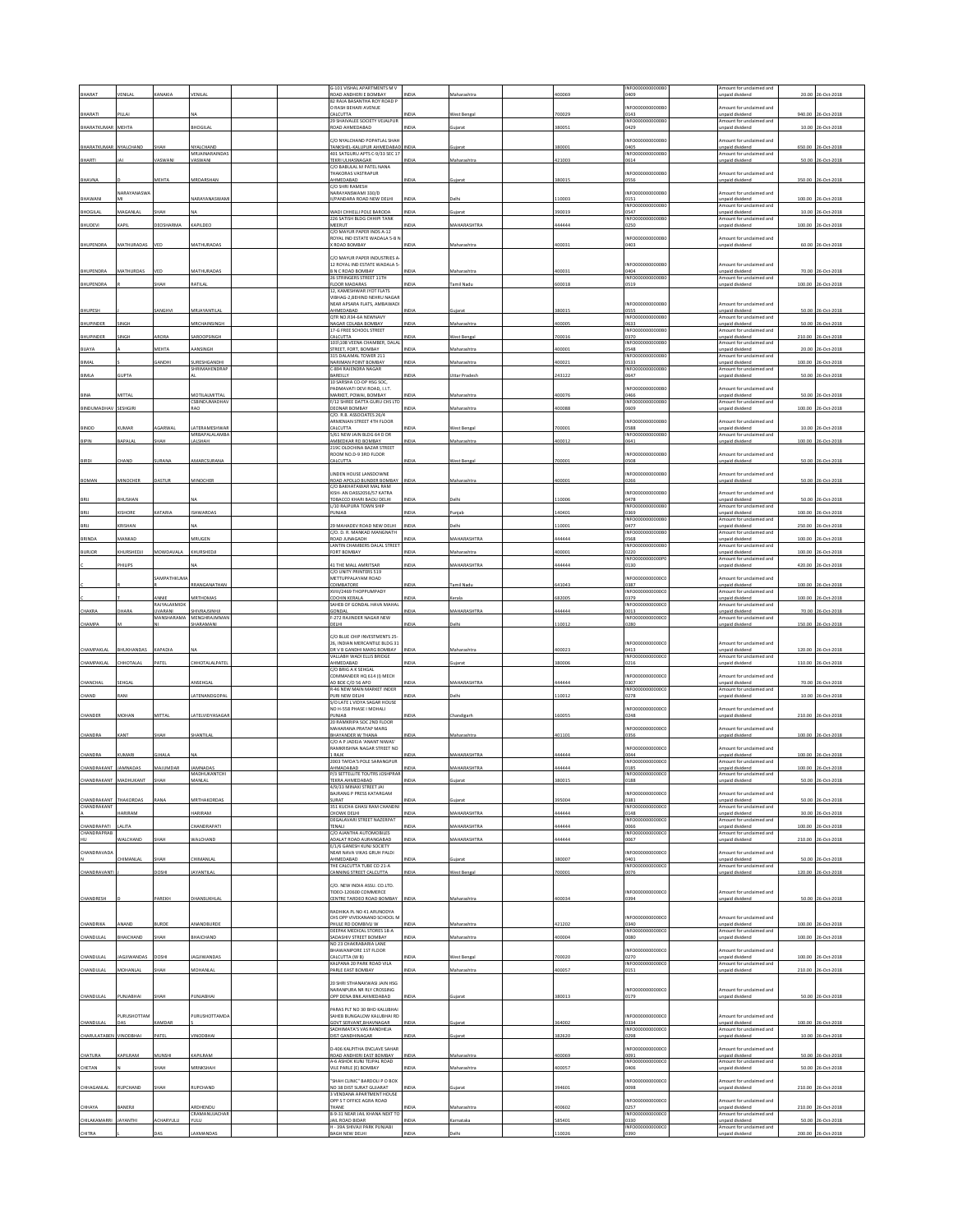|                            |                  |                                     |                                     | G-101 VISHAL APARTMENTS M \                                                   |             |                      |        | INFO0000000000B                           | mount for undaimed and                                               |        |                    |
|----------------------------|------------------|-------------------------------------|-------------------------------------|-------------------------------------------------------------------------------|-------------|----------------------|--------|-------------------------------------------|----------------------------------------------------------------------|--------|--------------------|
| HARAT                      |                  |                                     | <b>ENILA</b>                        | ROAD ANDHERI E BOMBAY<br>82 RAJA BASANTHA ROY ROAD I                          |             |                      | noss   | 1409                                      | paid dividend                                                        | 20.00  | 6-0ct-2018         |
|                            |                  |                                     |                                     | O RASH BEHARI AVENUE                                                          |             |                      |        | INFO0000000000B                           | mount for unclaimed and                                              |        |                    |
| BHARATI                    | ILLAI            |                                     |                                     | CALCUTTA<br>29 SHAIVALEE SOCIETY VEJALPUR                                     | NDIA        | Vest Benga           | 00029  | 0143<br>INFO0000000000B                   | <b>Inpaid dividend</b><br>mount for unclaimed and                    | 940.00 | 26-Oct-201         |
| BHARATKUMAR                | MEHTA            |                                     | HOGILAL                             | CAN AHMEDABAD                                                                 | <b>IDIA</b> |                      | 80051  | 1429                                      | npaid dividend                                                       | 10.00  | 26-Oct-201         |
|                            |                  |                                     |                                     | C/O NYALCHAND POPATLAL SHAH                                                   |             |                      |        | INFO0000000000B                           | mount for unclaimed and                                              |        |                    |
| BHARATKUMAR                | NYALCHAND        | HAH                                 | NYALCHAND<br>MRJAINARAINDA!         | ANKSHEL-KALUPUR AHMEDABAD<br>401 SATGURU APTS C-9/33 SEC 17                   | NDIA        |                      | 80001  | 1405<br>INFO0000000000B                   | inpaid dividend<br>mount for unclaimed and                           | 650.00 | 26-Oct-201         |
| BHARTI                     |                  | <b>ASWANI</b>                       | <b>ASWANI</b>                       | TEKRI ULHASNAGAR                                                              | <b>IDIA</b> |                      | 21003  | 0614                                      | npaid dividend                                                       | 50.00  | 26-Oct-201         |
|                            |                  |                                     |                                     | C/O BABULAL M PATEL NANA<br><b>HAKORAS VASTRAPUR</b>                          |             |                      |        | INFO0000000000B                           | Amount for unclaimed and                                             |        |                    |
| BHAVNA                     |                  | <b>AEHTA</b>                        | MRDARSHAN                           | HMEDABAD                                                                      | NDIA        | ujara                | 80015  | 0556                                      | inpaid dividend                                                      | 350.00 | 26-Oct-2018        |
|                            | NARAYANASWA      |                                     |                                     | C/O SHRI RAMESH<br>NARAYANSWAMI 330/D                                         |             |                      |        | NFO0000000000B                            | mount for unclaimed and                                              |        |                    |
| BHAWANI                    |                  |                                     | VARAYANASWAM                        | II/PANDARA ROAD NEW DELHI                                                     | <b>NDIA</b> | elhi                 | 10003  | 0151                                      | npaid dividend                                                       | 100.00 | 26-Oct-2018        |
| BHOGILAL                   | AAGANLAL         |                                     |                                     | WADI CHHELLI POLE BARODA                                                      | NDIA        | uiara                | 90019  | INFO0000000000B<br>0547                   | mount for unclaimed and<br>npaid dividend                            | 10.00  | 26-Oct-201         |
|                            | ΔΡΙΙ             | EOSHARMA                            | CAPILDEO                            | 226 SATISH BLDG CHHIPI TANK<br>MEERUT                                         | DIA         | <b>MAHARASHTRA</b>   | 44444  | INFO0000000000B                           | mount for unclaimed and                                              |        | 26-Oct-201         |
| BHUDEVI                    |                  |                                     |                                     | C/O MAYUR PAPER INDS A-12                                                     |             |                      |        | 0250                                      | npaid dividend                                                       | 100.00 |                    |
| BHUPENDRA                  | MATHURADAS       | VEC                                 | MATHURADA                           | ROYAL IND ESTATE WADALA 5-B N<br>(ROAD BOMBA)                                 | NDIA        | Vlaharashtra         | 100031 | NFO0000000000B<br>0403                    | Amount for unclaimed and<br><b>Inpaid</b> dividend                   |        | 60.00 26-Oct-201   |
|                            |                  |                                     |                                     |                                                                               |             |                      |        |                                           |                                                                      |        |                    |
|                            |                  |                                     |                                     | C/O MAYUR PAPER INDUSTRIES A<br>12 ROYAL IND ESTATE WADALA S-                 |             |                      |        | NEODDDDDDDDDA                             | Amount for unclaimed and                                             |        |                    |
| BHUPENDRA                  | MATHURDAS        | VED                                 | MATHURADAS                          | B N C ROAD BOMBAY                                                             | NDIA        | Maharashtra          | 400031 | 0404                                      | Inpaid dividend                                                      |        | 70.00 26-Oct-2018  |
| BHUPENDRA                  |                  | SHAH                                | RATILAL                             | 26 STRINGERS STREET 11TH<br><b>FLOOR MADARAS</b>                              | NDIA        | amil Nadu            | 00018  | INFO0000000000B<br>0519                   | mount for unclaimed and<br>npaid dividend                            |        | 100.00 26-Oct-2018 |
|                            |                  |                                     |                                     | 12, KAMESHWAR JYOT FLATS<br><b>VIRHAG-2 REHIND NEHRLI NAGAR</b>               |             |                      |        |                                           |                                                                      |        |                    |
|                            |                  |                                     |                                     | NEAR APSARA FLATS, AMBAWAD                                                    |             |                      |        | INFO0000000000B                           | Amount for unclaimed and                                             |        |                    |
| BHUPESH                    |                  | ANGHVI                              | MRJAYANTILAL                        | AHMEDABAD<br>QTR NO.R34-6A NEWNAVY                                            | NDI.        | uiarat               | 80015  | 0555<br>INFO0000000000B                   | Inpaid dividend<br>mount for unclaimed and                           | 50.00  | 26-Oct-2018        |
| BHUPINDER                  |                  |                                     | ARCHAINSINGH                        | NAGAR COLABA BOMBAY<br>17-G FREE SCHOOL STREET                                | NDIA        | laharashtr           | 00005  | 0633<br>INFO0000000000                    | npaid dividend<br>Amount for unclaimed and                           | 50.00  | 0-Oct-2018         |
| BHUPINDER                  | <b>SINGH</b>     | ARORA                               | AROOPSINGH                          | CALCUTTA                                                                      | NDIA        | West Bengal          | 700016 | 0370                                      | Inpaid dividend                                                      |        | 210.00 26-Oct-2018 |
| BIJAYA                     |                  | <b>AEHTA</b>                        | ANSINGH                             | 103\108 VEENA CHAMBER, DALA<br>STREET, FORT, BOMBAY                           | NDIA        | Aaharashtra          | 00001  | INFO0000000000B<br>)548                   | Amount for unclaimed and<br>inpaid dividend                          | 20.00  | 26-Oct-2018        |
|                            |                  |                                     |                                     | 315 DALAMAL TOWER 211                                                         |             |                      |        | <b>INFO0000</b><br>0000B                  | Amount for unclaimed and                                             |        |                    |
| BIMAL                      |                  | ANDHI                               | URESHGANDHI<br><b>HRIMAHENDRAI</b>  | NARIMAN POINT BOMBAY<br>C-894 RAJENDRA NAGAR                                  | NDIA        | <b>Aaharashtra</b>   | 00021  | 0533<br>INFO000                           | npaid dividend<br>mount for unclaimed and                            |        | 100.00 26-Oct-2018 |
| BIMLA                      | <b>GUPTA</b>     |                                     |                                     | BAREILLY                                                                      | NDIA        | <b>Ittar Pradesh</b> | 43122  | 0647                                      | inpaid dividend                                                      |        | 50.00 26-Oct-201   |
|                            |                  |                                     |                                     | 10 SARSHA CO-OP HSG SOC,<br>ADMAVATI DEVI ROAD, I.I.T.                        |             |                      |        | INFO0000000000                            | mount for unclaimed and                                              |        |                    |
| BINA                       | MITTAL           |                                     | <b>MOTILALMITTAL</b><br>SBINDUMADHA | MARKET, POWAL BOMBAY<br>F/12 SHREE DATTA GURU CHS LTE                         | NDIA        | Maharashtra          | 100076 | 0466<br>INFO0000000000                    | npaid dividend<br>mount for unclaimed and                            | 50.00  | 26-Oct-2018        |
| <b>BINDUMADHAY</b>         | <b>SESHGIR</b>   |                                     | <b>LAO</b>                          | DEONAR BOMBAY                                                                 | NDIA        | laharashtra          | 00088  | 0609                                      | inpaid dividend                                                      |        | 100.00 26-Oct-2018 |
|                            |                  |                                     |                                     | C/O. R.B. ASSOCIATES 26/4<br>ARMENIAN STREET 4TH FLOOR                        |             |                      |        | INFO0000000000                            | mount for unclaimed and                                              |        |                    |
| BINOD                      | <b>UMAR</b>      | GARWAL                              | ATERAMESHWAR                        | CALCUTTA                                                                      | NDIA        | Vest Bengal          | '00001 | 0588                                      | npaid dividend                                                       |        | 10.00 26-Oct-2018  |
| BIPIN                      | <b>BAPALAI</b>   | HAH                                 | <b>MRBAPALALAMB</b><br>ALSHAH       | 5/61 NEW JAIN BLDG 64 D DR<br>AMBEDKAR RD BOMBAY                              | NDIA        | faharashtra          | 00012  | INFO0000000000B<br>0641                   | mount for unclaimed and<br>inpaid dividend                           | 100.00 | 26-Oct-201         |
|                            |                  |                                     |                                     | 219C OLDCHINA BAZAR STREET                                                    |             |                      |        |                                           |                                                                      |        |                    |
| BIRDI                      | <b>HAND</b>      | URANA                               | <b>MARCSURANA</b>                   | ROOM NO.D-9 3RD FLOOR<br>CALCUTTA                                             | NDIA        | Vest Bengal          | '00001 | NFO0000000000B<br>0508                    | mount for unclaimed and<br>inpaid dividend                           |        | 50.00 26-Oct-2018  |
|                            |                  |                                     |                                     | <b>UNDEN HOUSE LANSDOWNE</b>                                                  |             |                      |        | INFO0000000000B                           | mount for unclaimed and                                              |        |                    |
| BOMAN                      | MINOCHER         | DASTUR                              | MINOCHER                            | ROAD APOLLO BUNDER BOMBAY                                                     | INDIA       | Maharashtra          | 400001 | 0266                                      | inpaid dividend                                                      |        | 50.00 26-Oct-2018  |
|                            |                  |                                     |                                     | C/O BAKHATAWAR MAL RAM<br>KISH- AN DASS2056/57 KATRA                          |             |                      |        | NEODDDDDDDDDA                             | mount for unclaimed and                                              |        |                    |
| BRIJ                       | <b>HUSHAN</b>    |                                     |                                     | TOBACCO KHARI BAOLI DELHI                                                     | NDIA        | Jelhi                | 10006  | 0478                                      | npaid dividend                                                       |        | 50.00 26-Oct-2018  |
| BRIJ                       | ISHORE           | <b>ATARIA</b>                       | SHWARDAS                            | L/10 RAJPURA TOWN SHIF<br>UNJAB                                               | NDIA        | unjat                | 40401  | INFO0000000000B<br>369                    | Amount for unclaimed and<br>npaid dividend                           | 100.00 | 26-Oct-2018        |
| BRIJ                       | <b>CRISHAN</b>   |                                     |                                     | 29 MAHADEV ROAD NEW DELHI                                                     | <b>NDIA</b> | elhi                 | 10001  | INFO0000000000B<br>0477                   | Amount for unclaimed and<br>npaid dividend                           | 250.00 | 26-Oct-2018        |
|                            |                  |                                     |                                     | C/O. D. R. MANKAD MANGNATH                                                    |             |                      |        | INFO0000000000B                           | Amount for unclaimed and                                             |        |                    |
| BRIND/                     | <b>MANKAD</b>    |                                     | <b>MRUGEN</b>                       | ROAD JUNAGADH<br>LANTIN CHAMBERS DALAL STREET                                 |             | <b>AAHARASHTRA</b>   | 44444  | 0568<br>INFO0000000000B                   | inpaid dividend<br>mount for unclaimed and                           | 100.00 | 26-Oct-201         |
| BURJOR                     | <b>HURSHEDJI</b> | <b>MOWDAVALA</b>                    | KHURSHEDJI                          | FORT BOMBAY                                                                   | NDIA        | Aaharashtr           | 00001  | 0220                                      | npaid dividend                                                       | 100.00 | 26-Oct-2018        |
|                            | <b>HILIPS</b>    |                                     |                                     | <b>11 THE MALL AMRITSAR</b>                                                   | NDIA        | <b>MAHARASHTRA</b>   | 144444 | INFO000000000P<br>0130                    | Amount for unclaimed and<br>npaid dividend                           | 420.00 | 26-Oct-201         |
|                            |                  |                                     |                                     | C/O UNITY PRINTERS 519                                                        |             |                      |        |                                           |                                                                      |        |                    |
|                            |                  | <b>AMPATHKUM</b>                    | RRANGANATHAN                        | METTUPPALAYAM ROAD<br>COIMBATORE                                              | NDIA        | amil Nadı            | 541043 | NFO0000000000<br>387                      | mount for unclaimed and<br>npaid dividend                            | 100.00 | 26-Oct-2018        |
|                            |                  | <b>INNIE</b>                        | <b><i>MRTHOMAS</i></b>              | WIII/2469 THOPPUMPADY<br>COCHIN KERALA                                        | NDIA        | erala                | 82005  | INFO0000000000<br>0379                    | Amount for unclaimed and                                             | 100.00 | 26-Oct-2018        |
|                            |                  | RAJYALAXMIDK                        |                                     | SAHEB OF GONDAL HAVA MAHAL                                                    |             |                      |        | INFO0000000000                            | inpaid dividend<br>Amount for unclaimed and                          |        |                    |
| CHAKRA                     | <b>HARA</b>      | <b>JVARANI</b><br><b>MANSHARAMA</b> | HIVRAJSINHJ<br>MENGHRAJMMAN         | SONDAL<br>F-272 RAJINDER NAGAR NEW                                            | NDIA        | <b>MAHARASHTRA</b>   | 44444  | 0013<br>INFO0000000000                    | inpaid dividend<br>Amount for unclaimed and                          | 70.00  | 26-Oct-201         |
|                            |                  |                                     | SHARAMANI                           | DELHI                                                                         | NDIA        | elhi                 | 10012  | 0280                                      | inpaid dividend                                                      | 150.00 | 26-Oct-2018        |
| CHAMPA                     |                  |                                     |                                     |                                                                               |             |                      |        |                                           |                                                                      |        |                    |
|                            |                  |                                     |                                     |                                                                               |             |                      |        |                                           |                                                                      |        |                    |
|                            |                  |                                     |                                     | C/O BLUE CHIP INVESTMENTS 25-<br>26, INDIAN MERCANTILE BLDG 31                |             |                      |        | INFO0000000000                            | mount for unclaimed and                                              |        |                    |
| CHAMPAKLAL                 | <b>HUKHANDAS</b> | KAPADIA                             |                                     | DR V B GANDHI MARG BOMBAY<br>VALLABH WADI ELLIS BRIDGE                        | NDIA        | Maharashtr           | 00023  | 0413<br>INFO0000000000C                   | npaid dividend<br>Amount for unclaimed and                           | 120.00 | 26-Oct-2018        |
| CHAMPAKLAI                 | <b>HHOTALAI</b>  | ATEL                                | <b>HHOTALALPATEI</b>                | AHMEDABAD                                                                     | NDIA        | juiarat              | 380006 | 0216                                      | npaid dividend                                                       |        | 110.00 26-Oct-201  |
|                            |                  |                                     |                                     | C/O BRIG A K SEHGAL<br>OMMANDER HQ 614 (I) MECH                               |             |                      |        | NFO0000000000                             | mount for undaimed and                                               |        |                    |
| CHANCHAL                   | EHGAL            |                                     | <b>INSEHGAL</b>                     | AD BDE C/O 56 APO<br>R-46 NEW MAIN MARKET INDER                               | NDIA        | <b>MAHARASHTRA</b>   | 44444  | 307<br>INFO00000000000                    | npaid dividend<br>Amount for unclaimed and                           | 70.00  | 26-Oct-2018        |
| CHAND                      | RANI             |                                     | ATENANDGOPAL                        | PURI NEW DELHI                                                                | NDIA        | elhi                 | 10012  | )278                                      | npaid dividend                                                       | 10.00  | 26-Oct-201         |
|                            |                  |                                     |                                     | S/O LATE L VIDYA SAGAR HOUSE                                                  |             |                      |        | NFO0000000000C                            | nount for unclaimed and                                              |        |                    |
| CHANDER                    | MOHAN            | MITTAL                              | ATELVIDYASAGA                       | NO H-558 PHASE I MOHALI<br>PUNJAB                                             | NDIA        | handigar!            | 160055 | 0248                                      | npaid dividend                                                       |        | 210.00 26-Oct-2018 |
|                            |                  |                                     |                                     | 20 RAMKRIPA SOC 2ND FLOOR<br>MAHARANA PRATAP MARG                             |             |                      |        | NFO0000000000C                            | mount for unclaimed and                                              |        |                    |
| CHANDRA                    | CANT             | ЖАН                                 | SHANTILAL                           | BHAYANDER W THANA                                                             |             | faharashtra          | 01101  | 0356                                      | npaid dividend                                                       |        | 100.00 26-Oct-2018 |
|                            |                  |                                     |                                     | C/O A P JADEJA 'ANANT NIWAS'<br><b>RAMKRISHNA NAGAR STREET NO</b>             |             |                      |        | NFO0000000000                             | mount for unclaimed and                                              |        |                    |
| CHANDRA                    | UMARI            | <b>SJHALA</b>                       |                                     | <b>RAJK</b><br>2003 TAFDA'S POLF SARANGPLIR                                   | VDIA        | <b>AAHARASHTRA</b>   | 44444  | 044<br>INFO0000000000C                    | npaid dividend<br>Amount for unclaimed and                           | 100.00 | 26-Oct-2018        |
| CHANDRAKANT                | <b>AMNADAS</b>   | MAJUMDAR                            | <b>JAMNADAS</b>                     | <b>AHMADABAD</b>                                                              |             | <b>AAHARASHTRA</b>   | 44444  | 0185                                      | npaid dividend                                                       | 100.00 | 26-Oct-201         |
|                            |                  |                                     | MADHUKANTCHI                        | P/3 SETTELLITE TOUTRS JOSHPRAF                                                |             |                      |        | INFO0000000000                            | mount for unclaimed and<br>said divi                                 | 50.0   |                    |
|                            |                  |                                     |                                     | 1/9/33 MINAXI STREET JAI                                                      |             |                      |        |                                           |                                                                      |        |                    |
| CHANDRAKANT                | THAKORDAS        | <b>LANA</b>                         | MRTHAKORDAS                         | BAJRANG P PRESS KATARGAM<br>SURAT                                             | NDIA        | iujara               | 95004  | NFO0000000000<br>0381                     | mount for unclaimed and<br>npaid dividend                            |        | 50.00 26-Oct-201   |
| CHANDRAKAN                 | <b>ARIRAM</b>    |                                     | <b>ARIRAM</b>                       | 351 KUCHA GHASI RAM CHANDN<br><b>CHOWK DELHI</b>                              | NDIA        | <b>MAHARASHTRA</b>   | 44444  | INFO0000000000<br>0148                    | mount for unclaimed and<br>npaid dividend                            | 30.00  | 26-Oct-2018        |
|                            |                  |                                     |                                     | DEGALAVARI STREET NAZERPAT                                                    |             |                      |        | INFO0000000000C                           | mount for undaimed and                                               |        |                    |
| CHANDRAPATI<br>CHANDRAPRAI | ALITA            |                                     | HANDRAPATI                          | TENALI<br>C/O AJANTHA AUTOMOBILES                                             | VDIA        | MAHARASHTRA          | 44444  | 066<br>INFO0000000000                     | npaid dividend<br>mount for unclaimed and                            | 100.00 | 26-Oct-2018        |
|                            | ALCHAND          | нан                                 | VALCHAND                            | <b>IDALAT ROAD AURANGABAD</b><br>E/1/6 GANESH KUNJ SOCIETY                    | NDIA        | <b>MAHARASHTRA</b>   | 44444  | 0067                                      | npaid dividend                                                       |        | 210.00 26-Oct-2018 |
| CHANDRAVAD.                |                  |                                     |                                     | NEAR NAVA VIKAS GRUH PALDI                                                    |             |                      |        | NFO0000000000                             | mount for unclaimed and                                              |        |                    |
|                            | <b>HIMANLAI</b>  | <b>НАН</b>                          | <b>HIMANLA</b>                      | AHMEDABAD<br>THE CALCUTTA TUBE CO 21-A                                        | NDIA        | ujarat               | 380007 | 1401<br>INFO00000000000                   | npaid dividend<br>Amount for unclaimed and                           |        | 50.00 26-Oct-2018  |
| CHANDRAVANT                |                  | OSHI                                | AYANTILAL                           | ANNING STREET CALCUTTA                                                        | <b>NDIA</b> | Vest Bengal          | 00001  | 0076                                      | npaid dividend                                                       |        | 120.00 26-Oct-2018 |
|                            |                  |                                     |                                     | C/O. NEW INDIA ASSU. CO.LTD.                                                  |             |                      |        |                                           |                                                                      |        |                    |
|                            |                  |                                     |                                     | TIDEO-120600 COMMERCE                                                         | NDIA        |                      |        | INFO00000000000                           | Amount for unclaimed and<br>npaid dividend                           |        |                    |
| CHANDRESH                  |                  | AREKH                               | DHANSUKHLAI                         | CENTRE TARDEO ROAD BOMBA                                                      |             | Maharashtra          | 100034 | 0394                                      |                                                                      |        | 50.00 26-Oct-201   |
|                            |                  |                                     |                                     | RADHIKA PL NO 41 ARUNODYA                                                     |             |                      |        |                                           |                                                                      |        |                    |
| CHANDRIKA                  | <b>MAND</b>      | <b>URDE</b>                         | MANDBURDE                           | CHS OPP VIVEKANAND SCHOOL M<br>PHULE RD DOMBIVLI W                            | VDIA        | Maharashtra          | 21202  | NFO0000000000<br>340                      | mount for unclaimed and<br>npaid dividend                            |        | 100.00 26-Oct-2018 |
| CHANDULAI                  | HAICHAND         | НАН                                 | HAICHAND                            | DEEPAK MEDICAL STORES 18-A                                                    | NDIA        | faharashtra          | 00004  | INFO0000000000<br>080                     | mount for unclaimed and<br>npaid dividend                            |        |                    |
|                            |                  |                                     |                                     | ADASHIV STREET BOMBAY<br>NO 23 CHAKRABARIA LANE                               |             |                      |        |                                           |                                                                      |        | 100.00 26-Oct-2018 |
| CHANDULAI                  | AGJIWANDAS       | DOSHI                               | AGJIWANDAS                          | BHAWANIPORE 1ST FLOOR                                                         | NDIA        | West Bengal          | 700020 | NFO0000000000<br>3270                     | mount for undaimed and                                               |        | 100.00 26-Oct-2018 |
|                            |                  |                                     |                                     | CALCUTTA (W B)<br>KALPANA 20 PARK ROAD VILA                                   |             |                      |        | INFO00000000000                           | unpaid dividend<br>Amount for unclaimed and                          |        |                    |
| CHANDULAL                  | MOHANLAL         | жан                                 | <b>MOHANLAI</b>                     | ARLE EAST BOMBAY                                                              | NDIA        | taharashtra          | 00057  | 0151                                      | npaid dividend                                                       |        | 210.00 26-Oct-2018 |
|                            |                  |                                     |                                     | 20 SHRI STHANAKWASI JAIN HSG<br>NARANPURA NR RLY CROSSING                     |             |                      |        | INFO00000000000                           | mount for unclaimed and                                              |        |                    |
| CHANDULAL                  | PUNJABHAI        | SHAH                                | PUNJABHA                            | OPP DENA BNK.AHMEDABAD                                                        | NDIA        | Gujarat              | 380013 | 0179                                      | inpaid dividend                                                      |        | 50.00 26-Oct-2018  |
|                            |                  |                                     |                                     | ARAS PLT NO 30 BHD KALUBHAI                                                   |             |                      |        |                                           |                                                                      |        |                    |
|                            | URUSHOTTAN       |                                     | URUSHOTTAMD                         | SAHEB BUNGALOW KALUBHAI RD                                                    |             |                      |        | NF000000000000                            | mount for unclaimed and                                              |        |                    |
| CHANDULA                   |                  | AMDAR                               |                                     | <b>SOVT SERVANT, BHAVNAGAR</b><br><b>SADHIMATA'S VAS RANDHEJA</b>             | NDIA        | uiara                | 64002  | 1334<br>INFO0000000000C                   | unpaid dividend<br>Amount for unclaimed and                          |        | 100.00 26-Oct-2018 |
| CHARULATABEN               | INODBHA          | ATEL                                | INODBHA                             | <b>IST GANDHINAGAR</b>                                                        | NDIA        | ujarat               | 82620  | )298                                      | npaid dividend                                                       |        | 10.00 26-Oct-2018  |
|                            |                  |                                     |                                     | -406 KALPITHA ENCLAVE SAHAR                                                   |             |                      |        | NFO0000000000                             | mount for unclaimed and                                              |        |                    |
| CHATURA                    | CAPILRAM         | <b>MUNSHI</b>                       | CAPILRAM                            | ROAD ANDHERI EAST BOMBAY<br>A-6 ASHOK KUNJ TEJPAL ROAD                        | NDIA        | Maharashtra          | 100069 | 091<br>INFO00000000000                    | npaid dividend<br>Amount for unclaimed and                           |        | 50.00 26-Oct-2018  |
| CHETAN                     |                  | нан                                 | <b>ARNKSHAF</b>                     | ILE PARLE (E) BOMBAY                                                          | NDIA        | taharashtra          | 00057  | 1406                                      | npaid dividend                                                       |        | 50.00 26-Oct-2018  |
|                            |                  |                                     |                                     | SHAH CLINIC" BARDOLI P O BOX                                                  |             |                      |        | NFO0000000000                             | mount for unclaimed and                                              |        |                    |
| CHHAGANLAL                 | RUPCHAND         | SHAH                                | RUPCHAND                            | NO 38 DIST SURAT GUJARAT                                                      | NDIA        | juiarat              | 394601 | 098                                       | npaid dividend                                                       |        | 210.00 26-Oct-2018 |
|                            |                  |                                     |                                     | 3 VENDANA APARTMENT HOUSE<br>OPP S T OFFICE AGRA ROAD                         |             |                      |        | NFO0000000000C                            | nount for unclaimed and                                              |        |                    |
| CHHAYA                     | <b>JANERJ</b>    |                                     | ARDHENDU                            | <b>THANE</b>                                                                  | NDIA        | Maharashtra          | 100602 | 0257                                      | inpaid dividend                                                      |        | 210.00 26-Oct-2018 |
| CHILAKAMARRI               | AYANTH           | CHARYULU                            | CRAMANUJACHAR<br>ш                  | 3-9-31 NEAR JAIL KHANA NEXT TO<br>AIL ROAD BIDAR<br>-39A SHIVAJI PARK PUNJABI | VDIA        | arnatak              | 685401 | INFO00000000000<br>0330<br>INFO0000000000 | mount for unclaimed and<br>npaid dividend<br>mount for unclaimed and |        | 50.00 26-Oct-201   |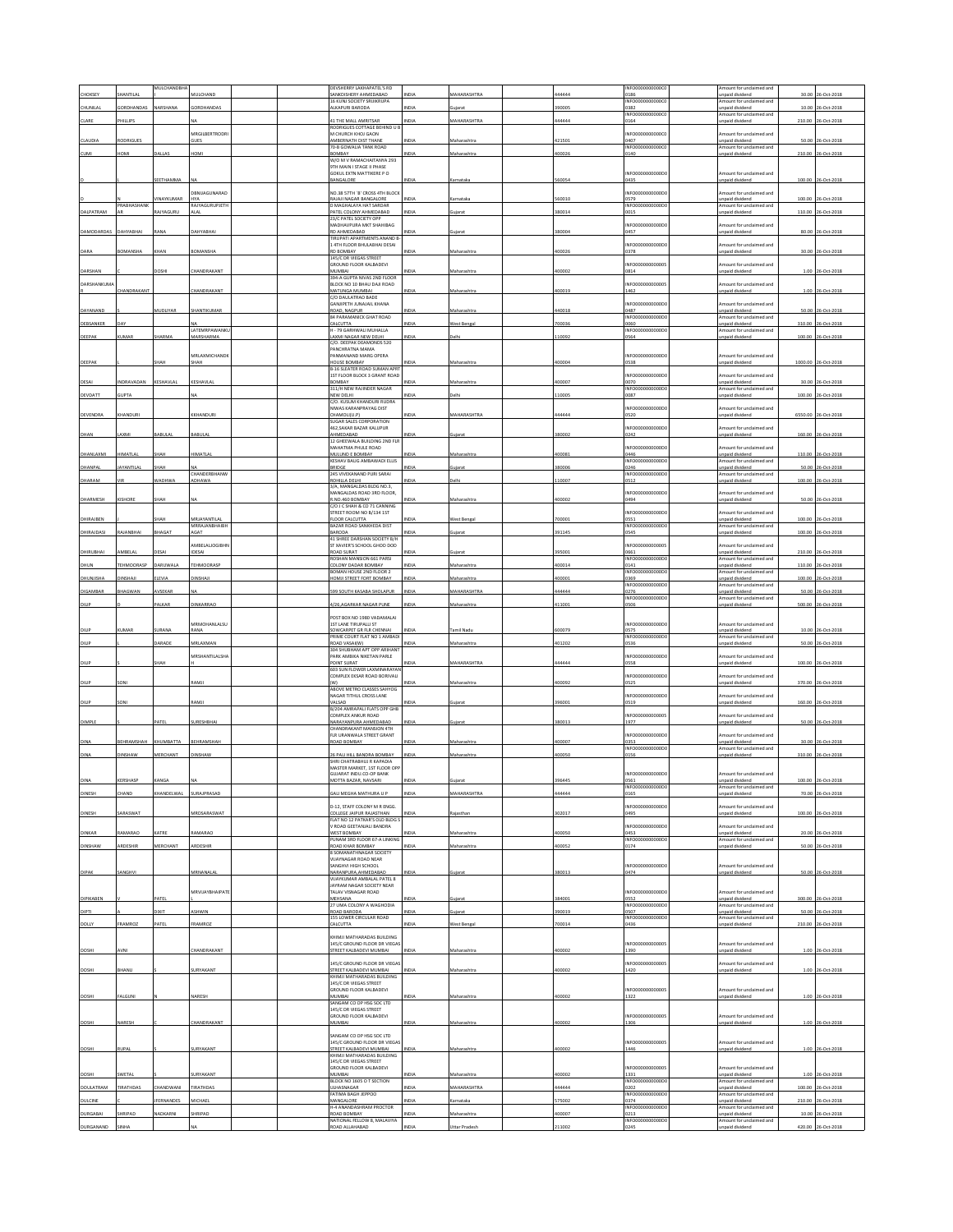| CHOKSEY                      | SHANTILAL               | MULCHANDBHA       | MULCHAND                     |  | DEVSHERRY LAKHAPATEL'S RD<br>SANKDISHERY AHMEDARAD                  | <b>INDIA</b>  | <b>MAHARASHTRA</b>           | 444444           | INFO0000000000C<br>0186         | mount for undaimed and<br>npaid dividend                      | 30.00   | 26-Oct-2018                             |
|------------------------------|-------------------------|-------------------|------------------------------|--|---------------------------------------------------------------------|---------------|------------------------------|------------------|---------------------------------|---------------------------------------------------------------|---------|-----------------------------------------|
| CHUNILA                      | ORDHANDAS               | VARSHANA          | <b>GRDHANDAS</b>             |  | 16 KUNJ SOCIETY SRUIKRUPA<br>LKAPURI BARODA                         | <b>VIDI</b>   |                              | 90005            | INFO00000000000<br>382          | mount for unclaimed and<br>npaid dividend                     | 10.00   | 06-Oct-201                              |
| CLARE                        | <b>HILLIPS</b>          |                   |                              |  | <b>11 THE MALL AMRITSAR</b>                                         | <b>NDL</b>    | MAHARASHTRA                  | 144444           | INFO0000000000C<br>164          | mount for unclaimed and<br>npaid dividend                     | 210.00  | 06-Oct-201                              |
|                              |                         |                   | MRGILBERTRODRI               |  | RODRIGUES COTTAGE BEHIND U B<br>M CHURCH KHOJ GAON                  |               |                              |                  | INFO0000000000                  | mount for unclaimed and                                       |         |                                         |
| CLAUDIA                      | RODRIGUES               |                   | <b>GUES</b>                  |  | AMBERNATH DIST THANE<br>70-B GOWALIA TANK ROAD                      | NDIA          | Maharashtra                  | 421501           | 1407<br>INFO0000000000          | inpaid dividend<br>mount for unclaimed and                    | 50.00   | 26-Oct-2018                             |
| <b>CUMI</b>                  | <b>IMOH</b>             | ALLAS             | <b>IOM</b>                   |  | BOMBAY                                                              | <b>JOIA</b>   | faharashtr.                  | 400026           | 140                             | npaid dividend                                                | 210.00  | 26-Oct-201                              |
|                              |                         |                   |                              |  | W/O M V RAMACHAITANYA 293<br>9TH MAIN I STAGE II PHASE              |               |                              |                  |                                 |                                                               |         |                                         |
|                              |                         | EETHAMMA          |                              |  | GOKUL EXTN MATTIKERE P O<br>BANGALORE                               | INDIA         | amataka                      | 560054           | NFO0000000000D<br>0435          | mount for unclaimed and<br>npaid dividend                     |         | 100.00 26-Oct-2018                      |
|                              |                         |                   | DRNIJAGUNARAD                |  | NO 38 57TH 'B' CROSS 4TH BLOCK                                      |               |                              |                  | NEODDDDDDDDDD                   | mount for unclaimed and                                       |         |                                         |
|                              | RABHASHAN               | <b>VINAYKUMAR</b> | <b>HYA</b><br>RAJYAGURUPJETH |  | RAJAJI NAGAR BANGALORE<br>D MAGHALAYA HAT SARDAF                    | <b>INDIA</b>  | Karnataka                    | 560010           | 0579<br>NFO0000000000           | npaid dividend<br>mount for unclaimed and                     |         | 100.00 26-Oct-2018                      |
| DALPATRAM                    |                         | <b>AJYAGURU</b>   | ALAI                         |  | PATEL COLONY AHMEDABAD<br>23/C PATEL SOCIETY OPP                    | INDIA         | ujarat                       | 380014           | 0015                            | npaid dividend                                                |         | 110.00 26-Oct-2018                      |
| DAMODARDAS                   | DAHYABHAI               | <b>LANA</b>       | DAHYABHA                     |  | MADHAVPURA MKT SHAHIBAG<br>RD AHMEDABAD                             |               |                              | 380004           | NFO0000000000D                  | mount for undaimed and                                        |         | 80.00 26-Oct-2018                       |
|                              |                         |                   |                              |  | <b>IRUPATI APARTMENTS ANAND E</b>                                   | <b>INDIA</b>  | iujarat                      |                  | 0457                            | inpaid dividend                                               |         |                                         |
| DARA                         | <b>OMANSHA</b>          | HAN               | <b>SOMANSHA</b>              |  | 14TH FLOOR BHULABHAI DESAI<br>RD BOMBAY                             | <b>VIDIZ</b>  | Maharashtr                   | 100026           | NFO0000000000D<br>0378          | mount for unclaimed and<br>npaid dividend                     | 30.00   | 26-Oct-201                              |
|                              |                         |                   |                              |  | 145/C DR VIEGAS STREET<br>GROUND FLOOR KALBADEVI                    |               |                              |                  | INFO00000000000                 | mount for unclaimed and                                       |         |                                         |
| DARSHAN                      |                         |                   | <b>HANDRAKANT</b>            |  | MUMBAI<br>394-A GUPTA NIVAS 2ND FLOOR                               | VDM           | Maharashtr.                  | 400002           | 0814                            | inpaid dividend                                               | 1.00    | 26-Oct-2018                             |
| <b>DARSHANKUMA</b>           | HANDRAKANT              |                   | <b>HANDRAKANT</b>            |  | BLOCK NO 10 BHAU DAJI ROAD<br>MATUNGA MUMBAI                        | <b>INDIA</b>  | Maharashtr                   | 400019           | NFO0000000000<br>1462           | mount for unclaimed and<br>inpaid dividend                    | 1.00    | 26-Oct-201                              |
|                              |                         |                   |                              |  | C/O DAULATRAO BADE<br>GANJIPETH JUNAJAIL KHANA                      |               |                              |                  | NFO0000000000D                  | mount for unclaimed and                                       |         |                                         |
| DAYANAND                     |                         | MUDLIYAR          | HANTIKUMAR                   |  | ROAD, NAGPUR                                                        | NDIA          | Maharashtra                  | 140018           | 1487                            | npaid dividend                                                |         | 50.00 26-Oct-2018                       |
| DEBSANKER                    |                         |                   |                              |  | <b>84 PARAMANICK GHAT ROAD</b><br>CALCUTTA                          | NDIA          | Vest Benga                   | 700036           | INFO0000000000D<br>060          | mount for unclaimed and<br>npaid dividend                     |         | 310.00 26-Oct-201                       |
| DEEPAK                       | KUMAR                   | HARMA             | LATEMRPAWANKL<br>MARSHARMA   |  | H - 79 GARHWALI MUHALLA<br>LAXMI NAGAR NEW DELHI                    | NDIA          | elhi                         | 110092           | INFO0000000000D<br>0564         | mount for unclaimed and<br>inpaid dividend                    | 100.00  | 26-Oct-2018                             |
|                              |                         |                   |                              |  | C/O. DEEPAK DEAMONDS 520<br>PANCHRATNA MAMA                         |               |                              |                  |                                 |                                                               |         |                                         |
| DEEPAK                       |                         | жан               | MRLAXMICHAND®<br>SHAH        |  | PANMANAND MARG OPERA<br>HOUSE BOMBAY                                | INDIA         | Maharashtra                  | 400004           | NFO0000000000D<br>0538          | Amount for unclaimed and<br>inpaid dividend                   |         | 1000.00 26-Oct-2018                     |
|                              |                         |                   |                              |  | B-16 SLEATER ROAD SUMAN APR'<br>1ST FLOOR BLOCK 3 GRANT ROAD        |               |                              |                  | NFO0000000000D                  | mount for unclaimed and                                       |         |                                         |
| DESAI                        | NDRAVADAN               | <b>ESHAVLAI</b>   | KESHAVLA                     |  | BOMBAY<br>311/H NEW RAJINDER NAGAR                                  | <b>IDI</b>    | Maharashtr                   | 100007           | 1070<br>INFO0000000000DC        | npaid dividend<br>Amount for unclaimed and                    | 30.00   | 26-Oct-2018                             |
| DEVDATT                      | <b>GUPTA</b>            |                   | NA                           |  | NEW DELHI                                                           | INDIA         | Delhi                        | 110005           | 0087                            | inpaid dividend                                               |         | 100.00 26-Oct-2018                      |
|                              |                         |                   |                              |  | C/O. KUSUM KHANDURI RUDRA<br>NIWAS KARANPRAYAG DIST                 |               |                              |                  | NFO0000000000D                  | nount for unclaimed and                                       |         |                                         |
| DEVENDRA                     | <b>HANDURI</b>          |                   | <b>KHANDUR</b>               |  | CHAMOLI(U.P)<br><b>SUGAR SALES CORPORATION</b>                      | <b>VIDIZ</b>  | <b>MAHARASHTRA</b>           | 144444           | <b>S20</b>                      | paid dividend                                                 | 6550.00 | 26-Oct-2018                             |
| DHAN                         | AXMI                    | ABULAL            | BABULAL                      |  | 462, SAKAR BAZAR KALUPUR<br>AHMEDABAD                               | <b>INDIA</b>  |                              | 380002           | INFO0000000000DC<br>)242        | mount for unclaimed and<br>inpaid dividend                    |         | 160.00 26-Oct-2018                      |
|                              |                         |                   |                              |  | 12 GHEEWALA BUILDING 2ND FLR<br>MAHATMA PHULE ROAD                  |               |                              |                  | NFO0000000000                   | mount for unclaimed and                                       |         |                                         |
| DHANLAXMI                    | HIMATLAL                | SHAH              | <b>IIMATLAL</b>              |  | MULUND E BOMBAY<br>KESHAV BAUG AMBAWADI ELLIS                       | <b>INDIA</b>  | Maharashtra                  | 400081           | 1446<br>INFO0000000000D         | npaid dividend<br>mount for undaimed and                      |         | 110.00 26-Oct-2018                      |
| DHANPAL                      | AYANTILAL               | HAH               | CHANDERBHANW                 |  | BRIDGE<br>245 VIVEKANAND PURI SARAI                                 | VDI           | uiarat                       | 380006           | 0246<br>NFO0000000000D          | inpaid dividend<br>mount for unclaimed and                    | 50.00   | 26-Oct-201                              |
| DHARAM                       |                         | VADHWA            | ADHAWA                       |  | ROHILLA DELHI<br>3/A. MANGALDAS BLDG NO.3.                          |               | <b>Delhi</b>                 | 10007            | 0512                            | npaid dividend                                                | 100.00  | 26-Oct-201                              |
|                              |                         |                   |                              |  | MANGALDAS ROAD 3RD FLOOR,                                           |               |                              |                  | INFO0000000000D                 | mount for unclaimed and                                       |         |                                         |
| DHARMESH                     | KISHORE                 | жан               |                              |  | R.NO.460 BOMBAY<br>C/O J C SHAH & CO 71 CANNING                     |               | Maharashtra                  | 400002           | 1494                            | inpaid dividend                                               |         | 50.00 26-Oct-201                        |
| DHIRAJBEN                    |                         | HAH               | VIRJAYANTILAL                |  | STREET ROOM NO B/134 1ST<br>FLOOR CALCUTTA                          | NDIA          | <b>Nest Bengal</b>           | 700001           | NFO0000000000D<br>3551          | mount for unclaimed and<br>npaid dividend                     |         | 100.00 26-Oct-2018                      |
| DHIRAJDASI                   | AJANBHAI                | <b>HAGAT</b>      | <b>MRRAJANBHAIBH</b><br>GAT  |  | BAZAR ROAD SANKHEDA DIST<br>BARODA                                  | NDIA          | uiarat                       | 391145           | <b>NFO0000</b><br>00000<br>0545 | mount for unclaimed and<br>inpaid dividend                    | 100.00  | 26-Oct-201                              |
|                              |                         |                   | MBELALIOGIBH                 |  | 41 SHREE DARSHAN SOCIETY B/H<br>ST XAVIER'S SCHOOL GHOD DOD         |               |                              |                  | NFO00000000000                  | mount for unclaimed and                                       |         |                                         |
| DHIRUBHAI                    | AMBELAL                 | DESAI             | IDESAI                       |  | <b>ROAD SURAT</b><br>ROSHAN MANSION 661 PARSI                       | NDIA          | uiarat                       | 395001           | 0661<br><b>INFO0000</b><br>000E | npaid dividend<br>mount for unclaimed and                     | 210.00  | 26-Oct-2018                             |
| DHUN                         | <b><i>EHMOORASP</i></b> | ARUWALA           | TEHMOORASE                   |  | COLONY DADAR BOMBAY                                                 | NDIA          | Maharashtra                  | 400014           | 0141                            | npaid dividend                                                | 110.00  | 26-Oct-2018                             |
| <b>DHUNJISHA</b>             | CHAI                    | LEVIA             | INSHAIL                      |  | BOMAN HOUSE 2ND FLOOR 2<br>HOMJI STREET FORT BOMBAY                 | <b>VIDIZ</b>  | taharashtr                   | 00001            | INFO0000000000<br>369           | mount for unclaimed and<br>npaid dividend                     | 100.00  | 06-Oct-2018                             |
| DIGAMBAR                     | BHAGWAN                 | AVSEKAR           | NA                           |  | 599 SOUTH KASABA SHOLAPUR                                           | <b>INDIA</b>  | MAHARASHTRA                  | 44444            | INFO0000000000<br>0276          | Amount for unclaimed and<br>inpaid dividend                   |         | 50.00 26-Oct-2018                       |
| DILIP                        |                         | ALKAR             | <b>JINKARRAC</b>             |  | 4/26,AGARKAR NAGAR PUNE                                             | INDIA         | Maharashtra                  | 111001           | INFO0000000000D<br>0506         | mount for unclaimed and<br>inpaid dividend                    |         | 500.00 26-Oct-2018                      |
|                              |                         |                   |                              |  | POST BOX NO 1980 VADAMALAI                                          |               |                              |                  |                                 |                                                               |         |                                         |
| DILIF                        | UMAR                    | <b>URAN</b>       | MRMOHANLALSU<br>ANA          |  | 1ST LANE TIRUPALLI ST<br>SOWCARPET GR FLR CHENNAL                   | <b>NDL</b>    | amil Nadı                    | 600079           | INFO0000000000D<br>0575         | mount for unclaimed and<br>npaid dividend                     |         | 10.00 26-Oct-201                        |
|                              |                         |                   |                              |  |                                                                     |               |                              |                  |                                 |                                                               |         |                                         |
|                              |                         |                   |                              |  | PRIME COURT FLAT NO 1 AMBAD                                         |               |                              |                  | NFO0000000000D                  | mount for unclaimed and                                       |         |                                         |
| DILIP                        |                         | ARADE             | <b>MRLAXMAN</b>              |  | ROAD VASAI(W)<br>304 SHUBHAM APT OPP ARIHANT                        | <b>IDI</b>    | Maharashtr                   | 401202           | 0536                            | npaid dividend                                                | 50.00   | 26-Oct-201                              |
| DILIP                        |                         | HAH               | MRSHANTILALSHA               |  | PARK AMBIKA NIKETAN PARLE<br>POINT SURAT                            | NDL           | MAHARASHTR                   | 444444           | NFO0000000000<br>0558           | mount for unclaimed and<br>inpaid dividend                    | 100.00  | 26-Oct-201                              |
|                              |                         |                   |                              |  | 603 SUN FLOWER LAXMINARAYAN<br>COMPLEX EKSAR ROAD BORIVALI          |               |                              |                  | NFO0000000000D                  | mount for undaimed and                                        |         |                                         |
| DILIP                        | SONI                    |                   | RAMJI                        |  | (W)<br>ABOVE METRO CLASSES SAHYOG                                   | <b>VDIA</b>   | Maharashtra                  | 400092           | 0525                            | inpaid dividend                                               |         | 370.00 26-Oct-2018                      |
|                              |                         |                   |                              |  | NAGAR TITHUL CROSS LANE                                             |               |                              |                  | NFO0000000000D                  | mount for unclaimed and                                       |         |                                         |
| DILIP                        | SON                     |                   | <b>LAMJI</b>                 |  | VALSAD<br>B/204 AMRAPALI FLATS OPP GHB                              | NDIA          | iujarat                      | 396001           | 0519                            | inpaid dividend                                               |         | 160.00 26-Oct-2018                      |
| DIMPLE                       |                         | PATEL             | SURESHBHAI                   |  | COMPLEX ANKUR ROAD<br>NARAYANPURA AHMEDABAD                         | INDIA         | juiarat                      | 380013           | NFO00000000000<br>1977          | mount for unclaimed and<br>npaid dividend                     |         | 50.00 26-Oct-2018                       |
|                              |                         |                   |                              |  | CHANDRAKANT MANSION 4TH<br>FLR URANWALA STREET GRANT                |               |                              |                  | NFO0000000000D                  | mount for unclaimed and                                       |         |                                         |
| DINA                         | BEHRAMSHAH              | KHUMBATTA         | BEHRAMSHAH                   |  | ROAD BOMBAY                                                         | NDIA          | Maharashtra                  | 400007           | 353<br>INFO0000000000           | npaid dividend<br>Amount for unclaimed and                    |         | 30.00 26-Oct-2018                       |
| DINA                         | INSHAW                  | <b>MERCHANT</b>   | INSHAW                       |  | 26 PALI HILL BANDRA BOMBAY<br>SHRI CHATRABHUJ R KAPADIA             | NDIA          | Maharashtra                  | 100050           | 0156                            | npaid dividend                                                |         | 310.00 26-Oct-201                       |
|                              |                         |                   |                              |  | MASTER MARKET, 1ST FLOOR OP<br>GUJARAT INDU.CO-OP BANK              |               |                              |                  | INFO0000000000DC                | Amount for unclaimed and                                      |         |                                         |
| <b>DINA</b>                  | KERSHASP                | KANGA             | NA                           |  | MOTTA BAZAR, NAVSARI                                                | <b>INDIA</b>  | Gujarat                      | 396445           | <b>S61</b><br>INFO0000000000DC  | inpaid dividend<br>Amount for unclaimed and                   |         | 100.00 26-Oct-2018                      |
| DINESH                       | CHAND                   | KHANDELWAL        | SURAJPRASAD                  |  | SALI MEGHA MATHURA U P                                              | INDIA         | MAHARASHTRA                  | 44444            | 0165                            | inpaid dividend                                               |         | 70.00 26-Oct-2018                       |
|                              | SARASWAT                |                   | MRDSARASWAT                  |  | D-12, STAFF COLONY M R ENGG.<br>OLLEGE IAIPUR RAIASTHAN             | NDIA          |                              | 302017           | NFO0000000000<br>0495           | mount for unclaimed and<br>npaid dividend                     |         | 100.00 26-Oct-2018                      |
| DINESH                       |                         |                   |                              |  | FLAT NO 12 PATKAR'S OLD BLDG !                                      |               | Rajasthan                    |                  |                                 |                                                               |         |                                         |
| DINKAR                       | <b>JAMARAO</b>          | CATRE             | <b>JAMARAO</b>               |  | V ROAD GEETANJALI BANDRA<br>WEST BOMBAY                             | VDIA          | Maharashtra                  | 100050           | NFO0000000000D<br>1453          | mount for unclaimed and<br>inpaid dividend                    |         | 20.00 26-Oct-2018                       |
| DINSHAW                      | ARDESHIR                | MERCHANT          | ARDESHIR                     |  | PUNAM 3RD FLOOR 67-A LINKING<br>ROAD KHAR BOMBAY                    | INDIA         | Maharashtra                  | 400052           | INFO0000000000<br>0174          | Amount for unclaimed and<br>npaid dividend                    |         | 50.00 26-Oct-2018                       |
|                              |                         |                   |                              |  | 8 SOMANATHNAGAR SOCIETY<br>VIJAYNAGAR ROAD NEAR                     |               |                              |                  |                                 |                                                               |         |                                         |
| DIPAK                        | SANGHVI                 |                   | MRNANALAL                    |  | SANGHVI HIGH SCHOOL<br>NARANPURA, AHMEDABAD                         | NDIA          | juiarat                      | 380013           | INFO0000000000DC<br>0474        | mount for undaimed and<br>inpaid dividend                     |         | 50.00 26-Oct-2018                       |
|                              |                         |                   |                              |  | VIIAYKUMAR AMRAIAI PATELS<br>JAYRAM NAGAR SOCIETY NEAR              |               |                              |                  |                                 |                                                               |         |                                         |
|                              |                         | ATEL              | <b>MRVIJAYBHAIPATE</b>       |  | TALAV VISNAGAR ROAD                                                 | NDIA          |                              |                  | NFO0000000000D                  | mount for unclaimed and                                       |         |                                         |
| DIPIKABEN<br>DIPTI           |                         | <b>TIXIT</b>      | ASHWIN                       |  | MEHSANA<br>27 UMA COLONY A WAGHODIA<br>ROAD BARODA                  | NDIA          | iujarat<br>uiarat            | 384001<br>390019 | 3552<br>INFO0000000000D<br>3507 | inpaid dividend<br>Amount for unclaimed and<br>npaid dividend |         | 300.00 26-Oct-2018                      |
|                              |                         |                   |                              |  | 155 LOWER CIRCULAR ROAD                                             |               |                              |                  | INFO0000000000DC                | mount for unclaimed and                                       |         | 50.00 26-Oct-2018                       |
| <b>DOLLY</b>                 | FRAMROZ                 | PATEL             | FRAMROZ                      |  | CALCUTTA                                                            | <b>INDIA</b>  | West Bengal                  | 700014           | 0436                            | inpaid dividend                                               |         | 210.00 26-Oct-2018                      |
|                              |                         |                   |                              |  | KHIMJI MATHARADAS BUILDING<br>145/C GROUND FLOOR DR VIEGAS          |               |                              |                  | INFO00000000000                 | Amount for unclaimed and                                      |         |                                         |
| DOSHI                        | AVNI                    |                   | <b>HANDRAKANT</b>            |  | STREET KALBADEVI MUMBAI                                             | INDIA         | Maharashtra                  | 400002           | 1390                            | inpaid dividend                                               |         | 1.00 26-Oct-2018                        |
| DOSHI                        | BHANU                   |                   | SURYAKANT                    |  | 145/C GROUND FLOOR DR VIEGAS<br>STREET KALBADEVI MUMBAI             | INDIA         | Maharashtra                  | 400002           | NFO00000000000<br>1420          | mount for unclaimed and<br>inpaid dividend                    |         | 1.00 26-Oct-2018                        |
|                              |                         |                   |                              |  | KHIMII MATHARADAS RUI DING<br>145/C DR VIEGAS STREET                |               |                              |                  |                                 |                                                               |         |                                         |
| DOSHI                        | FALGUNI                 |                   | VARESH                       |  | GROUND FLOOR KALBADEVI<br>MUMBAI                                    | NDIA          | Maharashtra                  | 400002           | NFO00000000000<br>1322          | Amount for unclaimed and<br>inpaid dividend                   |         | 1.00 26-Oct-2018                        |
|                              |                         |                   |                              |  | SANGAM CO OP HSG SOC LTD<br>145/C DR VIEGAS STREET                  |               |                              |                  |                                 |                                                               |         |                                         |
| DOSHI                        | NARESH                  |                   | CHANDRAKANT                  |  | GROUND FLOOR KALBADEVI<br>MUMBAI                                    |               | Maharashtra                  | 00002            | INFO00000000000<br>1306         | Amount for unclaimed and<br>inpaid dividend                   |         | 1.00 26-Oct-201                         |
|                              |                         |                   |                              |  |                                                                     |               |                              |                  |                                 |                                                               |         |                                         |
|                              |                         |                   |                              |  | SANGAM CO OP HSG SOC LTD<br>145/C GROUND FLOOR DR VIEGAS            |               |                              |                  | NFO00000000000                  | mount for undaimed and                                        |         |                                         |
| DOSHI                        | RUPAL                   |                   | SURYAKANT                    |  | STREET KALBADEVI MUMBAI<br>KHIMJI MATHARADAS BUILDING               | NDIA          | Maharashtra                  | 400002           | 1446                            | npaid dividend                                                |         | 1.00 26-Oct-2018                        |
|                              |                         |                   |                              |  | 145/C DR VIEGAS STREET<br>GROUND FLOOR KALBADEVI                    |               |                              |                  | NFO00000000000                  | mount for undaimed and                                        |         |                                         |
| DOSHI                        | WETAL                   |                   | <b>JURYAKANT</b>             |  | MUMBAI<br>BLOCK NO 1605 O T SECTION                                 | NDIA          | Maharashtra                  | 100002           | 1331<br>INFO0000000000          | npaid dividend<br>Amount for unclaimed and                    |         | 1.00 26-Oct-2018                        |
| DOULATRAM                    | TIRATHDAS               | HANDWANI          | <b>TRATHDAS</b>              |  | ULHASNAGAR<br>FATIMA BAGH JEPPOO                                    | NDIA          | MAHARASHTRA                  | 44444            | 0202<br>NFO0000000000D          | npaid dividend<br>mount for unclaimed and                     |         | 100.00 26-Oct-2018                      |
| DULCINE                      |                         | <b>FERNANDES</b>  | MICHAEL                      |  | MANGALORE<br>H-4 ANANDASHRAM PROCTOR                                | <b>NDIA</b>   | mataka                       | 575002           | 0374<br>INFO0000000000          | npaid dividend<br>mount for unclaimed and                     | 210.00  | 26-Oct-2018                             |
| <b>DURGABAI</b><br>DURGANAND | HRIPAD<br>SINHA         | NADKARNI          | SHRIPAD                      |  | <b>ROAD BOMBAY</b><br>NATIONAL FELLOW 8, MALAVIYA<br>ROAD ALLAHABAD | NDIA<br>INDIA | Maharashtra<br>Uttar Pradesh | 400007<br>211002 | 0213<br>INFO0000000000D<br>0245 | npaid dividend<br>Amount for unclaimed and<br>npaid dividend  |         | 10.00 26-Oct-2018<br>420.00 26-Oct-2018 |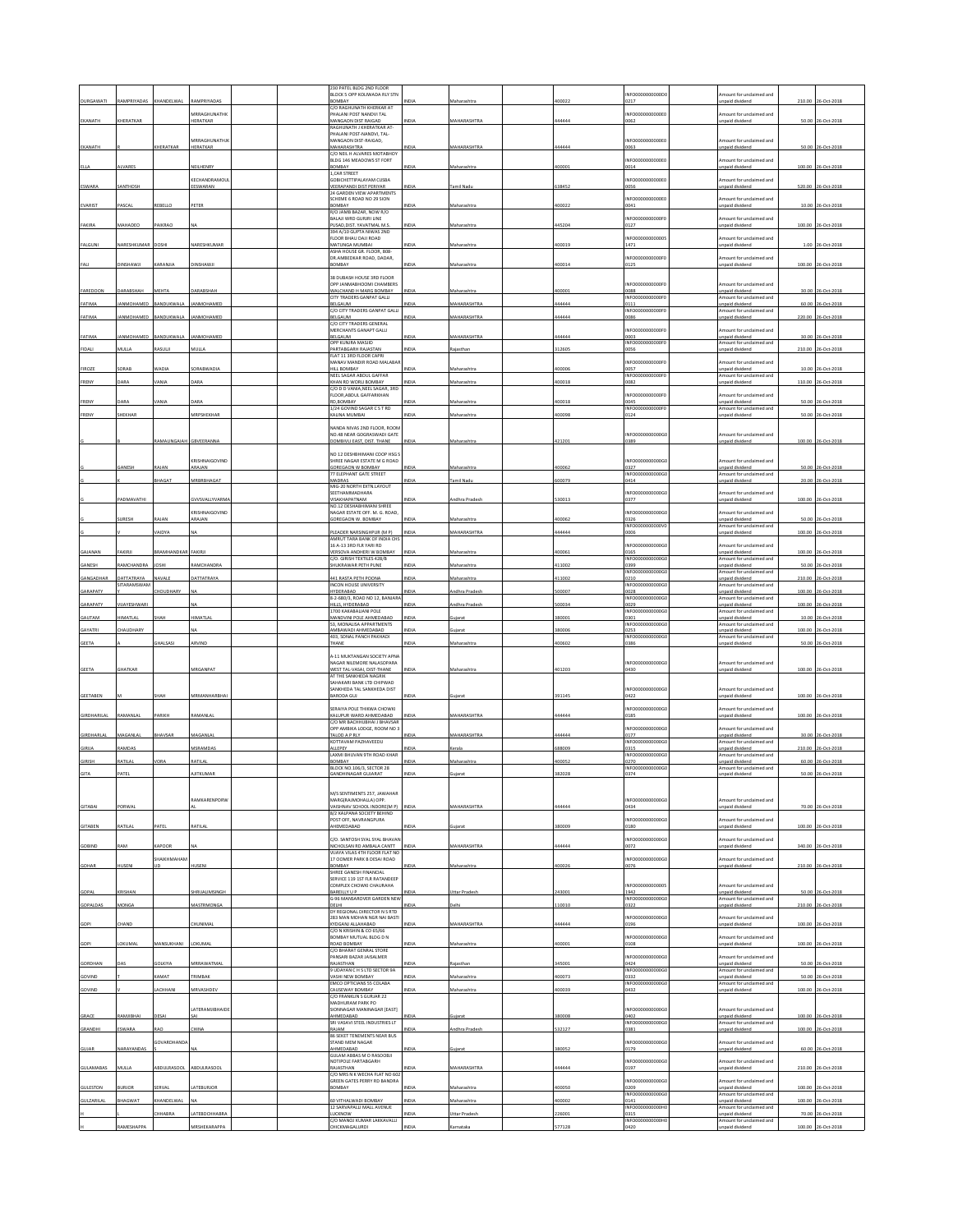| 230 PATEL BLDG 2ND FLOOR<br>BLOCK 5 OPP KOLIWADA RLY STM<br>NFO0000000000D<br>mount for unclaimed and<br><b>DURGAWATI</b><br>RAMPRIYADAS<br>KHANDELWA<br><b>BOMBAY</b><br>0217<br>210.00<br>26-Oct-2018<br>Maharashtra<br>inpaid dividend<br>١DIJ<br>C/O RAGHUNATH KHERKAR AT<br>MRRAGHUNATHK<br>HALANI POST NANDVI TAL<br>NFO000000000E<br>ount for unclaimed and<br>EKANATH<br>HERATKAR<br>HERATKAR<br>MANGAON DIST RAIGAD<br>MAHARASHTRA<br>0062<br>npaid dividend<br>50.00<br>26-Oct-2018<br>VDIA<br>14444<br>RAGHUNATH J KHERATKAR AT-<br>HALANI POST-NANDVI, TAL-<br>MRRAGHUNATHJK<br>AANGAON DIST-RAIGAD,<br>INFO000000000E<br>mount for unclaimed and<br>EKANATH<br>KHERATKAR<br>HERATKAR<br>MAHARASHTRA<br><b>MAHARASHTRA</b><br>44444<br>0063<br>npaid dividend<br>50.00<br>26-Oct-2018<br><b>NDIA</b><br>C/O NEIL H ALVARES MOTABHOY<br>BLDG 146 MEADOWS ST FORT<br>NFO0000000000E0<br>mount for unclaimed and<br>LVARES<br>NEILHENRY<br>YABANGE<br>00001<br>100.00<br>26-Oct-2018<br>ELLA<br>VDIA<br>Maharashtra<br>0014<br>unpaid dividend<br>, CAR STREET<br>KFCHANDRAMOU<br><b>SOBICHETTIPALAYAM CUSBA</b><br>NFO000000000E<br>mount for unclaimed and<br>ESWARA<br>ANTHOSH<br>EESWARAN<br>EERAPANDI DIST PERIYAR<br>mil Nadu<br>38452<br>1056<br>unpaid dividend<br>520.00<br>26-Oct-2018<br>VDIA<br>24 GARDEN VIEW APARTMENTS<br>CHEME 6 ROAD NO 29 SION<br>NFO000000000E<br>mount for unclaimed and<br>EVARIST<br>ASCAL<br>EBELLO<br>PETER<br><b>OMBAY</b><br>NDIA<br>Aaharashtra<br>100022<br>0041<br>10.00 26-Oct-2018<br><b>Inpaid divident</b><br>VO JAMB BAZAR, NOW R/O<br>ALAJI WRD GURJRI LINE<br>NFO0000000000F<br>mount for unclaimed and<br>AAHADEC<br>FAKIRA<br>PAIKRAO<br>PUSAD.DIST, YAVATMAL M.S<br>NDIA<br>Maharashtra<br>145204<br>0127<br><b>Inpaid dividend</b><br>100.00 26-Oct-2018<br>394 A/10 GUPTA NIWAS 2ND<br>LOOR BHAU DAJI ROAD<br>NFO00000<br>mount for undaimed and<br>FALGUNI<br>NARESHKUMA<br>NARESHKUMA<br>MATUNGA MUMBAL<br>100019<br>1471<br>unpaid dividend<br>1.00<br>26-Oct-2018<br>DOSHI<br>NDIA<br>Maharashtra<br>ASHA HOUSE GR. FLOOR, 808-<br>DR.AMBEDKAR ROAD, DADAR,<br>NEODDDDDDDDDAE<br>Amount for unclaimed and<br><b>OMBAY</b><br>DINSHAWJI<br>NDIA<br>400014<br>0125<br>100.00<br>26-Oct-2018<br>DINSHAWJI<br>KARANJIA<br>Maharashtra<br>unpaid dividend<br>FALI<br><b>38 DUBASH HOUSE 3RD FLOOR</b><br><b>OPP IANMARHOOMI CHAMRERS</b><br>NFO0000000000F<br>mount for unclaimed and<br>FAREDOON<br>DARABSHAH<br>DARABSHAH<br>30.00 26-Oct-2018<br><b>AEHTA</b><br><b>WALCHAND H MARG BOMBAY</b><br>NDIA<br>Maharashtra<br>100001<br>088<br>unpaid dividend<br>Amount for unclaimed and<br>CITY TRADERS GANPAT GALLI<br>INFO000000000F<br>FATIMA<br><b>NMOHAMED</b><br>BANDUKWALA<br>ANMOHAMED<br>NDIA<br>MAHARASHTRA<br>44444<br>60.00 26-Oct-2018<br>ELGAUM<br>0111<br>inpaid dividend<br>/O CITY TRADERS GANPAT GALLI<br>NFO0000000000F<br>mount for unclaimed and<br>FATIMA<br><b>NMOHAMED</b><br>BANDUKWALA<br>MMOHAMED<br>BELGAUM<br>VDIA<br><b>AAHARASHTRA</b><br>14444<br>0086<br>inpaid dividend<br>220.00<br>26-Oct-2018<br>C/O CITY TRADERS GENERAL<br>MERCHANTS GANAPT GALLI<br>NFO0000000000F<br>Amount for unclaimed and<br>FATIMA<br>ANMOHAMED<br>BANDUKWALA<br>JANMOHAMED<br>ELGAUM<br>NDIA<br><b>AAHARASHTRA</b><br>44444<br>0003<br>30.00 26-Oct-2018<br>unpaid dividend<br>JPP KUNJRA MASJID<br>INFO0000000000F0<br>mount for unclaimed and<br>FIDALI<br><b>NULLA</b><br>ASULII<br><b>PARTABGARH RAJASTAN</b><br>NDIA<br>ajasthan<br>12605<br>1056<br>210.00<br>6-Oct-2018<br><b>IULLA</b><br>inpaid dividend<br>FLAT 11 3RD FLOOR CAPRI<br>MANAV MANDIR ROAD MALABA<br>NFO0000000000F<br>Amount for unclaimed and<br>FIROZE<br>SORAB<br>VADIA<br>SORABWADIA<br><b>ILL BOMBAY</b><br>NDIA<br>Aaharashtra<br>100006<br>0057<br>unpaid dividend<br>10.00 26-Oct-2018<br><b>VEEL SAGAR ABDUL GAFFAR</b><br>INFO000000000F<br>Amount for unclaimed and<br>FRENY<br><b>ARA</b><br><b>ANIA</b><br><b>ARA</b><br>KHAN RD WORLI BOMBAY<br>NDIA<br>00018<br>0082<br>inpaid dividend<br>110.00<br>6-Oct-2018<br>Aaharashtra<br>C/O D D VANIA NEEL SAGAR 3RD<br>LOOR, ABDUL GAFFARKHAN<br>NFO0000000000F<br>Amount for unclaimed and<br>FRENY<br>DARA<br>ANIA<br>DARA<br>D,BOMBAY<br>NDIA<br>Maharashtra<br>00018<br>0045<br>unpaid dividend<br>50.00 26-Oct-2018<br>/24 GOVIND SAGAR CS TRD<br>INFO0000000000F0<br>mount for unclaimed and<br>FRENY<br>HEKHAR<br><b><i>MRPSHEKHAR</i></b><br>ALINA MUMBAL<br>NDIA<br>Aaharashtra<br>00098<br>0124<br>50.00<br>26-Oct-2018<br>npaid dividend<br><b>JANDA NIVAS 2ND FLOOR, ROOM</b><br>NO.48 NEAR GOGRASWADI GATE<br>INFO0000000000G<br>Amount for unclaimed and<br><b>AMALINGAIA</b><br>GBVEERANN<br>OMBIVLI EAST, DIST, THANE<br>NDL<br>21201<br>)389<br>unpaid dividend<br>100.00<br>26-Oct-201<br>Maharashtr.<br>NO 12 DESHBHIMANI COOP HSG S<br>HREE NAGAR ESTATE M G ROAD<br>KRISHNAIGOVIND<br>NFO0000000000G<br>Amount for unclaimed and<br>ANESH<br><b>SOREGAON W BOMBAY</b><br>50.00<br>26-Oct-2018<br><b>AJAN</b><br>00062<br>0327<br>unpaid dividend<br>ARAJAN<br>VDL<br>Maharashtra<br>7 ELEPHANT GATE STREET<br>INFO0000000000GD<br>mount for unclaimed and<br>HAGAT<br><b>MRBRBHAGAT</b><br>NDIA<br>amil Nadu<br>00079<br>0414<br>20.00<br>26-Oct-2018<br>MADRAS<br>inpaid dividend<br>MIG-20 NORTH EXTN.LAYOUT<br>SEETHAMMADHARA<br>NFO0000000000G<br>mount for unclaimed and<br><b>ADMAVATHI</b><br>530013<br>100.00<br>26-Oct-2018<br>VISAKHAPATNAM<br>VDIA<br>ndhra Prades<br>0377<br><b>WAVALLWARM</b><br><b>Inpaid divident</b><br><b>0.12 DESHABHIMANI SHREE</b><br>KRISHNAIGOVIND<br>VAGAR ESTATE OFF. M. G. ROAD<br>NFO0000000000G<br>mount for unclaimed and<br>URESH<br>50.00 26-Oct-2018<br>RAJAN<br>ARAJAN<br>SOREGAON W. BOMBAY<br>NDIA<br>Maharashtra<br>400062<br>0326<br>inpaid dividend<br>Amount for unclaimed and<br>INFO0000000000V<br>LEADER NARSINGHPUR (M P)<br><b>MAHARASHTRA</b><br>44444<br>100.00<br>26-Oct-2018<br><b>NDYA</b><br>NDIA<br>0006<br>npaid divident<br>MRUT TARA BANK OF INDIA CHS<br>16 A-13 3RD FLR YARI RD<br>NFO0000000000G<br>mount for undaimed and<br><b>BRAMHANDKAR FAKIRJI</b><br><b>ERSOVA ANDHERI W BOMBAY</b><br>100.00<br>GAJANAN<br>FAKIRJI<br>NDIA<br>Maharashtra<br>100061<br>0165<br>Inpaid dividend<br>26-Oct-2018<br>/O. GIRISH TEXTILES 428/B<br>INFO000<br>Amount for unclaimed and<br>AMCHANDRA<br>11002<br>26-Oct-2018<br>GANESH<br>AMCHANDRA<br>HUKRAWAR PETH PUNE<br>NDIA<br>0399<br>50.00<br>OSHI<br>Maharashtra<br>unpaid dividend<br>NFO0000000000G<br>Amount for unclaimed and<br>GANGADHAR<br>ATTATRAYA<br>AVALE<br>ATTATRAYA<br>41 RASTA PETH POONA<br>NDIA<br>faharashtra<br>11002<br>npaid dividend<br>210.00<br>6-Oct-2018<br>0210<br>SITARAMSWAM<br>NCON HOUSE UNIVERSITY<br>INFO0000000000G<br>Amount for undaimed and<br>CHOUDHARY<br><b>NDIA</b><br>GARAPATY<br><b>IYDERABAD</b><br>Andhra Pradesh<br>500007<br>0028<br>100.00<br>26-Oct-2018<br>unpaid dividend<br>8-2-680/3, ROAD NO 12, BANJARA<br>INFO0000000000G<br>Amount for unclaimed and<br>IILLS, HYDERABAD<br>GARAPATY<br><b>JAYESHWAR</b><br>VDL<br>dhra Prades<br>500034<br>0029<br>unpaid dividend<br>100.00<br>06-Oct-201<br>1700 KAKABALIANI POLE<br>INFO0000000000G<br>Amount for unclaimed and<br>GAUTAM<br>IIMATLAL<br>HIMATLAL<br>NDIA<br>380001<br>10.00<br>26-Oct-2018<br>SHAH<br>MANDVINI POLE AHMEDABAD<br>uiarat<br>0301<br>Inpaid dividend<br>3, MONALISA APPARTMENTS<br>INFO000000000G<br>Amount for unclaimed and<br>HAUDHARY<br>GAYATRI<br>80006<br>100.00<br>06-Oct-2018<br>AMBAWADI AHMEDABAD<br>VDIA<br>0253<br>Inpaid dividend<br>ujarat<br>103, SONAL PANCH PAKHADI<br>INFO0000000000G<br>mount for unclaimed and<br><b>GEETA</b><br>HALSASI<br>ARVIND<br>NDIA<br>Aaharashtra<br>00602<br>0386<br>inpaid dividend<br>50.00<br>6-Oct-2018<br><b>THANE</b><br>4-11 MUKTANGAN SOCIETY APNA<br>NAGAR NILEMORE NALASOPARA<br>INFO0000000000G<br>Amount for unclaimed and<br><b>GEETA</b><br><b>HATKAR</b><br><b>IRGANPA</b><br><b>NEST TAL-VASAI, DIST-THANE</b><br>101203<br>0430<br>100.00<br>26-Oct-201<br>NDL<br>Maharashtr.<br>unpaid dividend<br>AT THE SANKHEDA NAGRIK<br><b>SAHAKARI BANK LTD CHIPWAD</b><br>ANKHEDA TAL SANKHEDA DIST<br>NFO0000000000G<br>mount for unclaimed and<br>GEETABEN<br><b>MRMANHARBHAI</b><br>ARODA GUJ<br>391145<br>100.00<br>26-Oct-2018<br>HAH<br>VDIA<br>ujarat<br>1422<br><b>Inpaid dividend</b><br><b>SERAIYA POLE THIKWA CHOWKI</b><br>NFO0000000000G<br>nount for undaimed and<br><b>GIRDHARILAI</b><br><b>AMANLAL</b><br>PARIKH<br>RAMANLAL<br>MAHARASHTRA<br>100.00 26-Oct-2018<br><b>KALUPUR WARD AHMEDABAD</b><br>NDIA<br>144444<br>0185<br>npaid dividend<br><b>C/O MR RACHHLIRHALL RHAVSAR</b><br>OPP AMBIKA LODGE, ROOM NO 3<br>NFO0000000000G<br>mount for unclaimed and<br>ALOD A P. RLY<br>GIRDHARLA<br><b>AGANLA</b><br>MAHARASHTRA<br>144444<br>0177<br>unpaid dividend<br>30.00<br>26-Oct-201<br>KOTTAVAM PAZHAVEEDU<br>INFO0000000000G<br>Amount for unclaimed and<br><b>AMDAS</b><br>MSRAMDAS<br>NDIA<br>88009<br>210.00<br>26-Oct-2018<br>GIRIJA<br>ALLEPEY<br>erala<br>0315<br>heybivib hison<br>ΑΧΜΙ ΒΗΙ ΙΥΑΝ 9ΤΗ ΒΩΑΩ ΚΗΔΕ<br>INFO0000000000G<br>Amount for unclaimed and<br>ATILAL<br>RATILAL<br>00052<br>60.00<br>26-Oct-2018<br><b>GIRISH</b><br>YABANGE<br>Maharashtra<br>VDIA<br>0270<br>unpaid dividend<br>BLOCK NO.106/3, SECTOR 28<br>INFO0000000000<br>Amount for unclaimed and<br>GITA<br>PATEL<br><b>AJITKUMAR</b><br>NDIA<br>382028<br>0374<br>inpaid dividend<br>50.00<br>26-Oct-2018<br><b>GANDHINAGAR GUJARAT</b><br>ujara<br>M/S SENTIMENTS 257, JAWAHAR<br>AARG(RAJMOHALLA) OPP.<br>AMKARENPORW<br>NFO0000000000G<br>nount for unclaimed and<br><b>GITABAI</b><br>PORWAL<br>AISHNAV SCHOOL INDORE(M P)<br><b>INDIA</b><br>MAHARASHTRA<br>44444<br>0434<br>Inpaid dividend<br>70.00 26-Oct-2018<br><b>8/2 ΚΔΙ ΡΑΝΑ SOCIETY REHIND</b><br>POST OFF, NAVRANGPURA<br>NEODDDDDDDDDG<br>mount for unclaimed and<br>RATILAL<br><b>GITABEN</b><br>RATILAL<br>PATEL<br>80009<br>100.00 26-Oct-2018<br>HEMEDABAD<br>VDIA<br>ujarat<br>180<br>npaid divident<br><b>C/O. SANTOSH SYAL SYAL BHAVAN</b><br>NFO0000000000G<br>mount for unclaimed and<br>KAPOOR<br>MAHARASHTRA<br>340.00 26-Oct-2018<br><b>GOBIND</b><br>RAM<br><b>JICHOLSAN RD AMRAIA CANTT</b><br><b>NDIA</b><br>444444<br>0072<br>npaid dividend<br>VIJAYA VILAS 4TH FLOOR FLAT NO<br>17 OOMER PARK B DESAI ROAD<br>SHAIKHMAHAM<br>NF00000000000G<br>mount for unclaimed and<br>GOHAR<br><b>IUSEN</b><br><b>COMBAY</b><br>100026<br>0076<br>unpaid dividend<br>210.00 26-Oct-2018<br>Maharashtra<br>HREE GANESH FINANCIAL<br><b>SERVICE 119 1ST FLR RATANDEEP</b><br>COMPLEX CHOWKI CHAURAHA<br>NFO0000000000<br>Amount for unclaimed and<br>GOPAL<br><b>RISHAN</b><br>HRUALIMSINGH<br>AREILLY U P<br><b>Ittar Pradesh</b><br>43001<br>50.00 26-Oct-2018<br>1942<br>unpaid dividend<br>VDIA<br>-96 MANSAROVER GARDEN NEW<br>NF00000000000G<br>Amount for unclaimed and<br>GOPALDAS<br>MONGA<br>MASTRMONGA<br>DELHI<br>NDIA<br>elhi<br>10010<br>0322<br>Inpaid dividend<br>210.00 26-Oct-2018<br>DY REGIONAL DIRECTOR N S RTD<br>283 MAN MOHAN NGR NAI BASTI<br>mount for unclaimed and<br>NFO0000000000G<br><b>CYDGANJ ALLAHABAD</b><br><b>MAHARASHTRA</b><br>100.00 26-Oct-2018<br>HAND<br>HUNIMAI<br>14444<br>GOPI<br>VDIA<br>0196<br><b>Inpaid dividend</b><br>C/O N KRISHIN & CO 65/66<br>BOMBAY MUTUAL BLDG D N<br>NFO0000000000G<br>mount for unclaimed and<br>OKUMAI<br>ANSUKHANI<br>LOKUMAI<br><b>CAD BOMBAY</b><br>00001<br>0108<br>unpaid dividend<br>100.00<br>26-Oct-2018<br>GOPI<br><b>VIDIA</b><br>Aaharashtra<br>CO BHARAT GENRAL STORE<br>ANSARI BAZAR JAISALMER<br>INFO000<br>Amount for unclaimed and<br>000G<br><b>AJASTHAN</b><br>0424<br>GORDHAN<br>OLKIYA<br><b>MRRAWATMAI</b><br>VDIA<br>45001<br>unpaid dividend<br>50.00<br>26-Oct-2018<br>ajasthar<br>UDAYAN C H S LTD SECTOR 9A<br>INFO0000000000G<br>mount for unclaimed and<br>GOVIND<br>ΔΜΔΤ<br>TRIMBAK<br>ASHI NEW BOMBAY<br><b>VIDIA</b><br>00073<br>332<br>Inpaid dividend<br>50.00<br>6-Oct-2018<br>faharashtr.<br><b>IMCO OPTICIANS 55 COLABA</b><br>INFO0000000000G<br>Amount for unclaimed and<br>00039<br>100.00<br>26-Oct-2018<br>GOVIND<br>CHHANI<br><b>VIRVASHDEV</b><br>CAUSEWAY BOMBAY<br>VDIA<br>Aaharashtra<br>npaid divident<br>0432<br>/O FRANKLIN S GURJAR 22<br><b>MADHURAM PARK PO</b><br>LATERAMJIBHAIDE<br>SIONNAGAR MANINAGAR [EAST]<br>NF00000000000G<br>mount for unclaimed and<br>GRACE<br>RAMJIBHAI<br>AHMEDABAD<br>VDIA<br>380008<br>1402<br>Inpaid dividend<br>100.00<br>26-Oct-2018<br><b>Garat</b><br>SRI VASAVI STEEL INDUSTRIES LT<br>INFO0000000000G<br>Amount for unclaimed and<br>SWARA<br>VDIA<br>32127<br>GRANDHI<br>AO<br>CHINA<br><b>AJAM</b><br>dhra Pradesi<br>0381<br>inpaid divident<br>100.00<br>26-Oct-2018<br><b>36 SEKET TENEMENTS NEAR BUS</b><br>GOVARDHAND<br>TAND MEM NAGAR<br><b>NFO0000</b><br>nount for undaimed and<br>100000<br>GUJAR<br>NARAYANDA<br>AHMEDABAD<br>VDIA<br>180052<br>0179<br><b>Inpaid dividend</b><br>60.00 26-Oct-2018<br>ujarat<br>GULAM ABBAS M O RASOOBJI<br><b>IOTIPOLE FARTABGARH</b><br>NFO0000000000G<br>mount for unclaimed and<br><b>GULAMABAS</b><br>MULLA<br>ABDULRASOOL<br><b>ABDULRASOOL</b><br><b>RAJASTHAN</b><br>NDIA<br>MAHARASHTRA<br>44444<br>0197<br>inpaid dividend<br>210.00 26-Oct-2018<br>C/O MRS N K WECHA FLAT NO 602<br><b>GREEN GATES PERRY RD BANDRA</b><br>NFO0000000000G<br>mount for unclaimed and<br>GULESTON<br>URJOR<br>ERVAI<br>LATEBURJOR<br>00050<br>100.00<br>26-Oct-2018<br><b>OMBAY</b><br>Aaharashtra<br>VDL<br>0209<br>unpaid dividend<br>INFO0000000000G<br>Amount for unclaimed and<br>GULZARILAL<br>BHAGWAT<br>HANDELWAL<br>0 VITHALWADI BOMBAY<br>NDIA<br>Maharashtra<br>00002<br>0141<br>Inpaid dividend<br>100.00<br>26-Oct-2018<br>12 SARVAPALLI MALL AVENUE<br><b>INFO0000</b><br>mount for unclaimed and<br>00001<br><b>ATEBDOHHABRA</b><br>VDIA<br>26001<br>HHABRA<br><b>UCKNOW</b><br><b>Ittar Prades</b><br>0315<br>Inpaid dividend<br>70.00<br>26-Oct-2018<br>C/O MANOJ KUMAR LAKKAVALLI<br>Amount for unclaimed and<br>INFO0000000000H<br><b>AMESHAPP</b><br>77128<br><b>RSHEKARAPPA</b><br>HICKMAGAL<br>0420<br>npaid divide<br>100.00 26-Oct-2018 |  |  |  |  |  |  |  |  |
|---------------------------------------------------------------------------------------------------------------------------------------------------------------------------------------------------------------------------------------------------------------------------------------------------------------------------------------------------------------------------------------------------------------------------------------------------------------------------------------------------------------------------------------------------------------------------------------------------------------------------------------------------------------------------------------------------------------------------------------------------------------------------------------------------------------------------------------------------------------------------------------------------------------------------------------------------------------------------------------------------------------------------------------------------------------------------------------------------------------------------------------------------------------------------------------------------------------------------------------------------------------------------------------------------------------------------------------------------------------------------------------------------------------------------------------------------------------------------------------------------------------------------------------------------------------------------------------------------------------------------------------------------------------------------------------------------------------------------------------------------------------------------------------------------------------------------------------------------------------------------------------------------------------------------------------------------------------------------------------------------------------------------------------------------------------------------------------------------------------------------------------------------------------------------------------------------------------------------------------------------------------------------------------------------------------------------------------------------------------------------------------------------------------------------------------------------------------------------------------------------------------------------------------------------------------------------------------------------------------------------------------------------------------------------------------------------------------------------------------------------------------------------------------------------------------------------------------------------------------------------------------------------------------------------------------------------------------------------------------------------------------------------------------------------------------------------------------------------------------------------------------------------------------------------------------------------------------------------------------------------------------------------------------------------------------------------------------------------------------------------------------------------------------------------------------------------------------------------------------------------------------------------------------------------------------------------------------------------------------------------------------------------------------------------------------------------------------------------------------------------------------------------------------------------------------------------------------------------------------------------------------------------------------------------------------------------------------------------------------------------------------------------------------------------------------------------------------------------------------------------------------------------------------------------------------------------------------------------------------------------------------------------------------------------------------------------------------------------------------------------------------------------------------------------------------------------------------------------------------------------------------------------------------------------------------------------------------------------------------------------------------------------------------------------------------------------------------------------------------------------------------------------------------------------------------------------------------------------------------------------------------------------------------------------------------------------------------------------------------------------------------------------------------------------------------------------------------------------------------------------------------------------------------------------------------------------------------------------------------------------------------------------------------------------------------------------------------------------------------------------------------------------------------------------------------------------------------------------------------------------------------------------------------------------------------------------------------------------------------------------------------------------------------------------------------------------------------------------------------------------------------------------------------------------------------------------------------------------------------------------------------------------------------------------------------------------------------------------------------------------------------------------------------------------------------------------------------------------------------------------------------------------------------------------------------------------------------------------------------------------------------------------------------------------------------------------------------------------------------------------------------------------------------------------------------------------------------------------------------------------------------------------------------------------------------------------------------------------------------------------------------------------------------------------------------------------------------------------------------------------------------------------------------------------------------------------------------------------------------------------------------------------------------------------------------------------------------------------------------------------------------------------------------------------------------------------------------------------------------------------------------------------------------------------------------------------------------------------------------------------------------------------------------------------------------------------------------------------------------------------------------------------------------------------------------------------------------------------------------------------------------------------------------------------------------------------------------------------------------------------------------------------------------------------------------------------------------------------------------------------------------------------------------------------------------------------------------------------------------------------------------------------------------------------------------------------------------------------------------------------------------------------------------------------------------------------------------------------------------------------------------------------------------------------------------------------------------------------------------------------------------------------------------------------------------------------------------------------------------------------------------------------------------------------------------------------------------------------------------------------------------------------------------------------------------------------------------------------------------------------------------------------------------------------------------------------------------------------------------------------------------------------------------------------------------------------------------------------------------------------------------------------------------------------------------------------------------------------------------------------------------------------------------------------------------------------------------------------------------------------------------------------------------------------------------------------------------------------------------------------------------------------------------------------------------------------------------------------------------------------------------------------------------------------------------------------------------------------------------------------------------------------------------------------------------------------------------------------------------------------------------------------------------------------------------------------------------------------------------------------------------------------------------------------------------------------------------------------------------------------------------------------------------------------------------------------------------------------------------------------------------------------------------------------------------------------------------------------------------------------------------------------------------------------------------------------------------------------------------------------------------------------------------------------------------------------------------------------------------------------------------------------------------------------------------------------------------------------------------------------------------------------------------------------------------------------------------------------------------------------------------------------------------------------------------------------------------------------------------------------------------------------------------------------------------------------------------------------------------------------------------------------------------------------------------------------------------------------------------------------------------------------------------------------------------------------------------------------------------------------------------------------------------------------------------------------------------------------------------------------------------------------------------------------------------------------------------------------------------------------------------------------------------------------------------------------------------------------------------------------------------------------------------------------------------------------------------------------------------------------------------------------------------------------------------------------------------------------------------------------------------------------------------------------------------------------------------------------------------------------------------------------------------------------------------------------------------------------------------------------------------------------------------------------------------------------------------------------------------------------------------------------------------------------------------------------------------------------------------------------------------------------------------------------------------------------------------------------------------------------------------------------------------------------------------------------------------------------------------------------------------------------------------------------------------------------------------------------------------------------------------------------------------------------------------------------------------------------------------------------------------------------------------------------------------------------------------------------------------------------------------------------------------------------------------------------------------------------------------------------------------------------------------------------------------------------------------------------------------------------------------------------------------------------------------------------------------------------------------------------------------------------------------------------------------------------------------------------------------------------------------------------------------------------------------------------------------------------------------------------------------------------------------------------------------------------------------------------------------------------------------------------------------------------------------------------------------------------------------------------------------------------------------------------------------------------------------------------------------------------------------------------------------------------------------------------------------------------------------------------------------------------------------------------------------------------------------------------------------------------------------------------------------------------------------------------------------------------------------------------------------------------------------------------------------|--|--|--|--|--|--|--|--|
|                                                                                                                                                                                                                                                                                                                                                                                                                                                                                                                                                                                                                                                                                                                                                                                                                                                                                                                                                                                                                                                                                                                                                                                                                                                                                                                                                                                                                                                                                                                                                                                                                                                                                                                                                                                                                                                                                                                                                                                                                                                                                                                                                                                                                                                                                                                                                                                                                                                                                                                                                                                                                                                                                                                                                                                                                                                                                                                                                                                                                                                                                                                                                                                                                                                                                                                                                                                                                                                                                                                                                                                                                                                                                                                                                                                                                                                                                                                                                                                                                                                                                                                                                                                                                                                                                                                                                                                                                                                                                                                                                                                                                                                                                                                                                                                                                                                                                                                                                                                                                                                                                                                                                                                                                                                                                                                                                                                                                                                                                                                                                                                                                                                                                                                                                                                                                                                                                                                                                                                                                                                                                                                                                                                                                                                                                                                                                                                                                                                                                                                                                                                                                                                                                                                                                                                                                                                                                                                                                                                                                                                                                                                                                                                                                                                                                                                                                                                                                                                                                                                                                                                                                                                                                                                                                                                                                                                                                                                                                                                                                                                                                                                                                                                                                                                                                                                                                                                                                                                                                                                                                                                                                                                                                                                                                                                                                                                                                                                                                                                                                                                                                                                                                                                                                                                                                                                                                                                                                                                                                                                                                                                                                                                                                                                                                                                                                                                                                                                                                                                                                                                                                                                                                                                                                                                                                                                                                                                                                                                                                                                                                                                                                                                                                                                                                                                                                                                                                                                                                                                                                                                                                                                                                                                                                                                                                                                                                                                                                                                                                                                                                                                                                                                                                                                                                                                                                                                                                                                                                                                                                                                                                                                                                                                                                                                                                                                                                                                                                                                                                                                                                                                                                                                                                                                                                                                                                                                                                                                                                                                                                                                                                                                                                                                                                                                                                                                                                                                                                                                                                                                                                                                                                                                                                                                                                                                                                                                                                                                                                                                                                                                                                                                                                                                                                                                                                                               |  |  |  |  |  |  |  |  |
|                                                                                                                                                                                                                                                                                                                                                                                                                                                                                                                                                                                                                                                                                                                                                                                                                                                                                                                                                                                                                                                                                                                                                                                                                                                                                                                                                                                                                                                                                                                                                                                                                                                                                                                                                                                                                                                                                                                                                                                                                                                                                                                                                                                                                                                                                                                                                                                                                                                                                                                                                                                                                                                                                                                                                                                                                                                                                                                                                                                                                                                                                                                                                                                                                                                                                                                                                                                                                                                                                                                                                                                                                                                                                                                                                                                                                                                                                                                                                                                                                                                                                                                                                                                                                                                                                                                                                                                                                                                                                                                                                                                                                                                                                                                                                                                                                                                                                                                                                                                                                                                                                                                                                                                                                                                                                                                                                                                                                                                                                                                                                                                                                                                                                                                                                                                                                                                                                                                                                                                                                                                                                                                                                                                                                                                                                                                                                                                                                                                                                                                                                                                                                                                                                                                                                                                                                                                                                                                                                                                                                                                                                                                                                                                                                                                                                                                                                                                                                                                                                                                                                                                                                                                                                                                                                                                                                                                                                                                                                                                                                                                                                                                                                                                                                                                                                                                                                                                                                                                                                                                                                                                                                                                                                                                                                                                                                                                                                                                                                                                                                                                                                                                                                                                                                                                                                                                                                                                                                                                                                                                                                                                                                                                                                                                                                                                                                                                                                                                                                                                                                                                                                                                                                                                                                                                                                                                                                                                                                                                                                                                                                                                                                                                                                                                                                                                                                                                                                                                                                                                                                                                                                                                                                                                                                                                                                                                                                                                                                                                                                                                                                                                                                                                                                                                                                                                                                                                                                                                                                                                                                                                                                                                                                                                                                                                                                                                                                                                                                                                                                                                                                                                                                                                                                                                                                                                                                                                                                                                                                                                                                                                                                                                                                                                                                                                                                                                                                                                                                                                                                                                                                                                                                                                                                                                                                                                                                                                                                                                                                                                                                                                                                                                                                                                                                                                                                                               |  |  |  |  |  |  |  |  |
|                                                                                                                                                                                                                                                                                                                                                                                                                                                                                                                                                                                                                                                                                                                                                                                                                                                                                                                                                                                                                                                                                                                                                                                                                                                                                                                                                                                                                                                                                                                                                                                                                                                                                                                                                                                                                                                                                                                                                                                                                                                                                                                                                                                                                                                                                                                                                                                                                                                                                                                                                                                                                                                                                                                                                                                                                                                                                                                                                                                                                                                                                                                                                                                                                                                                                                                                                                                                                                                                                                                                                                                                                                                                                                                                                                                                                                                                                                                                                                                                                                                                                                                                                                                                                                                                                                                                                                                                                                                                                                                                                                                                                                                                                                                                                                                                                                                                                                                                                                                                                                                                                                                                                                                                                                                                                                                                                                                                                                                                                                                                                                                                                                                                                                                                                                                                                                                                                                                                                                                                                                                                                                                                                                                                                                                                                                                                                                                                                                                                                                                                                                                                                                                                                                                                                                                                                                                                                                                                                                                                                                                                                                                                                                                                                                                                                                                                                                                                                                                                                                                                                                                                                                                                                                                                                                                                                                                                                                                                                                                                                                                                                                                                                                                                                                                                                                                                                                                                                                                                                                                                                                                                                                                                                                                                                                                                                                                                                                                                                                                                                                                                                                                                                                                                                                                                                                                                                                                                                                                                                                                                                                                                                                                                                                                                                                                                                                                                                                                                                                                                                                                                                                                                                                                                                                                                                                                                                                                                                                                                                                                                                                                                                                                                                                                                                                                                                                                                                                                                                                                                                                                                                                                                                                                                                                                                                                                                                                                                                                                                                                                                                                                                                                                                                                                                                                                                                                                                                                                                                                                                                                                                                                                                                                                                                                                                                                                                                                                                                                                                                                                                                                                                                                                                                                                                                                                                                                                                                                                                                                                                                                                                                                                                                                                                                                                                                                                                                                                                                                                                                                                                                                                                                                                                                                                                                                                                                                                                                                                                                                                                                                                                                                                                                                                                                                                                                                               |  |  |  |  |  |  |  |  |
|                                                                                                                                                                                                                                                                                                                                                                                                                                                                                                                                                                                                                                                                                                                                                                                                                                                                                                                                                                                                                                                                                                                                                                                                                                                                                                                                                                                                                                                                                                                                                                                                                                                                                                                                                                                                                                                                                                                                                                                                                                                                                                                                                                                                                                                                                                                                                                                                                                                                                                                                                                                                                                                                                                                                                                                                                                                                                                                                                                                                                                                                                                                                                                                                                                                                                                                                                                                                                                                                                                                                                                                                                                                                                                                                                                                                                                                                                                                                                                                                                                                                                                                                                                                                                                                                                                                                                                                                                                                                                                                                                                                                                                                                                                                                                                                                                                                                                                                                                                                                                                                                                                                                                                                                                                                                                                                                                                                                                                                                                                                                                                                                                                                                                                                                                                                                                                                                                                                                                                                                                                                                                                                                                                                                                                                                                                                                                                                                                                                                                                                                                                                                                                                                                                                                                                                                                                                                                                                                                                                                                                                                                                                                                                                                                                                                                                                                                                                                                                                                                                                                                                                                                                                                                                                                                                                                                                                                                                                                                                                                                                                                                                                                                                                                                                                                                                                                                                                                                                                                                                                                                                                                                                                                                                                                                                                                                                                                                                                                                                                                                                                                                                                                                                                                                                                                                                                                                                                                                                                                                                                                                                                                                                                                                                                                                                                                                                                                                                                                                                                                                                                                                                                                                                                                                                                                                                                                                                                                                                                                                                                                                                                                                                                                                                                                                                                                                                                                                                                                                                                                                                                                                                                                                                                                                                                                                                                                                                                                                                                                                                                                                                                                                                                                                                                                                                                                                                                                                                                                                                                                                                                                                                                                                                                                                                                                                                                                                                                                                                                                                                                                                                                                                                                                                                                                                                                                                                                                                                                                                                                                                                                                                                                                                                                                                                                                                                                                                                                                                                                                                                                                                                                                                                                                                                                                                                                                                                                                                                                                                                                                                                                                                                                                                                                                                                                                                                               |  |  |  |  |  |  |  |  |
|                                                                                                                                                                                                                                                                                                                                                                                                                                                                                                                                                                                                                                                                                                                                                                                                                                                                                                                                                                                                                                                                                                                                                                                                                                                                                                                                                                                                                                                                                                                                                                                                                                                                                                                                                                                                                                                                                                                                                                                                                                                                                                                                                                                                                                                                                                                                                                                                                                                                                                                                                                                                                                                                                                                                                                                                                                                                                                                                                                                                                                                                                                                                                                                                                                                                                                                                                                                                                                                                                                                                                                                                                                                                                                                                                                                                                                                                                                                                                                                                                                                                                                                                                                                                                                                                                                                                                                                                                                                                                                                                                                                                                                                                                                                                                                                                                                                                                                                                                                                                                                                                                                                                                                                                                                                                                                                                                                                                                                                                                                                                                                                                                                                                                                                                                                                                                                                                                                                                                                                                                                                                                                                                                                                                                                                                                                                                                                                                                                                                                                                                                                                                                                                                                                                                                                                                                                                                                                                                                                                                                                                                                                                                                                                                                                                                                                                                                                                                                                                                                                                                                                                                                                                                                                                                                                                                                                                                                                                                                                                                                                                                                                                                                                                                                                                                                                                                                                                                                                                                                                                                                                                                                                                                                                                                                                                                                                                                                                                                                                                                                                                                                                                                                                                                                                                                                                                                                                                                                                                                                                                                                                                                                                                                                                                                                                                                                                                                                                                                                                                                                                                                                                                                                                                                                                                                                                                                                                                                                                                                                                                                                                                                                                                                                                                                                                                                                                                                                                                                                                                                                                                                                                                                                                                                                                                                                                                                                                                                                                                                                                                                                                                                                                                                                                                                                                                                                                                                                                                                                                                                                                                                                                                                                                                                                                                                                                                                                                                                                                                                                                                                                                                                                                                                                                                                                                                                                                                                                                                                                                                                                                                                                                                                                                                                                                                                                                                                                                                                                                                                                                                                                                                                                                                                                                                                                                                                                                                                                                                                                                                                                                                                                                                                                                                                                                                                                                               |  |  |  |  |  |  |  |  |
|                                                                                                                                                                                                                                                                                                                                                                                                                                                                                                                                                                                                                                                                                                                                                                                                                                                                                                                                                                                                                                                                                                                                                                                                                                                                                                                                                                                                                                                                                                                                                                                                                                                                                                                                                                                                                                                                                                                                                                                                                                                                                                                                                                                                                                                                                                                                                                                                                                                                                                                                                                                                                                                                                                                                                                                                                                                                                                                                                                                                                                                                                                                                                                                                                                                                                                                                                                                                                                                                                                                                                                                                                                                                                                                                                                                                                                                                                                                                                                                                                                                                                                                                                                                                                                                                                                                                                                                                                                                                                                                                                                                                                                                                                                                                                                                                                                                                                                                                                                                                                                                                                                                                                                                                                                                                                                                                                                                                                                                                                                                                                                                                                                                                                                                                                                                                                                                                                                                                                                                                                                                                                                                                                                                                                                                                                                                                                                                                                                                                                                                                                                                                                                                                                                                                                                                                                                                                                                                                                                                                                                                                                                                                                                                                                                                                                                                                                                                                                                                                                                                                                                                                                                                                                                                                                                                                                                                                                                                                                                                                                                                                                                                                                                                                                                                                                                                                                                                                                                                                                                                                                                                                                                                                                                                                                                                                                                                                                                                                                                                                                                                                                                                                                                                                                                                                                                                                                                                                                                                                                                                                                                                                                                                                                                                                                                                                                                                                                                                                                                                                                                                                                                                                                                                                                                                                                                                                                                                                                                                                                                                                                                                                                                                                                                                                                                                                                                                                                                                                                                                                                                                                                                                                                                                                                                                                                                                                                                                                                                                                                                                                                                                                                                                                                                                                                                                                                                                                                                                                                                                                                                                                                                                                                                                                                                                                                                                                                                                                                                                                                                                                                                                                                                                                                                                                                                                                                                                                                                                                                                                                                                                                                                                                                                                                                                                                                                                                                                                                                                                                                                                                                                                                                                                                                                                                                                                                                                                                                                                                                                                                                                                                                                                                                                                                                                                                                                               |  |  |  |  |  |  |  |  |
|                                                                                                                                                                                                                                                                                                                                                                                                                                                                                                                                                                                                                                                                                                                                                                                                                                                                                                                                                                                                                                                                                                                                                                                                                                                                                                                                                                                                                                                                                                                                                                                                                                                                                                                                                                                                                                                                                                                                                                                                                                                                                                                                                                                                                                                                                                                                                                                                                                                                                                                                                                                                                                                                                                                                                                                                                                                                                                                                                                                                                                                                                                                                                                                                                                                                                                                                                                                                                                                                                                                                                                                                                                                                                                                                                                                                                                                                                                                                                                                                                                                                                                                                                                                                                                                                                                                                                                                                                                                                                                                                                                                                                                                                                                                                                                                                                                                                                                                                                                                                                                                                                                                                                                                                                                                                                                                                                                                                                                                                                                                                                                                                                                                                                                                                                                                                                                                                                                                                                                                                                                                                                                                                                                                                                                                                                                                                                                                                                                                                                                                                                                                                                                                                                                                                                                                                                                                                                                                                                                                                                                                                                                                                                                                                                                                                                                                                                                                                                                                                                                                                                                                                                                                                                                                                                                                                                                                                                                                                                                                                                                                                                                                                                                                                                                                                                                                                                                                                                                                                                                                                                                                                                                                                                                                                                                                                                                                                                                                                                                                                                                                                                                                                                                                                                                                                                                                                                                                                                                                                                                                                                                                                                                                                                                                                                                                                                                                                                                                                                                                                                                                                                                                                                                                                                                                                                                                                                                                                                                                                                                                                                                                                                                                                                                                                                                                                                                                                                                                                                                                                                                                                                                                                                                                                                                                                                                                                                                                                                                                                                                                                                                                                                                                                                                                                                                                                                                                                                                                                                                                                                                                                                                                                                                                                                                                                                                                                                                                                                                                                                                                                                                                                                                                                                                                                                                                                                                                                                                                                                                                                                                                                                                                                                                                                                                                                                                                                                                                                                                                                                                                                                                                                                                                                                                                                                                                                                                                                                                                                                                                                                                                                                                                                                                                                                                                                                                               |  |  |  |  |  |  |  |  |
|                                                                                                                                                                                                                                                                                                                                                                                                                                                                                                                                                                                                                                                                                                                                                                                                                                                                                                                                                                                                                                                                                                                                                                                                                                                                                                                                                                                                                                                                                                                                                                                                                                                                                                                                                                                                                                                                                                                                                                                                                                                                                                                                                                                                                                                                                                                                                                                                                                                                                                                                                                                                                                                                                                                                                                                                                                                                                                                                                                                                                                                                                                                                                                                                                                                                                                                                                                                                                                                                                                                                                                                                                                                                                                                                                                                                                                                                                                                                                                                                                                                                                                                                                                                                                                                                                                                                                                                                                                                                                                                                                                                                                                                                                                                                                                                                                                                                                                                                                                                                                                                                                                                                                                                                                                                                                                                                                                                                                                                                                                                                                                                                                                                                                                                                                                                                                                                                                                                                                                                                                                                                                                                                                                                                                                                                                                                                                                                                                                                                                                                                                                                                                                                                                                                                                                                                                                                                                                                                                                                                                                                                                                                                                                                                                                                                                                                                                                                                                                                                                                                                                                                                                                                                                                                                                                                                                                                                                                                                                                                                                                                                                                                                                                                                                                                                                                                                                                                                                                                                                                                                                                                                                                                                                                                                                                                                                                                                                                                                                                                                                                                                                                                                                                                                                                                                                                                                                                                                                                                                                                                                                                                                                                                                                                                                                                                                                                                                                                                                                                                                                                                                                                                                                                                                                                                                                                                                                                                                                                                                                                                                                                                                                                                                                                                                                                                                                                                                                                                                                                                                                                                                                                                                                                                                                                                                                                                                                                                                                                                                                                                                                                                                                                                                                                                                                                                                                                                                                                                                                                                                                                                                                                                                                                                                                                                                                                                                                                                                                                                                                                                                                                                                                                                                                                                                                                                                                                                                                                                                                                                                                                                                                                                                                                                                                                                                                                                                                                                                                                                                                                                                                                                                                                                                                                                                                                                                                                                                                                                                                                                                                                                                                                                                                                                                                                                                                                               |  |  |  |  |  |  |  |  |
|                                                                                                                                                                                                                                                                                                                                                                                                                                                                                                                                                                                                                                                                                                                                                                                                                                                                                                                                                                                                                                                                                                                                                                                                                                                                                                                                                                                                                                                                                                                                                                                                                                                                                                                                                                                                                                                                                                                                                                                                                                                                                                                                                                                                                                                                                                                                                                                                                                                                                                                                                                                                                                                                                                                                                                                                                                                                                                                                                                                                                                                                                                                                                                                                                                                                                                                                                                                                                                                                                                                                                                                                                                                                                                                                                                                                                                                                                                                                                                                                                                                                                                                                                                                                                                                                                                                                                                                                                                                                                                                                                                                                                                                                                                                                                                                                                                                                                                                                                                                                                                                                                                                                                                                                                                                                                                                                                                                                                                                                                                                                                                                                                                                                                                                                                                                                                                                                                                                                                                                                                                                                                                                                                                                                                                                                                                                                                                                                                                                                                                                                                                                                                                                                                                                                                                                                                                                                                                                                                                                                                                                                                                                                                                                                                                                                                                                                                                                                                                                                                                                                                                                                                                                                                                                                                                                                                                                                                                                                                                                                                                                                                                                                                                                                                                                                                                                                                                                                                                                                                                                                                                                                                                                                                                                                                                                                                                                                                                                                                                                                                                                                                                                                                                                                                                                                                                                                                                                                                                                                                                                                                                                                                                                                                                                                                                                                                                                                                                                                                                                                                                                                                                                                                                                                                                                                                                                                                                                                                                                                                                                                                                                                                                                                                                                                                                                                                                                                                                                                                                                                                                                                                                                                                                                                                                                                                                                                                                                                                                                                                                                                                                                                                                                                                                                                                                                                                                                                                                                                                                                                                                                                                                                                                                                                                                                                                                                                                                                                                                                                                                                                                                                                                                                                                                                                                                                                                                                                                                                                                                                                                                                                                                                                                                                                                                                                                                                                                                                                                                                                                                                                                                                                                                                                                                                                                                                                                                                                                                                                                                                                                                                                                                                                                                                                                                                                                                               |  |  |  |  |  |  |  |  |
|                                                                                                                                                                                                                                                                                                                                                                                                                                                                                                                                                                                                                                                                                                                                                                                                                                                                                                                                                                                                                                                                                                                                                                                                                                                                                                                                                                                                                                                                                                                                                                                                                                                                                                                                                                                                                                                                                                                                                                                                                                                                                                                                                                                                                                                                                                                                                                                                                                                                                                                                                                                                                                                                                                                                                                                                                                                                                                                                                                                                                                                                                                                                                                                                                                                                                                                                                                                                                                                                                                                                                                                                                                                                                                                                                                                                                                                                                                                                                                                                                                                                                                                                                                                                                                                                                                                                                                                                                                                                                                                                                                                                                                                                                                                                                                                                                                                                                                                                                                                                                                                                                                                                                                                                                                                                                                                                                                                                                                                                                                                                                                                                                                                                                                                                                                                                                                                                                                                                                                                                                                                                                                                                                                                                                                                                                                                                                                                                                                                                                                                                                                                                                                                                                                                                                                                                                                                                                                                                                                                                                                                                                                                                                                                                                                                                                                                                                                                                                                                                                                                                                                                                                                                                                                                                                                                                                                                                                                                                                                                                                                                                                                                                                                                                                                                                                                                                                                                                                                                                                                                                                                                                                                                                                                                                                                                                                                                                                                                                                                                                                                                                                                                                                                                                                                                                                                                                                                                                                                                                                                                                                                                                                                                                                                                                                                                                                                                                                                                                                                                                                                                                                                                                                                                                                                                                                                                                                                                                                                                                                                                                                                                                                                                                                                                                                                                                                                                                                                                                                                                                                                                                                                                                                                                                                                                                                                                                                                                                                                                                                                                                                                                                                                                                                                                                                                                                                                                                                                                                                                                                                                                                                                                                                                                                                                                                                                                                                                                                                                                                                                                                                                                                                                                                                                                                                                                                                                                                                                                                                                                                                                                                                                                                                                                                                                                                                                                                                                                                                                                                                                                                                                                                                                                                                                                                                                                                                                                                                                                                                                                                                                                                                                                                                                                                                                                                                                               |  |  |  |  |  |  |  |  |
|                                                                                                                                                                                                                                                                                                                                                                                                                                                                                                                                                                                                                                                                                                                                                                                                                                                                                                                                                                                                                                                                                                                                                                                                                                                                                                                                                                                                                                                                                                                                                                                                                                                                                                                                                                                                                                                                                                                                                                                                                                                                                                                                                                                                                                                                                                                                                                                                                                                                                                                                                                                                                                                                                                                                                                                                                                                                                                                                                                                                                                                                                                                                                                                                                                                                                                                                                                                                                                                                                                                                                                                                                                                                                                                                                                                                                                                                                                                                                                                                                                                                                                                                                                                                                                                                                                                                                                                                                                                                                                                                                                                                                                                                                                                                                                                                                                                                                                                                                                                                                                                                                                                                                                                                                                                                                                                                                                                                                                                                                                                                                                                                                                                                                                                                                                                                                                                                                                                                                                                                                                                                                                                                                                                                                                                                                                                                                                                                                                                                                                                                                                                                                                                                                                                                                                                                                                                                                                                                                                                                                                                                                                                                                                                                                                                                                                                                                                                                                                                                                                                                                                                                                                                                                                                                                                                                                                                                                                                                                                                                                                                                                                                                                                                                                                                                                                                                                                                                                                                                                                                                                                                                                                                                                                                                                                                                                                                                                                                                                                                                                                                                                                                                                                                                                                                                                                                                                                                                                                                                                                                                                                                                                                                                                                                                                                                                                                                                                                                                                                                                                                                                                                                                                                                                                                                                                                                                                                                                                                                                                                                                                                                                                                                                                                                                                                                                                                                                                                                                                                                                                                                                                                                                                                                                                                                                                                                                                                                                                                                                                                                                                                                                                                                                                                                                                                                                                                                                                                                                                                                                                                                                                                                                                                                                                                                                                                                                                                                                                                                                                                                                                                                                                                                                                                                                                                                                                                                                                                                                                                                                                                                                                                                                                                                                                                                                                                                                                                                                                                                                                                                                                                                                                                                                                                                                                                                                                                                                                                                                                                                                                                                                                                                                                                                                                                                                                                               |  |  |  |  |  |  |  |  |
|                                                                                                                                                                                                                                                                                                                                                                                                                                                                                                                                                                                                                                                                                                                                                                                                                                                                                                                                                                                                                                                                                                                                                                                                                                                                                                                                                                                                                                                                                                                                                                                                                                                                                                                                                                                                                                                                                                                                                                                                                                                                                                                                                                                                                                                                                                                                                                                                                                                                                                                                                                                                                                                                                                                                                                                                                                                                                                                                                                                                                                                                                                                                                                                                                                                                                                                                                                                                                                                                                                                                                                                                                                                                                                                                                                                                                                                                                                                                                                                                                                                                                                                                                                                                                                                                                                                                                                                                                                                                                                                                                                                                                                                                                                                                                                                                                                                                                                                                                                                                                                                                                                                                                                                                                                                                                                                                                                                                                                                                                                                                                                                                                                                                                                                                                                                                                                                                                                                                                                                                                                                                                                                                                                                                                                                                                                                                                                                                                                                                                                                                                                                                                                                                                                                                                                                                                                                                                                                                                                                                                                                                                                                                                                                                                                                                                                                                                                                                                                                                                                                                                                                                                                                                                                                                                                                                                                                                                                                                                                                                                                                                                                                                                                                                                                                                                                                                                                                                                                                                                                                                                                                                                                                                                                                                                                                                                                                                                                                                                                                                                                                                                                                                                                                                                                                                                                                                                                                                                                                                                                                                                                                                                                                                                                                                                                                                                                                                                                                                                                                                                                                                                                                                                                                                                                                                                                                                                                                                                                                                                                                                                                                                                                                                                                                                                                                                                                                                                                                                                                                                                                                                                                                                                                                                                                                                                                                                                                                                                                                                                                                                                                                                                                                                                                                                                                                                                                                                                                                                                                                                                                                                                                                                                                                                                                                                                                                                                                                                                                                                                                                                                                                                                                                                                                                                                                                                                                                                                                                                                                                                                                                                                                                                                                                                                                                                                                                                                                                                                                                                                                                                                                                                                                                                                                                                                                                                                                                                                                                                                                                                                                                                                                                                                                                                                                                                                                               |  |  |  |  |  |  |  |  |
|                                                                                                                                                                                                                                                                                                                                                                                                                                                                                                                                                                                                                                                                                                                                                                                                                                                                                                                                                                                                                                                                                                                                                                                                                                                                                                                                                                                                                                                                                                                                                                                                                                                                                                                                                                                                                                                                                                                                                                                                                                                                                                                                                                                                                                                                                                                                                                                                                                                                                                                                                                                                                                                                                                                                                                                                                                                                                                                                                                                                                                                                                                                                                                                                                                                                                                                                                                                                                                                                                                                                                                                                                                                                                                                                                                                                                                                                                                                                                                                                                                                                                                                                                                                                                                                                                                                                                                                                                                                                                                                                                                                                                                                                                                                                                                                                                                                                                                                                                                                                                                                                                                                                                                                                                                                                                                                                                                                                                                                                                                                                                                                                                                                                                                                                                                                                                                                                                                                                                                                                                                                                                                                                                                                                                                                                                                                                                                                                                                                                                                                                                                                                                                                                                                                                                                                                                                                                                                                                                                                                                                                                                                                                                                                                                                                                                                                                                                                                                                                                                                                                                                                                                                                                                                                                                                                                                                                                                                                                                                                                                                                                                                                                                                                                                                                                                                                                                                                                                                                                                                                                                                                                                                                                                                                                                                                                                                                                                                                                                                                                                                                                                                                                                                                                                                                                                                                                                                                                                                                                                                                                                                                                                                                                                                                                                                                                                                                                                                                                                                                                                                                                                                                                                                                                                                                                                                                                                                                                                                                                                                                                                                                                                                                                                                                                                                                                                                                                                                                                                                                                                                                                                                                                                                                                                                                                                                                                                                                                                                                                                                                                                                                                                                                                                                                                                                                                                                                                                                                                                                                                                                                                                                                                                                                                                                                                                                                                                                                                                                                                                                                                                                                                                                                                                                                                                                                                                                                                                                                                                                                                                                                                                                                                                                                                                                                                                                                                                                                                                                                                                                                                                                                                                                                                                                                                                                                                                                                                                                                                                                                                                                                                                                                                                                                                                                                                                                               |  |  |  |  |  |  |  |  |
|                                                                                                                                                                                                                                                                                                                                                                                                                                                                                                                                                                                                                                                                                                                                                                                                                                                                                                                                                                                                                                                                                                                                                                                                                                                                                                                                                                                                                                                                                                                                                                                                                                                                                                                                                                                                                                                                                                                                                                                                                                                                                                                                                                                                                                                                                                                                                                                                                                                                                                                                                                                                                                                                                                                                                                                                                                                                                                                                                                                                                                                                                                                                                                                                                                                                                                                                                                                                                                                                                                                                                                                                                                                                                                                                                                                                                                                                                                                                                                                                                                                                                                                                                                                                                                                                                                                                                                                                                                                                                                                                                                                                                                                                                                                                                                                                                                                                                                                                                                                                                                                                                                                                                                                                                                                                                                                                                                                                                                                                                                                                                                                                                                                                                                                                                                                                                                                                                                                                                                                                                                                                                                                                                                                                                                                                                                                                                                                                                                                                                                                                                                                                                                                                                                                                                                                                                                                                                                                                                                                                                                                                                                                                                                                                                                                                                                                                                                                                                                                                                                                                                                                                                                                                                                                                                                                                                                                                                                                                                                                                                                                                                                                                                                                                                                                                                                                                                                                                                                                                                                                                                                                                                                                                                                                                                                                                                                                                                                                                                                                                                                                                                                                                                                                                                                                                                                                                                                                                                                                                                                                                                                                                                                                                                                                                                                                                                                                                                                                                                                                                                                                                                                                                                                                                                                                                                                                                                                                                                                                                                                                                                                                                                                                                                                                                                                                                                                                                                                                                                                                                                                                                                                                                                                                                                                                                                                                                                                                                                                                                                                                                                                                                                                                                                                                                                                                                                                                                                                                                                                                                                                                                                                                                                                                                                                                                                                                                                                                                                                                                                                                                                                                                                                                                                                                                                                                                                                                                                                                                                                                                                                                                                                                                                                                                                                                                                                                                                                                                                                                                                                                                                                                                                                                                                                                                                                                                                                                                                                                                                                                                                                                                                                                                                                                                                                                                                                               |  |  |  |  |  |  |  |  |
|                                                                                                                                                                                                                                                                                                                                                                                                                                                                                                                                                                                                                                                                                                                                                                                                                                                                                                                                                                                                                                                                                                                                                                                                                                                                                                                                                                                                                                                                                                                                                                                                                                                                                                                                                                                                                                                                                                                                                                                                                                                                                                                                                                                                                                                                                                                                                                                                                                                                                                                                                                                                                                                                                                                                                                                                                                                                                                                                                                                                                                                                                                                                                                                                                                                                                                                                                                                                                                                                                                                                                                                                                                                                                                                                                                                                                                                                                                                                                                                                                                                                                                                                                                                                                                                                                                                                                                                                                                                                                                                                                                                                                                                                                                                                                                                                                                                                                                                                                                                                                                                                                                                                                                                                                                                                                                                                                                                                                                                                                                                                                                                                                                                                                                                                                                                                                                                                                                                                                                                                                                                                                                                                                                                                                                                                                                                                                                                                                                                                                                                                                                                                                                                                                                                                                                                                                                                                                                                                                                                                                                                                                                                                                                                                                                                                                                                                                                                                                                                                                                                                                                                                                                                                                                                                                                                                                                                                                                                                                                                                                                                                                                                                                                                                                                                                                                                                                                                                                                                                                                                                                                                                                                                                                                                                                                                                                                                                                                                                                                                                                                                                                                                                                                                                                                                                                                                                                                                                                                                                                                                                                                                                                                                                                                                                                                                                                                                                                                                                                                                                                                                                                                                                                                                                                                                                                                                                                                                                                                                                                                                                                                                                                                                                                                                                                                                                                                                                                                                                                                                                                                                                                                                                                                                                                                                                                                                                                                                                                                                                                                                                                                                                                                                                                                                                                                                                                                                                                                                                                                                                                                                                                                                                                                                                                                                                                                                                                                                                                                                                                                                                                                                                                                                                                                                                                                                                                                                                                                                                                                                                                                                                                                                                                                                                                                                                                                                                                                                                                                                                                                                                                                                                                                                                                                                                                                                                                                                                                                                                                                                                                                                                                                                                                                                                                                                                                                               |  |  |  |  |  |  |  |  |
|                                                                                                                                                                                                                                                                                                                                                                                                                                                                                                                                                                                                                                                                                                                                                                                                                                                                                                                                                                                                                                                                                                                                                                                                                                                                                                                                                                                                                                                                                                                                                                                                                                                                                                                                                                                                                                                                                                                                                                                                                                                                                                                                                                                                                                                                                                                                                                                                                                                                                                                                                                                                                                                                                                                                                                                                                                                                                                                                                                                                                                                                                                                                                                                                                                                                                                                                                                                                                                                                                                                                                                                                                                                                                                                                                                                                                                                                                                                                                                                                                                                                                                                                                                                                                                                                                                                                                                                                                                                                                                                                                                                                                                                                                                                                                                                                                                                                                                                                                                                                                                                                                                                                                                                                                                                                                                                                                                                                                                                                                                                                                                                                                                                                                                                                                                                                                                                                                                                                                                                                                                                                                                                                                                                                                                                                                                                                                                                                                                                                                                                                                                                                                                                                                                                                                                                                                                                                                                                                                                                                                                                                                                                                                                                                                                                                                                                                                                                                                                                                                                                                                                                                                                                                                                                                                                                                                                                                                                                                                                                                                                                                                                                                                                                                                                                                                                                                                                                                                                                                                                                                                                                                                                                                                                                                                                                                                                                                                                                                                                                                                                                                                                                                                                                                                                                                                                                                                                                                                                                                                                                                                                                                                                                                                                                                                                                                                                                                                                                                                                                                                                                                                                                                                                                                                                                                                                                                                                                                                                                                                                                                                                                                                                                                                                                                                                                                                                                                                                                                                                                                                                                                                                                                                                                                                                                                                                                                                                                                                                                                                                                                                                                                                                                                                                                                                                                                                                                                                                                                                                                                                                                                                                                                                                                                                                                                                                                                                                                                                                                                                                                                                                                                                                                                                                                                                                                                                                                                                                                                                                                                                                                                                                                                                                                                                                                                                                                                                                                                                                                                                                                                                                                                                                                                                                                                                                                                                                                                                                                                                                                                                                                                                                                                                                                                                                                                                                               |  |  |  |  |  |  |  |  |
|                                                                                                                                                                                                                                                                                                                                                                                                                                                                                                                                                                                                                                                                                                                                                                                                                                                                                                                                                                                                                                                                                                                                                                                                                                                                                                                                                                                                                                                                                                                                                                                                                                                                                                                                                                                                                                                                                                                                                                                                                                                                                                                                                                                                                                                                                                                                                                                                                                                                                                                                                                                                                                                                                                                                                                                                                                                                                                                                                                                                                                                                                                                                                                                                                                                                                                                                                                                                                                                                                                                                                                                                                                                                                                                                                                                                                                                                                                                                                                                                                                                                                                                                                                                                                                                                                                                                                                                                                                                                                                                                                                                                                                                                                                                                                                                                                                                                                                                                                                                                                                                                                                                                                                                                                                                                                                                                                                                                                                                                                                                                                                                                                                                                                                                                                                                                                                                                                                                                                                                                                                                                                                                                                                                                                                                                                                                                                                                                                                                                                                                                                                                                                                                                                                                                                                                                                                                                                                                                                                                                                                                                                                                                                                                                                                                                                                                                                                                                                                                                                                                                                                                                                                                                                                                                                                                                                                                                                                                                                                                                                                                                                                                                                                                                                                                                                                                                                                                                                                                                                                                                                                                                                                                                                                                                                                                                                                                                                                                                                                                                                                                                                                                                                                                                                                                                                                                                                                                                                                                                                                                                                                                                                                                                                                                                                                                                                                                                                                                                                                                                                                                                                                                                                                                                                                                                                                                                                                                                                                                                                                                                                                                                                                                                                                                                                                                                                                                                                                                                                                                                                                                                                                                                                                                                                                                                                                                                                                                                                                                                                                                                                                                                                                                                                                                                                                                                                                                                                                                                                                                                                                                                                                                                                                                                                                                                                                                                                                                                                                                                                                                                                                                                                                                                                                                                                                                                                                                                                                                                                                                                                                                                                                                                                                                                                                                                                                                                                                                                                                                                                                                                                                                                                                                                                                                                                                                                                                                                                                                                                                                                                                                                                                                                                                                                                                                                                                               |  |  |  |  |  |  |  |  |
|                                                                                                                                                                                                                                                                                                                                                                                                                                                                                                                                                                                                                                                                                                                                                                                                                                                                                                                                                                                                                                                                                                                                                                                                                                                                                                                                                                                                                                                                                                                                                                                                                                                                                                                                                                                                                                                                                                                                                                                                                                                                                                                                                                                                                                                                                                                                                                                                                                                                                                                                                                                                                                                                                                                                                                                                                                                                                                                                                                                                                                                                                                                                                                                                                                                                                                                                                                                                                                                                                                                                                                                                                                                                                                                                                                                                                                                                                                                                                                                                                                                                                                                                                                                                                                                                                                                                                                                                                                                                                                                                                                                                                                                                                                                                                                                                                                                                                                                                                                                                                                                                                                                                                                                                                                                                                                                                                                                                                                                                                                                                                                                                                                                                                                                                                                                                                                                                                                                                                                                                                                                                                                                                                                                                                                                                                                                                                                                                                                                                                                                                                                                                                                                                                                                                                                                                                                                                                                                                                                                                                                                                                                                                                                                                                                                                                                                                                                                                                                                                                                                                                                                                                                                                                                                                                                                                                                                                                                                                                                                                                                                                                                                                                                                                                                                                                                                                                                                                                                                                                                                                                                                                                                                                                                                                                                                                                                                                                                                                                                                                                                                                                                                                                                                                                                                                                                                                                                                                                                                                                                                                                                                                                                                                                                                                                                                                                                                                                                                                                                                                                                                                                                                                                                                                                                                                                                                                                                                                                                                                                                                                                                                                                                                                                                                                                                                                                                                                                                                                                                                                                                                                                                                                                                                                                                                                                                                                                                                                                                                                                                                                                                                                                                                                                                                                                                                                                                                                                                                                                                                                                                                                                                                                                                                                                                                                                                                                                                                                                                                                                                                                                                                                                                                                                                                                                                                                                                                                                                                                                                                                                                                                                                                                                                                                                                                                                                                                                                                                                                                                                                                                                                                                                                                                                                                                                                                                                                                                                                                                                                                                                                                                                                                                                                                                                                                                                                               |  |  |  |  |  |  |  |  |
|                                                                                                                                                                                                                                                                                                                                                                                                                                                                                                                                                                                                                                                                                                                                                                                                                                                                                                                                                                                                                                                                                                                                                                                                                                                                                                                                                                                                                                                                                                                                                                                                                                                                                                                                                                                                                                                                                                                                                                                                                                                                                                                                                                                                                                                                                                                                                                                                                                                                                                                                                                                                                                                                                                                                                                                                                                                                                                                                                                                                                                                                                                                                                                                                                                                                                                                                                                                                                                                                                                                                                                                                                                                                                                                                                                                                                                                                                                                                                                                                                                                                                                                                                                                                                                                                                                                                                                                                                                                                                                                                                                                                                                                                                                                                                                                                                                                                                                                                                                                                                                                                                                                                                                                                                                                                                                                                                                                                                                                                                                                                                                                                                                                                                                                                                                                                                                                                                                                                                                                                                                                                                                                                                                                                                                                                                                                                                                                                                                                                                                                                                                                                                                                                                                                                                                                                                                                                                                                                                                                                                                                                                                                                                                                                                                                                                                                                                                                                                                                                                                                                                                                                                                                                                                                                                                                                                                                                                                                                                                                                                                                                                                                                                                                                                                                                                                                                                                                                                                                                                                                                                                                                                                                                                                                                                                                                                                                                                                                                                                                                                                                                                                                                                                                                                                                                                                                                                                                                                                                                                                                                                                                                                                                                                                                                                                                                                                                                                                                                                                                                                                                                                                                                                                                                                                                                                                                                                                                                                                                                                                                                                                                                                                                                                                                                                                                                                                                                                                                                                                                                                                                                                                                                                                                                                                                                                                                                                                                                                                                                                                                                                                                                                                                                                                                                                                                                                                                                                                                                                                                                                                                                                                                                                                                                                                                                                                                                                                                                                                                                                                                                                                                                                                                                                                                                                                                                                                                                                                                                                                                                                                                                                                                                                                                                                                                                                                                                                                                                                                                                                                                                                                                                                                                                                                                                                                                                                                                                                                                                                                                                                                                                                                                                                                                                                                                                                                               |  |  |  |  |  |  |  |  |
|                                                                                                                                                                                                                                                                                                                                                                                                                                                                                                                                                                                                                                                                                                                                                                                                                                                                                                                                                                                                                                                                                                                                                                                                                                                                                                                                                                                                                                                                                                                                                                                                                                                                                                                                                                                                                                                                                                                                                                                                                                                                                                                                                                                                                                                                                                                                                                                                                                                                                                                                                                                                                                                                                                                                                                                                                                                                                                                                                                                                                                                                                                                                                                                                                                                                                                                                                                                                                                                                                                                                                                                                                                                                                                                                                                                                                                                                                                                                                                                                                                                                                                                                                                                                                                                                                                                                                                                                                                                                                                                                                                                                                                                                                                                                                                                                                                                                                                                                                                                                                                                                                                                                                                                                                                                                                                                                                                                                                                                                                                                                                                                                                                                                                                                                                                                                                                                                                                                                                                                                                                                                                                                                                                                                                                                                                                                                                                                                                                                                                                                                                                                                                                                                                                                                                                                                                                                                                                                                                                                                                                                                                                                                                                                                                                                                                                                                                                                                                                                                                                                                                                                                                                                                                                                                                                                                                                                                                                                                                                                                                                                                                                                                                                                                                                                                                                                                                                                                                                                                                                                                                                                                                                                                                                                                                                                                                                                                                                                                                                                                                                                                                                                                                                                                                                                                                                                                                                                                                                                                                                                                                                                                                                                                                                                                                                                                                                                                                                                                                                                                                                                                                                                                                                                                                                                                                                                                                                                                                                                                                                                                                                                                                                                                                                                                                                                                                                                                                                                                                                                                                                                                                                                                                                                                                                                                                                                                                                                                                                                                                                                                                                                                                                                                                                                                                                                                                                                                                                                                                                                                                                                                                                                                                                                                                                                                                                                                                                                                                                                                                                                                                                                                                                                                                                                                                                                                                                                                                                                                                                                                                                                                                                                                                                                                                                                                                                                                                                                                                                                                                                                                                                                                                                                                                                                                                                                                                                                                                                                                                                                                                                                                                                                                                                                                                                                                                                               |  |  |  |  |  |  |  |  |
|                                                                                                                                                                                                                                                                                                                                                                                                                                                                                                                                                                                                                                                                                                                                                                                                                                                                                                                                                                                                                                                                                                                                                                                                                                                                                                                                                                                                                                                                                                                                                                                                                                                                                                                                                                                                                                                                                                                                                                                                                                                                                                                                                                                                                                                                                                                                                                                                                                                                                                                                                                                                                                                                                                                                                                                                                                                                                                                                                                                                                                                                                                                                                                                                                                                                                                                                                                                                                                                                                                                                                                                                                                                                                                                                                                                                                                                                                                                                                                                                                                                                                                                                                                                                                                                                                                                                                                                                                                                                                                                                                                                                                                                                                                                                                                                                                                                                                                                                                                                                                                                                                                                                                                                                                                                                                                                                                                                                                                                                                                                                                                                                                                                                                                                                                                                                                                                                                                                                                                                                                                                                                                                                                                                                                                                                                                                                                                                                                                                                                                                                                                                                                                                                                                                                                                                                                                                                                                                                                                                                                                                                                                                                                                                                                                                                                                                                                                                                                                                                                                                                                                                                                                                                                                                                                                                                                                                                                                                                                                                                                                                                                                                                                                                                                                                                                                                                                                                                                                                                                                                                                                                                                                                                                                                                                                                                                                                                                                                                                                                                                                                                                                                                                                                                                                                                                                                                                                                                                                                                                                                                                                                                                                                                                                                                                                                                                                                                                                                                                                                                                                                                                                                                                                                                                                                                                                                                                                                                                                                                                                                                                                                                                                                                                                                                                                                                                                                                                                                                                                                                                                                                                                                                                                                                                                                                                                                                                                                                                                                                                                                                                                                                                                                                                                                                                                                                                                                                                                                                                                                                                                                                                                                                                                                                                                                                                                                                                                                                                                                                                                                                                                                                                                                                                                                                                                                                                                                                                                                                                                                                                                                                                                                                                                                                                                                                                                                                                                                                                                                                                                                                                                                                                                                                                                                                                                                                                                                                                                                                                                                                                                                                                                                                                                                                                                                                                                               |  |  |  |  |  |  |  |  |
|                                                                                                                                                                                                                                                                                                                                                                                                                                                                                                                                                                                                                                                                                                                                                                                                                                                                                                                                                                                                                                                                                                                                                                                                                                                                                                                                                                                                                                                                                                                                                                                                                                                                                                                                                                                                                                                                                                                                                                                                                                                                                                                                                                                                                                                                                                                                                                                                                                                                                                                                                                                                                                                                                                                                                                                                                                                                                                                                                                                                                                                                                                                                                                                                                                                                                                                                                                                                                                                                                                                                                                                                                                                                                                                                                                                                                                                                                                                                                                                                                                                                                                                                                                                                                                                                                                                                                                                                                                                                                                                                                                                                                                                                                                                                                                                                                                                                                                                                                                                                                                                                                                                                                                                                                                                                                                                                                                                                                                                                                                                                                                                                                                                                                                                                                                                                                                                                                                                                                                                                                                                                                                                                                                                                                                                                                                                                                                                                                                                                                                                                                                                                                                                                                                                                                                                                                                                                                                                                                                                                                                                                                                                                                                                                                                                                                                                                                                                                                                                                                                                                                                                                                                                                                                                                                                                                                                                                                                                                                                                                                                                                                                                                                                                                                                                                                                                                                                                                                                                                                                                                                                                                                                                                                                                                                                                                                                                                                                                                                                                                                                                                                                                                                                                                                                                                                                                                                                                                                                                                                                                                                                                                                                                                                                                                                                                                                                                                                                                                                                                                                                                                                                                                                                                                                                                                                                                                                                                                                                                                                                                                                                                                                                                                                                                                                                                                                                                                                                                                                                                                                                                                                                                                                                                                                                                                                                                                                                                                                                                                                                                                                                                                                                                                                                                                                                                                                                                                                                                                                                                                                                                                                                                                                                                                                                                                                                                                                                                                                                                                                                                                                                                                                                                                                                                                                                                                                                                                                                                                                                                                                                                                                                                                                                                                                                                                                                                                                                                                                                                                                                                                                                                                                                                                                                                                                                                                                                                                                                                                                                                                                                                                                                                                                                                                                                                                                                               |  |  |  |  |  |  |  |  |
|                                                                                                                                                                                                                                                                                                                                                                                                                                                                                                                                                                                                                                                                                                                                                                                                                                                                                                                                                                                                                                                                                                                                                                                                                                                                                                                                                                                                                                                                                                                                                                                                                                                                                                                                                                                                                                                                                                                                                                                                                                                                                                                                                                                                                                                                                                                                                                                                                                                                                                                                                                                                                                                                                                                                                                                                                                                                                                                                                                                                                                                                                                                                                                                                                                                                                                                                                                                                                                                                                                                                                                                                                                                                                                                                                                                                                                                                                                                                                                                                                                                                                                                                                                                                                                                                                                                                                                                                                                                                                                                                                                                                                                                                                                                                                                                                                                                                                                                                                                                                                                                                                                                                                                                                                                                                                                                                                                                                                                                                                                                                                                                                                                                                                                                                                                                                                                                                                                                                                                                                                                                                                                                                                                                                                                                                                                                                                                                                                                                                                                                                                                                                                                                                                                                                                                                                                                                                                                                                                                                                                                                                                                                                                                                                                                                                                                                                                                                                                                                                                                                                                                                                                                                                                                                                                                                                                                                                                                                                                                                                                                                                                                                                                                                                                                                                                                                                                                                                                                                                                                                                                                                                                                                                                                                                                                                                                                                                                                                                                                                                                                                                                                                                                                                                                                                                                                                                                                                                                                                                                                                                                                                                                                                                                                                                                                                                                                                                                                                                                                                                                                                                                                                                                                                                                                                                                                                                                                                                                                                                                                                                                                                                                                                                                                                                                                                                                                                                                                                                                                                                                                                                                                                                                                                                                                                                                                                                                                                                                                                                                                                                                                                                                                                                                                                                                                                                                                                                                                                                                                                                                                                                                                                                                                                                                                                                                                                                                                                                                                                                                                                                                                                                                                                                                                                                                                                                                                                                                                                                                                                                                                                                                                                                                                                                                                                                                                                                                                                                                                                                                                                                                                                                                                                                                                                                                                                                                                                                                                                                                                                                                                                                                                                                                                                                                                                                                                               |  |  |  |  |  |  |  |  |
|                                                                                                                                                                                                                                                                                                                                                                                                                                                                                                                                                                                                                                                                                                                                                                                                                                                                                                                                                                                                                                                                                                                                                                                                                                                                                                                                                                                                                                                                                                                                                                                                                                                                                                                                                                                                                                                                                                                                                                                                                                                                                                                                                                                                                                                                                                                                                                                                                                                                                                                                                                                                                                                                                                                                                                                                                                                                                                                                                                                                                                                                                                                                                                                                                                                                                                                                                                                                                                                                                                                                                                                                                                                                                                                                                                                                                                                                                                                                                                                                                                                                                                                                                                                                                                                                                                                                                                                                                                                                                                                                                                                                                                                                                                                                                                                                                                                                                                                                                                                                                                                                                                                                                                                                                                                                                                                                                                                                                                                                                                                                                                                                                                                                                                                                                                                                                                                                                                                                                                                                                                                                                                                                                                                                                                                                                                                                                                                                                                                                                                                                                                                                                                                                                                                                                                                                                                                                                                                                                                                                                                                                                                                                                                                                                                                                                                                                                                                                                                                                                                                                                                                                                                                                                                                                                                                                                                                                                                                                                                                                                                                                                                                                                                                                                                                                                                                                                                                                                                                                                                                                                                                                                                                                                                                                                                                                                                                                                                                                                                                                                                                                                                                                                                                                                                                                                                                                                                                                                                                                                                                                                                                                                                                                                                                                                                                                                                                                                                                                                                                                                                                                                                                                                                                                                                                                                                                                                                                                                                                                                                                                                                                                                                                                                                                                                                                                                                                                                                                                                                                                                                                                                                                                                                                                                                                                                                                                                                                                                                                                                                                                                                                                                                                                                                                                                                                                                                                                                                                                                                                                                                                                                                                                                                                                                                                                                                                                                                                                                                                                                                                                                                                                                                                                                                                                                                                                                                                                                                                                                                                                                                                                                                                                                                                                                                                                                                                                                                                                                                                                                                                                                                                                                                                                                                                                                                                                                                                                                                                                                                                                                                                                                                                                                                                                                                                                                                               |  |  |  |  |  |  |  |  |
|                                                                                                                                                                                                                                                                                                                                                                                                                                                                                                                                                                                                                                                                                                                                                                                                                                                                                                                                                                                                                                                                                                                                                                                                                                                                                                                                                                                                                                                                                                                                                                                                                                                                                                                                                                                                                                                                                                                                                                                                                                                                                                                                                                                                                                                                                                                                                                                                                                                                                                                                                                                                                                                                                                                                                                                                                                                                                                                                                                                                                                                                                                                                                                                                                                                                                                                                                                                                                                                                                                                                                                                                                                                                                                                                                                                                                                                                                                                                                                                                                                                                                                                                                                                                                                                                                                                                                                                                                                                                                                                                                                                                                                                                                                                                                                                                                                                                                                                                                                                                                                                                                                                                                                                                                                                                                                                                                                                                                                                                                                                                                                                                                                                                                                                                                                                                                                                                                                                                                                                                                                                                                                                                                                                                                                                                                                                                                                                                                                                                                                                                                                                                                                                                                                                                                                                                                                                                                                                                                                                                                                                                                                                                                                                                                                                                                                                                                                                                                                                                                                                                                                                                                                                                                                                                                                                                                                                                                                                                                                                                                                                                                                                                                                                                                                                                                                                                                                                                                                                                                                                                                                                                                                                                                                                                                                                                                                                                                                                                                                                                                                                                                                                                                                                                                                                                                                                                                                                                                                                                                                                                                                                                                                                                                                                                                                                                                                                                                                                                                                                                                                                                                                                                                                                                                                                                                                                                                                                                                                                                                                                                                                                                                                                                                                                                                                                                                                                                                                                                                                                                                                                                                                                                                                                                                                                                                                                                                                                                                                                                                                                                                                                                                                                                                                                                                                                                                                                                                                                                                                                                                                                                                                                                                                                                                                                                                                                                                                                                                                                                                                                                                                                                                                                                                                                                                                                                                                                                                                                                                                                                                                                                                                                                                                                                                                                                                                                                                                                                                                                                                                                                                                                                                                                                                                                                                                                                                                                                                                                                                                                                                                                                                                                                                                                                                                                                                                               |  |  |  |  |  |  |  |  |
|                                                                                                                                                                                                                                                                                                                                                                                                                                                                                                                                                                                                                                                                                                                                                                                                                                                                                                                                                                                                                                                                                                                                                                                                                                                                                                                                                                                                                                                                                                                                                                                                                                                                                                                                                                                                                                                                                                                                                                                                                                                                                                                                                                                                                                                                                                                                                                                                                                                                                                                                                                                                                                                                                                                                                                                                                                                                                                                                                                                                                                                                                                                                                                                                                                                                                                                                                                                                                                                                                                                                                                                                                                                                                                                                                                                                                                                                                                                                                                                                                                                                                                                                                                                                                                                                                                                                                                                                                                                                                                                                                                                                                                                                                                                                                                                                                                                                                                                                                                                                                                                                                                                                                                                                                                                                                                                                                                                                                                                                                                                                                                                                                                                                                                                                                                                                                                                                                                                                                                                                                                                                                                                                                                                                                                                                                                                                                                                                                                                                                                                                                                                                                                                                                                                                                                                                                                                                                                                                                                                                                                                                                                                                                                                                                                                                                                                                                                                                                                                                                                                                                                                                                                                                                                                                                                                                                                                                                                                                                                                                                                                                                                                                                                                                                                                                                                                                                                                                                                                                                                                                                                                                                                                                                                                                                                                                                                                                                                                                                                                                                                                                                                                                                                                                                                                                                                                                                                                                                                                                                                                                                                                                                                                                                                                                                                                                                                                                                                                                                                                                                                                                                                                                                                                                                                                                                                                                                                                                                                                                                                                                                                                                                                                                                                                                                                                                                                                                                                                                                                                                                                                                                                                                                                                                                                                                                                                                                                                                                                                                                                                                                                                                                                                                                                                                                                                                                                                                                                                                                                                                                                                                                                                                                                                                                                                                                                                                                                                                                                                                                                                                                                                                                                                                                                                                                                                                                                                                                                                                                                                                                                                                                                                                                                                                                                                                                                                                                                                                                                                                                                                                                                                                                                                                                                                                                                                                                                                                                                                                                                                                                                                                                                                                                                                                                                                                                                               |  |  |  |  |  |  |  |  |
|                                                                                                                                                                                                                                                                                                                                                                                                                                                                                                                                                                                                                                                                                                                                                                                                                                                                                                                                                                                                                                                                                                                                                                                                                                                                                                                                                                                                                                                                                                                                                                                                                                                                                                                                                                                                                                                                                                                                                                                                                                                                                                                                                                                                                                                                                                                                                                                                                                                                                                                                                                                                                                                                                                                                                                                                                                                                                                                                                                                                                                                                                                                                                                                                                                                                                                                                                                                                                                                                                                                                                                                                                                                                                                                                                                                                                                                                                                                                                                                                                                                                                                                                                                                                                                                                                                                                                                                                                                                                                                                                                                                                                                                                                                                                                                                                                                                                                                                                                                                                                                                                                                                                                                                                                                                                                                                                                                                                                                                                                                                                                                                                                                                                                                                                                                                                                                                                                                                                                                                                                                                                                                                                                                                                                                                                                                                                                                                                                                                                                                                                                                                                                                                                                                                                                                                                                                                                                                                                                                                                                                                                                                                                                                                                                                                                                                                                                                                                                                                                                                                                                                                                                                                                                                                                                                                                                                                                                                                                                                                                                                                                                                                                                                                                                                                                                                                                                                                                                                                                                                                                                                                                                                                                                                                                                                                                                                                                                                                                                                                                                                                                                                                                                                                                                                                                                                                                                                                                                                                                                                                                                                                                                                                                                                                                                                                                                                                                                                                                                                                                                                                                                                                                                                                                                                                                                                                                                                                                                                                                                                                                                                                                                                                                                                                                                                                                                                                                                                                                                                                                                                                                                                                                                                                                                                                                                                                                                                                                                                                                                                                                                                                                                                                                                                                                                                                                                                                                                                                                                                                                                                                                                                                                                                                                                                                                                                                                                                                                                                                                                                                                                                                                                                                                                                                                                                                                                                                                                                                                                                                                                                                                                                                                                                                                                                                                                                                                                                                                                                                                                                                                                                                                                                                                                                                                                                                                                                                                                                                                                                                                                                                                                                                                                                                                                                                                                                               |  |  |  |  |  |  |  |  |
|                                                                                                                                                                                                                                                                                                                                                                                                                                                                                                                                                                                                                                                                                                                                                                                                                                                                                                                                                                                                                                                                                                                                                                                                                                                                                                                                                                                                                                                                                                                                                                                                                                                                                                                                                                                                                                                                                                                                                                                                                                                                                                                                                                                                                                                                                                                                                                                                                                                                                                                                                                                                                                                                                                                                                                                                                                                                                                                                                                                                                                                                                                                                                                                                                                                                                                                                                                                                                                                                                                                                                                                                                                                                                                                                                                                                                                                                                                                                                                                                                                                                                                                                                                                                                                                                                                                                                                                                                                                                                                                                                                                                                                                                                                                                                                                                                                                                                                                                                                                                                                                                                                                                                                                                                                                                                                                                                                                                                                                                                                                                                                                                                                                                                                                                                                                                                                                                                                                                                                                                                                                                                                                                                                                                                                                                                                                                                                                                                                                                                                                                                                                                                                                                                                                                                                                                                                                                                                                                                                                                                                                                                                                                                                                                                                                                                                                                                                                                                                                                                                                                                                                                                                                                                                                                                                                                                                                                                                                                                                                                                                                                                                                                                                                                                                                                                                                                                                                                                                                                                                                                                                                                                                                                                                                                                                                                                                                                                                                                                                                                                                                                                                                                                                                                                                                                                                                                                                                                                                                                                                                                                                                                                                                                                                                                                                                                                                                                                                                                                                                                                                                                                                                                                                                                                                                                                                                                                                                                                                                                                                                                                                                                                                                                                                                                                                                                                                                                                                                                                                                                                                                                                                                                                                                                                                                                                                                                                                                                                                                                                                                                                                                                                                                                                                                                                                                                                                                                                                                                                                                                                                                                                                                                                                                                                                                                                                                                                                                                                                                                                                                                                                                                                                                                                                                                                                                                                                                                                                                                                                                                                                                                                                                                                                                                                                                                                                                                                                                                                                                                                                                                                                                                                                                                                                                                                                                                                                                                                                                                                                                                                                                                                                                                                                                                                                                                                                               |  |  |  |  |  |  |  |  |
|                                                                                                                                                                                                                                                                                                                                                                                                                                                                                                                                                                                                                                                                                                                                                                                                                                                                                                                                                                                                                                                                                                                                                                                                                                                                                                                                                                                                                                                                                                                                                                                                                                                                                                                                                                                                                                                                                                                                                                                                                                                                                                                                                                                                                                                                                                                                                                                                                                                                                                                                                                                                                                                                                                                                                                                                                                                                                                                                                                                                                                                                                                                                                                                                                                                                                                                                                                                                                                                                                                                                                                                                                                                                                                                                                                                                                                                                                                                                                                                                                                                                                                                                                                                                                                                                                                                                                                                                                                                                                                                                                                                                                                                                                                                                                                                                                                                                                                                                                                                                                                                                                                                                                                                                                                                                                                                                                                                                                                                                                                                                                                                                                                                                                                                                                                                                                                                                                                                                                                                                                                                                                                                                                                                                                                                                                                                                                                                                                                                                                                                                                                                                                                                                                                                                                                                                                                                                                                                                                                                                                                                                                                                                                                                                                                                                                                                                                                                                                                                                                                                                                                                                                                                                                                                                                                                                                                                                                                                                                                                                                                                                                                                                                                                                                                                                                                                                                                                                                                                                                                                                                                                                                                                                                                                                                                                                                                                                                                                                                                                                                                                                                                                                                                                                                                                                                                                                                                                                                                                                                                                                                                                                                                                                                                                                                                                                                                                                                                                                                                                                                                                                                                                                                                                                                                                                                                                                                                                                                                                                                                                                                                                                                                                                                                                                                                                                                                                                                                                                                                                                                                                                                                                                                                                                                                                                                                                                                                                                                                                                                                                                                                                                                                                                                                                                                                                                                                                                                                                                                                                                                                                                                                                                                                                                                                                                                                                                                                                                                                                                                                                                                                                                                                                                                                                                                                                                                                                                                                                                                                                                                                                                                                                                                                                                                                                                                                                                                                                                                                                                                                                                                                                                                                                                                                                                                                                                                                                                                                                                                                                                                                                                                                                                                                                                                                                                                                               |  |  |  |  |  |  |  |  |
|                                                                                                                                                                                                                                                                                                                                                                                                                                                                                                                                                                                                                                                                                                                                                                                                                                                                                                                                                                                                                                                                                                                                                                                                                                                                                                                                                                                                                                                                                                                                                                                                                                                                                                                                                                                                                                                                                                                                                                                                                                                                                                                                                                                                                                                                                                                                                                                                                                                                                                                                                                                                                                                                                                                                                                                                                                                                                                                                                                                                                                                                                                                                                                                                                                                                                                                                                                                                                                                                                                                                                                                                                                                                                                                                                                                                                                                                                                                                                                                                                                                                                                                                                                                                                                                                                                                                                                                                                                                                                                                                                                                                                                                                                                                                                                                                                                                                                                                                                                                                                                                                                                                                                                                                                                                                                                                                                                                                                                                                                                                                                                                                                                                                                                                                                                                                                                                                                                                                                                                                                                                                                                                                                                                                                                                                                                                                                                                                                                                                                                                                                                                                                                                                                                                                                                                                                                                                                                                                                                                                                                                                                                                                                                                                                                                                                                                                                                                                                                                                                                                                                                                                                                                                                                                                                                                                                                                                                                                                                                                                                                                                                                                                                                                                                                                                                                                                                                                                                                                                                                                                                                                                                                                                                                                                                                                                                                                                                                                                                                                                                                                                                                                                                                                                                                                                                                                                                                                                                                                                                                                                                                                                                                                                                                                                                                                                                                                                                                                                                                                                                                                                                                                                                                                                                                                                                                                                                                                                                                                                                                                                                                                                                                                                                                                                                                                                                                                                                                                                                                                                                                                                                                                                                                                                                                                                                                                                                                                                                                                                                                                                                                                                                                                                                                                                                                                                                                                                                                                                                                                                                                                                                                                                                                                                                                                                                                                                                                                                                                                                                                                                                                                                                                                                                                                                                                                                                                                                                                                                                                                                                                                                                                                                                                                                                                                                                                                                                                                                                                                                                                                                                                                                                                                                                                                                                                                                                                                                                                                                                                                                                                                                                                                                                                                                                                                                                                               |  |  |  |  |  |  |  |  |
|                                                                                                                                                                                                                                                                                                                                                                                                                                                                                                                                                                                                                                                                                                                                                                                                                                                                                                                                                                                                                                                                                                                                                                                                                                                                                                                                                                                                                                                                                                                                                                                                                                                                                                                                                                                                                                                                                                                                                                                                                                                                                                                                                                                                                                                                                                                                                                                                                                                                                                                                                                                                                                                                                                                                                                                                                                                                                                                                                                                                                                                                                                                                                                                                                                                                                                                                                                                                                                                                                                                                                                                                                                                                                                                                                                                                                                                                                                                                                                                                                                                                                                                                                                                                                                                                                                                                                                                                                                                                                                                                                                                                                                                                                                                                                                                                                                                                                                                                                                                                                                                                                                                                                                                                                                                                                                                                                                                                                                                                                                                                                                                                                                                                                                                                                                                                                                                                                                                                                                                                                                                                                                                                                                                                                                                                                                                                                                                                                                                                                                                                                                                                                                                                                                                                                                                                                                                                                                                                                                                                                                                                                                                                                                                                                                                                                                                                                                                                                                                                                                                                                                                                                                                                                                                                                                                                                                                                                                                                                                                                                                                                                                                                                                                                                                                                                                                                                                                                                                                                                                                                                                                                                                                                                                                                                                                                                                                                                                                                                                                                                                                                                                                                                                                                                                                                                                                                                                                                                                                                                                                                                                                                                                                                                                                                                                                                                                                                                                                                                                                                                                                                                                                                                                                                                                                                                                                                                                                                                                                                                                                                                                                                                                                                                                                                                                                                                                                                                                                                                                                                                                                                                                                                                                                                                                                                                                                                                                                                                                                                                                                                                                                                                                                                                                                                                                                                                                                                                                                                                                                                                                                                                                                                                                                                                                                                                                                                                                                                                                                                                                                                                                                                                                                                                                                                                                                                                                                                                                                                                                                                                                                                                                                                                                                                                                                                                                                                                                                                                                                                                                                                                                                                                                                                                                                                                                                                                                                                                                                                                                                                                                                                                                                                                                                                                                                                                                               |  |  |  |  |  |  |  |  |
|                                                                                                                                                                                                                                                                                                                                                                                                                                                                                                                                                                                                                                                                                                                                                                                                                                                                                                                                                                                                                                                                                                                                                                                                                                                                                                                                                                                                                                                                                                                                                                                                                                                                                                                                                                                                                                                                                                                                                                                                                                                                                                                                                                                                                                                                                                                                                                                                                                                                                                                                                                                                                                                                                                                                                                                                                                                                                                                                                                                                                                                                                                                                                                                                                                                                                                                                                                                                                                                                                                                                                                                                                                                                                                                                                                                                                                                                                                                                                                                                                                                                                                                                                                                                                                                                                                                                                                                                                                                                                                                                                                                                                                                                                                                                                                                                                                                                                                                                                                                                                                                                                                                                                                                                                                                                                                                                                                                                                                                                                                                                                                                                                                                                                                                                                                                                                                                                                                                                                                                                                                                                                                                                                                                                                                                                                                                                                                                                                                                                                                                                                                                                                                                                                                                                                                                                                                                                                                                                                                                                                                                                                                                                                                                                                                                                                                                                                                                                                                                                                                                                                                                                                                                                                                                                                                                                                                                                                                                                                                                                                                                                                                                                                                                                                                                                                                                                                                                                                                                                                                                                                                                                                                                                                                                                                                                                                                                                                                                                                                                                                                                                                                                                                                                                                                                                                                                                                                                                                                                                                                                                                                                                                                                                                                                                                                                                                                                                                                                                                                                                                                                                                                                                                                                                                                                                                                                                                                                                                                                                                                                                                                                                                                                                                                                                                                                                                                                                                                                                                                                                                                                                                                                                                                                                                                                                                                                                                                                                                                                                                                                                                                                                                                                                                                                                                                                                                                                                                                                                                                                                                                                                                                                                                                                                                                                                                                                                                                                                                                                                                                                                                                                                                                                                                                                                                                                                                                                                                                                                                                                                                                                                                                                                                                                                                                                                                                                                                                                                                                                                                                                                                                                                                                                                                                                                                                                                                                                                                                                                                                                                                                                                                                                                                                                                                                                                                                               |  |  |  |  |  |  |  |  |
|                                                                                                                                                                                                                                                                                                                                                                                                                                                                                                                                                                                                                                                                                                                                                                                                                                                                                                                                                                                                                                                                                                                                                                                                                                                                                                                                                                                                                                                                                                                                                                                                                                                                                                                                                                                                                                                                                                                                                                                                                                                                                                                                                                                                                                                                                                                                                                                                                                                                                                                                                                                                                                                                                                                                                                                                                                                                                                                                                                                                                                                                                                                                                                                                                                                                                                                                                                                                                                                                                                                                                                                                                                                                                                                                                                                                                                                                                                                                                                                                                                                                                                                                                                                                                                                                                                                                                                                                                                                                                                                                                                                                                                                                                                                                                                                                                                                                                                                                                                                                                                                                                                                                                                                                                                                                                                                                                                                                                                                                                                                                                                                                                                                                                                                                                                                                                                                                                                                                                                                                                                                                                                                                                                                                                                                                                                                                                                                                                                                                                                                                                                                                                                                                                                                                                                                                                                                                                                                                                                                                                                                                                                                                                                                                                                                                                                                                                                                                                                                                                                                                                                                                                                                                                                                                                                                                                                                                                                                                                                                                                                                                                                                                                                                                                                                                                                                                                                                                                                                                                                                                                                                                                                                                                                                                                                                                                                                                                                                                                                                                                                                                                                                                                                                                                                                                                                                                                                                                                                                                                                                                                                                                                                                                                                                                                                                                                                                                                                                                                                                                                                                                                                                                                                                                                                                                                                                                                                                                                                                                                                                                                                                                                                                                                                                                                                                                                                                                                                                                                                                                                                                                                                                                                                                                                                                                                                                                                                                                                                                                                                                                                                                                                                                                                                                                                                                                                                                                                                                                                                                                                                                                                                                                                                                                                                                                                                                                                                                                                                                                                                                                                                                                                                                                                                                                                                                                                                                                                                                                                                                                                                                                                                                                                                                                                                                                                                                                                                                                                                                                                                                                                                                                                                                                                                                                                                                                                                                                                                                                                                                                                                                                                                                                                                                                                                                                                                               |  |  |  |  |  |  |  |  |
|                                                                                                                                                                                                                                                                                                                                                                                                                                                                                                                                                                                                                                                                                                                                                                                                                                                                                                                                                                                                                                                                                                                                                                                                                                                                                                                                                                                                                                                                                                                                                                                                                                                                                                                                                                                                                                                                                                                                                                                                                                                                                                                                                                                                                                                                                                                                                                                                                                                                                                                                                                                                                                                                                                                                                                                                                                                                                                                                                                                                                                                                                                                                                                                                                                                                                                                                                                                                                                                                                                                                                                                                                                                                                                                                                                                                                                                                                                                                                                                                                                                                                                                                                                                                                                                                                                                                                                                                                                                                                                                                                                                                                                                                                                                                                                                                                                                                                                                                                                                                                                                                                                                                                                                                                                                                                                                                                                                                                                                                                                                                                                                                                                                                                                                                                                                                                                                                                                                                                                                                                                                                                                                                                                                                                                                                                                                                                                                                                                                                                                                                                                                                                                                                                                                                                                                                                                                                                                                                                                                                                                                                                                                                                                                                                                                                                                                                                                                                                                                                                                                                                                                                                                                                                                                                                                                                                                                                                                                                                                                                                                                                                                                                                                                                                                                                                                                                                                                                                                                                                                                                                                                                                                                                                                                                                                                                                                                                                                                                                                                                                                                                                                                                                                                                                                                                                                                                                                                                                                                                                                                                                                                                                                                                                                                                                                                                                                                                                                                                                                                                                                                                                                                                                                                                                                                                                                                                                                                                                                                                                                                                                                                                                                                                                                                                                                                                                                                                                                                                                                                                                                                                                                                                                                                                                                                                                                                                                                                                                                                                                                                                                                                                                                                                                                                                                                                                                                                                                                                                                                                                                                                                                                                                                                                                                                                                                                                                                                                                                                                                                                                                                                                                                                                                                                                                                                                                                                                                                                                                                                                                                                                                                                                                                                                                                                                                                                                                                                                                                                                                                                                                                                                                                                                                                                                                                                                                                                                                                                                                                                                                                                                                                                                                                                                                                                                                                                               |  |  |  |  |  |  |  |  |
|                                                                                                                                                                                                                                                                                                                                                                                                                                                                                                                                                                                                                                                                                                                                                                                                                                                                                                                                                                                                                                                                                                                                                                                                                                                                                                                                                                                                                                                                                                                                                                                                                                                                                                                                                                                                                                                                                                                                                                                                                                                                                                                                                                                                                                                                                                                                                                                                                                                                                                                                                                                                                                                                                                                                                                                                                                                                                                                                                                                                                                                                                                                                                                                                                                                                                                                                                                                                                                                                                                                                                                                                                                                                                                                                                                                                                                                                                                                                                                                                                                                                                                                                                                                                                                                                                                                                                                                                                                                                                                                                                                                                                                                                                                                                                                                                                                                                                                                                                                                                                                                                                                                                                                                                                                                                                                                                                                                                                                                                                                                                                                                                                                                                                                                                                                                                                                                                                                                                                                                                                                                                                                                                                                                                                                                                                                                                                                                                                                                                                                                                                                                                                                                                                                                                                                                                                                                                                                                                                                                                                                                                                                                                                                                                                                                                                                                                                                                                                                                                                                                                                                                                                                                                                                                                                                                                                                                                                                                                                                                                                                                                                                                                                                                                                                                                                                                                                                                                                                                                                                                                                                                                                                                                                                                                                                                                                                                                                                                                                                                                                                                                                                                                                                                                                                                                                                                                                                                                                                                                                                                                                                                                                                                                                                                                                                                                                                                                                                                                                                                                                                                                                                                                                                                                                                                                                                                                                                                                                                                                                                                                                                                                                                                                                                                                                                                                                                                                                                                                                                                                                                                                                                                                                                                                                                                                                                                                                                                                                                                                                                                                                                                                                                                                                                                                                                                                                                                                                                                                                                                                                                                                                                                                                                                                                                                                                                                                                                                                                                                                                                                                                                                                                                                                                                                                                                                                                                                                                                                                                                                                                                                                                                                                                                                                                                                                                                                                                                                                                                                                                                                                                                                                                                                                                                                                                                                                                                                                                                                                                                                                                                                                                                                                                                                                                                                                                                               |  |  |  |  |  |  |  |  |
|                                                                                                                                                                                                                                                                                                                                                                                                                                                                                                                                                                                                                                                                                                                                                                                                                                                                                                                                                                                                                                                                                                                                                                                                                                                                                                                                                                                                                                                                                                                                                                                                                                                                                                                                                                                                                                                                                                                                                                                                                                                                                                                                                                                                                                                                                                                                                                                                                                                                                                                                                                                                                                                                                                                                                                                                                                                                                                                                                                                                                                                                                                                                                                                                                                                                                                                                                                                                                                                                                                                                                                                                                                                                                                                                                                                                                                                                                                                                                                                                                                                                                                                                                                                                                                                                                                                                                                                                                                                                                                                                                                                                                                                                                                                                                                                                                                                                                                                                                                                                                                                                                                                                                                                                                                                                                                                                                                                                                                                                                                                                                                                                                                                                                                                                                                                                                                                                                                                                                                                                                                                                                                                                                                                                                                                                                                                                                                                                                                                                                                                                                                                                                                                                                                                                                                                                                                                                                                                                                                                                                                                                                                                                                                                                                                                                                                                                                                                                                                                                                                                                                                                                                                                                                                                                                                                                                                                                                                                                                                                                                                                                                                                                                                                                                                                                                                                                                                                                                                                                                                                                                                                                                                                                                                                                                                                                                                                                                                                                                                                                                                                                                                                                                                                                                                                                                                                                                                                                                                                                                                                                                                                                                                                                                                                                                                                                                                                                                                                                                                                                                                                                                                                                                                                                                                                                                                                                                                                                                                                                                                                                                                                                                                                                                                                                                                                                                                                                                                                                                                                                                                                                                                                                                                                                                                                                                                                                                                                                                                                                                                                                                                                                                                                                                                                                                                                                                                                                                                                                                                                                                                                                                                                                                                                                                                                                                                                                                                                                                                                                                                                                                                                                                                                                                                                                                                                                                                                                                                                                                                                                                                                                                                                                                                                                                                                                                                                                                                                                                                                                                                                                                                                                                                                                                                                                                                                                                                                                                                                                                                                                                                                                                                                                                                                                                                                                                                               |  |  |  |  |  |  |  |  |
|                                                                                                                                                                                                                                                                                                                                                                                                                                                                                                                                                                                                                                                                                                                                                                                                                                                                                                                                                                                                                                                                                                                                                                                                                                                                                                                                                                                                                                                                                                                                                                                                                                                                                                                                                                                                                                                                                                                                                                                                                                                                                                                                                                                                                                                                                                                                                                                                                                                                                                                                                                                                                                                                                                                                                                                                                                                                                                                                                                                                                                                                                                                                                                                                                                                                                                                                                                                                                                                                                                                                                                                                                                                                                                                                                                                                                                                                                                                                                                                                                                                                                                                                                                                                                                                                                                                                                                                                                                                                                                                                                                                                                                                                                                                                                                                                                                                                                                                                                                                                                                                                                                                                                                                                                                                                                                                                                                                                                                                                                                                                                                                                                                                                                                                                                                                                                                                                                                                                                                                                                                                                                                                                                                                                                                                                                                                                                                                                                                                                                                                                                                                                                                                                                                                                                                                                                                                                                                                                                                                                                                                                                                                                                                                                                                                                                                                                                                                                                                                                                                                                                                                                                                                                                                                                                                                                                                                                                                                                                                                                                                                                                                                                                                                                                                                                                                                                                                                                                                                                                                                                                                                                                                                                                                                                                                                                                                                                                                                                                                                                                                                                                                                                                                                                                                                                                                                                                                                                                                                                                                                                                                                                                                                                                                                                                                                                                                                                                                                                                                                                                                                                                                                                                                                                                                                                                                                                                                                                                                                                                                                                                                                                                                                                                                                                                                                                                                                                                                                                                                                                                                                                                                                                                                                                                                                                                                                                                                                                                                                                                                                                                                                                                                                                                                                                                                                                                                                                                                                                                                                                                                                                                                                                                                                                                                                                                                                                                                                                                                                                                                                                                                                                                                                                                                                                                                                                                                                                                                                                                                                                                                                                                                                                                                                                                                                                                                                                                                                                                                                                                                                                                                                                                                                                                                                                                                                                                                                                                                                                                                                                                                                                                                                                                                                                                                                                                                               |  |  |  |  |  |  |  |  |
|                                                                                                                                                                                                                                                                                                                                                                                                                                                                                                                                                                                                                                                                                                                                                                                                                                                                                                                                                                                                                                                                                                                                                                                                                                                                                                                                                                                                                                                                                                                                                                                                                                                                                                                                                                                                                                                                                                                                                                                                                                                                                                                                                                                                                                                                                                                                                                                                                                                                                                                                                                                                                                                                                                                                                                                                                                                                                                                                                                                                                                                                                                                                                                                                                                                                                                                                                                                                                                                                                                                                                                                                                                                                                                                                                                                                                                                                                                                                                                                                                                                                                                                                                                                                                                                                                                                                                                                                                                                                                                                                                                                                                                                                                                                                                                                                                                                                                                                                                                                                                                                                                                                                                                                                                                                                                                                                                                                                                                                                                                                                                                                                                                                                                                                                                                                                                                                                                                                                                                                                                                                                                                                                                                                                                                                                                                                                                                                                                                                                                                                                                                                                                                                                                                                                                                                                                                                                                                                                                                                                                                                                                                                                                                                                                                                                                                                                                                                                                                                                                                                                                                                                                                                                                                                                                                                                                                                                                                                                                                                                                                                                                                                                                                                                                                                                                                                                                                                                                                                                                                                                                                                                                                                                                                                                                                                                                                                                                                                                                                                                                                                                                                                                                                                                                                                                                                                                                                                                                                                                                                                                                                                                                                                                                                                                                                                                                                                                                                                                                                                                                                                                                                                                                                                                                                                                                                                                                                                                                                                                                                                                                                                                                                                                                                                                                                                                                                                                                                                                                                                                                                                                                                                                                                                                                                                                                                                                                                                                                                                                                                                                                                                                                                                                                                                                                                                                                                                                                                                                                                                                                                                                                                                                                                                                                                                                                                                                                                                                                                                                                                                                                                                                                                                                                                                                                                                                                                                                                                                                                                                                                                                                                                                                                                                                                                                                                                                                                                                                                                                                                                                                                                                                                                                                                                                                                                                                                                                                                                                                                                                                                                                                                                                                                                                                                                                                                                               |  |  |  |  |  |  |  |  |
|                                                                                                                                                                                                                                                                                                                                                                                                                                                                                                                                                                                                                                                                                                                                                                                                                                                                                                                                                                                                                                                                                                                                                                                                                                                                                                                                                                                                                                                                                                                                                                                                                                                                                                                                                                                                                                                                                                                                                                                                                                                                                                                                                                                                                                                                                                                                                                                                                                                                                                                                                                                                                                                                                                                                                                                                                                                                                                                                                                                                                                                                                                                                                                                                                                                                                                                                                                                                                                                                                                                                                                                                                                                                                                                                                                                                                                                                                                                                                                                                                                                                                                                                                                                                                                                                                                                                                                                                                                                                                                                                                                                                                                                                                                                                                                                                                                                                                                                                                                                                                                                                                                                                                                                                                                                                                                                                                                                                                                                                                                                                                                                                                                                                                                                                                                                                                                                                                                                                                                                                                                                                                                                                                                                                                                                                                                                                                                                                                                                                                                                                                                                                                                                                                                                                                                                                                                                                                                                                                                                                                                                                                                                                                                                                                                                                                                                                                                                                                                                                                                                                                                                                                                                                                                                                                                                                                                                                                                                                                                                                                                                                                                                                                                                                                                                                                                                                                                                                                                                                                                                                                                                                                                                                                                                                                                                                                                                                                                                                                                                                                                                                                                                                                                                                                                                                                                                                                                                                                                                                                                                                                                                                                                                                                                                                                                                                                                                                                                                                                                                                                                                                                                                                                                                                                                                                                                                                                                                                                                                                                                                                                                                                                                                                                                                                                                                                                                                                                                                                                                                                                                                                                                                                                                                                                                                                                                                                                                                                                                                                                                                                                                                                                                                                                                                                                                                                                                                                                                                                                                                                                                                                                                                                                                                                                                                                                                                                                                                                                                                                                                                                                                                                                                                                                                                                                                                                                                                                                                                                                                                                                                                                                                                                                                                                                                                                                                                                                                                                                                                                                                                                                                                                                                                                                                                                                                                                                                                                                                                                                                                                                                                                                                                                                                                                                                                                                                               |  |  |  |  |  |  |  |  |
|                                                                                                                                                                                                                                                                                                                                                                                                                                                                                                                                                                                                                                                                                                                                                                                                                                                                                                                                                                                                                                                                                                                                                                                                                                                                                                                                                                                                                                                                                                                                                                                                                                                                                                                                                                                                                                                                                                                                                                                                                                                                                                                                                                                                                                                                                                                                                                                                                                                                                                                                                                                                                                                                                                                                                                                                                                                                                                                                                                                                                                                                                                                                                                                                                                                                                                                                                                                                                                                                                                                                                                                                                                                                                                                                                                                                                                                                                                                                                                                                                                                                                                                                                                                                                                                                                                                                                                                                                                                                                                                                                                                                                                                                                                                                                                                                                                                                                                                                                                                                                                                                                                                                                                                                                                                                                                                                                                                                                                                                                                                                                                                                                                                                                                                                                                                                                                                                                                                                                                                                                                                                                                                                                                                                                                                                                                                                                                                                                                                                                                                                                                                                                                                                                                                                                                                                                                                                                                                                                                                                                                                                                                                                                                                                                                                                                                                                                                                                                                                                                                                                                                                                                                                                                                                                                                                                                                                                                                                                                                                                                                                                                                                                                                                                                                                                                                                                                                                                                                                                                                                                                                                                                                                                                                                                                                                                                                                                                                                                                                                                                                                                                                                                                                                                                                                                                                                                                                                                                                                                                                                                                                                                                                                                                                                                                                                                                                                                                                                                                                                                                                                                                                                                                                                                                                                                                                                                                                                                                                                                                                                                                                                                                                                                                                                                                                                                                                                                                                                                                                                                                                                                                                                                                                                                                                                                                                                                                                                                                                                                                                                                                                                                                                                                                                                                                                                                                                                                                                                                                                                                                                                                                                                                                                                                                                                                                                                                                                                                                                                                                                                                                                                                                                                                                                                                                                                                                                                                                                                                                                                                                                                                                                                                                                                                                                                                                                                                                                                                                                                                                                                                                                                                                                                                                                                                                                                                                                                                                                                                                                                                                                                                                                                                                                                                                                                                                                               |  |  |  |  |  |  |  |  |
|                                                                                                                                                                                                                                                                                                                                                                                                                                                                                                                                                                                                                                                                                                                                                                                                                                                                                                                                                                                                                                                                                                                                                                                                                                                                                                                                                                                                                                                                                                                                                                                                                                                                                                                                                                                                                                                                                                                                                                                                                                                                                                                                                                                                                                                                                                                                                                                                                                                                                                                                                                                                                                                                                                                                                                                                                                                                                                                                                                                                                                                                                                                                                                                                                                                                                                                                                                                                                                                                                                                                                                                                                                                                                                                                                                                                                                                                                                                                                                                                                                                                                                                                                                                                                                                                                                                                                                                                                                                                                                                                                                                                                                                                                                                                                                                                                                                                                                                                                                                                                                                                                                                                                                                                                                                                                                                                                                                                                                                                                                                                                                                                                                                                                                                                                                                                                                                                                                                                                                                                                                                                                                                                                                                                                                                                                                                                                                                                                                                                                                                                                                                                                                                                                                                                                                                                                                                                                                                                                                                                                                                                                                                                                                                                                                                                                                                                                                                                                                                                                                                                                                                                                                                                                                                                                                                                                                                                                                                                                                                                                                                                                                                                                                                                                                                                                                                                                                                                                                                                                                                                                                                                                                                                                                                                                                                                                                                                                                                                                                                                                                                                                                                                                                                                                                                                                                                                                                                                                                                                                                                                                                                                                                                                                                                                                                                                                                                                                                                                                                                                                                                                                                                                                                                                                                                                                                                                                                                                                                                                                                                                                                                                                                                                                                                                                                                                                                                                                                                                                                                                                                                                                                                                                                                                                                                                                                                                                                                                                                                                                                                                                                                                                                                                                                                                                                                                                                                                                                                                                                                                                                                                                                                                                                                                                                                                                                                                                                                                                                                                                                                                                                                                                                                                                                                                                                                                                                                                                                                                                                                                                                                                                                                                                                                                                                                                                                                                                                                                                                                                                                                                                                                                                                                                                                                                                                                                                                                                                                                                                                                                                                                                                                                                                                                                                                                                                                               |  |  |  |  |  |  |  |  |
|                                                                                                                                                                                                                                                                                                                                                                                                                                                                                                                                                                                                                                                                                                                                                                                                                                                                                                                                                                                                                                                                                                                                                                                                                                                                                                                                                                                                                                                                                                                                                                                                                                                                                                                                                                                                                                                                                                                                                                                                                                                                                                                                                                                                                                                                                                                                                                                                                                                                                                                                                                                                                                                                                                                                                                                                                                                                                                                                                                                                                                                                                                                                                                                                                                                                                                                                                                                                                                                                                                                                                                                                                                                                                                                                                                                                                                                                                                                                                                                                                                                                                                                                                                                                                                                                                                                                                                                                                                                                                                                                                                                                                                                                                                                                                                                                                                                                                                                                                                                                                                                                                                                                                                                                                                                                                                                                                                                                                                                                                                                                                                                                                                                                                                                                                                                                                                                                                                                                                                                                                                                                                                                                                                                                                                                                                                                                                                                                                                                                                                                                                                                                                                                                                                                                                                                                                                                                                                                                                                                                                                                                                                                                                                                                                                                                                                                                                                                                                                                                                                                                                                                                                                                                                                                                                                                                                                                                                                                                                                                                                                                                                                                                                                                                                                                                                                                                                                                                                                                                                                                                                                                                                                                                                                                                                                                                                                                                                                                                                                                                                                                                                                                                                                                                                                                                                                                                                                                                                                                                                                                                                                                                                                                                                                                                                                                                                                                                                                                                                                                                                                                                                                                                                                                                                                                                                                                                                                                                                                                                                                                                                                                                                                                                                                                                                                                                                                                                                                                                                                                                                                                                                                                                                                                                                                                                                                                                                                                                                                                                                                                                                                                                                                                                                                                                                                                                                                                                                                                                                                                                                                                                                                                                                                                                                                                                                                                                                                                                                                                                                                                                                                                                                                                                                                                                                                                                                                                                                                                                                                                                                                                                                                                                                                                                                                                                                                                                                                                                                                                                                                                                                                                                                                                                                                                                                                                                                                                                                                                                                                                                                                                                                                                                                                                                                                                                                                               |  |  |  |  |  |  |  |  |
|                                                                                                                                                                                                                                                                                                                                                                                                                                                                                                                                                                                                                                                                                                                                                                                                                                                                                                                                                                                                                                                                                                                                                                                                                                                                                                                                                                                                                                                                                                                                                                                                                                                                                                                                                                                                                                                                                                                                                                                                                                                                                                                                                                                                                                                                                                                                                                                                                                                                                                                                                                                                                                                                                                                                                                                                                                                                                                                                                                                                                                                                                                                                                                                                                                                                                                                                                                                                                                                                                                                                                                                                                                                                                                                                                                                                                                                                                                                                                                                                                                                                                                                                                                                                                                                                                                                                                                                                                                                                                                                                                                                                                                                                                                                                                                                                                                                                                                                                                                                                                                                                                                                                                                                                                                                                                                                                                                                                                                                                                                                                                                                                                                                                                                                                                                                                                                                                                                                                                                                                                                                                                                                                                                                                                                                                                                                                                                                                                                                                                                                                                                                                                                                                                                                                                                                                                                                                                                                                                                                                                                                                                                                                                                                                                                                                                                                                                                                                                                                                                                                                                                                                                                                                                                                                                                                                                                                                                                                                                                                                                                                                                                                                                                                                                                                                                                                                                                                                                                                                                                                                                                                                                                                                                                                                                                                                                                                                                                                                                                                                                                                                                                                                                                                                                                                                                                                                                                                                                                                                                                                                                                                                                                                                                                                                                                                                                                                                                                                                                                                                                                                                                                                                                                                                                                                                                                                                                                                                                                                                                                                                                                                                                                                                                                                                                                                                                                                                                                                                                                                                                                                                                                                                                                                                                                                                                                                                                                                                                                                                                                                                                                                                                                                                                                                                                                                                                                                                                                                                                                                                                                                                                                                                                                                                                                                                                                                                                                                                                                                                                                                                                                                                                                                                                                                                                                                                                                                                                                                                                                                                                                                                                                                                                                                                                                                                                                                                                                                                                                                                                                                                                                                                                                                                                                                                                                                                                                                                                                                                                                                                                                                                                                                                                                                                                                                                                                               |  |  |  |  |  |  |  |  |
|                                                                                                                                                                                                                                                                                                                                                                                                                                                                                                                                                                                                                                                                                                                                                                                                                                                                                                                                                                                                                                                                                                                                                                                                                                                                                                                                                                                                                                                                                                                                                                                                                                                                                                                                                                                                                                                                                                                                                                                                                                                                                                                                                                                                                                                                                                                                                                                                                                                                                                                                                                                                                                                                                                                                                                                                                                                                                                                                                                                                                                                                                                                                                                                                                                                                                                                                                                                                                                                                                                                                                                                                                                                                                                                                                                                                                                                                                                                                                                                                                                                                                                                                                                                                                                                                                                                                                                                                                                                                                                                                                                                                                                                                                                                                                                                                                                                                                                                                                                                                                                                                                                                                                                                                                                                                                                                                                                                                                                                                                                                                                                                                                                                                                                                                                                                                                                                                                                                                                                                                                                                                                                                                                                                                                                                                                                                                                                                                                                                                                                                                                                                                                                                                                                                                                                                                                                                                                                                                                                                                                                                                                                                                                                                                                                                                                                                                                                                                                                                                                                                                                                                                                                                                                                                                                                                                                                                                                                                                                                                                                                                                                                                                                                                                                                                                                                                                                                                                                                                                                                                                                                                                                                                                                                                                                                                                                                                                                                                                                                                                                                                                                                                                                                                                                                                                                                                                                                                                                                                                                                                                                                                                                                                                                                                                                                                                                                                                                                                                                                                                                                                                                                                                                                                                                                                                                                                                                                                                                                                                                                                                                                                                                                                                                                                                                                                                                                                                                                                                                                                                                                                                                                                                                                                                                                                                                                                                                                                                                                                                                                                                                                                                                                                                                                                                                                                                                                                                                                                                                                                                                                                                                                                                                                                                                                                                                                                                                                                                                                                                                                                                                                                                                                                                                                                                                                                                                                                                                                                                                                                                                                                                                                                                                                                                                                                                                                                                                                                                                                                                                                                                                                                                                                                                                                                                                                                                                                                                                                                                                                                                                                                                                                                                                                                                                                                                                                               |  |  |  |  |  |  |  |  |
|                                                                                                                                                                                                                                                                                                                                                                                                                                                                                                                                                                                                                                                                                                                                                                                                                                                                                                                                                                                                                                                                                                                                                                                                                                                                                                                                                                                                                                                                                                                                                                                                                                                                                                                                                                                                                                                                                                                                                                                                                                                                                                                                                                                                                                                                                                                                                                                                                                                                                                                                                                                                                                                                                                                                                                                                                                                                                                                                                                                                                                                                                                                                                                                                                                                                                                                                                                                                                                                                                                                                                                                                                                                                                                                                                                                                                                                                                                                                                                                                                                                                                                                                                                                                                                                                                                                                                                                                                                                                                                                                                                                                                                                                                                                                                                                                                                                                                                                                                                                                                                                                                                                                                                                                                                                                                                                                                                                                                                                                                                                                                                                                                                                                                                                                                                                                                                                                                                                                                                                                                                                                                                                                                                                                                                                                                                                                                                                                                                                                                                                                                                                                                                                                                                                                                                                                                                                                                                                                                                                                                                                                                                                                                                                                                                                                                                                                                                                                                                                                                                                                                                                                                                                                                                                                                                                                                                                                                                                                                                                                                                                                                                                                                                                                                                                                                                                                                                                                                                                                                                                                                                                                                                                                                                                                                                                                                                                                                                                                                                                                                                                                                                                                                                                                                                                                                                                                                                                                                                                                                                                                                                                                                                                                                                                                                                                                                                                                                                                                                                                                                                                                                                                                                                                                                                                                                                                                                                                                                                                                                                                                                                                                                                                                                                                                                                                                                                                                                                                                                                                                                                                                                                                                                                                                                                                                                                                                                                                                                                                                                                                                                                                                                                                                                                                                                                                                                                                                                                                                                                                                                                                                                                                                                                                                                                                                                                                                                                                                                                                                                                                                                                                                                                                                                                                                                                                                                                                                                                                                                                                                                                                                                                                                                                                                                                                                                                                                                                                                                                                                                                                                                                                                                                                                                                                                                                                                                                                                                                                                                                                                                                                                                                                                                                                                                                                                                                               |  |  |  |  |  |  |  |  |
|                                                                                                                                                                                                                                                                                                                                                                                                                                                                                                                                                                                                                                                                                                                                                                                                                                                                                                                                                                                                                                                                                                                                                                                                                                                                                                                                                                                                                                                                                                                                                                                                                                                                                                                                                                                                                                                                                                                                                                                                                                                                                                                                                                                                                                                                                                                                                                                                                                                                                                                                                                                                                                                                                                                                                                                                                                                                                                                                                                                                                                                                                                                                                                                                                                                                                                                                                                                                                                                                                                                                                                                                                                                                                                                                                                                                                                                                                                                                                                                                                                                                                                                                                                                                                                                                                                                                                                                                                                                                                                                                                                                                                                                                                                                                                                                                                                                                                                                                                                                                                                                                                                                                                                                                                                                                                                                                                                                                                                                                                                                                                                                                                                                                                                                                                                                                                                                                                                                                                                                                                                                                                                                                                                                                                                                                                                                                                                                                                                                                                                                                                                                                                                                                                                                                                                                                                                                                                                                                                                                                                                                                                                                                                                                                                                                                                                                                                                                                                                                                                                                                                                                                                                                                                                                                                                                                                                                                                                                                                                                                                                                                                                                                                                                                                                                                                                                                                                                                                                                                                                                                                                                                                                                                                                                                                                                                                                                                                                                                                                                                                                                                                                                                                                                                                                                                                                                                                                                                                                                                                                                                                                                                                                                                                                                                                                                                                                                                                                                                                                                                                                                                                                                                                                                                                                                                                                                                                                                                                                                                                                                                                                                                                                                                                                                                                                                                                                                                                                                                                                                                                                                                                                                                                                                                                                                                                                                                                                                                                                                                                                                                                                                                                                                                                                                                                                                                                                                                                                                                                                                                                                                                                                                                                                                                                                                                                                                                                                                                                                                                                                                                                                                                                                                                                                                                                                                                                                                                                                                                                                                                                                                                                                                                                                                                                                                                                                                                                                                                                                                                                                                                                                                                                                                                                                                                                                                                                                                                                                                                                                                                                                                                                                                                                                                                                                                                                                               |  |  |  |  |  |  |  |  |
|                                                                                                                                                                                                                                                                                                                                                                                                                                                                                                                                                                                                                                                                                                                                                                                                                                                                                                                                                                                                                                                                                                                                                                                                                                                                                                                                                                                                                                                                                                                                                                                                                                                                                                                                                                                                                                                                                                                                                                                                                                                                                                                                                                                                                                                                                                                                                                                                                                                                                                                                                                                                                                                                                                                                                                                                                                                                                                                                                                                                                                                                                                                                                                                                                                                                                                                                                                                                                                                                                                                                                                                                                                                                                                                                                                                                                                                                                                                                                                                                                                                                                                                                                                                                                                                                                                                                                                                                                                                                                                                                                                                                                                                                                                                                                                                                                                                                                                                                                                                                                                                                                                                                                                                                                                                                                                                                                                                                                                                                                                                                                                                                                                                                                                                                                                                                                                                                                                                                                                                                                                                                                                                                                                                                                                                                                                                                                                                                                                                                                                                                                                                                                                                                                                                                                                                                                                                                                                                                                                                                                                                                                                                                                                                                                                                                                                                                                                                                                                                                                                                                                                                                                                                                                                                                                                                                                                                                                                                                                                                                                                                                                                                                                                                                                                                                                                                                                                                                                                                                                                                                                                                                                                                                                                                                                                                                                                                                                                                                                                                                                                                                                                                                                                                                                                                                                                                                                                                                                                                                                                                                                                                                                                                                                                                                                                                                                                                                                                                                                                                                                                                                                                                                                                                                                                                                                                                                                                                                                                                                                                                                                                                                                                                                                                                                                                                                                                                                                                                                                                                                                                                                                                                                                                                                                                                                                                                                                                                                                                                                                                                                                                                                                                                                                                                                                                                                                                                                                                                                                                                                                                                                                                                                                                                                                                                                                                                                                                                                                                                                                                                                                                                                                                                                                                                                                                                                                                                                                                                                                                                                                                                                                                                                                                                                                                                                                                                                                                                                                                                                                                                                                                                                                                                                                                                                                                                                                                                                                                                                                                                                                                                                                                                                                                                                                                                                                                               |  |  |  |  |  |  |  |  |
|                                                                                                                                                                                                                                                                                                                                                                                                                                                                                                                                                                                                                                                                                                                                                                                                                                                                                                                                                                                                                                                                                                                                                                                                                                                                                                                                                                                                                                                                                                                                                                                                                                                                                                                                                                                                                                                                                                                                                                                                                                                                                                                                                                                                                                                                                                                                                                                                                                                                                                                                                                                                                                                                                                                                                                                                                                                                                                                                                                                                                                                                                                                                                                                                                                                                                                                                                                                                                                                                                                                                                                                                                                                                                                                                                                                                                                                                                                                                                                                                                                                                                                                                                                                                                                                                                                                                                                                                                                                                                                                                                                                                                                                                                                                                                                                                                                                                                                                                                                                                                                                                                                                                                                                                                                                                                                                                                                                                                                                                                                                                                                                                                                                                                                                                                                                                                                                                                                                                                                                                                                                                                                                                                                                                                                                                                                                                                                                                                                                                                                                                                                                                                                                                                                                                                                                                                                                                                                                                                                                                                                                                                                                                                                                                                                                                                                                                                                                                                                                                                                                                                                                                                                                                                                                                                                                                                                                                                                                                                                                                                                                                                                                                                                                                                                                                                                                                                                                                                                                                                                                                                                                                                                                                                                                                                                                                                                                                                                                                                                                                                                                                                                                                                                                                                                                                                                                                                                                                                                                                                                                                                                                                                                                                                                                                                                                                                                                                                                                                                                                                                                                                                                                                                                                                                                                                                                                                                                                                                                                                                                                                                                                                                                                                                                                                                                                                                                                                                                                                                                                                                                                                                                                                                                                                                                                                                                                                                                                                                                                                                                                                                                                                                                                                                                                                                                                                                                                                                                                                                                                                                                                                                                                                                                                                                                                                                                                                                                                                                                                                                                                                                                                                                                                                                                                                                                                                                                                                                                                                                                                                                                                                                                                                                                                                                                                                                                                                                                                                                                                                                                                                                                                                                                                                                                                                                                                                                                                                                                                                                                                                                                                                                                                                                                                                                                                                                                               |  |  |  |  |  |  |  |  |
|                                                                                                                                                                                                                                                                                                                                                                                                                                                                                                                                                                                                                                                                                                                                                                                                                                                                                                                                                                                                                                                                                                                                                                                                                                                                                                                                                                                                                                                                                                                                                                                                                                                                                                                                                                                                                                                                                                                                                                                                                                                                                                                                                                                                                                                                                                                                                                                                                                                                                                                                                                                                                                                                                                                                                                                                                                                                                                                                                                                                                                                                                                                                                                                                                                                                                                                                                                                                                                                                                                                                                                                                                                                                                                                                                                                                                                                                                                                                                                                                                                                                                                                                                                                                                                                                                                                                                                                                                                                                                                                                                                                                                                                                                                                                                                                                                                                                                                                                                                                                                                                                                                                                                                                                                                                                                                                                                                                                                                                                                                                                                                                                                                                                                                                                                                                                                                                                                                                                                                                                                                                                                                                                                                                                                                                                                                                                                                                                                                                                                                                                                                                                                                                                                                                                                                                                                                                                                                                                                                                                                                                                                                                                                                                                                                                                                                                                                                                                                                                                                                                                                                                                                                                                                                                                                                                                                                                                                                                                                                                                                                                                                                                                                                                                                                                                                                                                                                                                                                                                                                                                                                                                                                                                                                                                                                                                                                                                                                                                                                                                                                                                                                                                                                                                                                                                                                                                                                                                                                                                                                                                                                                                                                                                                                                                                                                                                                                                                                                                                                                                                                                                                                                                                                                                                                                                                                                                                                                                                                                                                                                                                                                                                                                                                                                                                                                                                                                                                                                                                                                                                                                                                                                                                                                                                                                                                                                                                                                                                                                                                                                                                                                                                                                                                                                                                                                                                                                                                                                                                                                                                                                                                                                                                                                                                                                                                                                                                                                                                                                                                                                                                                                                                                                                                                                                                                                                                                                                                                                                                                                                                                                                                                                                                                                                                                                                                                                                                                                                                                                                                                                                                                                                                                                                                                                                                                                                                                                                                                                                                                                                                                                                                                                                                                                                                                                                                                               |  |  |  |  |  |  |  |  |
|                                                                                                                                                                                                                                                                                                                                                                                                                                                                                                                                                                                                                                                                                                                                                                                                                                                                                                                                                                                                                                                                                                                                                                                                                                                                                                                                                                                                                                                                                                                                                                                                                                                                                                                                                                                                                                                                                                                                                                                                                                                                                                                                                                                                                                                                                                                                                                                                                                                                                                                                                                                                                                                                                                                                                                                                                                                                                                                                                                                                                                                                                                                                                                                                                                                                                                                                                                                                                                                                                                                                                                                                                                                                                                                                                                                                                                                                                                                                                                                                                                                                                                                                                                                                                                                                                                                                                                                                                                                                                                                                                                                                                                                                                                                                                                                                                                                                                                                                                                                                                                                                                                                                                                                                                                                                                                                                                                                                                                                                                                                                                                                                                                                                                                                                                                                                                                                                                                                                                                                                                                                                                                                                                                                                                                                                                                                                                                                                                                                                                                                                                                                                                                                                                                                                                                                                                                                                                                                                                                                                                                                                                                                                                                                                                                                                                                                                                                                                                                                                                                                                                                                                                                                                                                                                                                                                                                                                                                                                                                                                                                                                                                                                                                                                                                                                                                                                                                                                                                                                                                                                                                                                                                                                                                                                                                                                                                                                                                                                                                                                                                                                                                                                                                                                                                                                                                                                                                                                                                                                                                                                                                                                                                                                                                                                                                                                                                                                                                                                                                                                                                                                                                                                                                                                                                                                                                                                                                                                                                                                                                                                                                                                                                                                                                                                                                                                                                                                                                                                                                                                                                                                                                                                                                                                                                                                                                                                                                                                                                                                                                                                                                                                                                                                                                                                                                                                                                                                                                                                                                                                                                                                                                                                                                                                                                                                                                                                                                                                                                                                                                                                                                                                                                                                                                                                                                                                                                                                                                                                                                                                                                                                                                                                                                                                                                                                                                                                                                                                                                                                                                                                                                                                                                                                                                                                                                                                                                                                                                                                                                                                                                                                                                                                                                                                                                                                                                               |  |  |  |  |  |  |  |  |
|                                                                                                                                                                                                                                                                                                                                                                                                                                                                                                                                                                                                                                                                                                                                                                                                                                                                                                                                                                                                                                                                                                                                                                                                                                                                                                                                                                                                                                                                                                                                                                                                                                                                                                                                                                                                                                                                                                                                                                                                                                                                                                                                                                                                                                                                                                                                                                                                                                                                                                                                                                                                                                                                                                                                                                                                                                                                                                                                                                                                                                                                                                                                                                                                                                                                                                                                                                                                                                                                                                                                                                                                                                                                                                                                                                                                                                                                                                                                                                                                                                                                                                                                                                                                                                                                                                                                                                                                                                                                                                                                                                                                                                                                                                                                                                                                                                                                                                                                                                                                                                                                                                                                                                                                                                                                                                                                                                                                                                                                                                                                                                                                                                                                                                                                                                                                                                                                                                                                                                                                                                                                                                                                                                                                                                                                                                                                                                                                                                                                                                                                                                                                                                                                                                                                                                                                                                                                                                                                                                                                                                                                                                                                                                                                                                                                                                                                                                                                                                                                                                                                                                                                                                                                                                                                                                                                                                                                                                                                                                                                                                                                                                                                                                                                                                                                                                                                                                                                                                                                                                                                                                                                                                                                                                                                                                                                                                                                                                                                                                                                                                                                                                                                                                                                                                                                                                                                                                                                                                                                                                                                                                                                                                                                                                                                                                                                                                                                                                                                                                                                                                                                                                                                                                                                                                                                                                                                                                                                                                                                                                                                                                                                                                                                                                                                                                                                                                                                                                                                                                                                                                                                                                                                                                                                                                                                                                                                                                                                                                                                                                                                                                                                                                                                                                                                                                                                                                                                                                                                                                                                                                                                                                                                                                                                                                                                                                                                                                                                                                                                                                                                                                                                                                                                                                                                                                                                                                                                                                                                                                                                                                                                                                                                                                                                                                                                                                                                                                                                                                                                                                                                                                                                                                                                                                                                                                                                                                                                                                                                                                                                                                                                                                                                                                                                                                                                                                               |  |  |  |  |  |  |  |  |
|                                                                                                                                                                                                                                                                                                                                                                                                                                                                                                                                                                                                                                                                                                                                                                                                                                                                                                                                                                                                                                                                                                                                                                                                                                                                                                                                                                                                                                                                                                                                                                                                                                                                                                                                                                                                                                                                                                                                                                                                                                                                                                                                                                                                                                                                                                                                                                                                                                                                                                                                                                                                                                                                                                                                                                                                                                                                                                                                                                                                                                                                                                                                                                                                                                                                                                                                                                                                                                                                                                                                                                                                                                                                                                                                                                                                                                                                                                                                                                                                                                                                                                                                                                                                                                                                                                                                                                                                                                                                                                                                                                                                                                                                                                                                                                                                                                                                                                                                                                                                                                                                                                                                                                                                                                                                                                                                                                                                                                                                                                                                                                                                                                                                                                                                                                                                                                                                                                                                                                                                                                                                                                                                                                                                                                                                                                                                                                                                                                                                                                                                                                                                                                                                                                                                                                                                                                                                                                                                                                                                                                                                                                                                                                                                                                                                                                                                                                                                                                                                                                                                                                                                                                                                                                                                                                                                                                                                                                                                                                                                                                                                                                                                                                                                                                                                                                                                                                                                                                                                                                                                                                                                                                                                                                                                                                                                                                                                                                                                                                                                                                                                                                                                                                                                                                                                                                                                                                                                                                                                                                                                                                                                                                                                                                                                                                                                                                                                                                                                                                                                                                                                                                                                                                                                                                                                                                                                                                                                                                                                                                                                                                                                                                                                                                                                                                                                                                                                                                                                                                                                                                                                                                                                                                                                                                                                                                                                                                                                                                                                                                                                                                                                                                                                                                                                                                                                                                                                                                                                                                                                                                                                                                                                                                                                                                                                                                                                                                                                                                                                                                                                                                                                                                                                                                                                                                                                                                                                                                                                                                                                                                                                                                                                                                                                                                                                                                                                                                                                                                                                                                                                                                                                                                                                                                                                                                                                                                                                                                                                                                                                                                                                                                                                                                                                                                                                                                               |  |  |  |  |  |  |  |  |
|                                                                                                                                                                                                                                                                                                                                                                                                                                                                                                                                                                                                                                                                                                                                                                                                                                                                                                                                                                                                                                                                                                                                                                                                                                                                                                                                                                                                                                                                                                                                                                                                                                                                                                                                                                                                                                                                                                                                                                                                                                                                                                                                                                                                                                                                                                                                                                                                                                                                                                                                                                                                                                                                                                                                                                                                                                                                                                                                                                                                                                                                                                                                                                                                                                                                                                                                                                                                                                                                                                                                                                                                                                                                                                                                                                                                                                                                                                                                                                                                                                                                                                                                                                                                                                                                                                                                                                                                                                                                                                                                                                                                                                                                                                                                                                                                                                                                                                                                                                                                                                                                                                                                                                                                                                                                                                                                                                                                                                                                                                                                                                                                                                                                                                                                                                                                                                                                                                                                                                                                                                                                                                                                                                                                                                                                                                                                                                                                                                                                                                                                                                                                                                                                                                                                                                                                                                                                                                                                                                                                                                                                                                                                                                                                                                                                                                                                                                                                                                                                                                                                                                                                                                                                                                                                                                                                                                                                                                                                                                                                                                                                                                                                                                                                                                                                                                                                                                                                                                                                                                                                                                                                                                                                                                                                                                                                                                                                                                                                                                                                                                                                                                                                                                                                                                                                                                                                                                                                                                                                                                                                                                                                                                                                                                                                                                                                                                                                                                                                                                                                                                                                                                                                                                                                                                                                                                                                                                                                                                                                                                                                                                                                                                                                                                                                                                                                                                                                                                                                                                                                                                                                                                                                                                                                                                                                                                                                                                                                                                                                                                                                                                                                                                                                                                                                                                                                                                                                                                                                                                                                                                                                                                                                                                                                                                                                                                                                                                                                                                                                                                                                                                                                                                                                                                                                                                                                                                                                                                                                                                                                                                                                                                                                                                                                                                                                                                                                                                                                                                                                                                                                                                                                                                                                                                                                                                                                                                                                                                                                                                                                                                                                                                                                                                                                                                                                                                               |  |  |  |  |  |  |  |  |
|                                                                                                                                                                                                                                                                                                                                                                                                                                                                                                                                                                                                                                                                                                                                                                                                                                                                                                                                                                                                                                                                                                                                                                                                                                                                                                                                                                                                                                                                                                                                                                                                                                                                                                                                                                                                                                                                                                                                                                                                                                                                                                                                                                                                                                                                                                                                                                                                                                                                                                                                                                                                                                                                                                                                                                                                                                                                                                                                                                                                                                                                                                                                                                                                                                                                                                                                                                                                                                                                                                                                                                                                                                                                                                                                                                                                                                                                                                                                                                                                                                                                                                                                                                                                                                                                                                                                                                                                                                                                                                                                                                                                                                                                                                                                                                                                                                                                                                                                                                                                                                                                                                                                                                                                                                                                                                                                                                                                                                                                                                                                                                                                                                                                                                                                                                                                                                                                                                                                                                                                                                                                                                                                                                                                                                                                                                                                                                                                                                                                                                                                                                                                                                                                                                                                                                                                                                                                                                                                                                                                                                                                                                                                                                                                                                                                                                                                                                                                                                                                                                                                                                                                                                                                                                                                                                                                                                                                                                                                                                                                                                                                                                                                                                                                                                                                                                                                                                                                                                                                                                                                                                                                                                                                                                                                                                                                                                                                                                                                                                                                                                                                                                                                                                                                                                                                                                                                                                                                                                                                                                                                                                                                                                                                                                                                                                                                                                                                                                                                                                                                                                                                                                                                                                                                                                                                                                                                                                                                                                                                                                                                                                                                                                                                                                                                                                                                                                                                                                                                                                                                                                                                                                                                                                                                                                                                                                                                                                                                                                                                                                                                                                                                                                                                                                                                                                                                                                                                                                                                                                                                                                                                                                                                                                                                                                                                                                                                                                                                                                                                                                                                                                                                                                                                                                                                                                                                                                                                                                                                                                                                                                                                                                                                                                                                                                                                                                                                                                                                                                                                                                                                                                                                                                                                                                                                                                                                                                                                                                                                                                                                                                                                                                                                                                                                                                                                                                               |  |  |  |  |  |  |  |  |
|                                                                                                                                                                                                                                                                                                                                                                                                                                                                                                                                                                                                                                                                                                                                                                                                                                                                                                                                                                                                                                                                                                                                                                                                                                                                                                                                                                                                                                                                                                                                                                                                                                                                                                                                                                                                                                                                                                                                                                                                                                                                                                                                                                                                                                                                                                                                                                                                                                                                                                                                                                                                                                                                                                                                                                                                                                                                                                                                                                                                                                                                                                                                                                                                                                                                                                                                                                                                                                                                                                                                                                                                                                                                                                                                                                                                                                                                                                                                                                                                                                                                                                                                                                                                                                                                                                                                                                                                                                                                                                                                                                                                                                                                                                                                                                                                                                                                                                                                                                                                                                                                                                                                                                                                                                                                                                                                                                                                                                                                                                                                                                                                                                                                                                                                                                                                                                                                                                                                                                                                                                                                                                                                                                                                                                                                                                                                                                                                                                                                                                                                                                                                                                                                                                                                                                                                                                                                                                                                                                                                                                                                                                                                                                                                                                                                                                                                                                                                                                                                                                                                                                                                                                                                                                                                                                                                                                                                                                                                                                                                                                                                                                                                                                                                                                                                                                                                                                                                                                                                                                                                                                                                                                                                                                                                                                                                                                                                                                                                                                                                                                                                                                                                                                                                                                                                                                                                                                                                                                                                                                                                                                                                                                                                                                                                                                                                                                                                                                                                                                                                                                                                                                                                                                                                                                                                                                                                                                                                                                                                                                                                                                                                                                                                                                                                                                                                                                                                                                                                                                                                                                                                                                                                                                                                                                                                                                                                                                                                                                                                                                                                                                                                                                                                                                                                                                                                                                                                                                                                                                                                                                                                                                                                                                                                                                                                                                                                                                                                                                                                                                                                                                                                                                                                                                                                                                                                                                                                                                                                                                                                                                                                                                                                                                                                                                                                                                                                                                                                                                                                                                                                                                                                                                                                                                                                                                                                                                                                                                                                                                                                                                                                                                                                                                                                                                                                                                               |  |  |  |  |  |  |  |  |
|                                                                                                                                                                                                                                                                                                                                                                                                                                                                                                                                                                                                                                                                                                                                                                                                                                                                                                                                                                                                                                                                                                                                                                                                                                                                                                                                                                                                                                                                                                                                                                                                                                                                                                                                                                                                                                                                                                                                                                                                                                                                                                                                                                                                                                                                                                                                                                                                                                                                                                                                                                                                                                                                                                                                                                                                                                                                                                                                                                                                                                                                                                                                                                                                                                                                                                                                                                                                                                                                                                                                                                                                                                                                                                                                                                                                                                                                                                                                                                                                                                                                                                                                                                                                                                                                                                                                                                                                                                                                                                                                                                                                                                                                                                                                                                                                                                                                                                                                                                                                                                                                                                                                                                                                                                                                                                                                                                                                                                                                                                                                                                                                                                                                                                                                                                                                                                                                                                                                                                                                                                                                                                                                                                                                                                                                                                                                                                                                                                                                                                                                                                                                                                                                                                                                                                                                                                                                                                                                                                                                                                                                                                                                                                                                                                                                                                                                                                                                                                                                                                                                                                                                                                                                                                                                                                                                                                                                                                                                                                                                                                                                                                                                                                                                                                                                                                                                                                                                                                                                                                                                                                                                                                                                                                                                                                                                                                                                                                                                                                                                                                                                                                                                                                                                                                                                                                                                                                                                                                                                                                                                                                                                                                                                                                                                                                                                                                                                                                                                                                                                                                                                                                                                                                                                                                                                                                                                                                                                                                                                                                                                                                                                                                                                                                                                                                                                                                                                                                                                                                                                                                                                                                                                                                                                                                                                                                                                                                                                                                                                                                                                                                                                                                                                                                                                                                                                                                                                                                                                                                                                                                                                                                                                                                                                                                                                                                                                                                                                                                                                                                                                                                                                                                                                                                                                                                                                                                                                                                                                                                                                                                                                                                                                                                                                                                                                                                                                                                                                                                                                                                                                                                                                                                                                                                                                                                                                                                                                                                                                                                                                                                                                                                                                                                                                                                                                                                               |  |  |  |  |  |  |  |  |
|                                                                                                                                                                                                                                                                                                                                                                                                                                                                                                                                                                                                                                                                                                                                                                                                                                                                                                                                                                                                                                                                                                                                                                                                                                                                                                                                                                                                                                                                                                                                                                                                                                                                                                                                                                                                                                                                                                                                                                                                                                                                                                                                                                                                                                                                                                                                                                                                                                                                                                                                                                                                                                                                                                                                                                                                                                                                                                                                                                                                                                                                                                                                                                                                                                                                                                                                                                                                                                                                                                                                                                                                                                                                                                                                                                                                                                                                                                                                                                                                                                                                                                                                                                                                                                                                                                                                                                                                                                                                                                                                                                                                                                                                                                                                                                                                                                                                                                                                                                                                                                                                                                                                                                                                                                                                                                                                                                                                                                                                                                                                                                                                                                                                                                                                                                                                                                                                                                                                                                                                                                                                                                                                                                                                                                                                                                                                                                                                                                                                                                                                                                                                                                                                                                                                                                                                                                                                                                                                                                                                                                                                                                                                                                                                                                                                                                                                                                                                                                                                                                                                                                                                                                                                                                                                                                                                                                                                                                                                                                                                                                                                                                                                                                                                                                                                                                                                                                                                                                                                                                                                                                                                                                                                                                                                                                                                                                                                                                                                                                                                                                                                                                                                                                                                                                                                                                                                                                                                                                                                                                                                                                                                                                                                                                                                                                                                                                                                                                                                                                                                                                                                                                                                                                                                                                                                                                                                                                                                                                                                                                                                                                                                                                                                                                                                                                                                                                                                                                                                                                                                                                                                                                                                                                                                                                                                                                                                                                                                                                                                                                                                                                                                                                                                                                                                                                                                                                                                                                                                                                                                                                                                                                                                                                                                                                                                                                                                                                                                                                                                                                                                                                                                                                                                                                                                                                                                                                                                                                                                                                                                                                                                                                                                                                                                                                                                                                                                                                                                                                                                                                                                                                                                                                                                                                                                                                                                                                                                                                                                                                                                                                                                                                                                                                                                                                                                                                               |  |  |  |  |  |  |  |  |
|                                                                                                                                                                                                                                                                                                                                                                                                                                                                                                                                                                                                                                                                                                                                                                                                                                                                                                                                                                                                                                                                                                                                                                                                                                                                                                                                                                                                                                                                                                                                                                                                                                                                                                                                                                                                                                                                                                                                                                                                                                                                                                                                                                                                                                                                                                                                                                                                                                                                                                                                                                                                                                                                                                                                                                                                                                                                                                                                                                                                                                                                                                                                                                                                                                                                                                                                                                                                                                                                                                                                                                                                                                                                                                                                                                                                                                                                                                                                                                                                                                                                                                                                                                                                                                                                                                                                                                                                                                                                                                                                                                                                                                                                                                                                                                                                                                                                                                                                                                                                                                                                                                                                                                                                                                                                                                                                                                                                                                                                                                                                                                                                                                                                                                                                                                                                                                                                                                                                                                                                                                                                                                                                                                                                                                                                                                                                                                                                                                                                                                                                                                                                                                                                                                                                                                                                                                                                                                                                                                                                                                                                                                                                                                                                                                                                                                                                                                                                                                                                                                                                                                                                                                                                                                                                                                                                                                                                                                                                                                                                                                                                                                                                                                                                                                                                                                                                                                                                                                                                                                                                                                                                                                                                                                                                                                                                                                                                                                                                                                                                                                                                                                                                                                                                                                                                                                                                                                                                                                                                                                                                                                                                                                                                                                                                                                                                                                                                                                                                                                                                                                                                                                                                                                                                                                                                                                                                                                                                                                                                                                                                                                                                                                                                                                                                                                                                                                                                                                                                                                                                                                                                                                                                                                                                                                                                                                                                                                                                                                                                                                                                                                                                                                                                                                                                                                                                                                                                                                                                                                                                                                                                                                                                                                                                                                                                                                                                                                                                                                                                                                                                                                                                                                                                                                                                                                                                                                                                                                                                                                                                                                                                                                                                                                                                                                                                                                                                                                                                                                                                                                                                                                                                                                                                                                                                                                                                                                                                                                                                                                                                                                                                                                                                                                                                                                                                                                               |  |  |  |  |  |  |  |  |
|                                                                                                                                                                                                                                                                                                                                                                                                                                                                                                                                                                                                                                                                                                                                                                                                                                                                                                                                                                                                                                                                                                                                                                                                                                                                                                                                                                                                                                                                                                                                                                                                                                                                                                                                                                                                                                                                                                                                                                                                                                                                                                                                                                                                                                                                                                                                                                                                                                                                                                                                                                                                                                                                                                                                                                                                                                                                                                                                                                                                                                                                                                                                                                                                                                                                                                                                                                                                                                                                                                                                                                                                                                                                                                                                                                                                                                                                                                                                                                                                                                                                                                                                                                                                                                                                                                                                                                                                                                                                                                                                                                                                                                                                                                                                                                                                                                                                                                                                                                                                                                                                                                                                                                                                                                                                                                                                                                                                                                                                                                                                                                                                                                                                                                                                                                                                                                                                                                                                                                                                                                                                                                                                                                                                                                                                                                                                                                                                                                                                                                                                                                                                                                                                                                                                                                                                                                                                                                                                                                                                                                                                                                                                                                                                                                                                                                                                                                                                                                                                                                                                                                                                                                                                                                                                                                                                                                                                                                                                                                                                                                                                                                                                                                                                                                                                                                                                                                                                                                                                                                                                                                                                                                                                                                                                                                                                                                                                                                                                                                                                                                                                                                                                                                                                                                                                                                                                                                                                                                                                                                                                                                                                                                                                                                                                                                                                                                                                                                                                                                                                                                                                                                                                                                                                                                                                                                                                                                                                                                                                                                                                                                                                                                                                                                                                                                                                                                                                                                                                                                                                                                                                                                                                                                                                                                                                                                                                                                                                                                                                                                                                                                                                                                                                                                                                                                                                                                                                                                                                                                                                                                                                                                                                                                                                                                                                                                                                                                                                                                                                                                                                                                                                                                                                                                                                                                                                                                                                                                                                                                                                                                                                                                                                                                                                                                                                                                                                                                                                                                                                                                                                                                                                                                                                                                                                                                                                                                                                                                                                                                                                                                                                                                                                                                                                                                                                                                               |  |  |  |  |  |  |  |  |
|                                                                                                                                                                                                                                                                                                                                                                                                                                                                                                                                                                                                                                                                                                                                                                                                                                                                                                                                                                                                                                                                                                                                                                                                                                                                                                                                                                                                                                                                                                                                                                                                                                                                                                                                                                                                                                                                                                                                                                                                                                                                                                                                                                                                                                                                                                                                                                                                                                                                                                                                                                                                                                                                                                                                                                                                                                                                                                                                                                                                                                                                                                                                                                                                                                                                                                                                                                                                                                                                                                                                                                                                                                                                                                                                                                                                                                                                                                                                                                                                                                                                                                                                                                                                                                                                                                                                                                                                                                                                                                                                                                                                                                                                                                                                                                                                                                                                                                                                                                                                                                                                                                                                                                                                                                                                                                                                                                                                                                                                                                                                                                                                                                                                                                                                                                                                                                                                                                                                                                                                                                                                                                                                                                                                                                                                                                                                                                                                                                                                                                                                                                                                                                                                                                                                                                                                                                                                                                                                                                                                                                                                                                                                                                                                                                                                                                                                                                                                                                                                                                                                                                                                                                                                                                                                                                                                                                                                                                                                                                                                                                                                                                                                                                                                                                                                                                                                                                                                                                                                                                                                                                                                                                                                                                                                                                                                                                                                                                                                                                                                                                                                                                                                                                                                                                                                                                                                                                                                                                                                                                                                                                                                                                                                                                                                                                                                                                                                                                                                                                                                                                                                                                                                                                                                                                                                                                                                                                                                                                                                                                                                                                                                                                                                                                                                                                                                                                                                                                                                                                                                                                                                                                                                                                                                                                                                                                                                                                                                                                                                                                                                                                                                                                                                                                                                                                                                                                                                                                                                                                                                                                                                                                                                                                                                                                                                                                                                                                                                                                                                                                                                                                                                                                                                                                                                                                                                                                                                                                                                                                                                                                                                                                                                                                                                                                                                                                                                                                                                                                                                                                                                                                                                                                                                                                                                                                                                                                                                                                                                                                                                                                                                                                                                                                                                                                                                                                               |  |  |  |  |  |  |  |  |
|                                                                                                                                                                                                                                                                                                                                                                                                                                                                                                                                                                                                                                                                                                                                                                                                                                                                                                                                                                                                                                                                                                                                                                                                                                                                                                                                                                                                                                                                                                                                                                                                                                                                                                                                                                                                                                                                                                                                                                                                                                                                                                                                                                                                                                                                                                                                                                                                                                                                                                                                                                                                                                                                                                                                                                                                                                                                                                                                                                                                                                                                                                                                                                                                                                                                                                                                                                                                                                                                                                                                                                                                                                                                                                                                                                                                                                                                                                                                                                                                                                                                                                                                                                                                                                                                                                                                                                                                                                                                                                                                                                                                                                                                                                                                                                                                                                                                                                                                                                                                                                                                                                                                                                                                                                                                                                                                                                                                                                                                                                                                                                                                                                                                                                                                                                                                                                                                                                                                                                                                                                                                                                                                                                                                                                                                                                                                                                                                                                                                                                                                                                                                                                                                                                                                                                                                                                                                                                                                                                                                                                                                                                                                                                                                                                                                                                                                                                                                                                                                                                                                                                                                                                                                                                                                                                                                                                                                                                                                                                                                                                                                                                                                                                                                                                                                                                                                                                                                                                                                                                                                                                                                                                                                                                                                                                                                                                                                                                                                                                                                                                                                                                                                                                                                                                                                                                                                                                                                                                                                                                                                                                                                                                                                                                                                                                                                                                                                                                                                                                                                                                                                                                                                                                                                                                                                                                                                                                                                                                                                                                                                                                                                                                                                                                                                                                                                                                                                                                                                                                                                                                                                                                                                                                                                                                                                                                                                                                                                                                                                                                                                                                                                                                                                                                                                                                                                                                                                                                                                                                                                                                                                                                                                                                                                                                                                                                                                                                                                                                                                                                                                                                                                                                                                                                                                                                                                                                                                                                                                                                                                                                                                                                                                                                                                                                                                                                                                                                                                                                                                                                                                                                                                                                                                                                                                                                                                                                                                                                                                                                                                                                                                                                                                                                                                                                                                                                               |  |  |  |  |  |  |  |  |
|                                                                                                                                                                                                                                                                                                                                                                                                                                                                                                                                                                                                                                                                                                                                                                                                                                                                                                                                                                                                                                                                                                                                                                                                                                                                                                                                                                                                                                                                                                                                                                                                                                                                                                                                                                                                                                                                                                                                                                                                                                                                                                                                                                                                                                                                                                                                                                                                                                                                                                                                                                                                                                                                                                                                                                                                                                                                                                                                                                                                                                                                                                                                                                                                                                                                                                                                                                                                                                                                                                                                                                                                                                                                                                                                                                                                                                                                                                                                                                                                                                                                                                                                                                                                                                                                                                                                                                                                                                                                                                                                                                                                                                                                                                                                                                                                                                                                                                                                                                                                                                                                                                                                                                                                                                                                                                                                                                                                                                                                                                                                                                                                                                                                                                                                                                                                                                                                                                                                                                                                                                                                                                                                                                                                                                                                                                                                                                                                                                                                                                                                                                                                                                                                                                                                                                                                                                                                                                                                                                                                                                                                                                                                                                                                                                                                                                                                                                                                                                                                                                                                                                                                                                                                                                                                                                                                                                                                                                                                                                                                                                                                                                                                                                                                                                                                                                                                                                                                                                                                                                                                                                                                                                                                                                                                                                                                                                                                                                                                                                                                                                                                                                                                                                                                                                                                                                                                                                                                                                                                                                                                                                                                                                                                                                                                                                                                                                                                                                                                                                                                                                                                                                                                                                                                                                                                                                                                                                                                                                                                                                                                                                                                                                                                                                                                                                                                                                                                                                                                                                                                                                                                                                                                                                                                                                                                                                                                                                                                                                                                                                                                                                                                                                                                                                                                                                                                                                                                                                                                                                                                                                                                                                                                                                                                                                                                                                                                                                                                                                                                                                                                                                                                                                                                                                                                                                                                                                                                                                                                                                                                                                                                                                                                                                                                                                                                                                                                                                                                                                                                                                                                                                                                                                                                                                                                                                                                                                                                                                                                                                                                                                                                                                                                                                                                                                                                                                               |  |  |  |  |  |  |  |  |
|                                                                                                                                                                                                                                                                                                                                                                                                                                                                                                                                                                                                                                                                                                                                                                                                                                                                                                                                                                                                                                                                                                                                                                                                                                                                                                                                                                                                                                                                                                                                                                                                                                                                                                                                                                                                                                                                                                                                                                                                                                                                                                                                                                                                                                                                                                                                                                                                                                                                                                                                                                                                                                                                                                                                                                                                                                                                                                                                                                                                                                                                                                                                                                                                                                                                                                                                                                                                                                                                                                                                                                                                                                                                                                                                                                                                                                                                                                                                                                                                                                                                                                                                                                                                                                                                                                                                                                                                                                                                                                                                                                                                                                                                                                                                                                                                                                                                                                                                                                                                                                                                                                                                                                                                                                                                                                                                                                                                                                                                                                                                                                                                                                                                                                                                                                                                                                                                                                                                                                                                                                                                                                                                                                                                                                                                                                                                                                                                                                                                                                                                                                                                                                                                                                                                                                                                                                                                                                                                                                                                                                                                                                                                                                                                                                                                                                                                                                                                                                                                                                                                                                                                                                                                                                                                                                                                                                                                                                                                                                                                                                                                                                                                                                                                                                                                                                                                                                                                                                                                                                                                                                                                                                                                                                                                                                                                                                                                                                                                                                                                                                                                                                                                                                                                                                                                                                                                                                                                                                                                                                                                                                                                                                                                                                                                                                                                                                                                                                                                                                                                                                                                                                                                                                                                                                                                                                                                                                                                                                                                                                                                                                                                                                                                                                                                                                                                                                                                                                                                                                                                                                                                                                                                                                                                                                                                                                                                                                                                                                                                                                                                                                                                                                                                                                                                                                                                                                                                                                                                                                                                                                                                                                                                                                                                                                                                                                                                                                                                                                                                                                                                                                                                                                                                                                                                                                                                                                                                                                                                                                                                                                                                                                                                                                                                                                                                                                                                                                                                                                                                                                                                                                                                                                                                                                                                                                                                                                                                                                                                                                                                                                                                                                                                                                                                                                                                                                               |  |  |  |  |  |  |  |  |
|                                                                                                                                                                                                                                                                                                                                                                                                                                                                                                                                                                                                                                                                                                                                                                                                                                                                                                                                                                                                                                                                                                                                                                                                                                                                                                                                                                                                                                                                                                                                                                                                                                                                                                                                                                                                                                                                                                                                                                                                                                                                                                                                                                                                                                                                                                                                                                                                                                                                                                                                                                                                                                                                                                                                                                                                                                                                                                                                                                                                                                                                                                                                                                                                                                                                                                                                                                                                                                                                                                                                                                                                                                                                                                                                                                                                                                                                                                                                                                                                                                                                                                                                                                                                                                                                                                                                                                                                                                                                                                                                                                                                                                                                                                                                                                                                                                                                                                                                                                                                                                                                                                                                                                                                                                                                                                                                                                                                                                                                                                                                                                                                                                                                                                                                                                                                                                                                                                                                                                                                                                                                                                                                                                                                                                                                                                                                                                                                                                                                                                                                                                                                                                                                                                                                                                                                                                                                                                                                                                                                                                                                                                                                                                                                                                                                                                                                                                                                                                                                                                                                                                                                                                                                                                                                                                                                                                                                                                                                                                                                                                                                                                                                                                                                                                                                                                                                                                                                                                                                                                                                                                                                                                                                                                                                                                                                                                                                                                                                                                                                                                                                                                                                                                                                                                                                                                                                                                                                                                                                                                                                                                                                                                                                                                                                                                                                                                                                                                                                                                                                                                                                                                                                                                                                                                                                                                                                                                                                                                                                                                                                                                                                                                                                                                                                                                                                                                                                                                                                                                                                                                                                                                                                                                                                                                                                                                                                                                                                                                                                                                                                                                                                                                                                                                                                                                                                                                                                                                                                                                                                                                                                                                                                                                                                                                                                                                                                                                                                                                                                                                                                                                                                                                                                                                                                                                                                                                                                                                                                                                                                                                                                                                                                                                                                                                                                                                                                                                                                                                                                                                                                                                                                                                                                                                                                                                                                                                                                                                                                                                                                                                                                                                                                                                                                                                                                                                               |  |  |  |  |  |  |  |  |
|                                                                                                                                                                                                                                                                                                                                                                                                                                                                                                                                                                                                                                                                                                                                                                                                                                                                                                                                                                                                                                                                                                                                                                                                                                                                                                                                                                                                                                                                                                                                                                                                                                                                                                                                                                                                                                                                                                                                                                                                                                                                                                                                                                                                                                                                                                                                                                                                                                                                                                                                                                                                                                                                                                                                                                                                                                                                                                                                                                                                                                                                                                                                                                                                                                                                                                                                                                                                                                                                                                                                                                                                                                                                                                                                                                                                                                                                                                                                                                                                                                                                                                                                                                                                                                                                                                                                                                                                                                                                                                                                                                                                                                                                                                                                                                                                                                                                                                                                                                                                                                                                                                                                                                                                                                                                                                                                                                                                                                                                                                                                                                                                                                                                                                                                                                                                                                                                                                                                                                                                                                                                                                                                                                                                                                                                                                                                                                                                                                                                                                                                                                                                                                                                                                                                                                                                                                                                                                                                                                                                                                                                                                                                                                                                                                                                                                                                                                                                                                                                                                                                                                                                                                                                                                                                                                                                                                                                                                                                                                                                                                                                                                                                                                                                                                                                                                                                                                                                                                                                                                                                                                                                                                                                                                                                                                                                                                                                                                                                                                                                                                                                                                                                                                                                                                                                                                                                                                                                                                                                                                                                                                                                                                                                                                                                                                                                                                                                                                                                                                                                                                                                                                                                                                                                                                                                                                                                                                                                                                                                                                                                                                                                                                                                                                                                                                                                                                                                                                                                                                                                                                                                                                                                                                                                                                                                                                                                                                                                                                                                                                                                                                                                                                                                                                                                                                                                                                                                                                                                                                                                                                                                                                                                                                                                                                                                                                                                                                                                                                                                                                                                                                                                                                                                                                                                                                                                                                                                                                                                                                                                                                                                                                                                                                                                                                                                                                                                                                                                                                                                                                                                                                                                                                                                                                                                                                                                                                                                                                                                                                                                                                                                                                                                                                                                                                                                                                               |  |  |  |  |  |  |  |  |
|                                                                                                                                                                                                                                                                                                                                                                                                                                                                                                                                                                                                                                                                                                                                                                                                                                                                                                                                                                                                                                                                                                                                                                                                                                                                                                                                                                                                                                                                                                                                                                                                                                                                                                                                                                                                                                                                                                                                                                                                                                                                                                                                                                                                                                                                                                                                                                                                                                                                                                                                                                                                                                                                                                                                                                                                                                                                                                                                                                                                                                                                                                                                                                                                                                                                                                                                                                                                                                                                                                                                                                                                                                                                                                                                                                                                                                                                                                                                                                                                                                                                                                                                                                                                                                                                                                                                                                                                                                                                                                                                                                                                                                                                                                                                                                                                                                                                                                                                                                                                                                                                                                                                                                                                                                                                                                                                                                                                                                                                                                                                                                                                                                                                                                                                                                                                                                                                                                                                                                                                                                                                                                                                                                                                                                                                                                                                                                                                                                                                                                                                                                                                                                                                                                                                                                                                                                                                                                                                                                                                                                                                                                                                                                                                                                                                                                                                                                                                                                                                                                                                                                                                                                                                                                                                                                                                                                                                                                                                                                                                                                                                                                                                                                                                                                                                                                                                                                                                                                                                                                                                                                                                                                                                                                                                                                                                                                                                                                                                                                                                                                                                                                                                                                                                                                                                                                                                                                                                                                                                                                                                                                                                                                                                                                                                                                                                                                                                                                                                                                                                                                                                                                                                                                                                                                                                                                                                                                                                                                                                                                                                                                                                                                                                                                                                                                                                                                                                                                                                                                                                                                                                                                                                                                                                                                                                                                                                                                                                                                                                                                                                                                                                                                                                                                                                                                                                                                                                                                                                                                                                                                                                                                                                                                                                                                                                                                                                                                                                                                                                                                                                                                                                                                                                                                                                                                                                                                                                                                                                                                                                                                                                                                                                                                                                                                                                                                                                                                                                                                                                                                                                                                                                                                                                                                                                                                                                                                                                                                                                                                                                                                                                                                                                                                                                                                                                                                               |  |  |  |  |  |  |  |  |
|                                                                                                                                                                                                                                                                                                                                                                                                                                                                                                                                                                                                                                                                                                                                                                                                                                                                                                                                                                                                                                                                                                                                                                                                                                                                                                                                                                                                                                                                                                                                                                                                                                                                                                                                                                                                                                                                                                                                                                                                                                                                                                                                                                                                                                                                                                                                                                                                                                                                                                                                                                                                                                                                                                                                                                                                                                                                                                                                                                                                                                                                                                                                                                                                                                                                                                                                                                                                                                                                                                                                                                                                                                                                                                                                                                                                                                                                                                                                                                                                                                                                                                                                                                                                                                                                                                                                                                                                                                                                                                                                                                                                                                                                                                                                                                                                                                                                                                                                                                                                                                                                                                                                                                                                                                                                                                                                                                                                                                                                                                                                                                                                                                                                                                                                                                                                                                                                                                                                                                                                                                                                                                                                                                                                                                                                                                                                                                                                                                                                                                                                                                                                                                                                                                                                                                                                                                                                                                                                                                                                                                                                                                                                                                                                                                                                                                                                                                                                                                                                                                                                                                                                                                                                                                                                                                                                                                                                                                                                                                                                                                                                                                                                                                                                                                                                                                                                                                                                                                                                                                                                                                                                                                                                                                                                                                                                                                                                                                                                                                                                                                                                                                                                                                                                                                                                                                                                                                                                                                                                                                                                                                                                                                                                                                                                                                                                                                                                                                                                                                                                                                                                                                                                                                                                                                                                                                                                                                                                                                                                                                                                                                                                                                                                                                                                                                                                                                                                                                                                                                                                                                                                                                                                                                                                                                                                                                                                                                                                                                                                                                                                                                                                                                                                                                                                                                                                                                                                                                                                                                                                                                                                                                                                                                                                                                                                                                                                                                                                                                                                                                                                                                                                                                                                                                                                                                                                                                                                                                                                                                                                                                                                                                                                                                                                                                                                                                                                                                                                                                                                                                                                                                                                                                                                                                                                                                                                                                                                                                                                                                                                                                                                                                                                                                                                                                                                                                               |  |  |  |  |  |  |  |  |
|                                                                                                                                                                                                                                                                                                                                                                                                                                                                                                                                                                                                                                                                                                                                                                                                                                                                                                                                                                                                                                                                                                                                                                                                                                                                                                                                                                                                                                                                                                                                                                                                                                                                                                                                                                                                                                                                                                                                                                                                                                                                                                                                                                                                                                                                                                                                                                                                                                                                                                                                                                                                                                                                                                                                                                                                                                                                                                                                                                                                                                                                                                                                                                                                                                                                                                                                                                                                                                                                                                                                                                                                                                                                                                                                                                                                                                                                                                                                                                                                                                                                                                                                                                                                                                                                                                                                                                                                                                                                                                                                                                                                                                                                                                                                                                                                                                                                                                                                                                                                                                                                                                                                                                                                                                                                                                                                                                                                                                                                                                                                                                                                                                                                                                                                                                                                                                                                                                                                                                                                                                                                                                                                                                                                                                                                                                                                                                                                                                                                                                                                                                                                                                                                                                                                                                                                                                                                                                                                                                                                                                                                                                                                                                                                                                                                                                                                                                                                                                                                                                                                                                                                                                                                                                                                                                                                                                                                                                                                                                                                                                                                                                                                                                                                                                                                                                                                                                                                                                                                                                                                                                                                                                                                                                                                                                                                                                                                                                                                                                                                                                                                                                                                                                                                                                                                                                                                                                                                                                                                                                                                                                                                                                                                                                                                                                                                                                                                                                                                                                                                                                                                                                                                                                                                                                                                                                                                                                                                                                                                                                                                                                                                                                                                                                                                                                                                                                                                                                                                                                                                                                                                                                                                                                                                                                                                                                                                                                                                                                                                                                                                                                                                                                                                                                                                                                                                                                                                                                                                                                                                                                                                                                                                                                                                                                                                                                                                                                                                                                                                                                                                                                                                                                                                                                                                                                                                                                                                                                                                                                                                                                                                                                                                                                                                                                                                                                                                                                                                                                                                                                                                                                                                                                                                                                                                                                                                                                                                                                                                                                                                                                                                                                                                                                                                                                                                                                               |  |  |  |  |  |  |  |  |
|                                                                                                                                                                                                                                                                                                                                                                                                                                                                                                                                                                                                                                                                                                                                                                                                                                                                                                                                                                                                                                                                                                                                                                                                                                                                                                                                                                                                                                                                                                                                                                                                                                                                                                                                                                                                                                                                                                                                                                                                                                                                                                                                                                                                                                                                                                                                                                                                                                                                                                                                                                                                                                                                                                                                                                                                                                                                                                                                                                                                                                                                                                                                                                                                                                                                                                                                                                                                                                                                                                                                                                                                                                                                                                                                                                                                                                                                                                                                                                                                                                                                                                                                                                                                                                                                                                                                                                                                                                                                                                                                                                                                                                                                                                                                                                                                                                                                                                                                                                                                                                                                                                                                                                                                                                                                                                                                                                                                                                                                                                                                                                                                                                                                                                                                                                                                                                                                                                                                                                                                                                                                                                                                                                                                                                                                                                                                                                                                                                                                                                                                                                                                                                                                                                                                                                                                                                                                                                                                                                                                                                                                                                                                                                                                                                                                                                                                                                                                                                                                                                                                                                                                                                                                                                                                                                                                                                                                                                                                                                                                                                                                                                                                                                                                                                                                                                                                                                                                                                                                                                                                                                                                                                                                                                                                                                                                                                                                                                                                                                                                                                                                                                                                                                                                                                                                                                                                                                                                                                                                                                                                                                                                                                                                                                                                                                                                                                                                                                                                                                                                                                                                                                                                                                                                                                                                                                                                                                                                                                                                                                                                                                                                                                                                                                                                                                                                                                                                                                                                                                                                                                                                                                                                                                                                                                                                                                                                                                                                                                                                                                                                                                                                                                                                                                                                                                                                                                                                                                                                                                                                                                                                                                                                                                                                                                                                                                                                                                                                                                                                                                                                                                                                                                                                                                                                                                                                                                                                                                                                                                                                                                                                                                                                                                                                                                                                                                                                                                                                                                                                                                                                                                                                                                                                                                                                                                                                                                                                                                                                                                                                                                                                                                                                                                                                                                                                                                               |  |  |  |  |  |  |  |  |
|                                                                                                                                                                                                                                                                                                                                                                                                                                                                                                                                                                                                                                                                                                                                                                                                                                                                                                                                                                                                                                                                                                                                                                                                                                                                                                                                                                                                                                                                                                                                                                                                                                                                                                                                                                                                                                                                                                                                                                                                                                                                                                                                                                                                                                                                                                                                                                                                                                                                                                                                                                                                                                                                                                                                                                                                                                                                                                                                                                                                                                                                                                                                                                                                                                                                                                                                                                                                                                                                                                                                                                                                                                                                                                                                                                                                                                                                                                                                                                                                                                                                                                                                                                                                                                                                                                                                                                                                                                                                                                                                                                                                                                                                                                                                                                                                                                                                                                                                                                                                                                                                                                                                                                                                                                                                                                                                                                                                                                                                                                                                                                                                                                                                                                                                                                                                                                                                                                                                                                                                                                                                                                                                                                                                                                                                                                                                                                                                                                                                                                                                                                                                                                                                                                                                                                                                                                                                                                                                                                                                                                                                                                                                                                                                                                                                                                                                                                                                                                                                                                                                                                                                                                                                                                                                                                                                                                                                                                                                                                                                                                                                                                                                                                                                                                                                                                                                                                                                                                                                                                                                                                                                                                                                                                                                                                                                                                                                                                                                                                                                                                                                                                                                                                                                                                                                                                                                                                                                                                                                                                                                                                                                                                                                                                                                                                                                                                                                                                                                                                                                                                                                                                                                                                                                                                                                                                                                                                                                                                                                                                                                                                                                                                                                                                                                                                                                                                                                                                                                                                                                                                                                                                                                                                                                                                                                                                                                                                                                                                                                                                                                                                                                                                                                                                                                                                                                                                                                                                                                                                                                                                                                                                                                                                                                                                                                                                                                                                                                                                                                                                                                                                                                                                                                                                                                                                                                                                                                                                                                                                                                                                                                                                                                                                                                                                                                                                                                                                                                                                                                                                                                                                                                                                                                                                                                                                                                                                                                                                                                                                                                                                                                                                                                                                                                                                                                                                               |  |  |  |  |  |  |  |  |
|                                                                                                                                                                                                                                                                                                                                                                                                                                                                                                                                                                                                                                                                                                                                                                                                                                                                                                                                                                                                                                                                                                                                                                                                                                                                                                                                                                                                                                                                                                                                                                                                                                                                                                                                                                                                                                                                                                                                                                                                                                                                                                                                                                                                                                                                                                                                                                                                                                                                                                                                                                                                                                                                                                                                                                                                                                                                                                                                                                                                                                                                                                                                                                                                                                                                                                                                                                                                                                                                                                                                                                                                                                                                                                                                                                                                                                                                                                                                                                                                                                                                                                                                                                                                                                                                                                                                                                                                                                                                                                                                                                                                                                                                                                                                                                                                                                                                                                                                                                                                                                                                                                                                                                                                                                                                                                                                                                                                                                                                                                                                                                                                                                                                                                                                                                                                                                                                                                                                                                                                                                                                                                                                                                                                                                                                                                                                                                                                                                                                                                                                                                                                                                                                                                                                                                                                                                                                                                                                                                                                                                                                                                                                                                                                                                                                                                                                                                                                                                                                                                                                                                                                                                                                                                                                                                                                                                                                                                                                                                                                                                                                                                                                                                                                                                                                                                                                                                                                                                                                                                                                                                                                                                                                                                                                                                                                                                                                                                                                                                                                                                                                                                                                                                                                                                                                                                                                                                                                                                                                                                                                                                                                                                                                                                                                                                                                                                                                                                                                                                                                                                                                                                                                                                                                                                                                                                                                                                                                                                                                                                                                                                                                                                                                                                                                                                                                                                                                                                                                                                                                                                                                                                                                                                                                                                                                                                                                                                                                                                                                                                                                                                                                                                                                                                                                                                                                                                                                                                                                                                                                                                                                                                                                                                                                                                                                                                                                                                                                                                                                                                                                                                                                                                                                                                                                                                                                                                                                                                                                                                                                                                                                                                                                                                                                                                                                                                                                                                                                                                                                                                                                                                                                                                                                                                                                                                                                                                                                                                                                                                                                                                                                                                                                                                                                                                                                                                               |  |  |  |  |  |  |  |  |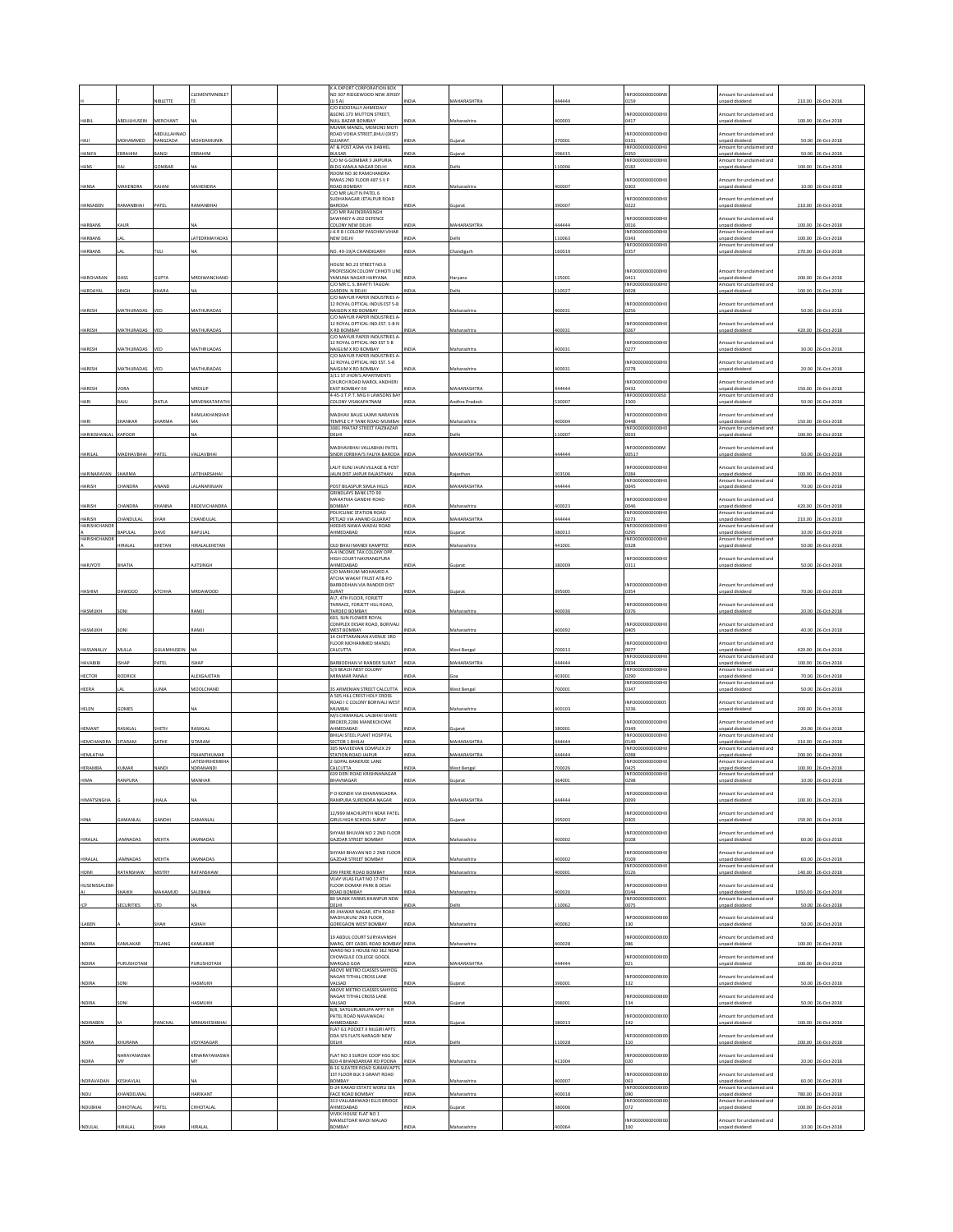|                       |                    |                        | CLEMENTMNIBLET                | K A EXPORT CORPORATION BOX<br>NO 307 RIDGEWOOD NEW JERSEY                      |              |                    |                | INFO0000000000                            | mount for unclaimed and                                                |        |                     |
|-----------------------|--------------------|------------------------|-------------------------------|--------------------------------------------------------------------------------|--------------|--------------------|----------------|-------------------------------------------|------------------------------------------------------------------------|--------|---------------------|
|                       |                    | <b>IBLETTE</b>         |                               | $\{U S A\}$<br>C/O ESOOFALLY AHMEDALY                                          | <b>IDIA</b>  | <b>AAHARASHTRA</b> | 4444           | 159                                       | <b>Inpaid dividend</b>                                                 | 210.00 | 26-Oct-201          |
| HABII                 | ABDULHUSEIN        | MERCHANT               |                               | &SONS 173 MUTTON STREET.<br>NULL BAZAR BOMBAY                                  | IDIA         | Maharashtra        | 100003         | INFO000000000H<br>0417                    | mount for unclaimed and<br>Inpaid dividend                             | 100.00 | 26-Oct-2018         |
|                       |                    | BDULLAHNAO             |                               | MUMIR MANZIL, MEMONS MOTI<br>ROAD VOKIA STREET, BHUJ (DIST)                    |              |                    |                | NFO0000000000                             | mount for undaimed and                                                 |        |                     |
| HAJI                  | MOHAMMED           | RANGZADA               | MOHDAMUNIR                    | GUJARAT<br>AT & POST ASNA VIA DABHEL                                           | NDIA         | iujarat            | 70001          | 0331<br>INFO0000000000H                   | unpaid dividend<br>Amount for unclaimed and                            |        | 50.00 26-Oct-2018   |
| HANIFA                | EBRAHIM            | LANGE                  | EBRAHIM                       | BULSAR<br>C/O M G GOMBAR 3 JAIPURIA                                            | NDIA         | uiarat             | 396415         | 0350<br>INFO0000000000H                   | inpaid dividend<br>Amount for unclaimed and                            | 50.00  | 26-Oct-201          |
| HANS                  |                    | OMBAI                  |                               | BLDG KAMLA NAGAR DELHI<br>ROOM NO 30 RAMCHANDRA                                | NDIA         | elhi               | 10006          | 0182                                      | <b>Inpaid dividend</b>                                                 | 100.00 | 26-Oct-2018         |
| HANSA                 | MAHENDRA           | RAJANI                 | MAHENDRA                      | NIWAS 2ND FLOOR 487 S.V.P.<br>ROAD BOMBAY                                      | NDIA         | Maharashtr         | 100007         | INFO0000000000H<br>0302                   | mount for unclaimed and<br>Inpaid dividend                             |        | 10.00 26-Oct-2018   |
|                       |                    |                        |                               | C/O MR LALIT N PATEL 6<br>UDHANAGAR JETALPUR ROAD                              |              |                    |                | INFO0000000000H                           | mount for unclaimed and                                                |        |                     |
| HANSABEN              | RAMANBHAI          | PATEL                  | RAMANBHAI                     | BARODA<br>C/O MR RAJENDRASINGH                                                 | NDIA         | iujarat            | 90007          | 0222                                      | inpaid dividend                                                        |        | 210.00 26-Oct-2018  |
| HARBANS               | CAUR               |                        |                               | <b>SAWHNEY A-202 DEFENCE</b><br>COLONY NEW DELHI                               | NDIA         | <b>AAHARASHTRA</b> | 44444          | INFO0000000000<br>0016                    | mount for undaimed and<br>unpaid dividend                              | 100.00 | 26-Oct-2018         |
| <b>HARBANS</b>        | A1                 |                        | ATFDRMAYADAS                  | -6 R B I COLONY PASCHIM VIHAR<br>NEW DELHI                                     | NDIA         | <b>Jelhi</b>       | 10063          | INFO000000000H<br>0343                    | mount for undaimed and<br>Inpaid dividend                              | 100.00 | 26-Oct-2018         |
| <b>HARBANS</b>        |                    |                        |                               | NO. 49-19/A CHANDIGARH                                                         | NDIA         | handigart          | 60019          | INFO0000000000<br>0357                    | mount for unclaimed and<br>Inpaid dividend                             | 270.00 | 26-Oct-201          |
|                       |                    |                        |                               | OUSE NO.23 STREET NO.6<br>PROFESSION COLONY CHHOTI LIN                         |              |                    |                | INFO0000000000                            | mount for unclaimed and                                                |        |                     |
| HARCHARAN             |                    | <b>HIPTA</b>           | MRDIWANCHAND                  | AMUNA NAGAR HARYANA<br>C/O MR C. S. RHATTI TAGOAL                              | <b>IDIA</b>  | laryan             | 35001          | 1411<br>INFO000000000H                    | inpaid dividend<br>Amount for unclaimed and                            | 200.00 | 6-Oct-2018          |
| HARDAYAL              | INGH               | HARA                   |                               | <b>GARDEN. N DELHI</b><br>/O MAYUR PAPER INDUSTRIES A                          | IDIA         | elhi               | 10027          | 1028                                      | inpaid divident                                                        | 100.00 | 26-Oct-201          |
| HARESH                | <b>MATHLIRADA</b>  |                        | <b>MATHLIRADA</b>             | 12 ROYAL OPTICAL INDUS EST 5-B<br><b>JAIGON X RD BOMBAY</b>                    |              |                    | 00031          | INFO0000000000<br>1256                    | mount for unclaimed and<br>npaid divident                              | 50.00  | 6-Oct-201           |
|                       |                    |                        |                               | C/O MAYUR PAPER INDUSTRIES A<br>12 ROYAL OPTICAL IND.EST. 5-B N                |              |                    |                | INFO0000000000H                           | Amount for unclaimed and                                               |        |                     |
| HARESH                | MATHURADAS         | VED                    | MATHURADAS                    | RD BOMBAY<br>C/O MAYUR PAPER INDUSTRIES A                                      | NDIA         | Aaharashtr         | 00031          | 0267                                      | <b>Inpaid dividend</b>                                                 | 420.00 | 26-Oct-2018         |
| HARESH                | MATHURADAS         |                        | MATHRUADAS                    | 12 ROYAL OPTICAL IND EST 5-B<br>NAIGUM X RD BOMBAY                             | NDIA         | Maharashtra        | 100031         | INFO000000000<br>0277                     | mount for unclaimed and<br>inpaid dividend                             | 30.00  | 26-Oct-2018         |
|                       |                    |                        |                               | C/O MAYUR PAPER INDUSTRIES A<br>2 ROYAL OPTICAL IND EST. 5-8                   |              |                    |                | INFO0000000000H                           | mount for unclaimed and                                                |        |                     |
| HARESH                | MATHURADAS         | VED                    | MATHURADAS                    | NAIGUM X RD BOMBAY<br>3/11 ST JHON'S APARTMENTS                                | NDIA         | Maharashtra        | 100031         | 0278                                      | inpaid dividend                                                        |        | 20.00 26-Oct-2018   |
| HARESH                | <b>ORA</b>         |                        | MRDILIP                       | CHURCH ROAD MAROL ANDHERI<br>EAST BOMBAY-59                                    | NDIA         | <b>AAHARASHTRA</b> | 44444          | INFO0000000000H<br>0432                   | mount for unclaimed and<br>unpaid dividend                             | 150.00 | 26-Oct-2018         |
| HARI                  | RAJU               | DATLA                  | MRVENKATAPATH                 | -45-3 T.P.T. MIG II LAWSONS BAY<br>COLONY VISAKAPATNAM                         | NDIA         | ndhra Pradesh      | 30007          | INFO0000000000S<br>1500                   | mount for undaimed and<br>inpaid dividend                              |        | 50.00 26-Oct-2018   |
|                       |                    |                        | RAMLAKHANSHAF                 | MADHAV BAUG LAXMI NARAYAN                                                      |              |                    |                | INFO0000000000H                           | Amount for unclaimed and                                               |        |                     |
| HARI                  | SHANKAR            | SHARMA                 | MA                            | TEMPLE C P TANK ROAD MUMBAL<br><b>081 PRATAP STREET FAIZBAZAR</b>              | INDIA        | Maharashtra        | 100004         | 0448<br><b>INFO0000</b>                   | unpaid dividend<br>mount for unclaimed and                             |        | 150.00 26-Oct-2018  |
| HARIKISHANLAL         | KAPOOR             |                        | NA                            | DELHI                                                                          | NDIA         | <b>Delhi</b>       | 10007          | 0033                                      | inpaid dividend                                                        | 100.00 | 26-Oct-2018         |
| <b>HARILAL</b>        | MADHAVBHAI         | PATEL                  | VALLAVBHAI                    | ΗΤΑΝ ΙΑΗΑΔΙ ΙΔΝ ΙΔΗΝΑΙΜΑΝ<br>SINOR JORBHAI'S FALIYA BARODA INDIA               |              | MAHARASHTRA        | 444444         | INFO0000000000<br>00517                   | mount for unclaimed and<br>unpaid dividend                             |        | 50.00 26-Oct-2018   |
|                       |                    |                        |                               | ALIT KUNJ JAUN VILLAGE & POST                                                  |              |                    |                | INFO0000000000H                           | nount for unclaimed and                                                |        |                     |
| HARINARAYAM           | <b>JARMA</b>       |                        | ATEHARSAHA                    | <b>AUN DIST JAIPUR RAJASTHAN</b>                                               |              | iastha             | 03506          | )284<br>INFO000000000H                    | inpaid dividend<br>Amount for unclaimed and                            | 100.00 | 6-Oct-201           |
| HARISH                | HANDRA             | ANAND                  | ALANARINJAN                   | OST BILASPUR SIMLA HILLS<br><b>GRINDLAYS BANK LTD 90</b>                       | <b>INDIA</b> | MAHARASHTRA        | 144444         | 0045                                      | inpaid dividend                                                        |        | 70.00 26-Oct-2018   |
| HARISH                | HANDRA             | HANNA                  | BDEVICHANDRA                  | MAHATMA GANDHI ROAD<br>BOMBAY<br>POLYCLINIC STATION ROAD                       | INM          | aharashtr          | 00023          | INFO0000000000<br>1046<br>INFO000000000H  | mount for unclaimed and<br>unpaid dividend<br>Amount for unclaimed and | 420.00 | 6-Oct-201           |
| HARISH<br>HARISHCHAND | <b>HANDULAI</b>    | SHAH                   | CHANDULAL                     | PETLAD VIA ANAND GUJARAT<br>100345 NAWA WADAJ ROAD                             | INDIA        | MAHARASHTRA        | 144444         | 0273<br>INFO0000000000                    | Inpaid dividend<br>mount for unclaimed and                             |        | 210.00 26-Oct-2018  |
| HARISHCHAND           | APULAL             | AVE                    | APULAL                        | HMEDABAD                                                                       | NDIA         | iujarat            | 80013          | 0295<br>INFO0000000000H                   | unpaid dividend<br>mount for unclaimed and                             |        | 10.00 26-Oct-2018   |
|                       | IRALAI             | CHETAN                 | <b>HIRALALKHETAN</b>          | <b>JLD BHAJI MANDI KAMPTEE</b><br>A-4 INCOME TAX COLONY OPP                    | NDIA         | Maharashtra        | 141001         | 0328                                      | inpaid dividend                                                        | 50.00  | 26-Oct-2018         |
| HARJYOTI              | BHATIA             |                        | <b>LITSINGH</b>               | <b>IIGH COURT NAVRANGPURA</b><br>AHMEDABAD                                     | NDIA         | Sujarat            | 80009          | INFO0000000000H<br>0311                   | nount for unclaimed and<br>inpaid dividend                             |        | 50.00 26-Oct-2018   |
|                       |                    |                        |                               | C/O MARHUM MOHAMED A<br>ATCHA WAKAF TRUST AT& PO                               |              |                    |                |                                           |                                                                        |        |                     |
| HASHIM                | DAWOOD             | <b>TCHHA</b>           | MRDAWOOD                      | BARBODHAN VIA RANDER DIST<br>URAT                                              | NDIA         |                    | 95005          | INFO0000000000H<br>0354                   | Amount for unclaimed and<br>unpaid dividend                            | 70.00  | 26-Oct-2018         |
|                       |                    |                        |                               | A\7, 4TH FLOOR, FORJETT<br>FARRACE, FORJETT HILL ROAD,                         |              |                    |                | INFO0000000000                            | nount for unclaimed and                                                |        |                     |
| HASMUKH               |                    |                        | RAMJ                          | TARDEO BOMBAY<br>603, SUN FLOWER ROYAL                                         | NDIA         | Maharashtr         | 100036         | 0376                                      | <b>Inpaid dividend</b>                                                 | 20.00  | 26-Oct-201          |
| HASMUKH               | SONI               |                        | <b>LAMJ</b>                   | COMPLEX EKSAR ROAD, BORIVALI<br>WEST BOMBAY                                    | NDIA         | Maharashtra        | 100092         | INFO0000000000H<br>1405                   | mount for unclaimed and<br>unpaid dividend                             |        | 40.00 26-Oct-2018   |
|                       |                    |                        |                               |                                                                                |              |                    |                |                                           |                                                                        |        |                     |
|                       |                    |                        |                               | 14 CHITTARANJAN AVENUE 3RD<br>FLOOR MOHAMMED MANZIL                            |              |                    |                | INFO0000000000H                           | mount for unclaimed and                                                |        |                     |
| HASSANALLY            | MULLA              | GULAMHUSEIN NA         |                               | CALCUTTA                                                                       | NDIA         | West Bengal        | 700013         | 0077<br>INFO0000000000                    | unpaid dividend<br>Imount for undaimed and                             |        | 420.00 26-Oct-2018  |
| <b>HAVABIBI</b>       | SHAP               | ATEL                   | SHAP                          | BARBODHAN VI RANDER SURAT<br>5/3 BEACH NEST COLONY                             | INDIA        | <b>MAHARASHTRA</b> | 44444          | 0334<br>INFO0000000000H                   | unpaid dividend<br>Amount for unclaimed and                            | 100.00 | 26-Oct-2018         |
| <b>HECTOR</b>         | RODRICK            |                        | ALEXGAJETAN                   | MIRAMAR PANAJI                                                                 | NDIA         | na.                | 03001          | 0290<br>INFO0000000000H                   | Inpaid dividend<br>Amount for unclaimed and                            | 70.00  | 26-Oct-2018         |
| HEERA                 |                    |                        | MOOLCHAND                     | <b>IS ARMENIAN STREET CALCUTTA</b><br><b>SOS HILL CREST HOLY CROSS</b>         | NDIA         | est Benga          | 00001          | 0347                                      | inpaid divide                                                          | 50.00  | 26-Oct-2018         |
| HELEN                 | GOMES              |                        |                               | ROAD I C COLONY BORIVALI WEST<br>MUMBAI                                        | NDIA         | Maharashtra        | 100103         | INFO0000000000<br>3236                    | mount for unclaimed and<br>Inpaid dividend                             |        | 200.00 26-Oct-2018  |
|                       |                    |                        |                               | M/S CHIMANLAL LALBHAI SHARE<br>BROKER, 2286 MANEKCHOWK                         |              |                    |                | <b>INFO00000</b><br>100001                | mount for unclaimed and                                                |        |                     |
| <b>HEMANT</b>         | RASIKLAL           | НЕТН                   | RASIKLAL                      | AHMEDABAD<br>BHILAI STEEL PLANT HOSPITAL                                       | NDIA         | Sujarat            | 80001          | 0349<br>INFO0000000000H                   | unpaid dividend<br>mount for unclaimed and                             |        | 20.00 26-Oct-2018   |
| <b>HEMCHANDRA</b>     | SITARAM            | SATHE                  | SITARAM                       | <b>SECTOR 1 BHILAI</b><br>305 NAVJEEVAN COMPLEX 29                             | NDIA         | <b>AAHARASHTRA</b> | 44444          | 0149<br>INFO000                           | Inpaid dividend<br>Amount for unclaimed and                            | 310.00 | 26-Oct-2018         |
| HEMLATHA              |                    |                        | FSHANTIKUMAR<br>LATESHRIHEMBH | <b>STATION ROAD JAIPUR</b><br>GOPAL BANERJEE LANE                              | NDIA         | <b>MAHARASHTRA</b> | 44444          | 0288<br>INFO0000000000H                   | unpaid dividend<br>mount for unclaimed and                             | 200.00 | 26-Oct-2018         |
| HERAMBA               | <b>HAAR</b>        | <b>JANDI</b>           | NDRANANDI                     | <b>ALCUTTA</b><br>639 DERI ROAD KRISHNANAGAR                                   | IDIA         | est Ber            | 00026          | 0425<br>INFO000000000H                    | inpaid dividend<br>Amount for undaimed and                             | 100.00 | 6-Oct-2018          |
|                       |                    |                        |                               | <b>IAVNAGAR</b>                                                                |              |                    |                | 98                                        | paid dividend                                                          | 10.00  |                     |
| <b>HIMATSINGHA</b>    |                    |                        |                               | O KONDH VIA DHARANGADRA<br>AMPURA SURENDRA NAGAR                               |              | <b>MAHARASHTRA</b> | 14444          | INFO000000000H                            | nount for unclaimed and<br>nnaid dividend                              | 100.00 | 06-Oct-2018         |
|                       |                    |                        |                               | 12/999 MACHLIPETH NEAR PATEL                                                   |              |                    |                | INFO0000000000H                           | mount for unclaimed and                                                |        |                     |
| HINA                  | GAMANLAL           | GANDHI                 | GAMANLAL                      | <b>SIRLS HIGH SCHOOL SURAT</b>                                                 | NDI.         | juiarat            | 95003          | 305                                       | <b>Inpaid</b> dividend                                                 |        | 150.00 26-Oct-2018  |
| HIRALAL               | <b>IAMNADAS</b>    | MEHTA                  | <b>AMNADAS</b>                | HYAM BHUVAN NO 2 2ND FLOOR<br><b>GAZDAR STREET BOMBAY</b>                      | NDIA         | Maharashtra        | 100002         | INFO0000000000H<br>0108                   | mount for unclaimed and<br>Inpaid dividend                             |        | 60.00 26-Oct-2018   |
|                       |                    |                        |                               | HYAM BHAVAN NO 2 2ND FLOOR                                                     |              |                    |                | NFO0000000000H                            | mount for unclaimed and                                                |        |                     |
| HIRALAL<br>HOMI       | AMNADAS            | <b>MEHTA</b><br>MISTRY | AMNADAS                       | <b>GAZDAR STREET BOMBAY</b><br>299 FRERE ROAD BOMBAY                           | NDIA<br>NDIA | Maharashtra        | 00002<br>00001 | 109<br>INFO0000000000H<br>0126            | unpaid dividend<br>Amount for unclaimed and                            |        | 60.00 26-Oct-2018   |
|                       | RATANSHAW          |                        | RATANSHAW                     | VIJAY VILAS FLAT NO 17 4TH                                                     |              | Maharashtra        |                | INFO0000000000H                           | Inpaid dividend                                                        | 140.00 | 26-Oct-2018         |
| <b>HUSENISSALEBI-</b> | HAIKH              | MAHAMUD                | SALEBHAI                      | LOOR OOMAR PARK B DESAI<br>ROAD BOMBAY                                         | NDIA         | Maharashtra        | 00026          | 0144                                      | mount for unclaimed and<br>unpaid dividend                             |        | 1050.00 26-Oct-2018 |
| ICP                   | <b>SECURITIES</b>  | TD.                    | NΔ                            | 80 SAINIK FARMS KHANPUR NEW<br>DELHI<br>49 JHAWAR NAGAR, 6TH ROAD              | NDIA         | elhi               | 10062          | INFO000000000005<br>0075                  | Amount for undaimed and<br>Inpaid dividend                             |        | 50.00 26-Oct-2018   |
|                       |                    | НАН                    | ASHAH                         | MADHUKUNJ 2ND FLOOR,                                                           | NDIA         |                    |                | INFO000000000010<br>130                   | Amount for unclaimed and                                               |        |                     |
| <b>ILABEN</b>         |                    |                        |                               | GOREGAON WEST BOMBAY<br>19 ABDUL COURT SURYAVANSHI                             |              | Maharashtra        | 100062         | INFO0000000000                            | unpaid dividend<br>Amount for unclaimed and                            |        | 50.00 26-Oct-2018   |
| <b>INDIRA</b>         | KAMLAKAR           | TELANG                 | KAMLAKAF                      | MARG, OFF CADEL ROAD BOMBAY INDIA<br>WARD NO 3 HOUSE NO 362 NEAP               |              | Maharashtra        | 00028          |                                           | <b>Inpaid dividend</b>                                                 |        | 100.00 26-Oct-2018  |
| INDIRA                | PURUSHOTAM         |                        | PURUSHOTAM                    | HOWGULE COLLEGE GOGOL<br>MARGAO GOA                                            | NDIA         | MAHARASHTRA        | 44444          | INFO00000000000<br>021                    | mount for unclaimed and<br>inpaid dividend                             |        | 100.00 26-Oct-2018  |
|                       |                    |                        |                               | ABOVE METRO CLASSES SAHYOG<br>NAGAR TITHAL CROSS LANE                          |              |                    |                | INFOODDOODDOOL                            | mount for unclaimed and                                                |        |                     |
| <b>INDIRA</b>         | SON                |                        | <b>HASMUKH</b>                | VALSAD<br>ABOVE METRO CLASSES SAHYOG                                           | NDIA         | iujarat            | 96001          | 132                                       | unpaid dividend                                                        |        | 50.00 26-Oct-2018   |
| <b>INDIRA</b>         | SONI               |                        | HASMUKH                       | NAGAR TITHAL CROSS LANE<br>VALSAD                                              | NDIA         | iujarat            | 96001          | <b>INFO0000</b><br>100001<br>134          | mount for unclaimed and<br>Inpaid dividend                             |        | 50.00 26-Oct-2018   |
|                       |                    |                        |                               | <b>B/8. SATGURUKRUPA APPT N R</b><br>PATEL ROAD NAVAWADAJ                      |              |                    |                | INFO000000000010                          | mount for unclaimed and                                                |        |                     |
| INDIRABEN             |                    | ANCHAL                 | MRMAHESHBHA                   | AHMEDABAD<br>FLAT G1 POCKET II NILGIRI APTS                                    | NDIA         | Sujarat            | 80013          | 142                                       | inpaid dividend                                                        |        | 100.00 26-Oct-2018  |
| INDRA                 | KHURANA            |                        | VIDYASAGAR                    | DDA SFS FLATS NARAGRI NEW<br>DELHI                                             | NDIA         | elhi               | 10028          | INFO000000000010<br>110                   | mount for unclaimed and<br>npaid dividend                              |        | 200.00 26-Oct-2018  |
|                       | <b>NARAYANASWA</b> |                        | KRNARAYANASWA                 | LAT NO 3 SURCHI COOP HSG SOC                                                   |              |                    |                | INFO00000000000                           | nount for unclaimed and                                                |        |                     |
| INDRA                 |                    |                        |                               | 820-4 BHANDARKAR RD POONA<br><b>B-16 SLEATER ROAD SUMAN APTS</b>               | NDIA         | Maharashtra        | 11004          | <b>020</b>                                | inpaid dividend                                                        |        | 20.00 26-Oct-2018   |
| INDRAVADAN            | KESHAVLAI          |                        |                               | 1ST FLOOR BLK 3 GRANT ROAD<br>BOMBAY                                           | NDIA         | Aaharashtra        | 00007          | INFO0000000000<br>063                     | mount for unclaimed and<br>unpaid dividend                             |        | 60.00 26-Oct-2018   |
| INDU                  | KHANDELWAI         |                        | HARIKANT                      | D-24 KAKAD ESTATE WORLI SEA<br>FACE ROAD BOMBAY<br>313 VALLABHWADI ELUS BRIDGE | <b>NDIA</b>  | <b>Aaharashtr</b>  | 00018          | INFO00000000000<br>090<br>INFO00000000000 | mount for undaimed and<br>npaid dividend<br>mount for unclaimed and    | 780.00 | 26-Oct-2018         |
| INDUBHAI              | HHOTALAI           | PATE                   | <b>HHOTALA</b>                | <b>AHMEDABAD</b><br>VIVEK HOUSE FLAT NO 1<br>MAMLETDAR WADI MALAD              | NDIA         | iujarat            | 80006          | 172<br>INFO00000000000                    | inpaid dividend                                                        | 100.00 | 26-Oct-2018         |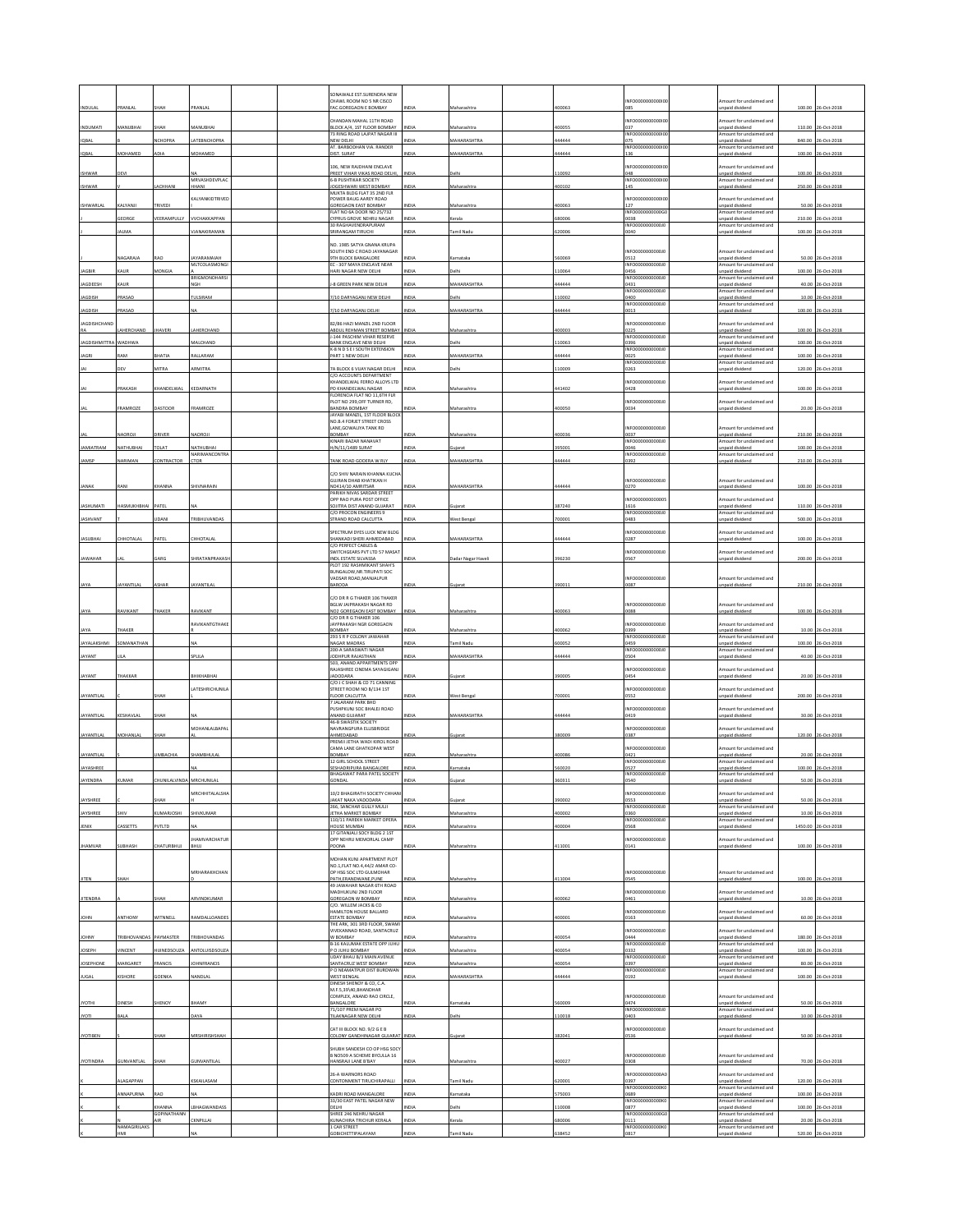|                                  |                             |                       |                                   |  | ONAWALE EST.SURENDRA NEW<br>HAWL ROOM NO 5 NR CISCO                        |                     |                              |                | NFO000000000                      | int for unclaimed and                                          |                  |                                   |
|----------------------------------|-----------------------------|-----------------------|-----------------------------------|--|----------------------------------------------------------------------------|---------------------|------------------------------|----------------|-----------------------------------|----------------------------------------------------------------|------------------|-----------------------------------|
| INDULAL                          | PRANLAL                     | SHAH                  | PRANLAL                           |  | AC.GOREGAON E BOMBAY                                                       | NDIA                | Maharashtra                  | 100063         | 185                               | Inpaid dividend                                                | 100.00           | 26-Oct-2018                       |
| INDUMATI                         | AANUBHAI                    | SHAH                  | MANUBHAI                          |  | HANDAN MAHAL 11TH ROAD<br><b>ILOCK A/4, 1ST FLOOR BOMBAY</b>               | NDIA                | Maharashtra                  | 100055         | NFO000000000010<br>37             | mount for unclaimed and<br>unpaid dividend                     | 110.00           | 26-Oct-2018                       |
| IQBAL                            |                             | <b>ICHOPRA</b>        | LATEBNCHOPRA                      |  | 73 RING ROAD LAJPAT NAGAR III<br>NEW DELHI                                 | NDIA                | MAHARASHTRA                  | 144444         | INFO00000000000<br><b>075</b>     | Amount for unclaimed and<br>unpaid dividend                    | 840.00           | 26-Oct-2018                       |
| IQBAL                            | <b>AOHAMED</b>              |                       | MOHAMED                           |  | <b>IT. BARBODHAN VIA. RANDER</b><br><b>JIST. SURAT</b>                     | NDI                 | <b>MAHARASHTRA</b>           | 44444          | INFO0000000000<br>136             | Amount for unclaimed and<br><b>Inpaid divident</b>             | 100.00           | 06-Oct-2018                       |
|                                  | DEVI                        |                       |                                   |  | 106, NEW RAJDHANI ENCLAVE<br>PREET VIHAR VIKAS ROAD DELHI,                 | <b>INDIA</b>        | Delhi                        | 10092          | INFO0000000000<br>048             | mount for unclaimed and<br>unpaid dividend                     |                  |                                   |
| <b>ISHWAR</b><br><b>ISHWAR</b>   |                             | <b>HHANI</b>          | MRVASHDEVPLAC<br><b>HAN</b>       |  | -B PUSHTIKAR SOCIETY<br>OGESHWARI WEST BOMBAY                              | NDIA                | Maharashtra                  | 00102          | <b>INFO0000</b><br>0000010<br>145 | Amount for unclaimed and<br>inpaid divident                    | 100.00<br>250.00 | 26-Oct-2018<br>26-Oct-2018        |
|                                  |                             |                       | KALYANKIDTRIVED                   |  | MUKTA BLDG FLAT 35 2ND FLR<br>OWER BAUG AAREY ROAD                         |                     |                              |                | NFO0000                           | nount for unclaimed and                                        |                  |                                   |
| <b>ISHWARLAL</b>                 | KALYANJI                    | RIVEDI                |                                   |  | GOREGAON EAST BOMBAY<br>FLAT NO 6A DOOR NO 25/732                          | NDIA                | Maharashtra                  | 100063         | 127<br>INFO000000000G             | Inpaid dividend<br>Amount for unclaimed and                    | 50.00            | 26-Oct-2018                       |
|                                  | EORGE                       | EERAMPULLY            | VVCHAKKAPPAM                      |  | CYPRUS GROVE NEHRU NAGAR<br><b>0 RAGHAVENDRAPURAM</b>                      | NDIA                | erala                        | 80006          | 0038<br>INFO000000000010          | unpaid dividend<br>mount for unclaimed and                     | 210.00           | 26-Oct-2018                       |
|                                  | <b>ALMA</b>                 |                       | <b>IANAKIRAMAN</b>                |  | RIRANGAM TIRUCHI                                                           | <b>NDIA</b>         | mil Nadu                     | 20006          | 0040                              | npaid dividend                                                 | 100.00           | 26-Oct-2018                       |
|                                  |                             |                       |                                   |  | NO. 1985 SATYA GNANA KRUPA<br>SOUTH END C ROAD JAYANAGAR                   |                     |                              |                | NFO00000000001                    | Amount for unclaimed and                                       |                  |                                   |
|                                  | AGARAJA                     | <b>LAO</b>            | <b>AYARAMAJAH</b><br>MLTCOLASMONG |  | TH BLOCK BANGALORE<br>EC - 307 MAYA ENCLAVE NEAR                           | VDIA                | arnataka                     | 60069          | 0512<br>INFO000000000010          | unpaid dividend<br>Amount for unclaimed and                    |                  | 50.00 26-Oct-2018                 |
| <b>JAGBIR</b>                    | KAUR                        | <b>IONGIA</b>         | <b>BRIGMONOHARSI</b>              |  | HARI NAGAR NEW DELHI                                                       | NDIA                | <b>Jelhi</b>                 | 10064          | 0456<br>INFO000000000010          | unpaid dividend<br>Amount for unclaimed and                    | 100.00           | 26-Oct-2018                       |
| <b>JAGDEESH</b><br><b>AGDISH</b> | KAUF<br>PRASAD              |                       | NGH<br>TULSIRAM                   |  | 8 GREEN PARK NEW DELHI<br>7/10 DARYAGANJ NEW DELHI                         | NDIA<br><b>NDIA</b> | <b>MAHARASHTRA</b><br>lelhi  | 14444<br>10002 | 0431<br>INFO00000000001<br>0040   | unpaid dividend<br>mount for unclaimed and<br>Inpaid dividend  | 40.00            | 06-Oct-2018                       |
| <b>JAGDISH</b>                   | PRASAD                      |                       |                                   |  | 7/10 DARYAGANJ DELHI                                                       | NDIA                | <b>MAHARASHTRA</b>           | 144444         | INFO0000000000J<br>0013           | mount for unclaimed and<br>npaid dividend                      | 10.00<br>100.00  | 26-Oct-2018<br>26-Oct-2018        |
| AGDISHCHANI                      |                             |                       |                                   |  | 32/86 HAZI MANZIL 2ND FLOOR                                                |                     |                              |                | <b>NFO0000</b><br>0000J           | mount for undaimed and                                         |                  |                                   |
| RA                               | AHERCHAND                   | HAVERI                | AHERCHAND                         |  | ABDUL REHMAN STREET BOMBAY<br>J-144 PASCHIM VIHAR RESERVE                  | NDIA                | Maharashtra                  | 100003         | 0225<br>INFO000000000010          | unpaid dividend<br>Amount for unclaimed and                    | 100.00           | 26-Oct-2018                       |
| <b>JAGDISHMITTRA</b>             | WADHWA                      |                       | MALCHAND                          |  | BANK ENCLAVE NEW DELHI<br><b>&lt;- 8 N D S E I SOUTH EXTENSION</b>         | <b>VDIA</b>         | Delhi                        | 10063          | 396<br>INFO00000000001            | Inpaid dividend<br>Amount for unclaimed and                    | 100.00           | 26-Oct-2018                       |
| JAGR                             | AM                          | HATIA                 | ALLARAM                           |  | ART 1 NEW DELHI                                                            | VDIA                | MAHARASHTRA                  | 44444          | 0025<br>INFO00000000000           | unpaid dividend<br>Amount for unclaimed and                    | 100.00           | 26-Oct-2018                       |
|                                  | <b>DEV</b>                  | <b>AITRA</b>          | ARMITRA                           |  | A BLOCK 6 VUAY NAGAR DELHI<br>C/O ACCOUNTS DEPARTMENT                      | NDIA                | elhi                         | 10009          | 0263                              | <b>Inpaid</b> dividend                                         | 120.00           | 26-Oct-2018                       |
|                                  | RAKASH                      | HANDELWA              | KEDARNATH                         |  | <b>CHANDELWAL FERRO ALLOYS LTD</b><br>O KHANDELWAL NAGAR                   | NDIA                | Maharashtra                  | 441402         | NFO0000000000J<br>0428            | mount for unclaimed and<br>unpaid dividend                     |                  | 100.00 26-Oct-2018                |
|                                  |                             |                       |                                   |  | LORENCIA FLAT NO 11,6TH FLR<br>PLOT NO 299.OFF TURNER RD.                  |                     |                              |                | NEODDDDDDDDDDIG                   | mount for unclaimed and                                        |                  |                                   |
|                                  | FRAMROZE                    | DASTOOR               | FRAMROZE                          |  | BANDRA BOMBAY<br>AYABI MANZIL, 1ST FLOOR BLOCK                             | <b>NDIA</b>         | Maharashtra                  | 100050         | 0034                              | <b>Inpaid</b> dividend                                         |                  | 20.00 26-Oct-2018                 |
|                                  | NAOROJI                     |                       | NAOROJI                           |  | <b>VO.B.4 FORJET STREET CROSS</b><br>ANE, GOWALIYA TANK RD<br><b>OMBAY</b> | NDIA                |                              | 100036         | NFO0000000000J<br>0037            | mount for unclaimed and                                        |                  |                                   |
| JAMIATRAM                        |                             | DRIVER<br>OLAT        | NATHUBHAI                         |  | KINARI BAZAR NANAVAT<br>/N/11/1489 SURAT                                   | NDIA                | Maharashtra                  | 95001          | INFO000000000010                  | unpaid dividend<br>Amount for unclaimed and<br>unpaid dividend | 210.00           | 26-Oct-2018<br>06-Oct-2018        |
| JAMSP                            | <b>IATHUBHAI</b><br>NARIMAN | ONTRACTOR             | <b>NARIMANCONTRA</b><br>CTOR      |  | <b>TANK ROAD GODERA W RLY</b>                                              | NDIA                | ilarat<br><b>MAHARASHTRA</b> | 44444          | 0046<br>INFO000000000010<br>0392  | mount for unclaimed and<br>inpaid dividend                     | 100.00<br>210.00 | 26-Oct-2018                       |
|                                  |                             |                       |                                   |  | C/O SHIV NARAIN KHANNA KUCHA                                               |                     |                              |                |                                   |                                                                |                  |                                   |
| JANAK                            | LANI                        | HANNA                 | HIVNARAIN                         |  | <b>GUJRAN DHAB KHATIKAN H</b><br>NO414/10 AMRITSAR                         | NDIA                | MAHARASHTRA                  | 44444          | INFO0000000000J<br>0270           | Amount for unclaimed and<br>unpaid dividend                    |                  | 100.00 26-Oct-2018                |
|                                  |                             |                       |                                   |  | ARIKH NIVAS SARDAR STREET<br>OPP RAO PURA POST OFFICE                      |                     |                              |                | INFO0000000000                    | mount for unclaimed and                                        |                  |                                   |
| <b>JASHUMATI</b>                 | HASMUKHRHAL                 | PATE                  |                                   |  | <b>SOJITRA DIST ANAND GUJARAT</b><br>C/O PROCON ENGINEERS 9                |                     | uiarat                       | 387240         | 1616<br>INFO00000000000           | unpaid dividend<br>Amount for unclaimed and                    | 110.00           | 26-Oct-201                        |
| <b>JASHVANT</b>                  |                             | DANI                  | RIBHUVANDAS                       |  | TRAND ROAD CALCUTTA                                                        | NDIA                | Vest Bengal                  | 00001          | 0483                              | <b>Inpaid dividend</b>                                         |                  | 500.00 26-Oct-2018                |
| <b>JASUBHAI</b>                  | <b>HHOTALA</b>              | PATE                  | <b>HHOTALAI</b>                   |  | <b>SPECTRUM DYES LUCK NEW BLDG</b><br>HANKADI SHERI AHMEDABAD              | NDIA                | <b>MAHARASHTRA</b>           | 444444         | NFO0000000000J<br>0287            | mount for unclaimed and<br>inpaid divident                     |                  | 100.00 26-Oct-2018                |
|                                  |                             |                       |                                   |  | C/O PERFECT CABLES &<br>WITCHGEARS PVT LTD 57 MASAT                        |                     |                              |                | NFO000000000010                   | nount for unclaimed and                                        |                  |                                   |
| JAWAHAR                          |                             | ARC                   | HRATANPRAKAS                      |  | NDL ESTATE SILVASSA<br>PLOT 192 RASHMIKANT SHAH'S                          | NDIA                | Jadar Nagar Havel            | 396230         | 3567                              | npaid dividend                                                 | 200.00           | 26-Oct-2018                       |
|                                  |                             |                       |                                   |  | <b>BUNGALOW.NR.TIRUPATI SOC</b><br>VADSAR ROAD, MANJALPUR                  |                     |                              |                | INFO00000000001                   | Amount for unclaimed and                                       |                  |                                   |
| JAYA                             | AYANTILAL                   | SHAR                  | AYANTILAL                         |  | <b>ARODA</b><br>C/O DR R G THAKER 106 THAKER                               | NDIA                | ujarat                       | 90011          | 0087                              | inpaid divident                                                |                  | 210.00 26-Oct-2018                |
| JAYA                             | RAVIKANT                    | HAKER                 | RAVIKAN                           |  | <b>BGLW JAIPRAKASH NAGAR RD</b><br><b>VO2 GOREGAON EAST BOMBAY</b>         | NDL                 | Maharashtra                  | 00063          | INFO00000000001<br>0088           | Amount for unclaimed and<br>unpaid dividend                    | 100.00           | 26-Oct-2018                       |
|                                  |                             |                       | RAVIKANTGTHAKE                    |  | C/O DR R G THAKER 106<br>AYPRAKASH NGR GOREGAON                            |                     |                              |                | NFO0000000000J                    | ount for unclaimed and                                         |                  |                                   |
| <b>JAYA</b>                      | THAKER                      |                       |                                   |  | <b>OMBAY</b><br>293 S R P COLONY JAWAHAR                                   | VDL                 | Aaharashtra                  | 00062          | 1399<br>INFO000000000010          | unpaid dividend<br>Amount for unclaimed and                    | 10.00            | 26-Oct-2018                       |
| JAYALAKSHM                       | OMANATHAN                   |                       |                                   |  | NAGAR MADRAS<br>200-A SARASWATI NAGAR                                      | VDL                 | mil Nad                      | 00052          | 0459<br>NFO00000000001            | unpaid dividend<br>mount for unclaimed and                     | 100.00           | 06-Oct-201                        |
| JAYANT                           | ША                          |                       | SPLIL                             |  | <b>ODHPUR RAJASTHAN</b><br>503, ANAND APPARTMENTS OPF                      | NDIA                | <b>MAHARASHTRA</b>           | 44444          | 0504                              | inpaid dividend                                                | 40.00            | 26-Oct-2018                       |
| JAYANT                           | THAKKAR                     |                       | BHIKHABHAI                        |  | RAJASHREE CINEMA SAYAGIGAN<br><b>JADODARA</b>                              | NDIA                | Gujarat                      | 390005         | INFO0000000000J<br>0454           | Amount for unclaimed and<br>unpaid dividend                    | 20.00            | 26-Oct-2018                       |
|                                  |                             |                       | LATESHRICHUNIL                    |  | C/O J C SHAH & CO 71 CANNING<br>TREET ROOM NO B/134 1ST                    |                     |                              |                | NFO0000000000J                    | unt for unclaimed and                                          |                  |                                   |
| <b>JAYANTILAL</b>                |                             | <b>IAH</b>            |                                   |  | <b>LOOR CALCUTTA</b><br><b>JALARAM PARK BHD</b>                            | NDIA                | est Beng                     | 00001          | 0552                              | npaid dividend                                                 | 200.00           | 26-Oct-2018                       |
| <b>JAYANTILAL</b>                | ESHAVLAL                    | SHAH                  |                                   |  | PUSHPKUNJ SOC BHALEJ ROAD<br>NAND GUJARAT                                  | NDIA                | <b>MAHARASHTRA</b>           | 44444          | NFO0000000000J<br>0419            | mount for unclaimed and<br>ınpaid dividend                     |                  | 30.00 26-Oct-2018                 |
|                                  | MOHANLAI                    | SHAH                  | MOHANLALBAPAL                     |  | <b>46-B SWASTIK SOCIETY</b><br>NAVRANGPURA ELLISBRIDGE<br>AHMEDABAD        | NDIA                | uiarat                       | 380009         | NFO0000000000J<br>0387            | mount for unclaimed and                                        |                  |                                   |
| <b>JAYANTILAL</b>                |                             |                       |                                   |  | PREMJI JETHA WADI KIROL ROAD<br><b>AMA LANE GHATKOPAR WEST</b>             |                     |                              |                | NFO0000000000J                    | <b>Inpaid dividend</b><br>ount for unclaimed and               |                  | 120.00 26-Oct-2018                |
| <b>JAYANTILAL</b>                |                             | <b>IMBACHL</b>        | HAMBHULA                          |  | <b>OMBAY</b><br>12 GIRL SCHOOL STREET                                      |                     | Maharashtra                  | 00086          | 1421<br>INFO000000000010          | unpaid dividend<br>mount for unclaimed and                     | 20.00            | 26-Oct-2018                       |
| JAYASHREE                        |                             |                       |                                   |  | ESHADRIPURA BANGALORE<br><b>BHAGAWAT PARA PATEL SOCIETY</b>                | NDIA                | arnatak                      | 60020          | 0527<br>INFO000000000010          | Inpaid dividend<br>Amount for unclaimed and                    | 100.00           | 26-Oct-2018                       |
| JAYENDRA                         |                             |                       |                                   |  | ONDAL                                                                      | VDIA                |                              | 60311          | 0540                              | npaid dividend                                                 | 50.00            | 26-Oct-2018                       |
| JAYSHREE                         |                             |                       | MRCHHITALALSHA                    |  | 10/2 BHAGIRATH SOCIETY CHHAI<br>AKAT NAKA VADODARA                         | <b>VIDIJ</b>        | uiarat                       | 90002          | NFO0000000000J<br><b>SS3</b>      | mount for unclaimed and<br>Inpaid dividend                     |                  | 50.00 26-Oct-2018                 |
| JAYSHREE                         |                             | <b>UMARJOSHI</b>      | <b>HIVKUMAR</b>                   |  | 266, SANCHAR GULLY MULJI<br>ETHA MARKET BOMBAY                             | VDIA                | faharashtra                  | 00002          | INFO00000000001<br>360            | Amount for unclaimed and<br>inpaid dividend                    |                  | 10.00 26-Oct-2018                 |
| JENIX                            | ASSETTS                     | VTLTD                 |                                   |  | 10/11 PAREKH MARKET OPERA<br><b>OUSE MUMBAI</b>                            | <b>VIDIA</b>        | faharashtra                  | 0004           | NFO000000000010<br>3568           | mount for unclaimed and<br>npaid dividend                      | 1450.00          | 6-Oct-2018                        |
|                                  | UBHASH                      |                       | <b>HAMVARCHATUR</b><br>BHUJ       |  | 17 GITANJALI SOCY BLDG 2 1ST<br>OPP NEHRU MEMORLAL CAMP<br><b>OONA</b>     | NDIA                |                              |                | NFO0000000000J0<br>0141           | Amount for unclaimed and                                       |                  |                                   |
| JHAMVAR                          |                             | HATURBHUJ             |                                   |  | <b>MOHAN KUNJ APARTMENT PLOT</b>                                           |                     | Maharashtra                  | 11001          |                                   | unpaid dividend                                                |                  | 100.00 26-Oct-2018                |
|                                  |                             |                       | MRHARAKHCHAN                      |  | NO.1.FLAT NO.4.44/2 AMAR CO-<br>OP HSG SOC LTD GULMOHAR                    |                     |                              |                | INFO00000000001                   | Amount for unclaimed and                                       |                  |                                   |
| JITEN                            | HAH                         |                       |                                   |  | ATH, ERANDWANE, PUNE<br>9 JAWAHAR NAGAR 6TH ROAD                           | VDIA                | Maharashtra                  | 11004          | 0545                              | <b>Inpaid dividend</b>                                         |                  | 100.00 26-Oct-2018                |
| <b>JITENDRA</b>                  |                             |                       |                                   |  | <b>MADHUKUNJ 2ND FLOOR</b>                                                 |                     |                              |                | NFO00000000001                    | mount for unclaimed and                                        |                  | 10.00 26-Oct-2018                 |
|                                  |                             | нан                   |                                   |  |                                                                            |                     |                              |                |                                   |                                                                |                  |                                   |
|                                  |                             |                       | ARVINDKUMAR                       |  | GOREGAON W BOMBAY<br>C/O. WILLEM JACKS & CO<br>AMILTON HOUSE BALLARD       | NDIA                | Maharashtra                  | 100062         | 0461<br>NFO0000000000J            | inpaid dividend<br>mount for undaimed and                      |                  |                                   |
| JOHN                             | ANTHONY                     | TNNEL                 | RAMDALLOANDI                      |  | STATE BOMBAY<br>HE ARK, 301 3RD FLOOR, SWAM                                |                     | Maharashtra                  | 00001          | 0163                              | unpaid dividend                                                | 60.00            | 26-Oct-2018                       |
| JOHNY                            | TRIBHOVANDAS                | PAYMASTER             | TRIBHOVANDAS                      |  | VIVEKANNAD ROAD, SANTACRUZ<br>W BOMBAY                                     | NDIA                | Maharashtra                  | 400054         | NFO00000000001<br>0444            | Amount for unclaimed and<br>unpaid dividend                    | 180.00           | 26-Oct-2018                       |
| <b>JOSEPH</b>                    | INCENT                      | <b>INEDSOUZA</b>      | ANTOLUISDSOUZ                     |  | <b>3-16 KALUMAK ESTATE OPP JUHU</b><br>YABMOS UHULO                        |                     | Maharashtra                  | 100054         | INFO000000000010<br>0332          | Amount for unclaimed and<br>unpaid dividend                    | 100.00           | 26-Oct-2018                       |
| JOSEPHONE                        | AARGARET                    | RANCIS                | <b>IOHNFRANCIS</b>                |  | <b>JDAY BHAU B/3 MAIN AVENUE</b><br>ANTACRUZ WEST BOMBAY                   | NDIA                | Maharashtra                  | 100054         | INFO000000000010<br>397           | Amount for unclaimed and<br>npaid dividend                     |                  | 80.00 26-0ct-2018                 |
| JUGAL                            | <b>ISHORE</b>               | OENKA                 | VANDLAL                           |  | O NEAMATPUR DIST BURDWA<br><b>NEST BENGAL</b>                              | NDIA                | <b>MAHARASHTRA</b>           | 14444          | INFO000<br>100010<br>0192         | Amount for unclaimed and<br>Inpaid dividend                    | 100.00           | 26-Oct-2018                       |
|                                  |                             |                       |                                   |  | <b>INESH SHENOY &amp; CO, C.A.</b><br>M.F.5,39\40,BHANDHAR                 |                     |                              |                |                                   |                                                                |                  |                                   |
| <b>JYOTHI</b>                    | DINESH                      | SHENOY                | BHAMY                             |  | COMPLEX, ANAND RAO CIRCLE,<br>BANGALORE                                    | NDIA                | Karnataka                    | 560009         | INFO00000000001<br>0474           | Amount for unclaimed and<br>unpaid dividend                    |                  | 50.00 26-Oct-2018                 |
| <b>IYOTI</b>                     |                             |                       |                                   |  | 71/107 PREM NAGAR PO<br><b>LAKNAGAR NEW DELH</b>                           | NDIA                |                              | 10018          | INFO000000000010<br>1403          | Amount for unclaimed and<br>inpaid dividen                     | 10.00            | 26-Oct-2018                       |
| <b>JYOTIBEN</b>                  |                             | SHAH                  | MRSHIRISHSHAH                     |  | CAT III BLOCK NO. 9/2 G E B<br><b>COLONY GANDHINAGAR GUJARAT</b>           | NDIA                | Sujarat                      | 382041         | NFO00000000001<br>0536            | mount for unclaimed and<br>unpaid dividend                     |                  | 50.00 26-Oct-2018                 |
|                                  |                             |                       |                                   |  | HUBH SANDESH CO OP HSG SOC'                                                |                     |                              |                |                                   |                                                                |                  |                                   |
| <b>JYOTINDRA</b>                 | GUNVANTLAL                  | SHAH                  | SUNVANTILAL                       |  | NOS09 A SCHEME BYCULLA 16<br><b>JANSRAJI LANE B'BAY</b>                    | NDIA                | Maharashtra                  | 100027         | INFO00000000001<br>308            | mount for unclaimed and<br>inpaid dividend                     |                  | 70.00 26-Oct-2018                 |
|                                  |                             |                       |                                   |  | 26-A WARNORS ROAD                                                          |                     |                              |                | NFO0000<br>0000A                  | mount for unclaimed and                                        |                  |                                   |
|                                  | AGAPPAN                     |                       | SKAILASAM                         |  | ONTONMENT TIRUCHIRAPALI                                                    | NDL                 | amil Nadı                    | 20001          | 397<br>INFO0000000000K            | unpaid dividend<br>Amount for unclaimed and                    | 120.00           | 26-Oct-2018                       |
|                                  | NNAPURNA                    | RAO                   |                                   |  | <b>ADRI ROAD MANGALORE</b><br>3/30 EAST PATEL NAGAR NEW                    | NDIA                | mataka                       | 75003          | 0689<br><b>INFO0000</b><br>оооок  | npaid dividend<br>Amount for unclaimed and                     | 100.00           | 26-Oct-2018                       |
|                                  |                             | KHANNA<br>GOPINATHANN | <b>HAGWANDASS</b><br>KNPILLA      |  | DELHI<br>HREE 246 NEHRU NAGAR                                              | NDIA<br>NDIA        | elhi<br>erala                | 10008<br>80006 | 0877<br>NFO0000000000G            | Inpaid dividend<br>mount for unclaimed and                     | 100.00           | 26-Oct-2018                       |
|                                  | NAMAGIRILAKS<br>HMI         |                       |                                   |  | <b>UNACHIRA TRICHUR KERALA</b><br><b>CAR STREET</b><br>GOBICHETTIPALAYAM   | NDIA                | Tamil Nadu                   | 638452         | 0111<br>INFO0000000000KO<br>0817  | inpaid dividend<br>Amount for unclaimed and<br>unpaid dividend | 20.00            | 26-Oct-2018<br>520.00 26-Oct-2018 |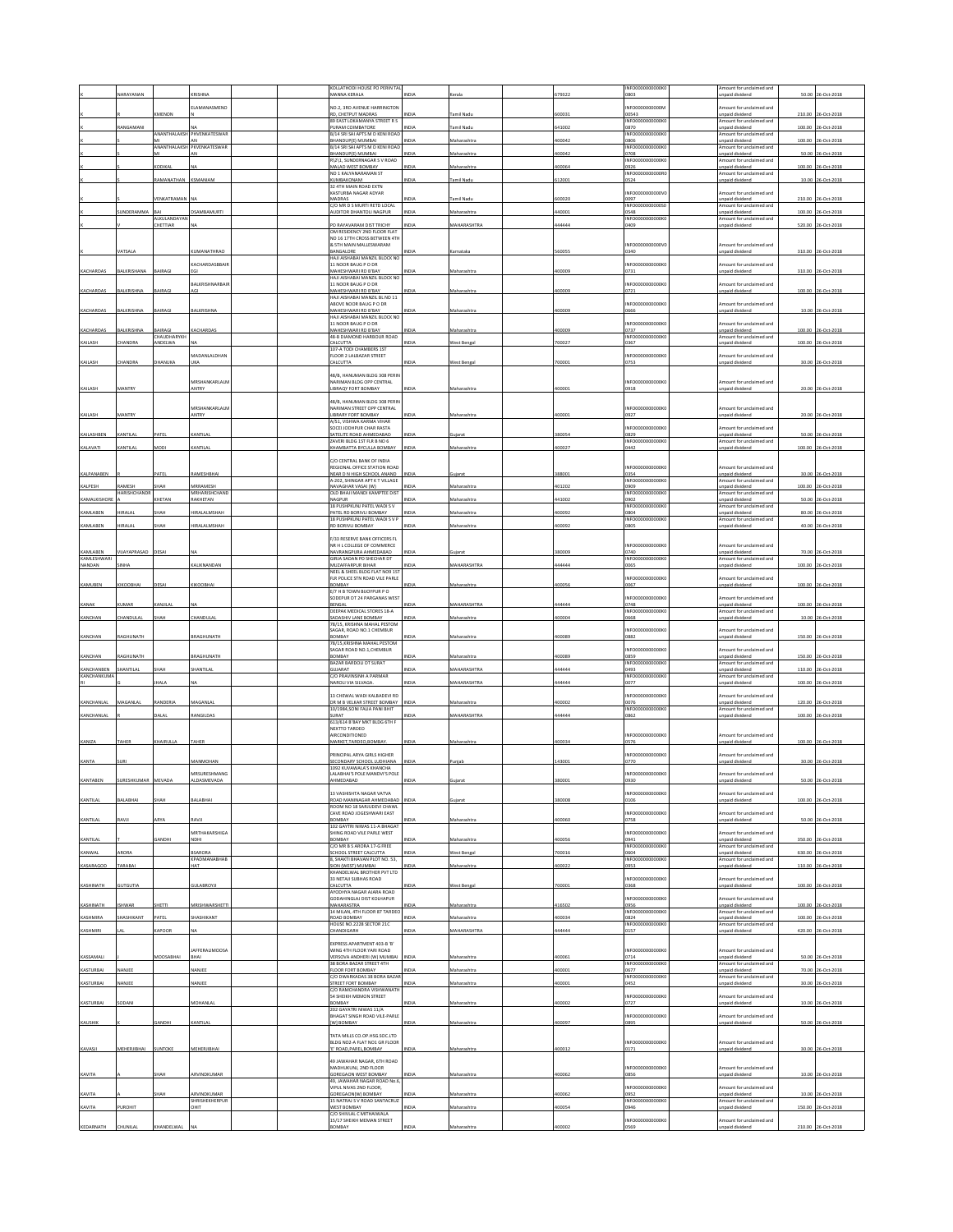|                        | <b>ARAYANA</b>     |                              |                                     |  | <b>KOLLATHODI HOUSE PO PERIN TAL</b><br>AANNA KERALA               | NDIA         | 'erala             | 79322  | INFO0000000000K<br>0803            | mount for unclaimed and<br><b>Inpaid dividend</b>  | 50.00  | 26-Oct-201         |
|------------------------|--------------------|------------------------------|-------------------------------------|--|--------------------------------------------------------------------|--------------|--------------------|--------|------------------------------------|----------------------------------------------------|--------|--------------------|
|                        |                    |                              | ELAMANASMENO                        |  | NO.2, 3RD AVENUE HARRINGTON                                        |              |                    |        | INFOODDDDDDDDA                     | Amount for unclaimed and                           |        |                    |
|                        |                    | <b>IMENON</b>                |                                     |  | RD, CHETPUT MADRAS<br>89 EAST LOKAMANYA STREET R S                 | NDIA         | Tamil Nadu         | 500031 | 00543<br>INFO0000000000K           | unpaid dividend<br>Amount for unclaimed and        | 210.00 | 26-Oct-201         |
|                        | ANGAMAN            |                              |                                     |  | URAM COIMBATORE                                                    |              | amil Nadı          | 41002  | 0870                               | unpaid dividend                                    | 100.00 | 26-Oct-201         |
|                        |                    |                              | ANANTHALAKSH PHVENKATESWAF          |  | B/14 SRI SAI APTS M D KENI ROAD<br>HANDUP(E) MUMBAI                | VDIA         | <b>Aaharashtra</b> | 100042 | INFO0000000000K<br>3806            | mount for unclaimed and<br>npaid dividend          | 100.00 | 26-Oct-2018        |
|                        |                    |                              | ANANTHALAKSH PKVENKATESWAF          |  | 3/14 SRI SAI APTS M D KENI ROAD<br><b>BHANDUP(E) MUMBAI</b>        | NDIA         | Maharashtra        | 00042  | INFO000<br>0708                    | mount for undaimed and<br>npaid dividend           | 50.00  | 26-Oct-2018        |
|                        |                    | ODIKAL                       |                                     |  | 121, SUNDERNAGAR S V ROAD                                          | VDIA         | faharashtr         | 00064  | NFO0000000000                      | mount for unclaimed and                            |        |                    |
|                        |                    |                              |                                     |  | <b>AALAD WEST BOMBAY</b><br>NO 1 KALYANARAMAN ST                   |              |                    |        | 0926<br>INFO0000000000R            | npaid dividend<br>Amount for unclaimed and         | 100.00 | 26-Oct-2018        |
|                        |                    | RAMANATHAN                   | KSMANIAM                            |  | KUMBAKONAM<br>32 4TH MAIN ROAD EXTN                                | NDIA         | lamil Nadu         | 612001 | 0524                               | <b>Inpaid</b> dividend                             |        | 10.00 26-Oct-2018  |
|                        |                    | <b>VENKATRAMAN</b> NA        |                                     |  | ASTURBA NAGAR ADYAR<br><b>PARANAM</b>                              | NDIA         | amil Nadu          | 00020  | NFO0000000000V<br>0097             | mount for unclaimed and<br>npaid dividend          |        | 210.00 26-Oct-2018 |
|                        |                    |                              |                                     |  | C/O MR D S MURTI RETD LOCAL                                        |              |                    |        | INFO0000000000S                    | mount for unclaimed and                            |        |                    |
|                        | UNDERAMMA          | ŁΔΙ<br>ALKULANDAYAN          | <b>DSAMBAMURTI</b>                  |  | <b>UDITOR DHANTOLI NAGPUR</b>                                      | NDIA         | Maharashtra        | 140001 | 0548<br>INFO0000000000K            | Inpaid dividend<br>Amount for unclaimed and        |        | 100.00 26-Oct-201  |
|                        |                    | CHETTIAR                     |                                     |  | O RAYAVARAM DIST TRICHY<br>OM RESIDENCY 2ND FLOOR FLAT             | NDIA         | <b>MAHARASHTR</b>  | 44444  | 1409                               | inpaid dividend                                    | 520.00 | 26-Oct-201         |
|                        |                    |                              |                                     |  | NO 16 17TH CROSS RETWEEN 4TH<br>& STH MAIN MALLESWARAM             |              |                    |        | INFO0000000000V                    | Amount for unclaimed and                           |        |                    |
|                        | ATSALA             |                              | <b>UMANATHRAO</b>                   |  | BANGALORE                                                          | VDIA         | ırnataka           | 60055  | 0340                               | npaid divident                                     |        | 310.00 26-Oct-201  |
|                        |                    |                              | KACHARDASBBAIR                      |  | AJI AISHABAI MANZIL BLOCK NO<br>11 NOOR BAUG P O DR                |              |                    |        | NFO0000000000K                     | mount for unclaimed and                            |        |                    |
| KACHARDAS              | <b>JALKRISHANA</b> | AIRAGI                       |                                     |  | <b>MAHESHWARI RD B'BAY</b><br>HAJI AISHABAI MANZIL BLOCK NO        | NDIA         | Maharashtra        | 100009 | 0731                               | npaid dividend                                     |        | 310.00 26-Oct-2018 |
|                        | <b>BALKRISHN</b>   | AIRAG                        | <b>RAI KRISHNARRAIR</b>             |  | 11 NOOR BAUG P O DR                                                |              |                    |        | <b>INFO00000</b><br>0000K          | mount for unclaimed and                            |        |                    |
| KACHARDAS              |                    |                              |                                     |  | MAHESHWARI RD B'BAY<br>HAJI AISHABAI MANZIL BL NO 11               | VDIA         | Maharashtra        | 100009 | 0721                               | unpaid dividend                                    | 100.00 | 26-Oct-2018        |
| KACHARDAS              | <b>JALKRISHN</b>   | <b>JAIRAGI</b>               | <b>JALKRISHN</b>                    |  | ABOVE NOOR BAUG P O DR<br>MAHESHWARI RD B'BAY                      | NDIA         | Aaharashtr         | 00009  | INFO0000000000K<br>0666            | Amount for unclaimed and<br><b>Inpaid dividend</b> | 10.00  | 26-Oct-201         |
|                        |                    |                              |                                     |  | HAJI AISHABAI MANZIL BLOCK NO<br>11 NOOR BAUG P O DR               |              |                    |        | NFO0000000000K                     | mount for unclaimed and                            |        |                    |
| KACHARDAS              | <b>BALKRISHNA</b>  | LAIRAGE                      | KACHARDAS                           |  | MAHESHWARI RD B'BAY                                                | NDIA         | Maharashtr.        | 100009 | 0737                               | npaid dividend                                     |        | 100.00 26-Oct-2018 |
| KAILASH                | <b>HANDRA</b>      | <b>HAUDHARYKH</b><br>ANDELWA |                                     |  | 48-B DIAMOND HARBOUR ROAD<br>ALCUTTA                               | NDIA         | Vest Benga         | 00027  | INFO0000000000KO<br>0367           | Amount for unclaimed and<br><b>Inpaid dividend</b> |        | 100.00 26-Oct-201  |
|                        |                    |                              | MADANLALDHAN                        |  | 107-A TODI CHAMBERS 1ST<br>LOOR 2 LALBAZAR STREET                  |              |                    |        | NFO0000000000K                     | mount for unclaimed and                            |        |                    |
| KAILASH                | <b>HANDRA</b>      | HANUKA                       | UKA                                 |  | CALCUTTA                                                           | NDIA         | Vest Bengal        | '00001 | 0753                               | inpaid dividend                                    |        | 30.00 26-Oct-2018  |
|                        |                    |                              |                                     |  | 48/B. HANUMAN BLDG 308 PERIN                                       |              |                    |        |                                    |                                                    |        |                    |
| KAILASH                | <b>IANTRY</b>      |                              | MRSHANKARLALM<br>ANTRY              |  | NARIMAN BLDG OPP CENTRAL<br><b>IBRAQY FORT BOMBAY</b>              |              |                    | 00001  | INFO0000000000K<br>0918            | Amount for unclaimed and<br>inpaid dividend        | 20.00  | 26-Oct-201         |
|                        |                    |                              |                                     |  | 48/B. HANUMAN BLDG 308 PERIN                                       |              |                    |        |                                    |                                                    |        |                    |
|                        |                    |                              | MRSHANKARLALM                       |  | NARIMAN STREET OPP CENTRAL                                         |              |                    |        | INFO0000000000K                    | Amount for unclaimed and                           |        |                    |
| KAILASH                | <b>MANTRY</b>      |                              | ANTRY                               |  | <b>LIBRARY FORT BOMBAY</b><br>/51, VISHWA KARMA VIHAR              | VDIA         | Aaharashtra        | 00001  | 1927                               | inpaid dividend                                    |        | 20.00 26-Oct-2018  |
| KAILASHBEN             | CANTILAL           | PATEL                        | KANTILAL                            |  | SOCELIODHPUR CHAR RASTA<br>ATELITE ROAD AHMEDABAD                  | NDIA         | Guiarat            | 80054  | NFO0000000000K<br>0829             | mount for unclaimed and<br>inpaid dividend         |        | 50.00 26-Oct-2018  |
|                        |                    |                              |                                     |  | ZAVERI RI DG 1ST FIR B NO 6                                        | VDIA         |                    |        | INFO0000000000K                    | Amount for unclaimed and                           |        | 100.00 26-Oct-201  |
| KALAVATI               | <b>ANTILAL</b>     | <b>AODI</b>                  | KANTILAL                            |  | <b>CHAMBATTA BYCULLA BOMBAY</b>                                    |              | Aaharashtr         | 00027  | 0442                               | npaid dividend                                     |        |                    |
|                        |                    |                              |                                     |  | C/O CENTRAL BANK OF INDIA<br>REGIONAL OFFICE STATION ROAD          |              |                    |        | INFO0000000000K                    | mount for unclaimed and                            |        |                    |
| KALPANABEN             |                    | ATE                          | <b>AMESHBHA</b>                     |  | NEAR D N HIGH SCHOOL ANAND<br>4-202. SHINGAR APT K T VILLAGE       | NDIA         | iujarat            | 88001  | 0354<br>INFO0000000000K            | Inpaid dividend<br>Amount for unclaimed and        | 30.00  | 26-Oct-201         |
| KALPESH                | <b>AMESH</b>       | HAH                          | MRRAMESH                            |  | AVAGHAR VASAI (W)                                                  | VDIA         | Aaharashtra        | 01202  | 0909                               | inpaid dividend                                    | 100.00 | 26-Oct-201         |
| KAMALKISHOF            | <b>IARISHCHAND</b> | HETAN                        | <b>MRHARISHCHAND</b><br>RAKHETAN    |  | OLD BHAJI MANDI KAMPTEE DIST<br><b>JAGPUR</b>                      | IDIA         | Aaharashtr         | 41002  | INFO0000000000<br>1902             | mount for unclaimed and<br>npaid dividend          | 50.00  | 0-Oct-201          |
| KAMLABEN               | RALAL              | HAH                          | <b>IRALALMSHAH</b>                  |  | 18 PUSHPKUNJ PATEL WADI S V<br>PATEL RD BORIVLI BOMBAY             | VDIA         | Aaharashtr.        | 100092 | INFO0000000000K<br>0804            | Amount for unclaimed and<br>inpaid dividend        | 80.00  | 26-Oct-2018        |
|                        |                    | нан                          |                                     |  | 8 PUSHPKUNJ PATEL WADI S V P                                       |              |                    |        | INFO0000000000K                    | mount for unclaimed and                            |        | 40.00 26-Oct-2018  |
| KAMLABEN               | IRALAL             |                              | IRALALMSHAH                         |  | RD BORIVLI BOMBAY                                                  | NDIA         | Maharashtra        | 100092 | 0805                               | npaid dividend                                     |        |                    |
|                        |                    |                              |                                     |  | 733 RESERVE BANK OFFICERS FL<br>NR H L COLLEGE OF COMMERCE         |              |                    |        | INFO0000000000K                    | Amount for unclaimed and                           |        |                    |
| KAMLABEN<br>KAMLESHWAR | <b>JUAYAPRASAD</b> | DESAI                        |                                     |  | AVRANGPURA AHMEDABAD<br>SIRJA SADAN PO SHECHAR DT                  | VDIA         | iujara             | 80009  | 0740<br>INFO0000000000K            | inpaid dividend<br>mount for unclaimed and         | 70.00  | 26-Oct-201         |
| NANDAN                 |                    |                              | ALIKNANDAN                          |  | <b>MUZAFFARPUR BIHAR</b>                                           | <b>VIDIA</b> | <b>MAHARASHTRA</b> | 44444  | 2201                               | paid dividend                                      | 100.00 | 26-Oct-201         |
|                        |                    |                              |                                     |  | NEEL & SHEEL BLDG FLAT NO9 1ST<br>FLR POLICE STN ROAD VILE PARLE   |              |                    |        | INFO0000000000K                    | mount for unclaimed and                            |        |                    |
| KAMUBEN                | KOOBHA             | ESAI                         | <b>KOOBHAI</b>                      |  | OMBAY<br>E/7 H B TOWN BUOYPUR P O                                  | VDIA         | Aaharashtra        | 100056 | 0067                               | inpaid dividend                                    |        | 100.00 26-Oct-2018 |
| KANAK                  | UMAR               | ANJILAI                      |                                     |  | SODEPUR DT 24 PARGANAS WEST<br>BENGAL                              | IDIA         | <b>MAHARASHTRA</b> | 144444 | NFO0000000000K<br>0748             | mount for unclaimed and<br>Inpaid dividend         |        | 100.00 26-Oct-201  |
|                        |                    |                              |                                     |  |                                                                    |              |                    |        | INFO0000000000KO                   | Amount for unclaimed and                           |        |                    |
|                        |                    |                              |                                     |  | DEEPAK MEDICAL STORES 18-A                                         |              |                    |        |                                    |                                                    |        |                    |
| KANCHAN                | <b>HANDULAI</b>    | НАН                          | <b>HANDULAI</b>                     |  | ADASHIV LANE BOMBAY<br>78/15, KRISHNA MAHAL PESTOM                 | NDIA         | Aaharashtra        | 100004 | 0668                               | inpaid dividend                                    | 10.00  | 26-Oct-201         |
| KANCHAN                | AGHUNATH           |                              | BRAGHUNATH                          |  | AGAR, ROAD NO.1 CHEMBUR<br>YABNOE                                  | VDIA         | Aaharashtra        | 100089 | NFO0000000000K<br>0882             | mount for unclaimed and<br><b>Inpaid dividend</b>  | 150.00 | 26-Oct-201         |
|                        |                    |                              |                                     |  | 78/15, KRISHNA MAHAL PESTOM                                        |              |                    |        |                                    |                                                    |        |                    |
| KANCHAN                | RAGHUNATH          |                              | BRAGHUNATH                          |  | AGAR ROAD NO.1, CHEMBUR<br>ROMRAY                                  | NDIA         | Maharashtra        | 100089 | NFO0000000000K<br>0859             | mount for unclaimed and<br>npaid dividend          |        | 150.00 26-Oct-2018 |
| KANCHANBEN             | SHANTILAL          | HAH                          | SHANTILAL                           |  | BAZAR BARDOLI DT SURAT<br><b>SUJARAT</b>                           | NDIA         | <b>MAHARASHTRA</b> | 144444 | INFO0000000000K<br>0493            | Amount for unclaimed and<br>unpaid dividend        |        | 110.00 26-Oct-201  |
| <b>KANCHANKUMA</b>     |                    |                              |                                     |  | C/O PRAVINSINH A PARMAR                                            |              |                    |        | INFO0000000000K                    | Amount for unclaimed and                           |        |                    |
|                        |                    | <b>IALA</b>                  |                                     |  | <b>AROLI VIA SILVAGA</b>                                           | NDIA         | <b>MAHARASHTRA</b> | 44444  | 0077                               | <b>Inpaid divider</b>                              | 100.00 | 26-Oct-201         |
| KANCHANLAL             | VIAGANLAI          | RANDERIA                     | MAGANLA                             |  | 13 CHEWAL WADI KALBADEVI RD<br>DR M B VELKAR STREET BOMBAY         | INDIA        | Maharashtra        | 100002 | INFO0000000000K<br>0076            | mount for unclaimed and<br>Inpaid dividend         |        | 120.00 26-Oct-201  |
|                        |                    | ALAL                         | <b>ANGILDAS</b>                     |  | 10/1984.SONI FALIA PANI BHIT                                       |              | <b>MAHARASHTRA</b> | 44444  | INFO0000000000K                    | Amount for unclaimed and                           |        |                    |
| KANCHANLAL             |                    |                              |                                     |  | URAT<br>613/614 B'BAY MKT BLDG 6TH F                               | VDIA         |                    |        | 1862                               | npaid dividend                                     | 100.00 | 26-Oct-201         |
|                        |                    |                              |                                     |  | NEXTTO TARDEO<br>AIRCONDITIONED                                    |              |                    |        | INFO0000000000                     | Amount for unclaimed and                           |        |                    |
| <b>KANIZA</b>          | TAHER              | KHAIRULLA                    | TAHER                               |  | MARKET, TARDEO, BOMBAY.                                            | INDIA        | Maharashtra        | 400034 | 0576                               | <b>Inpaid</b> dividend                             |        | 100.00 26-Oct-2018 |
|                        |                    |                              | <b>ANMOHAN</b>                      |  | RINCIPAL ARYA GIRLS HIGHER                                         |              |                    |        | NFO0000000000KO<br>0770            | nount for unclaimed and                            | 30.00  | 26-Oct-201         |
| KANTA                  |                    |                              |                                     |  | ECONDARY SCHOOL LUDHIANA<br>1092 KUVAWALA'S KHANCHA                |              |                    | 43001  |                                    | paid dividend                                      |        |                    |
|                        |                    |                              | MRSURESHMANG                        |  | LALABHAI'S POLE MANDVI'S POLE                                      |              |                    |        | INFO0000000000K0                   | Amount for unclaimed and                           |        |                    |
|                        |                    |                              |                                     |  | <b>13 VASHISHTA NAGAR VATVA</b>                                    |              |                    |        | NFO0000000000K                     | nount for unclaimed and                            |        |                    |
| KANTILAL               | <b>ALABHAI</b>     | ЖАН                          | <b>ALABHAI</b>                      |  | OAD MANINAGAR AHMEDABAD<br>ROOM NO 18 SARJUDEVI CHAWL              | NDIA         | iujarat            | 80008  | 0106                               | inpaid dividend                                    |        | 100.00 26-Oct-2018 |
|                        |                    |                              |                                     |  | AVE ROAD JOGESHWARI EAST                                           |              |                    |        | NFO0000000000K                     | nount for unclaimed and                            |        |                    |
| KANTILAL               | RAVJI              | <b>RYA</b>                   | RAVII                               |  | YABANGE<br>102 GAYTRI NIWAS 11-A RHAGAT                            | VDIA         | Aaharashtra        | 00060  | 0758                               | inpaid dividend                                    |        | 50.00 26-Oct-2018  |
| KANTILAL               |                    | GANDHI                       | <b>MRTHAKARSHIGA</b><br><b>NDHI</b> |  | HING ROAD VILE PARLE WEST<br><b>BOMBAY</b>                         | NDIA         | Maharashtra        | 100056 | NFO0000000000K<br>0941             | mount for undaimed and<br>unpaid dividend          |        | 350.00 26-Oct-2018 |
|                        |                    |                              |                                     |  | /O MR B S ARORA 17-G FREE                                          |              |                    |        | NFO0000000000K                     | mount for unclaimed and                            |        |                    |
| KANWAL                 | RORA               |                              | SARORA<br>KPADMANABHAB              |  | CHOOL STREET CALCUTTA<br>3, SHAKTI BHAVAN PLOT NO. 53,             | NDIA         | Vest Bengal        | 00016  | 0604<br>INFO0000000000K            | inpaid dividend<br>mount for unclaimed and         |        | 630.00 26-Oct-2018 |
| KASARAGOD              | <b>TARABAI</b>     |                              | HAT                                 |  | HON (WEST) MUMBAL<br>CHANDELWAL BROTHER PVT LTD                    | IDIA         | Aaharashtra        | 00022  | 0953                               | heebivib bisen                                     |        | 110.00 26-Oct-2018 |
| KASHINATH              | <b>SUTGUTIA</b>    |                              | <b>GULABROYJI</b>                   |  | 3 NETAJI SUBHAS ROAD<br>CALCUTTA                                   | NDIA         | <b>Nest Bengal</b> | '00001 | NFO0000000000K<br>0368             | mount for unclaimed and<br>inpaid dividend         |        | 100.00 26-Oct-2018 |
|                        |                    |                              |                                     |  | <b>AYODHYA NAGAR AJARA ROAD</b><br>GODAHINGLAJ DIST KOLHAPUR       |              |                    |        | NFO0000000000K                     | mount for unclaimed and                            |        |                    |
| KASHINATH              | <b>ISHWAR</b>      | SHETTI                       | MRISHWARSHETTI                      |  | MAHARASTRA                                                         | NDIA         | Maharashtra        | 116502 | 0956                               | unpaid dividend                                    |        | 100.00 26-Oct-2018 |
| KASHMIRA               | <b>IASHIKANT</b>   | ATEL                         | HASHIKANT                           |  | 4 MILAN, 4TH FLOOR<br>87 TARDEI<br>OAD BOMBAY                      | NDIA         | Aaharashtra        | 00034  | <b>NFO0000</b><br>0824             | nount for unclaimed and<br>inpaid dividend         | 100.00 | 26-Oct-2018        |
| KASHMIRI               |                    | APOOR                        |                                     |  | HOUSE NO.2228 SECTOR 21C<br><b>HANDIGARH</b>                       | NDIA         | <b>MAHARASHTRA</b> | 44444  | INFO0000000000K<br>0157            | Amount for unclaimed and<br>inpaid dividend        | 420.00 | 26-Oct-2018        |
|                        |                    |                              |                                     |  |                                                                    |              |                    |        |                                    |                                                    |        |                    |
|                        |                    |                              | <b>JAFFERALIMOOSA</b>               |  | EXPRESS APARTMENT 403-B 'B'<br>WING 4TH FLOOR YARI ROAD            |              |                    |        | INFO0000000000KO                   | mount for unclaimed and                            |        |                    |
| KASSAMALI              |                    | <b>DOSARHAI</b>              |                                     |  | <b>ERSOVA ANDHERI (W) MUMBA</b><br><b>38 BORA BAZAR STREET ATH</b> | <b>VIDIA</b> | Aaharashtra        | 00061  | 0714<br>INFO0000000000K            | npaid dividend<br>Amount for unclaimed and         | 50.00  | 26-Oct-2018        |
| KASTURBAI              | NANJEE             |                              | NANJEE                              |  | LOOR FORT BOMBAY                                                   | NDIA         | Maharashtra        | 00001  | 0677                               | Inpaid dividend                                    |        | 70.00 26-Oct-2018  |
| KASTURBAI              | ANJEE              |                              | IANJE                               |  | C/O DWARKADAS 38 BORA BAZAR<br>TREET FORT BOMBAY                   | VDIA         | laharashtra        | 00001  | INFO0000000000K<br><b>1452</b>     | mount for unclaimed and<br>inpaid dividend         |        | 30.00 26-Oct-2018  |
|                        |                    |                              |                                     |  | C/O RAMCHANDRA VISHWANATH<br>54 SHEIKH MEMON STREET                |              |                    |        | INFO0000000000K                    | mount for unclaimed and                            |        |                    |
| KASTURBAI              | SODANI             |                              | MOHANLAI                            |  | YABMOB                                                             | NDIA         | Maharashtra        | 100002 | 0727                               | inpaid dividend                                    |        | 10.00 26-Oct-2018  |
|                        |                    |                              |                                     |  | 202 GAYATRI NIWAS 11/A<br>HAGAT SINGH ROAD VILE-PARLE              | <b>VIDIA</b> |                    |        | NFO0000000000K<br>2986             | nount for unclaimed and                            |        |                    |
| KAUSHIK                |                    | ANDHI                        | CANTILAI                            |  | W] BOMBAY                                                          |              | faharashtr         | 00097  |                                    | npaid dividend                                     | 50.00  | 26-Oct-2018        |
|                        |                    |                              |                                     |  | TATA MILLS CO.OP.HSG.SOC.LTD<br>BLDG NO2-A FLAT NO1 GR FLOOR       |              |                    |        | INFO0000000000K                    | mount for unclaimed and                            |        |                    |
| KAVASJI                | MEHERJIBHAI        | UNTOKE                       | MEHERJIBHA                          |  | ROAD, PAREL, BOMBAY                                                | NDIA         | Maharashtra        | 00012  | 0171                               | unpaid dividend                                    |        | 30.00 26-Oct-2018  |
|                        |                    |                              |                                     |  | 19 JAWAHAR NAGAR, 6TH ROAD<br>MADHUKUNJ, 2ND FLOOR                 |              |                    |        | INFO0000000000K                    | Amount for unclaimed and                           |        |                    |
| KAVITA                 |                    | HAH                          | ARVINDKUMAF                         |  | <b>SOREGAON WEST BOMBAY</b>                                        | NDIA         | Maharashtra        | 100062 | 0856                               | Inpaid dividend                                    |        | 10.00 26-Oct-2018  |
|                        |                    |                              |                                     |  | 9, JAWAHAR NAGAR ROAD No.6<br>VIPUL NIVAS 2ND FLOOR,               |              |                    |        | NFO0000000000K                     | mount for unclaimed and                            |        |                    |
| KAVITA                 |                    | HAH                          | ARVINDKUMAR<br>SHRISHEKHERPUR       |  | GOREGAONIWI BOMBAY<br>15 NATRAJ S V ROAD SANTACRUZ                 | NDIA         | Aaharashtra        | 00062  | 0952<br><b>INFO00000</b><br>00000K | npaid dividend<br>mount for unclaimed and          | 10.00  | 26-Oct-2018        |
| KAVITA                 | UROHIT             |                              | ж                                   |  | <b>VEST BOMBAY</b>                                                 | VDIA         | laharashtr         | 00054  | 1946                               | inpaid dividend                                    | 150.00 | 26-Oct-2018        |
| KEDARNATH              | CHUNILAL           | CHANDELWAL                   |                                     |  | /O SHIVLAL C MITHAIWALA<br>15/17 SHEIKH MEMAN STREET<br>YABNOE     | NDIA         | Aaharashtra        | 00002  | NFO0000000000K<br>0569             | mount for unclaimed and<br>npaid dividend          |        | 210.00 26-Oct-2018 |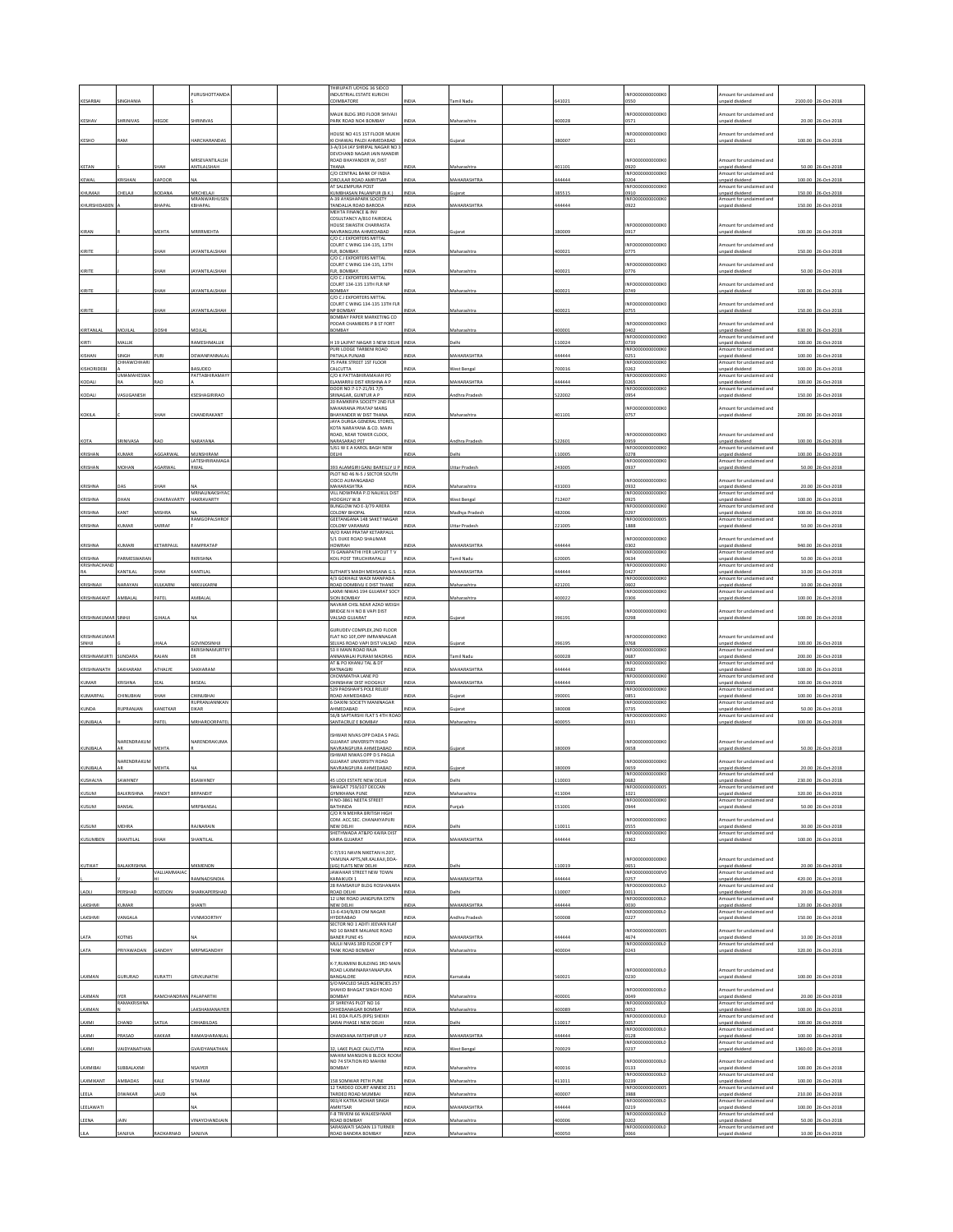|                        | <b>INGHANIA</b>                   |                           | PURUSHOTTAMD                            | <b>HIRUPATI UDYOG 36 SIDCO</b><br><b>INDUSTRIAL ESTATE KURICHI</b><br>COIMBATORE                |                     |                                   |                 | NFO0000000000K                                      | mount for unclaimed and                                                                 |                  |                                         |
|------------------------|-----------------------------------|---------------------------|-----------------------------------------|-------------------------------------------------------------------------------------------------|---------------------|-----------------------------------|-----------------|-----------------------------------------------------|-----------------------------------------------------------------------------------------|------------------|-----------------------------------------|
| KESARBAI               |                                   |                           |                                         | MALIK BLDG 3RD FLOOR SHIVAJI                                                                    |                     | ımil Nadı.                        | 41021           | 0550<br>NFO0000000000K                              | npaid dividend<br>mount for unclaimed and                                               | 2100.00          | 26-Oct-201                              |
| KESHAV                 | HRINIVAS                          | <b>IEGDE</b>              | HRINIVAS                                | PARK ROAD NO4 BOMBAY                                                                            | VDIA                | taharashtr                        | 00028           | 0571                                                | npaid dividend                                                                          |                  | 20.00 26-Oct-2018                       |
| KESHO                  | <b>LAM</b>                        |                           | <b>IARCHARANDAS</b>                     | <b>IOUSE NO 415 1ST FLOOR MUKH</b><br>KI CHAWAL PALDI AHMEDABAD<br>3-A/314 JAY SHRIPAL NAGAR NO | NDIA                | ujarat                            | 80007           | NFO0000000000K<br>0201                              | mount for unclaimed and<br>npaid divident                                               |                  | 100.00 26-Oct-2018                      |
|                        |                                   |                           | MRSEVANTILALSH                          | DEVCHAND NAGAR JAIN MANDIR<br>ROAD BHAYANDER W, DIST                                            |                     |                                   |                 | INFO0000000000K                                     | Amount for unclaimed and                                                                |                  |                                         |
| KETAN                  |                                   | HAH                       | <b>NTILALSHAH</b>                       | THANA<br>C/O CENTRAL BANK OF INDIA                                                              |                     | <b>Aaharashtr</b>                 | 01101           | 0920<br>INFO0000000000K                             | npaid dividend<br>mount for unclaimed and                                               |                  | 50.00 26-Oct-201                        |
| KEWAL<br>KHUMAJI       | <b>CRISHAN</b><br><b>HELAJI</b>   | CAPOOR<br><b>IODANA</b>   | MRCHELAJI                               | <b>IRCULAR ROAD AMRITSAR</b><br>AT SALEMPURA POST<br><b>KUMBHASAN PALANPUR (B.K.)</b>           | NDIA<br>NDIA        | <b>MAHARASHTRA</b><br>juiarat     | 44444<br>885515 | 0204<br>INFO0000000000K<br>019                      | npaid dividend<br>mount for unclaimed and<br>npaid dividend                             | 100.00<br>150.00 | 26-Oct-2018<br>26-Oct-201               |
| KHURSHIDABEN           |                                   | HAPAL                     | MRANWARHUSEN<br><b>GHAPAL</b>           | A-39 AYASHAPARK SOCIETY<br>ANDALIA ROAD BARODA                                                  | NDIA                | <b>AAHARASHTRA</b>                | 44444           | INFO0000000000K<br>0922                             | Amount for unclaimed and<br>npaid dividend                                              |                  | 150.00 26-Oct-2018                      |
|                        |                                   |                           |                                         | MEHTA FINANCE & INV<br>COSULTANCY A/810 FAIRDEAL                                                |                     |                                   |                 |                                                     |                                                                                         |                  |                                         |
| KIRAN                  |                                   | MEHTA                     | MRRRMEHTA                               | HOUSE SWASTIK CHARRASTA<br>NAVRANGURA AHMEDABAD<br>C/O C J EXPORTERS MITTAL                     | NDIA                | Gujarat                           | 80009           | INFO0000000000K<br>0917                             | Amount for unclaimed and<br>inpaid dividend                                             |                  | 100.00 26-Oct-2018                      |
| KIRITE                 |                                   | HAH                       | AYANTILALSHAH                           | COURT C WING 134-135, 13TH<br>LR, BOMBAY.                                                       | NDIA                | faharashtr                        | 00021           | NFO0000000000K<br><b>0775</b>                       | mount for unclaimed and<br>npaid dividend                                               | 150.00           | 26-Oct-201                              |
|                        |                                   | жан                       | AYANTILALSHAH                           | C/O C J EXPORTERS MITTAL<br>COURT C WING 134-135, 13TH<br>LR, BOMBAY.                           | NDIA                | faharashtra                       | 00021           | NFO0000000000K<br>0776                              | mount for unclaimed and<br>npaid dividend                                               |                  | 50.00 26-Oct-2018                       |
| KIRITE                 |                                   |                           |                                         | C/O C J EXPORTERS MITTAL<br>COURT 134-135 13TH FLR NP                                           |                     |                                   |                 | NFO0000000000K                                      | mount for unclaimed and                                                                 |                  |                                         |
| KIRITE                 |                                   | HAH                       | AYANTILALSHAH                           | BOMBAY<br>C/O C J EXPORTERS MITTAL                                                              | NDIA                | Maharashtra                       | 100021          | 0749                                                | npaid dividend                                                                          |                  | 100.00 26-0ct-2018                      |
| KIRITE                 |                                   | жан                       | <b>AYANTILALSHAR</b>                    | COURT C WING 134-135 13TH FLR<br><b>NP BOMBAY</b><br>BOMBAY PAPER MARKETING CO                  | NDIA                | Maharashtr                        | 100021          | NFO0000000000K<br><b>0755</b>                       | mount for unclaimed and<br>inpaid dividend                                              | 150.00           | 26-Oct-201                              |
| KIRTANLAL              | MOJILAL                           | DOSHI                     | MOJLAL                                  | PODAR CHAMBERS P B ST FORT<br>BOMBAY                                                            | NDIA                | Maharashtra                       | 400001          | NFO0000000000K<br>0402                              | Amount for unclaimed and<br>Inpaid dividend                                             | 630.00           | 26-Oct-2018                             |
| KIRTI                  | <b>MALLII</b>                     |                           | AMESHMALLI                              | H 19 LAJPAT NAGAR 3 NEW DELH                                                                    | NDIA                |                                   | 10024           | NFO0000000000K<br>339                               | mount for unclaimed and<br>inpaid dividend                                              | 100.00           | 26-Oct-201                              |
| KISHAN                 | <b>INGH</b><br><b>HHAWCHHAR</b>   | 11R1                      | EWANPANNALA                             | PURI LODGE TARBENI ROAD<br>PATIALA PUNJAB<br>75 PARK STREET 1ST FLOOR                           | NDIA                | MAHARASHTRA                       | 144444          | INFO0000000000K<br>)251<br>INFO0000000000K          | Amount for unclaimed and<br>inpaid dividend<br>Amount for unclaimed and                 | 100.00           | 26-Oct-2018                             |
| KISHORIDEBI            | <b>IMAMAHESWA</b>                 |                           | ASUDEO<br><b>ATTABHIRAMAY</b>           | CALCUTTA<br>C/O K PATTABHIRAMAIAH PO                                                            | NDIA                | Vest Bengal                       | 00016           | 0262<br>NFO0000000000K                              | inpaid dividend<br>mount for unclaimed and                                              |                  | 100.00 26-Oct-2018                      |
| <b>CODALI</b>          |                                   |                           |                                         | LAMARRU DIST KRISHNA A P<br>DOOR NO:7-17-21/91 7/5                                              | VDIA                | <b>MAHARASHTRA</b>                | 14444           | 265<br>INFO0000000000KO                             | npaid dividend<br>Amount for unclaimed and                                              | 100.00           | 26-Oct-2018                             |
| KODALI                 | VASUGANESH                        |                           | KSESHAGIRIRAO                           | SRINAGAR, GUNTUR A P<br>20 RAMKRIPA SOCIETY 2ND FLR                                             | INDIA               | Andhra Pradesh                    | 322002          | 0954<br>NFO0000000000K                              | inpaid dividend                                                                         |                  | 150.00 26-Oct-2018                      |
| KOKILA                 |                                   | НАН                       | <b>HANDRAKANT</b>                       | MAHARANA PRATAP MARG<br>BHAYANDER W DIST THANA<br>JAYA DURGA GENERAL STORES.                    | VDIA                | faharashtr                        | 01101           | 0757                                                | mount for unclaimed and<br>npaid dividend                                               |                  | 200.00 26-Oct-2018                      |
|                        |                                   |                           |                                         | KOTA NARAYANA & CO. MAIN<br>ROAD, NEAR TOWER CLOCK,                                             |                     |                                   |                 | INFO0000000000K                                     | mount for unclaimed and                                                                 |                  |                                         |
| KOTA                   | <b>RINIVASA</b>                   | <b>AO</b>                 | NARAYAN                                 | VARASARAO PET<br>5/61 W E A KAROL BAGH NEW                                                      | NDIA                | <b>Indhra Prades</b>              | 22601           | 1959<br>INFO0000000000K                             | Inpaid dividend<br>Amount for unclaimed and                                             | 100.00           | 26-Oct-201                              |
| KRISHAN                | <b>UMAR</b>                       | <b>AGGARWAL</b>           | MUNSHIRAM<br>LATESHRIRAMAG.             | DELHI                                                                                           | NDIA                | <b>Jelhi</b>                      | 10005           | 0278<br>INFO0000000000K                             | npaid dividend<br>mount for unclaimed and                                               |                  | 100.00 26-Oct-2018                      |
| KRISHAN                | <b>AOHAN</b>                      | GARWAL                    | <b>IWAI</b>                             | 393 ALAMGIRI GANJ BAREILLY U P<br>PLOT NO 46 N-5 J SECTOR SOUTH<br>CIDCO AURANGABAD             | <b>NDIA</b>         | <b>Ittar Prades</b>               | 43005           | 0937<br>NFO0000000000K                              | npaid dividend<br>mount for unclaimed and                                               |                  | 50.00 26-Oct-201                        |
| KRISHNA                | DAS                               | HAH                       | MRNALINAKSHYA                           | <b>MAHARASHTRA</b><br>VILL NOWPARA P.O NALIKUL DIST                                             | NDIA                | Maharashtra                       | 131003          | 0932<br>INFO000000000K                              | npaid dividend<br>mount for unclaimed and                                               |                  | 20.00 26-Oct-2018                       |
| KRISHNA                | HAN                               | <b>HAKRAVARTY</b>         | HAKRAVARTY                              | HOOGHLY W.B<br>BUNGLOW NO E-3/79 ARERA                                                          | NDIA                | Vest Bengal                       | 12407           | 0925<br>NFO0000000000K                              | npaid dividend<br>mount for unclaimed and                                               | 100.00           | 26-Oct-2018                             |
| CRISHNA<br>KRISHNA     | ANT<br>KUMAR                      | <b>ISHRA</b><br>ARRAF     | RAMGOPALSHROI                           | COLONY BHOPAL<br>GEETANGANA 148 SAKET NAGAR<br>COLONY VARANASI                                  | <b>VDIA</b><br>NDIA | ladhya Pradesh<br>Uttar Pradesh   | 82006<br>221005 | )297<br>INFO00000000000<br>1888                     | npaid dividend<br>Amount for unclaimed and<br>inpaid dividend                           |                  | 100.00 26-Oct-2018<br>50.00 26-Oct-2018 |
|                        |                                   |                           |                                         | W/O RAM PRATAP KETARPAUL<br>5/1 DUKE ROAD SHALIMAR                                              |                     |                                   |                 | NFO0000000000K                                      | mount for unclaimed and                                                                 |                  |                                         |
| KRISHNA                | UMARI                             | <b>ETARPAUL</b>           | RAMPRATAP                               | HOWRAH<br>73 GANAPATHI IYER LAYOUT TV                                                           | VDIA                | <b>AAHARASHTRA</b>                | 44444           | 0302<br>INFO0000000000K                             | npaid dividend<br>Amount for unclaimed and                                              | 940.00           | 26-Oct-2018                             |
| KRISHNA<br>KRISHNACHAN | PARMESWARA                        |                           | RKRISHNA                                | KOIL POST TIRUCHIRAPALLI                                                                        | NDIA                | <b>Tamil Nadu</b>                 | 520005          | 0634<br>INFO0000000000K                             | npaid dividend<br>Amount for unclaimed and                                              |                  | 50.00 26-Oct-2018                       |
| KRISHNAJI              | NARAYAN                           | нан<br><b>ULKARNI</b>     | <b>ANTILA</b><br>NKKULKARNI             | SUTHAR'S MADH MEHSANA G.S.<br>4/3 GOKHALE WADI MANPADA<br>ROAD DOMBIVLI E DIST THANE            | NDIA<br>NDIA        | <b>AAHARASHTRA</b><br>Aaharashtra | 144444<br>21201 | 0427<br>INFO0000000000K<br>1602                     | inpaid dividend<br>mount for unclaimed and<br>npaid dividend                            | 10.00<br>10.00   | 06-Oct-201<br>26-Oct-2018               |
| KRISHNAKANT            | MBALA                             | ATEL                      | MBALA                                   | AXMI NIWAS 194 GUJARAT SOCY<br><b>SION BOMBAY</b>                                               | NDIA                | faharashtra                       | 00022           | NFO0000000000K<br>0306                              | mount for unclaimed and<br>npaid dividend                                               |                  | 100.00 26-Oct-201                       |
|                        | <b>SINHII</b>                     |                           |                                         | VAVKAR CHSL NEAR AZAD WEIGH<br>BRIDGE N H NO 8 VAPI DIST                                        | NDIA                | juiarat                           |                 | NFO0000000000K<br>0298                              | mount for unclaimed and                                                                 |                  |                                         |
|                        |                                   | <b>SJHALA</b>             |                                         |                                                                                                 |                     |                                   |                 |                                                     | inpaid dividend                                                                         |                  |                                         |
| KRISHNAKUMAI           |                                   |                           |                                         | VALSAD GUJARAT                                                                                  |                     |                                   | 396191          |                                                     |                                                                                         |                  | 100.00 26-Oct-2018                      |
| KRISHNAKUMAI           |                                   |                           |                                         | GURUDEV COMPLEX, 2ND FLOOR<br>LAT NO 10F, OPP IMRANNAGAR                                        |                     |                                   |                 | NFO0000000000K<br>1768                              | mount for unclaimed and                                                                 |                  |                                         |
| SINHJI<br>KRISHNAMURT  | <b>UNDARA</b>                     | <b>IAL</b><br><b>AJAN</b> | OVINDSINHJI<br>RKRISHNAMURTII           | SELVAS ROAD VAPI DIST VALSAD<br>53 II MAIN ROAD RAJA<br>ANNAMALAI PURAM MADRAS                  | NDIA<br>NDIA        | Tamil Nadu                        | 96195<br>500028 | INFO0000000000KO<br>0687                            | npaid dividend<br>Amount for unclaimed and<br>npaid dividend                            | 200.00           | 100.00 26-Oct-2018<br>26-Oct-2018       |
| KRISHNANATH            | AKHARAM                           | THALY                     | AKHARAM                                 | AT & PO KHANU TAL & DT<br>RATNAGIRI                                                             | NDIA                | <b>AAHARASHTRA</b>                | 44444           | INFO0000000000K<br>0582                             | Amount for unclaimed and<br>inpaid dividend                                             | 100.00           | 26-Oct-201                              |
| KUMAR                  | <b>CRISHNA</b>                    | <b>EAL</b>                | <b>BKSEAL</b>                           | CHOWMATHA LANE PO<br><b>HINSHAW DIST HOOGHLY</b>                                                | NDIA                | <b>AAHARASHTRA</b>                | 144444          | INFO0000000000K<br>3595                             | Amount for unclaimed and<br>npaid dividend                                              | 100.00           | 26-Oct-2018                             |
| KUMARPAL               | HINUBHA                           | HAH                       | <b>HINUBHAI</b><br><b>NUPRANJANNKAN</b> | 529 PADSHAH'S POLE RELIEF<br>ROAD AHMEDABAD<br>DAXINI SOCIETY MANINAGAR                         | NDIA                | ujarat                            | 90001           | NFO0000000000K<br>0851<br>NFO0000000000K            | mount for unclaimed and<br>inpaid dividend<br>mount for unclaimed and                   | 100.00           | 26-Oct-201                              |
| KUNDA                  | <b>IUPRANJAN</b>                  | CANETKAR                  | EIKAR                                   | MMFDARAD<br>56/B SAPTARSHI FLAT 5 4TH ROAD                                                      | NDIA                | ujarat                            | 80008           | 0735<br>INFO0000000000KO                            | npaid dividend<br>Amount for unclaimed and                                              |                  | 50.00 26-Oct-2018                       |
| KUNJBALA               |                                   | ATEL                      | MRHAROORPATE                            | SANTACRUZ E BOMBAY                                                                              | NDIA                | Maharashtr                        | 100055          | 0931                                                | npaid dividend                                                                          | 100.00           | 26-Oct-201                              |
| KUNJBALA               | NARENDRAKUM                       | MEHTA                     | NARENDRAKUMA                            | SHWAR NIVAS OPP DADA S PAGL<br><b>GUJARAT UNIVERSITY ROAD</b><br>NAVRANGPURA AHMEDABAD          | NDIA                | juiarat                           | 80009           | NFO0000000000K<br>0658                              | mount for unclaimed and<br>nnaid dividend                                               |                  | 50.00 26-Oct-2018                       |
|                        | NARENDRAKUM                       |                           |                                         | ISHWAR NIWAS OPP D S PAGLA<br>GUJARAT UNIVERSITY ROAD                                           |                     |                                   |                 | NFO0000000000K                                      | Amount for unclaimed and                                                                |                  |                                         |
| KUNJBALA               |                                   |                           |                                         | NAVRANGPURA AHMEDABAD                                                                           | NDIA                | Sujara                            | 80009           | 0659<br>INFO0000000000K0                            | inpaid dividend<br>Amount for unclaimed and                                             | 20.00            | 26-Oct-201                              |
| <b>GISHAIYA</b>        |                                   |                           |                                         | WAGAT 759/107 DECCAN                                                                            |                     |                                   |                 | 682<br>INFOODDOODDOOD                               | Inatid dividend<br>mount for unclaimed and                                              | 230.00           |                                         |
| KUSUM<br>KUSUM         | <b>ALKRISHNA</b><br><b>JANSAL</b> | ANDIT                     | RPANDIT<br><b>VIRPBANSAL</b>            | <b><i>SYMKHANA PUNE</i></b><br>NO-3861 NEETA STREET<br>BATHINDA                                 | VDM<br>NDIA         | aharashtr<br>unjab                | 1004<br>51001   | 1021<br>NFO0000000000K<br>0944                      | npaid dividend<br>mount for unclaimed and<br>npaid dividend                             |                  | 320.00 26-Oct-2018<br>50.00 26-Oct-2018 |
|                        |                                   |                           |                                         | C/O R N MEHRA BRITISH HIGH<br>COM. ACC.SEC. CHANAKYAPURI                                        |                     |                                   |                 | NEODDDDDDDDDAK                                      | mount for unclaimed and                                                                 |                  |                                         |
| KUSUM                  | <b>AEHRA</b>                      | ЖАН                       | AJNARAIN                                | NEW DELHI<br><b>HETHWADA AT&amp;PO KAIRA DIST</b>                                               | NDIA                | elhi                              | 10011<br>44444  | 0555<br>INFO0000000000K                             | npaid dividend<br>mount for unclaimed and                                               |                  | 30.00 26-Oct-2018                       |
| KUSUMBEN               | HANTILAL                          |                           | HANTILAL                                | KAIRA GUJARAT<br>-7/191 NAVIN NIKETAN H.207.                                                    | NDIA                | <b>MAHARASHTRA</b>                |                 | 0362                                                | npaid dividend                                                                          |                  | 100.00 26-Oct-2018                      |
| KUTIKAT                | <b>JALAKRISHNA</b>                |                           | <b>IKMENON</b>                          | YAMUNA APTS, NR.KALKAJI, DDA-<br>(LIG) FLATS NEW DELHI                                          | NDIA                |                                   | 10019           | INFO0000000000K<br>0651                             | Amount for unclaimed and<br>inpaid dividend                                             | 20.00            | 26-Oct-201                              |
|                        |                                   | ALLIAMMAIAC               | <b>AMNADSINDIA</b>                      | JAWAHAR STREET NEW TOWN<br>KARAIKUDI 1                                                          | NDIA                | MAHARASHTRA                       | 44444           | INFO0000000000VO<br>0257                            | Amount for unclaimed and<br>npaid dividend                                              | 420.00           | 26-Oct-2018                             |
| LADLI                  | <b>ERSHAD</b>                     | OZDO!                     | HARKAPERSHAD                            | 28 RAMSARUP BLDG ROSHANARA<br>ROAD DELHI                                                        | VDIA                |                                   | 10007           | INFO000000000010<br>0011<br>NFO0000000000U          | mount for unclaimed and<br>npaid dividend                                               | 20.00            | 26-Oct-2018                             |
| LAKSHMI                | <b>UMAR</b>                       |                           | HANTI                                   | 2 LINK ROAD JANGPURA EXTN<br>NEW DELHI<br>13-6-434/B/83 OM NAGAR                                | NDIA                | MAHARASHTRA                       | 44444           | 0030<br>INFO0000000000LC                            | mount for unclaimed and<br>npaid dividend<br>Amount for unclaimed and                   |                  | 120.00 26-Oct-2018                      |
| LAKSHMI                | <b>/ANGALA</b>                    |                           | VNMOORTHY                               | HYDERABAD<br>SECTOR NO 1 ADITI JEEVAN FLAT                                                      | NDIA                | <b>Indhra Pradesi</b>             | 00008           | 0227                                                | npaid dividend                                                                          | 150.00           | 26-Oct-201                              |
| LATA                   | <b>COTNIS</b>                     |                           |                                         | <b>0 10 BANER MALANJE ROAD</b><br>BANER PUNE 45                                                 | NDIA                | <b>MAHARASHTRA</b>                | 44444           | NFO00000000000<br>4674                              | mount for unclaimed and<br>npaid dividend                                               |                  | 10.00 26-Oct-2018                       |
| LATA                   | RIYAWADAN                         | <b>ANDHY</b>              | MRPMGANDHY                              | MULII NIVAS 3RD FLOOR C P T<br>TANK ROAD BOMBAY                                                 | <b>VDIA</b>         | Aaharashtra                       | 00004           | INFO0000000000L<br>0243                             | Amount for unclaimed and<br>npaid dividend                                              |                  | 320.00 26-Oct-201                       |
|                        |                                   |                           |                                         | 47, RUKMINI BUILDING 3RD MAI<br>ROAD LAXMINARAYANAPURA                                          |                     |                                   |                 | INFO0000000000L                                     | mount for unclaimed and                                                                 |                  |                                         |
| LAXMAN                 | <b>JURURAO</b>                    | URATTI                    | RVKUNATHI                               | BANGALORE<br>S/O MACLEO SALES AGENCIES 257                                                      | DIA                 | mataka                            | 60021           | 0230                                                | npaid dividend                                                                          | 100.00           | 26-Oct-2018                             |
| LAXMAN                 | YER<br><b>AMAKRISHNA</b>          | AMCHANDRA                 | ALAPARTHI                               | SHAHID BHAGAT SINGH ROAD<br>BOMBAY<br>2F SHREYAS PLOT NO 16                                     |                     |                                   | 00001           | INFO0000000000LC<br>0049<br>INFO0000000000L         | mount for unclaimed and<br>inpaid dividend<br>mount for undaimed and                    | 20.00            | 26-Oct-201                              |
| AXMAN                  |                                   |                           | AKSHAMANAIYE                            | HHEDANAGAR BOMBAY<br>141 DDA FLATS (RPS) SHEIKH                                                 | DIA                 |                                   | 00089           | 1052<br>INFO0000000000LC                            | npaid dividend<br>mount for unclaimed and                                               | 100.00           | 6-Oct-2018                              |
| LAXMI                  | HAND                              | ATUA                      | HHABILDAS                               | ARAI PHASE I NEW DELH                                                                           | NDIA                | elh                               | 10017           | 0057<br>NFO0000000000L                              | npaid dividend<br>mount for unclaimed and                                               | 100.00           | 26-Oct-2018                             |
| LAXMI                  | RASAD                             | <b>AKKAR</b>              | <b>IAMASHARANLAL</b>                    | HANDIANA FATEHPUR U P                                                                           | NDIA                | <b>MAHARASHTRA</b>                | 44444           | 0128<br>INFO0000000000L0                            | npaid dividend<br>Amount for unclaimed and                                              |                  | 100.00 26-Oct-2018                      |
| LAXMI                  | <b>AIDYANATHA</b>                 |                           | <b>VAIDYANATHAN</b>                     | 2. LAKE PLACE CALCUTTA<br>MAHIM MANSION B BLOCK ROOM<br>NO 74 STATION RD MAHIM                  | NDIA                | <b>Nest Benga</b>                 | 00029           | 0237<br>NFO0000000000L                              | inpaid dividend<br>mount for unclaimed and                                              | 1360.00          | 26-Oct-201                              |
| LAXMIBAI               | IMXAJARBEU                        |                           | NSAIYER                                 | BOMBAY                                                                                          | NDIA                | Aaharashtra                       | 00016           | 0133<br>INFO0000000000LC                            | npaid dividend<br>Amount for unclaimed and                                              |                  | 100.00 26-Oct-2018                      |
| LAXMIKANT              | MBADAS                            |                           | <b>ITARAM</b>                           | 58 SOMWAR PETH PUNE<br>12 TARDEO COURT ANNEXE 251                                               | NDIA                | Maharashtra                       | 11011           | 0239<br>INFO00000000000                             | npaid dividend<br>Amount for unclaimed and                                              | 100.00           | 26-Oct-2018                             |
| LEELA                  | <b>IWAKAF</b>                     | AUD                       |                                         | ARDEO ROAD MUMBAI<br>903/4 KATRA MOHAR SINGH                                                    | VDM<br>DIA          | laharash<br><b>IAHARASHTRA</b>    | 00007<br>14444  | 3988<br>INFO0000000000L                             | inpaid dividend<br>mount for unclaimed and                                              | 210.00           | 6-Oct-2018<br>6-Oct-201                 |
| LEELAWATI<br>LEENA     | AIN                               |                           | INAYCHANDJAIN                           | MRITSAR<br>F-8 TRIVENI 66 WALKESHWAR<br>ROAD BOMBAY<br>SARASWATI SADAN 13 TURNER                |                     | laharashtra                       | 00006           | 0219<br>INFO0000000000L<br>0202<br>INFO0000000000LC | npaid dividend<br>mount for unclaimed and<br>inpaid dividend<br>mount for unclaimed and | 100.00           | 50.00 26-Oct-2018                       |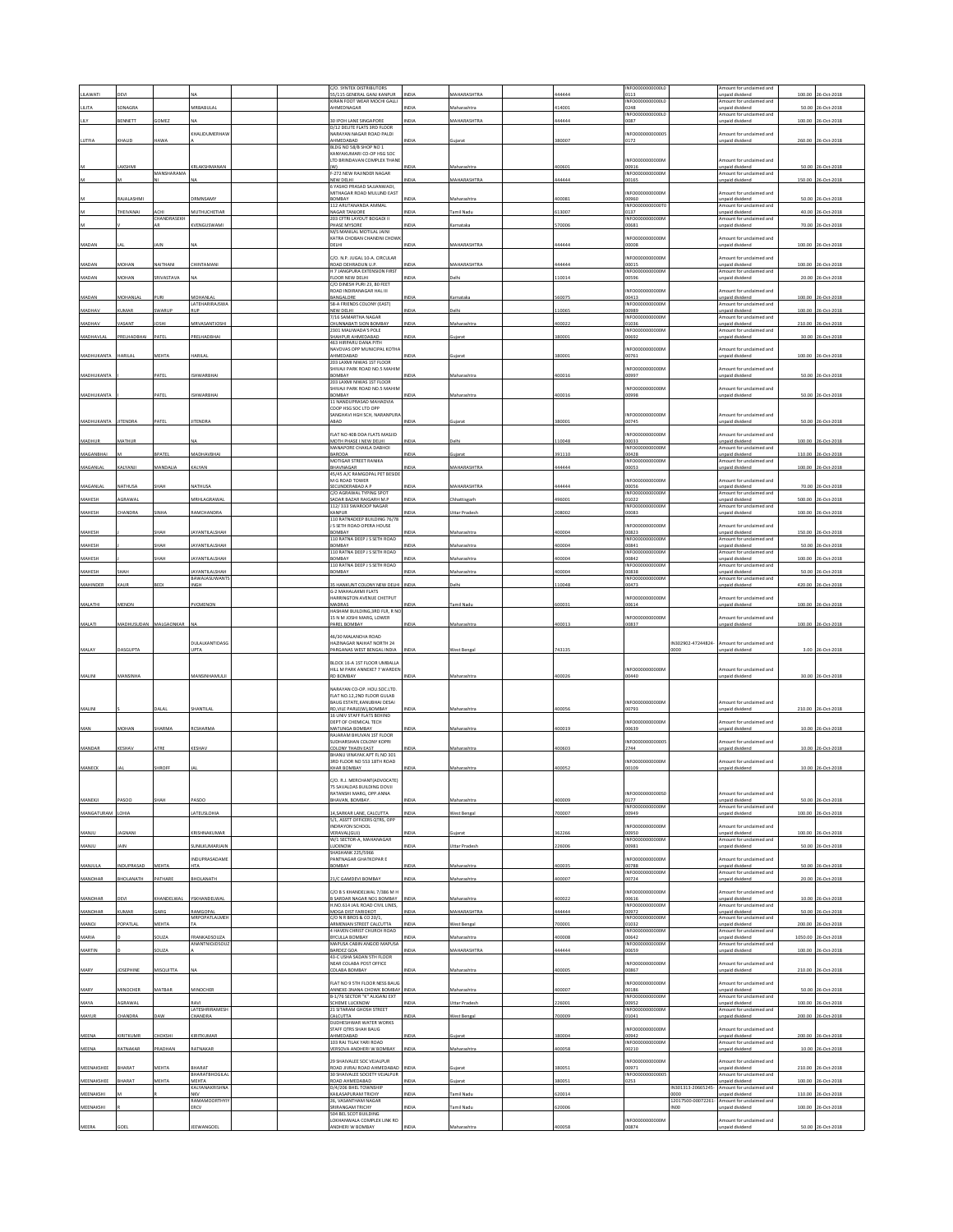| <b>ILAWATI</b>    | <b>DEVI</b>       |                   |                                      |  | C/O. SYNTEX DISTRIBUTORS<br>55/115 GENERAL GANJ KANPUR                                     | NDIA         | <b>MAHARASHTRA</b>   | 44444  | INFO0000000000L<br>0113           |                                        | mount for unclaimed and<br>npaid dividend          | 100.00 | 26-Oct-2018         |
|-------------------|-------------------|-------------------|--------------------------------------|--|--------------------------------------------------------------------------------------------|--------------|----------------------|--------|-----------------------------------|----------------------------------------|----------------------------------------------------|--------|---------------------|
| LILITA            | CONAGRA           |                   | <b>VIRBABULAL</b>                    |  | <b>CIRAN FOOT WEAR MOCHI GALLI</b><br><b>WAACONAGAR</b>                                    | <b>NDIA</b>  | Aaharashtra          | 14001  | INFO0000000000L<br>0248           |                                        | mount for undaimed and<br>npaid dividend           | 50.00  | 26-Oct-2018         |
| LILY              | BENNETT           | <b>OMEZ</b>       |                                      |  | <b>10 IPOH LANE SINGAPORE</b>                                                              | NDIA         | MAHARASHTRA          | 144444 | INFO0000000000L<br>0087           |                                        | Amount for unclaimed and<br>npaid dividend         | 100.00 | 26-Oct-2018         |
|                   |                   |                   | CHALIDUMERHAV                        |  | D/12 DELITE FLATS 3RD FLOOR<br>.<br>«ARAYAN NAGAR ROAD PALDI                               |              |                      |        | INFO00000000000                   |                                        | mount for unclaimed and                            |        |                     |
| LUTFIA            | <b>HALID</b>      | <b>JAWA</b>       |                                      |  | MMFDARAD<br>BLDG NO 58/B SHOP NO 1                                                         | NDIA         | Sujara               | 380007 | 0172                              |                                        | inpaid dividend                                    |        | 260.00 26-Oct-2018  |
|                   |                   |                   |                                      |  | KANYAKUMARI CO-OP HSG SOC                                                                  |              |                      |        |                                   |                                        |                                                    |        |                     |
|                   | AKSHMI            |                   | RLAKSHMANAN                          |  | LTD BRINDAVAN COMPLEX THAN<br>(W)                                                          | NDIA         | Maharashtra          | 100601 | NFO0000000000N<br>00916           |                                        | mount for unclaimed and<br>inpaid dividend         |        | 50.00 26-Oct-2018   |
|                   |                   | MANSHARAMA        |                                      |  | F-272 NEW RAJINDER NAGAR<br>NEW DELHI                                                      | NDIA         | MAHARASHTRA          | 44444  | INFO0000000000M<br>00165          |                                        | Amount for unclaimed and<br>npaid dividend         | 150.00 | 26-Oct-2018         |
|                   |                   |                   |                                      |  | 6 YASHO PRASAD SAJJANWADI.<br>MITHAGAR ROAD MULUND EAST                                    |              |                      |        | NFO0000000000N                    |                                        | mount for unclaimed and                            |        |                     |
|                   | AJALASHMI         |                   | RMNSAMY                              |  | BOMBAY<br>112 ARUTANANDA AMMAL                                                             | NDIA         | faharashtra          | 00081  | 10960<br><b>NFO0000</b><br>0000   |                                        | npaid dividend<br>mount for unclaimed and          |        | 50.00 26-Oct-2018   |
|                   | HEIVANAI          | CHANDRASEKH       | <b>NUTHUCHETIAR</b>                  |  | <b>NAGAR TANJORE</b><br>203 CFTRI LAYOUT BOGADI II                                         | NDIA         | mil Nadu             | 13007  | 0137<br>INFO0000000000N           |                                        | npaid dividend<br>Amount for unclaimed and         | 40.00  | 26-Oct-2018         |
|                   |                   |                   | <b>(VENGUSWAMI</b>                   |  | PHASE MYSORE                                                                               | NDIA         | arnataka             | 70006  | 00681                             |                                        | inpaid dividend                                    |        | 70.00 26-Oct-2018   |
|                   |                   |                   |                                      |  | M/S MANILAL MOTILAL JAINI<br>KATRA CHOBAN CHANDNI CHOW                                     |              |                      |        | NFO0000000000N                    |                                        | mount for undaimed and                             |        |                     |
| MADAN             |                   | AIN               |                                      |  | DELHI                                                                                      | NDIA         | <b>AAHARASHTRA</b>   | 44444  | 00008                             |                                        | npaid dividend                                     | 100.00 | 26-Oct-2018         |
| MADAN             | <b>MOHAN</b>      | VAITHANI          | <b>HINTAMANI</b>                     |  | C/O. N.P. JUGAL 10-A. CIRCULAR<br>ROAD DEHRADUN U.P.                                       | NDIA         | <b>ANHARASHTRA</b>   | 44444  | NFO0000000000N<br>00015           |                                        | mount for unclaimed and<br>npaid dividend          |        | 100.00 26-Oct-2018  |
| MADAN             | <b>MAHON</b>      | RIVASTAVA         |                                      |  | H 7 JANGPURA EXTENSION FIRST<br>LOOR NEW DELHI                                             | VDIA         | elhi                 | 10014  | <b>NFO00000</b><br>0596           |                                        | Amount for unclaimed and<br>npaid dividend         | 20.00  | 26-Oct-2018         |
|                   |                   |                   |                                      |  | C/O DINESH PURI 23, 80 FEET<br>ROAD INDIRANAGAR HAL III                                    |              |                      |        | NFO0000000000N                    |                                        | mount for unclaimed and                            |        |                     |
| MADAN             | <b>AOHANLAL</b>   | URI               | MOHANLAL                             |  | BANGALORE<br>58-A FRIENDS COLONY (EAST)                                                    | NDIA         | arnataka             | 60075  | 00413<br><b>INFO0000</b><br>10000 |                                        | inpaid dividend<br>mount for unclaimed and         |        | 100.00 26-Oct-2018  |
| MADHAV            | <b>UMAR</b>       | WARUP             | LATEHARIRAJSWA<br>4115               |  | NEW DELHI                                                                                  | NDIA         | elhi                 | 10065  | 10989                             |                                        | npaid dividend                                     | 100.00 | 26-Oct-2018         |
| MADHAV            | <b>ASANT</b>      | OSHI              | <b><i>MRVASANTJOSH</i></b>           |  | 7/16 SAMARTHA NAGAR<br><b>CHUNNABATI SION BOMBAY</b>                                       | NDIA         | faharashtra          | 00022  | INFO0000000000N<br>01036          |                                        | Amount for unclaimed and<br>npaid dividend         | 210.00 | 26-Oct-201          |
| MADHAVLAL         | RELHADBHAI        | PATEL             | PRELHADBHAI                          |  | 2301 MALIWADA'S POLE<br>HAHPUR AHMEDABAD                                                   | NDIA         | ujara                | 80001  | INFO0000000000M<br>00692          |                                        | mount for undaimed and<br>npaid dividend           |        | 30.00 26-Oct-2018   |
|                   |                   |                   |                                      |  | 463 HIRPARU DANA PITH<br>NAVOVAS OPP MUNICIPAL KOTHA                                       |              |                      |        | NFO0000000000A                    |                                        | mount for unclaimed and                            |        |                     |
| <b>MADHUKANT/</b> | <b>IARILAL</b>    | MEHTA             | HARILA                               |  | AHMEDABAD<br>203 LAXMI NIWAS 1ST FLOOR                                                     | <b>NDI</b>   | iujara               | 380001 | 00761                             |                                        | inpaid dividend                                    |        | 100.00 26-Oct-2018  |
|                   |                   |                   |                                      |  | SHIVAJI PARK ROAD NO.5 MAHIM                                                               |              |                      |        | NFO0000000000N                    |                                        | mount for undaimed and                             |        |                     |
| MADHUKANTA        |                   | <b>ATEL</b>       | SHWARBHAI                            |  | BOMBAY<br>203 LAXMI NIWAS 1ST FLOOR                                                        | VDIA         | faharasht            | 00016  | 00997                             |                                        | npaid dividend                                     |        | 50.00 26-Oct-2018   |
| MADHUKANTA        |                   | PATEL             | SHWARBHAI                            |  | SHIVAJI PARK ROAD NO.5 MAHIN<br>BOMBAY                                                     | NDIA         | Aaharashtra          | 00016  | NFO0000000000N<br>00998           |                                        | mount for unclaimed and<br>npaid dividend          |        | 50.00 26-Oct-2018   |
|                   |                   |                   |                                      |  | 11 NANDUPRASAD MAHADVIA<br>COOP HSG SOC LTD OPP                                            |              |                      |        |                                   |                                        |                                                    |        |                     |
| MADHUKANTA        | <b>JITENDRA</b>   | PATEL             | IITENDRA                             |  | SANGHAVI HGH SCH. NARANPURA<br>ABAD                                                        | NDIA         | Gujarat              | 380001 | INFOODDDDDDDDA<br>00745           |                                        | Amount for unclaimed and<br><b>Inpaid</b> dividend |        | 50.00 26-Oct-2018   |
|                   |                   |                   |                                      |  | FLAT NO 40B DDA FLATS MASJID                                                               |              |                      |        | INFO0000000000                    |                                        | mount for unclaimed and                            |        |                     |
| MADHUR            | <b>AATHUR</b>     |                   |                                      |  | MOTH PHASE I NEW DELHI                                                                     | NDIA         | elhi                 | 10048  | 00033<br>INFO0000000000N          |                                        | npaid dividend                                     | 100.00 | 26-Oct-2018         |
| MAGANBHAI         |                   | BPATEL            | MADHAVBHAI                           |  | MANAPORE CHAKLA DABHOI<br>BARODA                                                           | NDIA         | Gujarat              | 391110 | 00428                             |                                        | Amount for unclaimed and<br>npaid dividend         |        | 110.00 26-Oct-2018  |
| MAGANLAL          | <b>ALYANJ</b>     | MANDALIA          | CALYAN                               |  | MOTIGAR STREET RANIKA<br>BHAVNAGAR                                                         | NDIA         | <b>AAHARASHTR</b>    | 44444  | NFO0000000000<br>10053            |                                        | mount for unclaimed and<br>npaid dividen           | 100.00 | 26-Oct-201          |
|                   |                   |                   |                                      |  | 45/45 A/C RAMGOPAL PET BESIDE<br>M G ROAD TOWER                                            |              |                      |        | NFO0000000000A                    |                                        | mount for unclaimed and                            |        |                     |
| MAGANLAL          | NATHUSA           | SHAH              | NATHUSA                              |  | SECUNDERABAD A P<br>C/O AGRAWAL TYPING SPOT                                                | INDIA        | MAHARASHTRA          | 444444 | 00056<br><b>NFO0000</b>           |                                        | Inpaid dividend<br>mount for unclaimed and         |        | 70.00 26-Oct-2018   |
| MAHESH            | GRAWA             |                   | <b>MRHLAGRAWAI</b>                   |  | SADAR BAZAR RAIGARH M.P.<br>112/333 SWAROOP NAGAR                                          | NDIA         | hhattisgarl          | 196001 | 01022<br>INFO0000000000N          |                                        | inpaid dividend                                    | 500.00 | 26-Oct-201          |
| MAHESH            | <b>HANDRA</b>     | INHA              | <b>AMCHANDRA</b>                     |  | CANPUR                                                                                     | NDIA         | <b>Jttar Prades</b>  | 208002 | 00083                             |                                        | Amount for unclaimed and<br>npaid dividend         |        | 100.00 26-Oct-201   |
|                   |                   |                   |                                      |  | 110 RATNADEEP BUILDING 76/78<br>S SETH ROAD OPERA HOUSE                                    |              |                      |        | NFO0000000000N                    |                                        | mount for unclaimed and                            |        |                     |
| MAHESH            |                   | жан               | AYANTILALSHA                         |  | BOMBAY<br>110 RATNA DEEP J S SETH ROAD                                                     |              | Maharashtra          | 100004 | 00823<br>INFO0000000000N          |                                        | inpaid dividend<br>Amount for unclaimed and        | 150.00 | 26-Oct-201          |
| MAHESH            |                   | HAH               | AYANTILALSHAH                        |  | <b>OMBAY</b><br>110 RATNA DEEP J S SETH ROAD                                               | <b>VIDIA</b> | Maharashtra          | 100004 | 0841<br>INFO0000000000            |                                        | npaid dividend<br>Amount for unclaimed and         | 50.00  | 26-Oct-201          |
| MAHESH            |                   | нан               | YANTILALSHAH                         |  | BOMBAY<br>110 RATNA DEEP J S SETH ROAD                                                     | VDIA         | taharashtra          | 00004  | 00842<br>NFO0000000000            |                                        | inpaid dividend<br>mount for unclaimed and         |        | 100.00 26-Oct-2018  |
| MAHESH            | HAH               |                   | AYANTILALSHAH<br><b>BAWAJASUWANT</b> |  | BOMBAY                                                                                     | NDIA         | taharashtra          | 0004   | 0838<br>INFO0000000000N           |                                        | npaid dividend<br>mount for unclaimed and          | 50.00  | 26-Oct-2018         |
| MAHINDER          | KAUR              | <b>BEDI</b>       | INGH                                 |  | 35 HANKUNT COLONY NEW DELHI                                                                | INDIA        | elhi                 | 10048  | 00473                             |                                        | inpaid dividend                                    | 420.00 | 26-Oct-2018         |
|                   |                   |                   |                                      |  | G-2 MAHALAXMI FLATS<br>ARRINGTON AVENUE CHETPUT                                            |              |                      |        | NFO00000000000                    |                                        | mount for unclaimed and                            |        |                     |
| MALATHI           | MENON             |                   | VCMENON                              |  | MADRAS<br>HASHAM BUILDING.3RD FLR. R NC                                                    | VDIA         | amil Nadu            | 00031  | 00614                             |                                        | npaid dividend                                     |        | 100.00 26-Oct-2018  |
| MALATI            | <b>MADHUSUDAN</b> | <b>MALGAONKAR</b> |                                      |  | 15 N M JOSHI MARG, LOWER<br>PAREL BOMBAY                                                   | NDIA         | Aaharashtra          | 00013  | NFO0000000000N<br>00837           |                                        | mount for unclaimed and<br>npaid dividend          |        | 100.00 26-Oct-2018  |
|                   |                   |                   |                                      |  | 46/30 MAI ANCHA ROAD                                                                       |              |                      |        |                                   |                                        |                                                    |        |                     |
| MALAY             | DASGUPTA          |                   | DULALKANTIDASG<br>UPTA               |  | HAZINAGAR NAIHAT NORTH 24<br>PARGANAS WEST BENGAL INDIA                                    | NDIA         | West Bengal          | 743135 |                                   | IN302902-47244824-<br>0000             | Amount for unclaimed and<br>inpaid dividend        | 3.00   | 26-Oct-201          |
|                   |                   |                   |                                      |  |                                                                                            |              |                      |        |                                   |                                        |                                                    |        |                     |
|                   |                   |                   |                                      |  | BLOCK 16-A 1ST FLOOR UMBALLA<br>HILL M PARK ANNEXE7 7 WARDEN                               |              |                      |        | INFO0000000000N                   |                                        | mount for unclaimed and                            |        |                     |
| MALINI            | MANSINHA          |                   | MANSINHAMULII                        |  | RD BOMBAY                                                                                  | NDIA         | Maharashtra          | 100026 | 00440                             |                                        | npaid dividend                                     |        | 30.00 26-Oct-2018   |
|                   |                   |                   |                                      |  | ARAYAN CO-OP. HOU.SOC.LTD.<br>FLAT NO.12,2ND FLOOR GULAB                                   |              |                      |        |                                   |                                        |                                                    |        |                     |
| MALINI            |                   | <b>JALAL</b>      | SHANTILAI                            |  | BAUG ESTATE, KANUBHAI DESAI<br>RD VILE PARLE(W) ROMRAY                                     | NDIA         | Maharashtra          | 100056 | NFO0000000000N<br>00793           |                                        | mount for unclaimed and<br>npaid dividend          |        | 210.00 26-Oct-2018  |
|                   |                   |                   |                                      |  | 16 UNIV STAFF FLATS BEHIND<br>DEPT OF CHEMICAL TECH                                        |              |                      |        |                                   |                                        |                                                    |        |                     |
| MAN               | MOHAN             | HARMA             | <b>RCSHARM</b>                       |  | MATUNGA BOMBAY                                                                             | NDIA         | Maharashtr           | 00019  | NFO0000000000N<br>00639           |                                        | mount for unclaimed and<br>inpaid dividend         | 10.00  | 26-Oct-201          |
|                   |                   |                   |                                      |  | RAJARAM BHUVAN 1ST FLOOR<br>SUDHARSHAN COLONY KOPRI                                        |              |                      |        | NEODDDDDDDDDD                     |                                        | Amount for unclaimed and                           |        |                     |
| MANDAR            | KESHAV            | ATRE              | KESHAV                               |  | COLONY THAEN EAST<br>BHANU VINAYAK APT FL NO 301                                           | NDIA         | Maharashtra          | 100603 | 2744                              |                                        | inpaid dividend                                    |        | 10.00 26-Oct-2018   |
| MANECK            |                   | HROFF             |                                      |  | RD FLOOR NO 553 18TH ROAD<br><b>CHAR BOMBAY</b>                                            | NDIA         | faharashtr           | 00052  | NFO0000000000N<br>00109           |                                        | mount for unclaimed and<br>npaid dividend          | 10.00  | 26-Oct-2018         |
|                   |                   |                   |                                      |  |                                                                                            |              |                      |        |                                   |                                        |                                                    |        |                     |
|                   |                   |                   |                                      |  | /O. R.J. MERCHANT(ADVOCATE)<br>75 SAVALDAS BUILDING DOVJI<br><b>ATANSHI MARG, OPP ANNA</b> |              |                      |        | NFO0000000000SC                   |                                        | mount for unclaimed and                            |        |                     |
| MANEKJI           | ASOO              | HAH               | ASOC                                 |  | BHAVAN, BOMBAY                                                                             | VDIA         | faharashtra          | 00009  | 0177                              |                                        | inpaid dividend                                    |        | 50.00 26-Oct-2018   |
| MANGATURAM        | LOHIA             |                   | LATEUSLOHIA                          |  | 4, SARKAR LANE, CALCUTTA                                                                   | NDIA         | West Bengal          | '00007 | INFO0000000000M<br>00949          |                                        | mount for unclaimed and<br>inpaid dividend         |        | 100.00 26-Oct-2018  |
|                   |                   |                   |                                      |  | 5/1, ASSTT OFFICERS QTRS, OPP<br>NDRAYON SCHOOL                                            |              |                      |        | NF00000000000M                    |                                        | mount for unclaimed and                            |        |                     |
| ULIANM            | AGNANI            |                   | RISHNAKUMAR                          |  | <b>VERAVAL(GUJ)</b><br>W/1 SECTOR-A. MAHANAGAR                                             | <b>VDIA</b>  |                      | 62266  | 00950<br>INFO0000000000N          |                                        | npaid dividend<br>Amount for unclaimed and         | 100.00 | 26-Oct-2018         |
| MANJU             | AIN               |                   | <b>JUNILKUMARJAIN</b>                |  | <b>LUCKNOW</b><br><b>SHASHANK 225/5966</b>                                                 | NDIA         | Uttar Pradesh        | 26006  | 00981                             |                                        | inpaid dividend                                    |        | 50.00 26-Oct-2018   |
| MANJULA           | NDUPRASAD         | MEHTA             | NDUPRASADAME<br><b>HTA</b>           |  | ANTNAGAR GHATKOPAR E<br>BOMBAY                                                             | NDIA         | faharashtra          | 00035  | NFO0000000000<br>00788            |                                        | mount for unclaimed and<br>npaid dividend          |        | 50.00 26-Oct-2018   |
| MANOHAR           | BHOLANATH         | PATHARE           | BHOLANATH                            |  | 21/C GAMDEVI BOMBAY                                                                        | NDIA         | Maharashtra          | 100007 | INFORMACIONAL<br>00724            |                                        | Amount for unclaimed and                           | 20.00  | 26-Oct-2018         |
|                   |                   |                   |                                      |  |                                                                                            |              |                      |        |                                   |                                        | inpaid dividend                                    |        |                     |
| MANOHAR           | <b>EVI</b>        | HANDELWAL         | SKHANDELWAL                          |  | C/O B S KHANDELWAL 7/386 M H<br><b>B SARDAR NAGAR NO1 BOMBAY</b>                           | NDIA         | faharashtra          | 00022  | NFO0000000000M<br>00616           |                                        | mount for unclaimed and<br>npaid dividend          | 10.00  | 26-Oct-2018         |
| MANOHAR           | <b>UMAR</b>       | ARG               | RAMGOPAL                             |  | H.NO.614 JAIL ROAD CIVIL LINES,<br>MOGA DIST FARIDKOT                                      | NDIA         | MAHARASHTRA          | 144444 | INFO0000000000N<br>00972          |                                        | Amount for unclaimed and<br>npaid dividend         | 50.00  | 26-Oct-2018         |
| MANOJ             | OPATLA            | <b>AEHT</b>       | MRPOPATLALMEH                        |  | C/O N R BROS & CO 20/1,<br>ARMENIAN STREET CALCUTTA                                        | NDIA         | West Bengal          | 00001  | INFO0000000000M<br>01032          |                                        | Amount for unclaimed and<br>Inpaid dividend        | 200.00 | 26-Oct-201          |
| MARIA             |                   | OUZA              | RANKADSOUZA                          |  | 4 HAVEN CHRIST CHURCH ROAD<br>BYCULLA BOMBAY                                               | NDIA         | faharashtra          | 00008  | INFO0000000000M<br>00642          |                                        | mount for unclaimed and<br>npaid dividend          |        | 1050.00 26-Oct-2018 |
| MARTIN            |                   | OUZA              | ANANTNIOJDSOUZ                       |  | MAPUSA CABIN ANGOD MAPUSA<br>BARDEZ GOA                                                    | NDIA         | <b>MAHARASHTRA</b>   | 44444  | INFO0000000000<br>00659           |                                        | Amount for unclaimed and<br>npaid dividend         |        | 100.00 26-Oct-2018  |
|                   |                   |                   |                                      |  | 13-C USHA SADAN STH FLOOR                                                                  |              |                      |        |                                   |                                        |                                                    |        |                     |
| MARY              | OSEPHINE          | <b>AISQUITTA</b>  |                                      |  | NEAR COLABA POST OFFICE<br>COLABA BOMBAY                                                   | NDIA         | Maharashtra          | 100005 | NFO0000000000<br>00867            |                                        | mount for unclaimed and<br>npaid dividend          |        | 210.00 26-Oct-2018  |
|                   |                   |                   |                                      |  | FLAT NO 9 STH FLOOR NESS BAUG                                                              |              |                      |        | INFO0000000000                    |                                        | mount for unclaimed and                            |        |                     |
| MARY              | <b>MINOCHER</b>   | MATBAR            | MINOCHER                             |  | ANNEXE-3NANA CHOWK BOMBAY<br>B-1/76 SECTOR "K" ALIGANJ EXT                                 | NDL          | Maharashtr           | 00007  | 00186<br>INFO0000000000M          |                                        | inpaid dividend<br>Amount for unclaimed and        | 50.00  | 06-Oct-201          |
| MAYA              | AGRAWAL           |                   | RAVI<br>LATESHRIRAMESH               |  | SCHEME LUCKNOW<br>21 SITARAM GHOSH STREET                                                  | NDIA         | <b>Jttar Pradesh</b> | 26001  | 10952<br>INFO0000000000N          |                                        | npaid dividend<br>mount for unclaimed and          | 100.00 | 26-Oct-2018         |
| MAYUR             | HANDRA            | AW                | <b>HANDRA</b>                        |  | CALCUTTA<br>DUDHESHWAR WATER WORKS                                                         | VDIA         | Vest Benga           | 00009  | 01041                             |                                        | npaid dividend                                     |        | 200.00 26-Oct-201   |
|                   | KIRITKUMR         | <b>НОКSHI</b>     | <b>GRITKUMAR</b>                     |  | STAFF QTRS SHAH BAUG<br>AHMEDABAD                                                          | NDIA         | uiarat               | 80004  | NFO0000000000<br>00942            |                                        | mount for unclaimed and                            |        | 200.00 26-Oct-2018  |
| MEENA             |                   |                   |                                      |  | 103 RAJ TILAK YARI ROAD                                                                    |              |                      |        | INFO0000000000N                   |                                        | inpaid dividend<br>Amount for unclaimed and        |        |                     |
| MEENA             | <b>ATNAKAR</b>    | RADHAN            | RATNAKAR                             |  | VERSOVA ANDHERI W BOMBAY                                                                   | NDIA         | laharashtra          | 00058  | 00210                             |                                        | npaid dividend                                     |        | 10.00 26-Oct-2018   |
| MEENAKSHEE        | <b>HARAT</b>      | MEHTA             | BHARAT                               |  | 29 SHAIVALEE SOC VEJALPUR<br>ROAD JIVRAJ ROAD AHMEDABAD                                    | NDIA         | juiarat              | 880051 | NFO0000000000N<br>0971            |                                        | mount for undaimed and<br>inpaid dividend          |        | 210.00 26-Oct-2018  |
| MEENAKSHEE        | HARAT             | <b>AEHTA</b>      | <b>BHARATBHOGILA</b><br>MEHTA        |  | 30 SHAIVALEE SOCIETY VEJALPUR<br>ROAD AHMEDABAD                                            | VDIA         | ujarat               | 80051  | INFO00000000000<br>0253           |                                        | mount for undaimed and<br>npaid dividend           | 100.00 | 26-Oct-2018         |
| MEENAKSHI         |                   |                   | KALYANAKRISHNA                       |  | D/4/206 BHEL TOWNSHIP                                                                      |              |                      |        |                                   | IN301313-20665245-                     | mount for unclaimed and                            |        |                     |
|                   |                   |                   | <b>NKV</b>                           |  | <b>KAILASAPURAM TRICHY</b>                                                                 | NDIA         | amil Nadu            | 20014  |                                   | 0000                                   | npaid dividend                                     |        | 110.00 26-Oct-2018  |
|                   |                   |                   | RAMAMOORTHYI<br><b>RCV</b>           |  | 26. VASANTHAM NAGAF<br>RIRANGAM TRICHY                                                     | NDIA         | amil Nadu            | 20006  |                                   | 12017500-00072261-<br>INO <sub>0</sub> | nount for unclaimed and<br>npaid dividend          | 100.00 | 26-Oct-201          |
| MEENAKSHI         |                   |                   |                                      |  | 504 BEL SCOT BUILDING<br>OKHANWALA COMPLEX LINK RD                                         |              |                      |        | NF00000000000M                    |                                        | mount for unclaimed and                            |        |                     |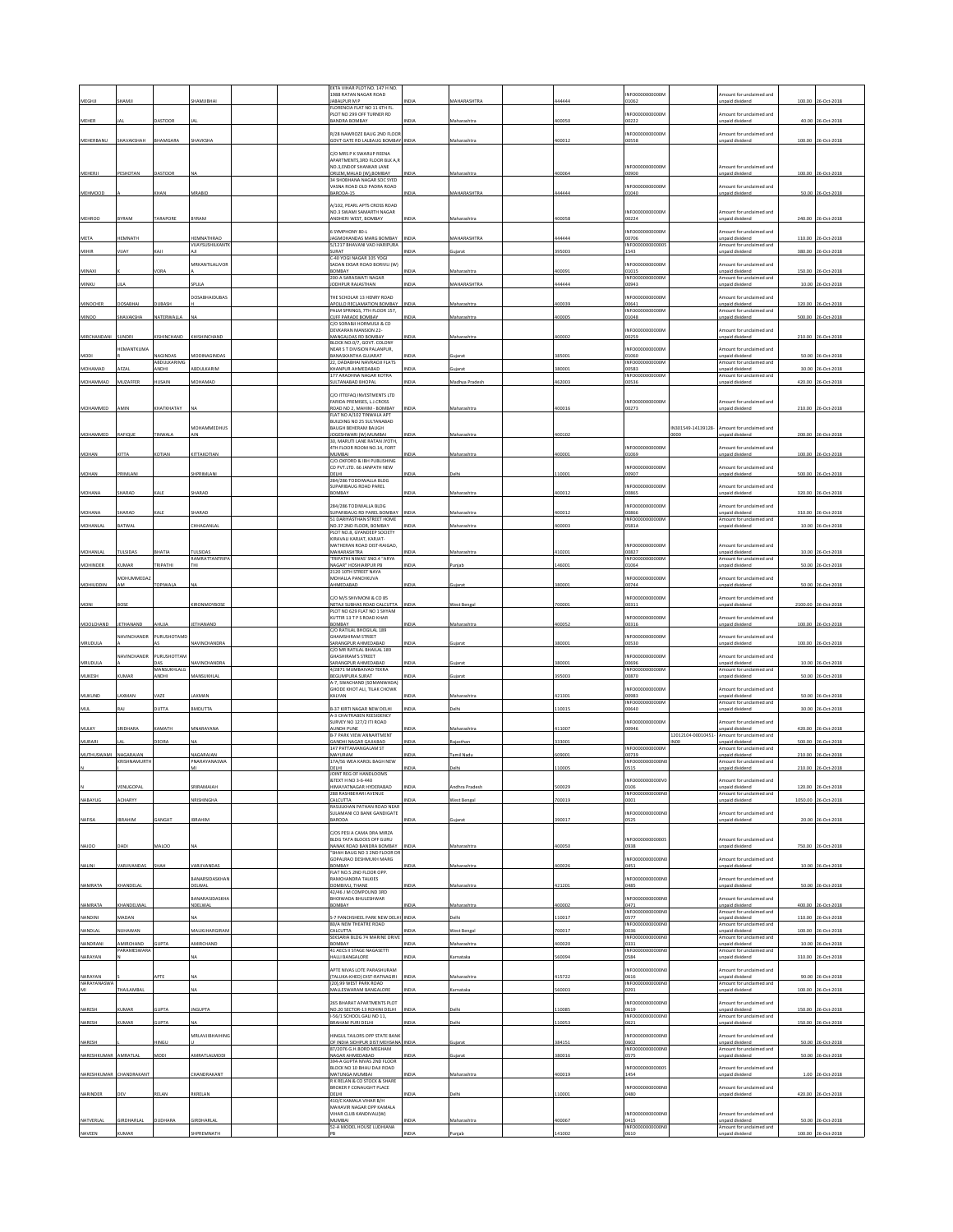| MEGHI                    | <b>IAMJ</b>              |                          |                                      |  | EKTA VIHAR PLOT NO. 147 H NO.<br>1988 RATAN NAGAR ROAD<br>JABALPUR M P                  |              | <b>MAHARASHTR</b>  | 44444  | NFO0000000000N<br>1062                    |                                        | mount for unclaimed and<br>npaid dividend                            | 100.00  |                                         |
|--------------------------|--------------------------|--------------------------|--------------------------------------|--|-----------------------------------------------------------------------------------------|--------------|--------------------|--------|-------------------------------------------|----------------------------------------|----------------------------------------------------------------------|---------|-----------------------------------------|
|                          |                          |                          |                                      |  | FLORENCIA FLAT NO 11 6TH FL<br>PLOT NO 299 OFF TURNER RD                                |              |                    |        | NFO0000000000N                            |                                        | mount for unclaimed and                                              |         |                                         |
| <b>MEHER</b>             |                          | <b>ASTOOR</b>            |                                      |  | <b>BANDRA BOMBAY</b>                                                                    |              | Maharashtra        | 400050 | 10222                                     |                                        | npaid dividend                                                       |         | 40.00 26-Oct-201                        |
| MEHERBANU                | SHAVAKSHAH               | <b>BHAMGARA</b>          | SHAVKSHA                             |  | R/28 NAWROZE BAUG 2ND FLOOR<br>GOVT GATE RD LALBAUG BOMBAY INDIA                        |              | Maharashtra        | 400012 | NFO0000000000M<br>00558                   |                                        | mount for unclaimed and<br>npaid dividend                            |         | 100.00 26-Oct-2018                      |
|                          |                          |                          |                                      |  | C/O MRS P K SWARUP REENA                                                                |              |                    |        |                                           |                                        |                                                                      |         |                                         |
|                          |                          |                          |                                      |  | APARTMENTS, 3RD FLOOR BLK A, R<br>NO.3, ENDOF SHANKAR LANE                              |              |                    |        | NFO0000000000N                            |                                        | mount for unclaimed and                                              |         |                                         |
| MEHERJI                  | PESHOTAN                 | DASTOOR                  |                                      |  | ORLEM.MALAD (W).BOMBAY<br>34 SHORHANA NAGAR SOC SYED.                                   | INDIA        | Maharashtra        | 400064 | 00900                                     |                                        | npaid dividend                                                       |         | 100.00 26-Oct-2018                      |
| MEHMOOD                  |                          | <b>HAN</b>               | MRABID                               |  | VASNA ROAD OLD PADRA ROAD<br>BARODA-15                                                  |              | <b>MAHARASHTRA</b> | 144444 | NFO0000000000<br>01040                    |                                        | mount for unclaimed and<br>npaid dividend                            |         | 50.00 26-Oct-2018                       |
|                          |                          |                          |                                      |  | A/102. PEARL APTS CROSS ROAD                                                            |              |                    |        |                                           |                                        |                                                                      |         |                                         |
| <b>MEHROO</b>            | BYRAM                    | TARAPORE                 | BYRAM                                |  | NO.3 SWAMI SAMARTH NAGAR<br>ANDHERI WEST, BOMBAY                                        | <b>INDIA</b> | Maharashtra        | 400058 | NFO0000000000N<br>00224                   |                                        | mount for unclaimed and<br>inpaid dividend                           | 240.00  | 26-Oct-201                              |
|                          |                          |                          |                                      |  | S SYMPHONY 80-L                                                                         |              |                    |        | NF00000000000M                            |                                        | mount for unclaimed and                                              |         |                                         |
| META                     | HEMNATH                  |                          | <b>IEMNATHRAO</b><br>VUAYSUSHILKANTI |  | JAGMOHANDAS MARG BOMBAY INDIA<br>5/1217 BHAVANI VAD HARIPURA                            |              | MAHARASHTRA        | 444444 | 00706<br>INFO0000000000                   |                                        | npaid dividend<br>Amount for unclaimed and                           |         | 110.00 26-Oct-2018                      |
| MIHIR                    | <b>IIAY</b>              |                          |                                      |  | SURAT<br>C-40 YOGI NAGAR 105 YOGI                                                       | <b>VIDIZ</b> | <b>Garat</b>       | 395003 | 1543                                      |                                        | npaid dividend                                                       |         | 380.00 26-Oct-201                       |
| MINAXI                   |                          | /ORA                     | ARKANTILALIVOR                       |  | SADAN EKSAR ROAD BORIVLI (W)<br>BOMBAY                                                  | INDIA        | Maharashtra        | 400091 | NFO0000000000M<br>01015                   |                                        | mount for unclaimed and<br>npaid dividend                            |         | 150.00 26-Oct-2018                      |
| MINKU                    |                          |                          | PHIA                                 |  | 200-A SARASWATI NAGAR<br>JODHPUR RAJASTHAN                                              | <b>INDIA</b> | <b>MAHARASHTRA</b> | 444444 | INFO0000000000N<br>10943                  |                                        | Amount for unclaimed and<br>inpaid dividend                          | 10.00   | 26-Oct-201                              |
|                          | <b>DOSABHAI</b>          | H2ABUC                   | DOSABHAIDUBAS                        |  | THE SCHOLAR 13 HENRY ROAD                                                               | <b>INDIA</b> | Maharashtra        | 400039 | NF00000000000M<br>00641                   |                                        | mount for unclaimed and<br>npaid dividend                            |         |                                         |
| <b>MINOCHER</b><br>MINOO | HAVAKSHA                 | NATERWALLA               |                                      |  | APOLLO RECLAMATION BOMBAY<br>PALM SPRINGS, 7TH FLOOR 157,<br>CUFF PARADE BOMBAY         | NDIA         | Maharashtra        | 400009 | INFO0000000000N<br>01048                  |                                        | Amount for unclaimed and<br>inpaid dividend                          |         | 320.00 26-Oct-2018<br>500.00 26-Oct-201 |
|                          |                          |                          |                                      |  | C/O SORABJI HORMUSJI & CO<br>DEVKARAN MANSION 22-                                       |              |                    |        | NFO0000000000A                            |                                        | mount for unclaimed and                                              |         |                                         |
| <b>MIRCHANDANI</b>       | SUNDRI                   | <b>ISHINCHAND</b>        | KHISHINCHAND                         |  | MANGALDAS RD BOMBAY<br>BLOCK NO.0/7, GOVT. COLONY                                       | INDIA        | Maharashtra        | 400002 | 00259                                     |                                        | npaid dividend                                                       |         | 210.00 26-Oct-2018                      |
| MOD                      | HEMANTKUMA               | <b>IAGINDAS</b>          | <b><i>AODINAGINDAS</i></b>           |  | NEAR ST DIVISION PALANPUR.<br>BANASKANTHA GUJARAT                                       | <b>IDIA</b>  | ujarat             | 385001 | NFO0000000000N<br>01060                   |                                        | mount for unclaimed and<br>inpaid dividend                           |         | 50.00 26-Oct-201                        |
| MOHAMAD                  | <b>SEZAI</b>             | ABDULKARIMG<br>ANDHI     | ABDULKARIM                           |  | 22, DADABHAI NAVRAOJI FLATS<br>KHANPUR AHMEDABAD                                        | INDIA        | ujarat             | 380001 | NFO0000000000<br>00583                    |                                        | mount for unclaimed and<br>npaid dividend                            |         | 30.00 26-Oct-2018                       |
|                          | <b><i>AUZAFFER</i></b>   | <b>USAIN</b>             | <b>JANAHON</b>                       |  | 177 ARADHNA NAGAR KOTRA<br><b>SULTANABAD BHOPA</b>                                      | <b>VIDU</b>  | Madhya Prade       | 462003 | NFO0000000000N<br>00536                   |                                        | mount for undaimed and<br>npaid divident                             | 420.00  | 26-Oct-201                              |
| MOHAMMAD                 |                          |                          |                                      |  | C/O ITTEFAQ INVESTMENTS LTD                                                             |              |                    |        |                                           |                                        |                                                                      |         |                                         |
|                          | MIN                      | HATKHATAY                |                                      |  | FARIDA PREMISES, LJ.CROSS                                                               |              |                    |        | INFO0000000000N                           |                                        | mount for unclaimed and                                              |         | 26-Oct-201                              |
| MOHAMMED                 |                          |                          |                                      |  | ROAD NO 2, MAHIM - BOMBAY<br>FLAT NO A/102 TINWALA APT<br>BUILDING NO 25 SULTANABAD     |              | laharashtra        | 00016  | 00273                                     |                                        | npaid dividend                                                       | 210.00  |                                         |
|                          | RAFIQUE                  | TINWALA                  | <b>MOHAMMEDHUS</b><br>ΔIN            |  | BAUGH BEHERAM BAUGH                                                                     | INDIA        | Maharashtra        | 400102 |                                           | IN301549-14139128-<br>0000             | mount for unclaimed and<br>npaid dividend                            |         |                                         |
| MOHAMMED                 |                          |                          |                                      |  | JOGESHWARI (W) MUMBAI<br>30. MARUTI LANE RATAN JYOTH<br>4TH FLOOR ROOM NO 14 FORT       |              |                    |        | NFO0000000000N                            |                                        | mount for unclaimed and                                              |         | 200.00 26-Oct-2018                      |
| MOHAN                    | KITTA                    | KOTIAN                   | KITTAKOTIAN                          |  | MUMBAI<br>C/O.OXFORD & IBH PUBLISHING                                                   | INDIA        | Maharashtra        | 400001 | 01069                                     |                                        | npaid dividend                                                       |         | 100.00 26-Oct-2018                      |
| MOHAN                    | PRIMLAN                  |                          | HPRIMLAN                             |  | CO PVT.LTD. 66 JANPATH NEW<br>DELHI                                                     | VDM          | <b>Jelb</b>        | 110001 | NF00000000000M<br>10907                   |                                        | nount for unclaimed and<br>npaid dividend                            | 500.00  | 26-Oct-2018                             |
|                          |                          |                          |                                      |  | 284/286 TODDIWALLA BLDG<br>SUPARIBAUG ROAD PAREL                                        |              |                    |        | NFO0000000000N                            |                                        | mount for unclaimed and                                              |         |                                         |
| MOHANA                   | HARAD                    | <b>ALE</b>               | HARAD                                |  | BOMBAY                                                                                  | NDL          | laharashtra        | 400012 | 10865                                     |                                        | npaid dividend                                                       |         | 320.00 26-Oct-201                       |
| <b>MOHANA</b>            | HARAD                    |                          | SHARAD                               |  | 284/286 TODIWALLA BLDG<br>SUPARIRAUG RD PAREL ROMRAY INDIA                              |              | Maharashtra        | 400012 | NFO0000000000N<br>10866                   |                                        | mount for unclaimed and<br>heebivib bisen                            |         | 310.00 26-Oct-201                       |
| MOHANLAL                 | BATWAL                   |                          | <b>HHAGANLA</b>                      |  | 51 DARIYASTHAN STREET HOME<br>NO.37 2ND FLOOR, BOMBAY                                   | INDIA        | Maharashtr.        | 400003 | INFO0000000000M<br>)581A                  |                                        | Amount for unclaimed and<br>inpaid dividend                          |         | 10.00 26-Oct-2018                       |
|                          |                          |                          |                                      |  | PLOT NO.8, GYANDEEP SOCIETY<br>KIRAVALI KARJAT, KARJAT-                                 |              |                    |        |                                           |                                        |                                                                      |         |                                         |
| MOHANLAL                 | <b>TULSIDAS</b>          | <b>HATIA</b>             | TULSIDAS                             |  | MATHERAN ROAD DIST-RAIGAD<br>MAHARASHTRA                                                | INDIA        | Maharashtra        | 410201 | NFO0000000000N<br>00827                   |                                        | Amount for unclaimed and<br>Inpaid dividend                          |         | 10.00 26-Oct-2018                       |
|                          |                          |                          | RAMRATTANTRII<br>ľНI                 |  | RIPATHI NIWAS' SNO.4 "ARYA                                                              |              |                    |        | NFO0000000000                             |                                        | mount for unclaimed and                                              |         |                                         |
| MOHINDER                 | UMAR                     | RIPATHI                  |                                      |  | NAGAR" HOSHIARPUR PB<br>2120 10TH STREET NAYA                                           | NDIA         | unjab              | 46001  | 1064                                      |                                        | npaid dividend                                                       |         | 50.00 26-Oct-201                        |
| MOHIUDDIN                | <b>MOHUMMEDA</b><br>AM   | <b>TOPIWALA</b>          |                                      |  | MOHALLA PANCHKUVA<br>AHMEDABAD                                                          | INDIA        | Gujarat            | 380001 | NFO0000000000<br>00744                    |                                        | mount for unclaimed and<br>inpaid dividend                           |         | 50.00 26-Oct-2018                       |
|                          |                          |                          | <b>IRONMOYBOSE</b>                   |  | C/O M/S SHIVMONI & CO 85                                                                |              |                    |        | NF00000000000M                            |                                        | nount for unclaimed and                                              |         |                                         |
| MONI                     | BOSE                     |                          |                                      |  | NETAJI SUBHAS ROAD CALCUTTA<br>PLOT NO 629 FLAT NO 1 SHYAM<br>KUTTIR 13 T P S ROAD KHAR | <b>NDM</b>   | Vest Benp          | 700001 | 0311<br>INFO0000000000                    |                                        | npaid dividend<br>mount for unclaimed and                            | 2100.00 | 26-Oct-2018                             |
|                          |                          |                          |                                      |  |                                                                                         |              |                    |        |                                           |                                        |                                                                      |         |                                         |
| MOOLCHAND                | ETHANAND                 | <b>HUJA</b>              | ETHANAND                             |  | BOMBAY                                                                                  | NDL          | laharashtr         | 400052 | 00316                                     |                                        | npaid divident                                                       |         | 100.00 26-Oct-201                       |
|                          | <b>VAVINCHANDR</b>       | URUSHOTAME               |                                      |  | C/O RATILAL BHOGILAL 189<br><b>GHAMSHIRAM STREET</b>                                    |              |                    |        | NFO0000000000N                            |                                        | mount for unclaimed and                                              |         |                                         |
| MRUDULA                  |                          |                          | <b>IAVINCHANDRA</b>                  |  | SARANGPUR AHMEDABAD<br>C/O MR RATILAL BHAILAL 189                                       | <b>INDIA</b> |                    | 380001 | 00530                                     |                                        | npaid divident                                                       |         | 100.00 26-Oct-201                       |
| MRUDULA                  | AVINCHANDE               | URUSHOTTAM<br><b>JAS</b> | <b>JAVINCHANDRA</b>                  |  | <b>GHASHIRAM'S STREET</b><br>SARANGPUR AHMEDABAD                                        | INDIA        | ujarat             | 380001 | NFO0000000000M<br>36900                   |                                        | mount for unclaimed and<br>inpaid dividend                           |         | 10.00 26-Oct-2018                       |
| MUKESH                   | KUMAR                    | MANSUKHLALG<br>ANDHI     | MANSUKHLAL                           |  | 4/2871 MUMBAIVAD TEKRA<br>BEGUMPURA SURAT                                               | <b>INDIA</b> | uiarat             | 395003 | INFO0000000000N<br>00870                  |                                        | Amount for unclaimed and<br>npaid dividend                           |         | 50.00 26-Oct-2018                       |
|                          |                          |                          |                                      |  | A-7, SWACHAND (SOMANWADA)<br>GHODE KHOT ALI, TILAK CHOWK                                |              |                    |        | NFO0000000000M                            |                                        | mount for unclaimed and                                              |         |                                         |
| MUKUND                   | AXMAN                    | /AZE                     | AXMAN                                |  | KALYAN                                                                                  | NDLA         | Maharashtra        | 121301 | 00983<br>INFO0000000000N                  |                                        | Inpaid dividend<br>Amount for unclaimed and                          |         | 50.00 26-Oct-2018                       |
| MUL                      | RAI                      | DUTTA                    | <b>BMDUTTA</b>                       |  | 3-37 KIRTI NAGAR NEW DELHI<br>A-3 CHAITRABEN REESIDENCY                                 | INDIA        | elhi               | 110015 | 00640                                     |                                        | heebivib bisen                                                       |         | 30.00 26-Oct-2018                       |
| MULKY                    | RIDHARA                  | HTAMA:                   | MARAYANA                             |  | SURVEY NO 127/2 ITI ROAD<br>AUNDH PUNE                                                  | INDIA        | Maharashtra        | 111007 | NFO0000000000N<br>00946                   |                                        | mount for unclaimed and<br>inpaid dividend                           |         | 420.00 26-Oct-2018                      |
| MURARI                   |                          | EORA                     |                                      |  | <b>B-7 PARK VIEW ANNARTMENT</b><br>GANDHI NAGAR GAJIABAD                                | INDIA        | aiasthan           | 333001 |                                           | 12012104-00010451-<br>INO <sub>0</sub> | mount for undaimed and<br>npaid dividend                             | 500.00  | 26-Oct-2018                             |
| MUTHUSWAM                | NAGARAJAN                |                          | NAGARAJAN                            |  | 147 PATTAMANGALAM ST<br>MAYURAM                                                         | NDIA         | mil Nadu           | 609001 | INFO0000000000<br>00739                   |                                        | mount for unclaimed and<br>npaid dividend                            | 210.00  | 26-Oct-201                              |
|                          | <b>KRISHNAMUR</b>        |                          | MARAYANASW                           |  | 17A/S6 WEA KAROL BAGH NEW<br>DELHI                                                      |              |                    | 10005  | INFO0000000000N<br>0515                   |                                        | mount for undaimed and<br>paid dividend                              | 210.00  | 26-Oct-201                              |
|                          |                          |                          |                                      |  | JOINT REG OF HANDLOOMS<br><b>&amp;TEXT H NO 3-6-440</b>                                 |              |                    |        |                                           |                                        |                                                                      |         |                                         |
|                          | VENUGOPAL                |                          | SRIRAMAIAH                           |  | HIMAYATNAGAR HYDERABAD<br>288 RASHBEHARI AVENUE                                         | <b>INDIA</b> | Andhra Pradesh     | 500029 | 0106<br>NFO0000000000N                    |                                        | Inpaid dividend<br>mount for unclaimed and                           |         | 120.00 26-Oct-2018                      |
| NABAYUG                  | CHARYY                   |                          | <b>RISHINGHA</b>                     |  | CALCUTTA<br>RASI II KHAN PATHAN ROAD NEAR                                               |              | lest Renoa         | 700019 | 1001                                      |                                        | paid dividend                                                        | 1050.00 | 26-Oct-2018                             |
| NAFISA                   | BRAHIM                   | ANGAT                    | BRAHIM                               |  | <b>SULAMANI CO BANK GANDIGATE</b><br>BARODA                                             |              | uiarat             | 390017 | INFO0000000000N<br>3525                   |                                        | mount for unclaimed and<br>npaid dividend                            |         | 20.00 26-Oct-2018                       |
|                          |                          |                          |                                      |  | C/OS PESI A CAMA DRA MIRZA                                                              |              |                    |        |                                           |                                        |                                                                      |         |                                         |
| <b>NAJOO</b>             | DADI                     | MALOO                    |                                      |  | BLDG TATA BLOCKS OFF GURU<br>NANAK ROAD BANDRA BOMBAY                                   | <b>INDIA</b> | Maharashtra        | 400050 | INFO00000000000<br>0938                   |                                        | Amount for unclaimed and<br>inpaid dividend                          |         | 750.00 26-Oct-2018                      |
|                          |                          |                          |                                      |  | "SHAH BAUG NO 3 2ND FLOOR DR<br>GOPALRAO DESHMUKH MARG                                  |              |                    |        | NFO0000000000N                            |                                        | mount for undaimed and                                               |         |                                         |
| NALINI                   | <b>/ARJIVANDAS</b>       | SHAH                     | <b>/ARJIVANDAS</b>                   |  | BOMBAY<br>FLAT NO.5 2ND FLOOR OPP.                                                      | VDM          | Maharashtra        | 100026 | 1451                                      |                                        | npaid dividend                                                       |         | 10.00 26-Oct-2018                       |
| NAMRATA                  | KHANDELAL                |                          | BANARSIDASKHAN<br>DELWAL             |  | RAMCHANDRA TALKIES<br>DOMBIVLI, THANE                                                   | <b>INDIA</b> | Maharashtra        | 421201 | NFO0000000000N<br>1485                    |                                        | mount for unclaimed and<br>inpaid dividend                           |         | 50.00 26-Oct-2018                       |
|                          |                          |                          | BANARASIDASKHA                       |  | 42/46 J M COMPOUND 3RD<br>BHOIWADA BHULESHWAR                                           |              |                    |        | NFO0000000000N                            |                                        | mount for unclaimed and                                              |         |                                         |
| NAMRATA                  | KHANDELWAL               |                          | NDELWAL                              |  | BOMBAY                                                                                  | NDIA         | Maharashtra        | 400002 | 1471<br>INFO000                           |                                        | npaid dividend<br>mount for unclaimed and                            |         | 400.00 26-Oct-2018                      |
| NANDINI                  | MADAN                    |                          |                                      |  | S-7 PANCHSHEEL PARK NEW DEL<br>80/A NEW THEATRE ROAD                                    | INDL         | elhi               | 110017 | 0577<br>NFO0000000000N                    |                                        | npaid dividend<br>mount for undaimed and                             | 110.00  | 26-Oct-2018                             |
| NANDLAL                  | NIIHAWAN                 |                          | MALIKJHARGIRAN                       |  | CALCUTTA<br>SEKSARIA BLDG 74 MARINE DRIVI                                               | NDIA         | <b>Vest Bengal</b> | 700017 | 0036<br>INFO0000000000N                   |                                        | npaid dividend<br>mount for unclaimed and                            |         | 100.00 26-Oct-2018                      |
| NANDRANI                 | AMIRCHAND<br>PARAMESWARA | UPTA                     | AMIRCHAND                            |  | BOMBAY<br>41 AECS II STAGE NAGASETTI                                                    | NDIA         | Maharashtra        | 400020 | 0331<br>INFO0000000000NO                  |                                        | inpaid dividend<br>Amount for unclaimed and                          |         | 10.00 26-Oct-2018                       |
| NARAYAN                  |                          |                          |                                      |  | ALLI BANGALORE                                                                          | NDLA         | arnataka           | 60094  | )584                                      |                                        | inpaid dividend                                                      |         | 310.00 26-Oct-2018                      |
| NARAYAN                  |                          | <b>IPTE</b>              |                                      |  | APTE NIVAS LOTE PARASHURAM<br>(TALUKA-KHED) DIST-RATNAGIRI                              | <b>INDIA</b> | Maharashtra        | 415722 | NEODDDDDDDDDA<br>0616                     |                                        | mount for unclaimed and<br>inpaid dividend                           |         | 90.00 26-Oct-2018                       |
| NARAYANASWA<br>MI        | <b>HAILAMBAL</b>         |                          |                                      |  | (20),99 WEST PARK ROAD<br>AALLESWARAM BANGALORE                                         | NDIA         | ırnataka           | 60003  | INFO0000000000N<br>0291                   |                                        | Amount for unclaimed and<br>npaid dividend                           |         | 100.00 26-Oct-2018                      |
|                          |                          |                          |                                      |  | 265 BHARAT APARTMENTS PLOT                                                              |              |                    |        | NFO0000000000N                            |                                        | Amount for unclaimed and                                             |         |                                         |
| NARESH                   | UMAR                     | UPTA                     | NGUPTA                               |  | NO.20 SECTOR-13 ROHINI DELHI<br>I-56/1 SCHOOL GALI NO 11,                               | <b>VIDIJ</b> | Jelhi              | 10085  | 0619<br>INFO0000000000N                   |                                        | inpaid dividend<br>Amount for unclaimed and                          |         | 150.00 26-Oct-2018                      |
| NARESH                   | UMAR                     | <b>SUPTA</b>             |                                      |  | <b>BRAHAM PURI DELHI</b>                                                                | INDIA        | <b>Delhi</b>       | 110053 | 0621                                      |                                        | npaid dividend                                                       |         | 150.00 26-Oct-2018                      |
| NARESH                   |                          | HINGU                    | MRLAVJIBHAIHING                      |  | HINGUL TAILORS OPP STATE BANK<br>OF INDIA SIDHPUR DIST MEHSANA INDIA                    |              | iujarat            | 384151 | NFO0000000000N<br>0602                    |                                        | mount for unclaimed and                                              |         | 50.00 26-Oct-2018                       |
| NARESHKUMAR              | AMRATLAL                 | <b>ICON</b>              | <b>MRATLALMODI</b>                   |  | 87/2076 G.H.BORD MEGHAM<br>NAGAR AHMEDABAD                                              | NDLA         | ujarat             | 380016 | INFO0000000000N<br>3575                   |                                        | unpaid dividend<br>Amount for unclaimed and<br>npaid dividend        |         | 50.00 26-Oct-2018                       |
|                          |                          |                          |                                      |  | 394-A GUPTA NIVAS 2ND FLOOR<br>BLOCK NO 10 BHAU DAJI ROAD                               |              |                    |        | NFO00000000000                            |                                        | mount for unclaimed and                                              |         |                                         |
| NARESHKUMAR CHANDRAKANT  |                          |                          | HANDRAKANT                           |  | MATUNGA MUMBAI<br>R K RELAN & CO STOCK & SHARE                                          | NDIA         | Maharashtra        | 400019 | 1454                                      |                                        | inpaid dividend                                                      |         | 1.00 26-Oct-2018                        |
| NARINDER                 | DEV                      | RELAN                    | RKRELAN                              |  | BROKER F CONAUGHT PLACE<br>DELHI                                                        | NDIA         | Delhi              | 10001  | NFO0000000000N<br>1480                    |                                        | mount for unclaimed and<br>inpaid dividend                           |         | 420.00 26-Oct-2018                      |
|                          |                          |                          |                                      |  | 410/C KAMALA VIHAR B/H<br>MAHAVIR NAGAR OPP KAMALA                                      |              |                    |        |                                           |                                        |                                                                      |         |                                         |
| NATVERLAL                | <b>GIRDHARLAL</b>        | JUDHARA                  | <b>GIRDHARLAL</b>                    |  | VIHAR CLUB KANDIVALI(W)<br>MUMBAI<br>52-A MODEL HOUSE LUDHIANA                          | INDIA        | Maharashtra        | 100067 | NFO0000000000N<br>0415<br>INFO0000000000N |                                        | mount for unclaimed and<br>inpaid dividend<br>mount for undaimed and |         | 50.00 26-Oct-2018                       |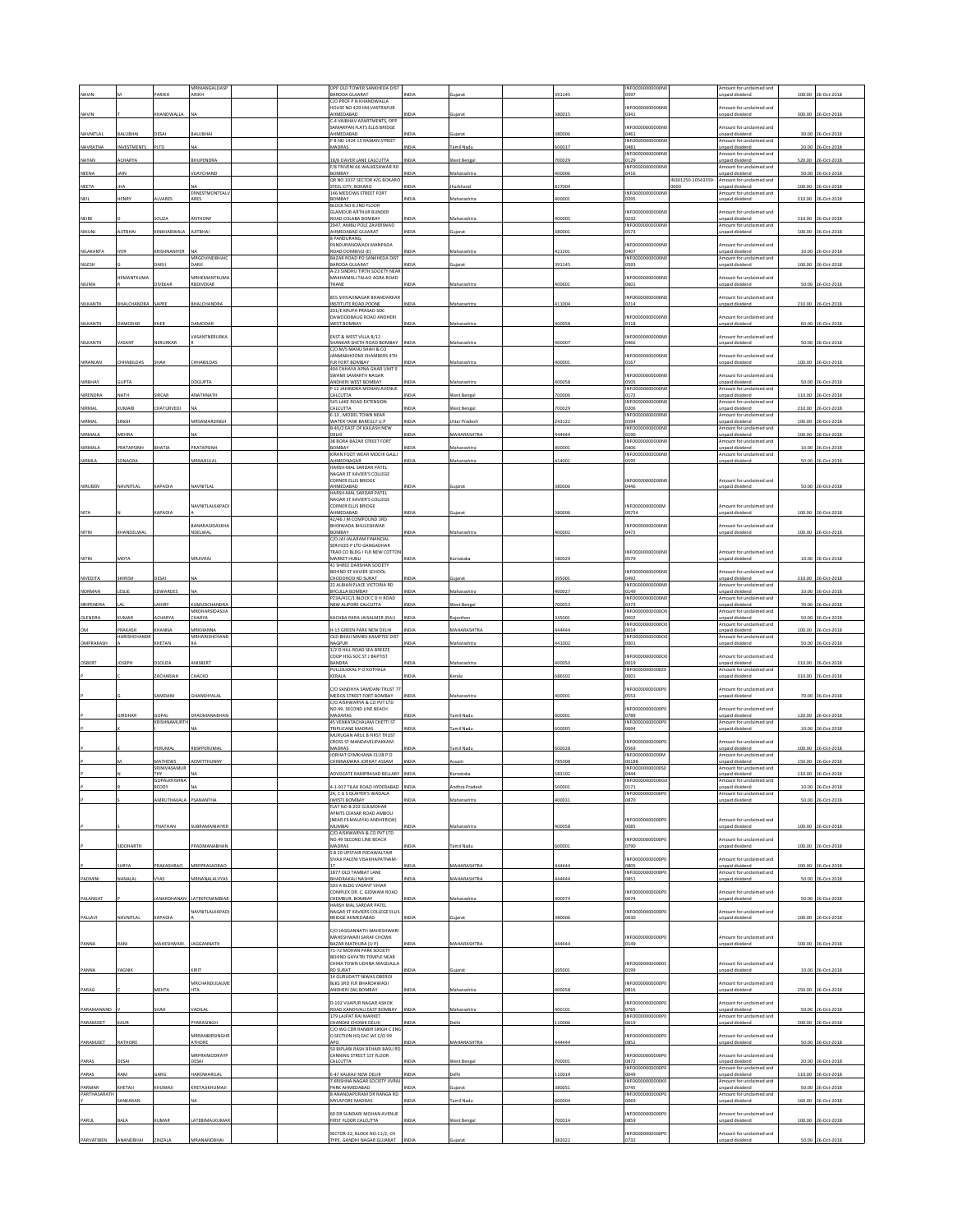|                 |                               | <b>ARIKH</b>               | MRMANGALDAS                    |  | OPP OLD TOWER SANKHEDA DIST                                 | <b>NDL</b>   |                      | 391145 | INFO0000000000N                |                   | mount for unclaimed and                     | 100.00 | 26-Oct-201         |
|-----------------|-------------------------------|----------------------------|--------------------------------|--|-------------------------------------------------------------|--------------|----------------------|--------|--------------------------------|-------------------|---------------------------------------------|--------|--------------------|
|                 |                               |                            | ARIKH                          |  | BARODA GUJARAT<br>C/O PROF P N KHANDWALLA                   |              |                      |        | )597                           |                   | npaid dividend                              |        |                    |
| NAVIN           |                               | <b>HANDWALLA</b>           |                                |  | HOUSE NO 429 IIM VASTRAPUR<br>AHMEDABAD                     | NDIA         |                      | 380015 | NFO0000000000N<br>0341         |                   | mount for unclaimed and<br>npaid dividend   | 300.00 | 26-Oct-2018        |
|                 |                               |                            |                                |  | C-4 VAIBHAV APARTMENTS, OPP<br>SAMARPAN FLATS ELLIS BRIDGE  |              |                      |        | NFO0000000000N                 |                   | mount for unclaimed and                     |        |                    |
| NAVNITLAL       | BALUBHAI                      | <b>DESAI</b>               | BALUBHAI                       |  | AHMEDABAD<br>P B NO 1424 15 RAMAN STREET                    | NDIA         | uiarat               | 380006 | 0461<br>NFO0000000000N         |                   | inpaid dividend<br>mount for undaimed and   |        | 30.00 26-Oct-2018  |
| NAVRATNA        | <b>INVESTMENTS</b>            | PITD                       |                                |  | MADRAS                                                      | <b>NDL</b>   | mil Nadu             | 600017 | 0481                           |                   | npaid dividend                              | 20.00  | 26-Oct-2018        |
| NAYAN           | ACHARYA                       |                            | <b>HUPENDRA</b>                |  | 18/6 DAVER LANE CALCUTTA                                    | INDIA        | <b>Nest Benga</b>    | 700029 | INFO0000000000N<br>129         |                   | mount for unclaimed and<br>inpaid dividend  | 520.00 | 26-Oct-2018        |
| NEENA           | AIN                           |                            | <b>IJAYCHAND</b>               |  | F/8 TRIVENI 66 WALKESHWAR RD<br>BOMBAY                      | NDLA         | taharashtra          | 400006 | INFO0000000000N<br>0416        |                   | mount for unclaimed and<br>npaid dividend   |        | 50.00 26-Oct-2018  |
|                 |                               |                            |                                |  | OR NO 1037 SECTOR 4/G BOKARO                                |              |                      |        |                                | IN301250-10543359 | mount for unclaimed and                     |        |                    |
| NEETA           |                               |                            | ERNESTMONTEALL                 |  | STEEL CITY, BOKARO<br>146 MEDOWS STREET FORT                | NDLA         | arkhand              | 827004 | INFO0000000000N                |                   | npaid dividend<br>mount for unclaimed and   | 100.00 | 26-Oct-2018        |
| NEIL            | HENRY                         | ALVARES                    | ARES                           |  | BOMBAY<br>BLOCK NO 8 2ND FLOOR                              | INDIA        | Maharashtra          | 400001 | 0295                           |                   | inpaid dividend                             |        | 210.00 26-Oct-2018 |
| NEIRE           |                               | <b>DUZA</b>                | ANTHONY                        |  | <b>GLAMOUR ARTHUR BUNDER</b><br>ROAD COLABA BOMBAY          | NDM          | Maharashtr           | 100005 | NFO0000000000N<br>0232         |                   | mount for unclaimed and<br>npaid dividend   | 210.00 | 26-Oct-201         |
|                 |                               |                            |                                |  | 2947. AMBLI POLE ZAVERIWAD                                  |              |                      |        | INFO0000000000N                |                   | Amount for unclaimed and                    |        |                    |
| NIKUNJ          | <b>AJITBHAI</b>               | <b>CINKHABWALA</b>         | <b>AJITBHAI</b>                |  | AHMEDABAD GUJARAT<br>PANDURANG                              | INDIA        | uiarat               | 380001 | 0573                           |                   | inpaid dividend                             | 100.00 | 26-Oct-2018        |
| NILAKANTA       | YFR                           | RISHNANIYER                |                                |  | PANDURANGWADI MANPADA<br>ROAD DOMBIVLI (E)                  | NDIA         | Maharashtr           | 421201 | NFO0000000000<br>1407          |                   | mount for unclaimed and<br>npaid dividend   | 10.00  | 26-Oct-201         |
| NILESH          |                               | ARJI                       | MRGOVINDBHAIC<br>DARJI         |  | BAZAR ROAD PO SANKHEDA DIST<br>BARODA GUJARAT               | INDIA        | ujarat               | 391145 | INFO0000000000N<br>0593        |                   | Amount for unclaimed and<br>inpaid dividend | 100.00 | 26-Oct-2018        |
|                 | EMANTKUM                      |                            | <b>IRHEMANTKUM</b>             |  | A-23 SINDHU TIRTH SOCIETY NEAP<br>MAKHAMALI TALAO AGRA ROAD |              |                      |        | NFO0000000000N                 |                   | mount for undaimed and                      |        |                    |
| <b>NILIMA</b>   |                               | <b>IVEKAF</b>              | RBDIVEKAR                      |  | THANE                                                       | NDIA         | Maharashtra          | 100601 | 0601                           |                   | inpaid dividend                             | 50.00  | 26-Oct-201         |
|                 |                               |                            |                                |  | 855 SHIVAJINAGAR BHANDARKAR                                 |              |                      |        | NFO0000000000N                 |                   | mount for unclaimed and                     |        |                    |
| NILKANTH        | <b>HALCHANDRA</b>             | SAPRE                      | <b>HALCHANDRA</b>              |  | INSTITUTE ROAD POONE<br>201/E KRUPA PRASAD SOC              | <b>INDIA</b> | faharashtra          | 111004 | 0214                           |                   | npaid dividend                              |        | 210.00 26-Oct-2018 |
| NILKANTH        | <b>AMODAR</b>                 | KHER                       | <b>AMODAR</b>                  |  | DAWOODBAUG ROAD ANDHERI<br><b>WEST BOMBAY</b>               | <b>NDM</b>   | Maharashtra          | 400058 | NFO0000000000N<br>1318         |                   | mount for unclaimed and<br>npaid dividend   |        | 60.00 26-Oct-2018  |
|                 |                               |                            |                                |  |                                                             |              |                      |        |                                |                   |                                             |        |                    |
| NILKANTH        | /ASANT                        | NERURKAR                   | ASANTNERURKA                   |  | EAST & WEST VILLA B/12<br>SHANKAR SHETH ROAD BOMBAY         | INDIA        | Maharashtra          | 400007 | NFO0000000000N<br>1466         |                   | nount for unclaimed and<br>Inpaid divident  |        | 50.00 26-Oct-2018  |
|                 |                               |                            |                                |  | C/O M/S MANU SHAH & CO<br>JANMABHOOMI CHAMBERS 4TH          |              |                      |        | NFO0000000000N                 |                   | mount for unclaimed and                     |        |                    |
| NIRANJAN        | <b>HHABILDAS</b>              | SHAH                       | <b>HHABILDAS</b>               |  | FLR FORT BOMBAY<br>404 CHHAYA APNA GHAR UNIT 9              | INDIA        | Maharashtra          | 400001 | 0167                           |                   | inpaid dividend                             |        | 100.00 26-Oct-2018 |
|                 |                               |                            |                                |  | SWAMI SAMARTH NAGAR                                         |              |                      |        | NFO0000000000                  |                   | mount for unclaimed and                     |        |                    |
| NIRBHAY         | UPTA                          |                            | DGUPTA                         |  | ANDHERI WEST BOMBAY<br>P 12 IAHINDRA MOHAN AVENUE           | VDIA         | Maharashtr.          | 100058 | <b>0505</b><br>INFO0000000000N |                   | npaid dividend<br>Amount for unclaimed and  | 50.00  | 26-Oct-201         |
| NIRENDRA        | NATH                          | <b>IRCAR</b>               | ANATHNATH                      |  | CALCUTTA<br>545 LAKE ROAD EXTENSION                         | <b>INDIA</b> | West Bengal          | 700006 | 0172<br>NFO0000000000          |                   | inpaid dividend<br>mount for undaimed and   | 110.00 | 26-Oct-2018        |
| NIRMAL          | UMAR                          | HATURVED                   |                                |  | CALCUTTA<br>E-13 . MODEL TOWN NEAR                          | NDLA         | est Benga            | 700029 | 0206<br>INFO0000000000N        |                   | npaid dividend<br>mount for unclaimed and   | 210.00 | 06-Oct-201         |
| NIRMAL          | SINGH                         |                            | MRSAMARSINGH                   |  | WATER TANK BAREILLY U.P                                     | <b>INDIA</b> | <b>Jttar Pradesh</b> | 243122 | )594                           |                   | npaid dividend                              | 100.00 | 26-Oct-2018        |
| NIRMALA         | MEHRA                         |                            |                                |  | B-40/2 EAST OF KAILASH NEW<br>DELHI                         | NDIA         | <b>MAHARASHTRA</b>   | 144444 | NFO0000000000N<br>0190         |                   | mount for unclaimed and<br>inpaid dividend  |        | 100.00 26-Oct-2018 |
| NIRMALA         | PRATAPSINH                    | <b>HATIA</b>               | RATAPSINH                      |  | 38 BORA BAZAR STREET FORT<br>BOMBAY                         | NDIA         | taharashtra          | 00001  | NFO0000000000N<br>1406         |                   | mount for unclaimed and<br>npaid dividend   | 10.00  | 26-Oct-2018        |
| NIRMLA          | SONAGRA                       |                            | MRBABULA                       |  | KIRAN FOOT WEAR MOCHI GALLI<br>AHMEDNAGAR                   | INDIA        | Maharashtra          | 414001 | INFO0000000000N<br>0595        |                   | Amount for unclaimed and<br>npaid dividend  |        | 50.00 26-Oct-2018  |
|                 |                               |                            |                                |  | HARSH-MAL SARDAR PATEL                                      |              |                      |        |                                |                   |                                             |        |                    |
|                 |                               |                            |                                |  | NAGAR ST XAVIER'S COLLEGE<br>CORNER ELLIS BRIDGE            |              |                      |        | NFO0000000000N                 |                   | mount for unclaimed and                     |        |                    |
| NIRUBEN         | NAVNITLAL                     | KAPADIA                    | NAVNITLAI                      |  | AHMEDABAD<br>HARSH-MAL SARDAR PATEL                         | INDIA        | uiarat               | 380006 | 0446                           |                   | inpaid dividend                             |        | 50.00 26-Oct-2018  |
|                 |                               |                            |                                |  | NAGAR ST XAVIER'S COLLEGE<br>CORNER ELLIS BRIDGE            |              |                      |        |                                |                   | mount for unclaimed and                     |        |                    |
| NITA            |                               | APADIA                     | <b>VAVNITLALKAPAD</b>          |  | AHMEDABAD                                                   | NDIA         |                      | 80006  | NFO0000000000N<br>00754        |                   | npaid dividend                              | 100.00 | 26-Oct-201         |
|                 |                               |                            | <b>JANARASIDASKH</b>           |  | 42/46 I M COMPOUND 3RD<br>BHOIWADA BHULESHWAR               |              |                      |        | NFO0000000000N                 |                   | mount for unclaimed and                     |        |                    |
| NITIN           | <b>CHANDELWAL</b>             |                            | NDELWA                         |  | BOMBAY<br>C/O.JAI JALARAM FINANCIAL                         | <b>VDM</b>   | Maharashtr           | 100002 | 1472                           |                   | npaid dividend                              |        | 100.00 26-Oct-2018 |
|                 |                               |                            |                                |  | SERVICES P LTD GANGADHAR                                    |              |                      |        | INFO0000000000N                |                   | mount for unclaimed and                     |        |                    |
| NITIN           | MOTA                          |                            | <b>MRJIVRA</b>                 |  | TRAD CO BLDG I FLR NEW COTTON<br>MARKET HUBLI               | INDIA        | Karnataka            | 580029 | 0579                           |                   | inpaid dividend                             |        | 10.00 26-Oct-2018  |
|                 |                               |                            |                                |  | 41 SHREE DARSHAN SOCIETY<br>BEHIND ST XAVIER SCHOOL         |              |                      |        | NFO0000000000                  |                   | mount for unclaimed and                     |        |                    |
| <b>NIVEDITA</b> | HIRISH                        | ESAI                       |                                |  | CHODDHOD RD SURAT<br>22 ALBIAN PLACE VICTORIA RD            | NDIA         |                      | 395001 | 1492<br>INFO0000000000N        |                   | inpaid dividend<br>mount for unclaimed and  | 210.00 | 26-Oct-2018        |
| NORMAN          | LESLIE                        | EDWARDES                   |                                |  | <b>BYCULLA BOMBAY</b><br>P23A/41C/1 BLOCK CD H ROAD         | INDIA        | Maharashtra          | 400027 | 0149<br>INFO0000000000N        |                   | inpaid dividend<br>mount for unclaimed and  | 10.00  | 26-Oct-2018        |
| NRIPENDRA       |                               | <b>AHIRY</b>               | <b>CUMUDCHANDRA</b>            |  | NEW ALIPORE CALCUTTA                                        | NDIA         | <b>Nest Benga</b>    | 700053 | 373                            |                   | inpaid dividend                             | 70.00  | 26-Oct-201         |
|                 |                               | CHARYA                     | MRDHARSIDASJIA                 |  |                                                             |              |                      |        | INFO0000000000                 |                   | mount for unclaimed and                     |        |                    |
| OLENDRA         | KUMAR                         |                            | <b>HARYA</b>                   |  | KACHBA PARA JAISALMER (RAJ)                                 | <b>INDIA</b> | taiasthan            | 345001 | 1002                           |                   | npaid dividend                              | 50.00  | 26-Oct-2018        |
| MQ              |                               |                            |                                |  |                                                             |              |                      |        | NFO0000<br>000000              |                   | mount for unclaimed and                     |        |                    |
|                 | <b>RAKASH</b><br>HARISHCHANDE | HANNA                      | MRKHANNA<br>MRHARISHCHAND      |  | H-15 GREEN PARK NEW DELHI<br>OLD BHAJI MANDI KAMPTEE DIST   | INDIA        | MAHARASHTRA          | 44444  | 0014<br>NFO0000000000C         |                   | npaid dividend<br>mount for unclaimed and   | 100.00 | 26-Oct-2018        |
| OMPRAKASH       |                               | HETAN                      |                                |  | NAGPUR<br>1/2 D HILL ROAD SEA BREEZE                        | NDM          | laharashtr.          | 141002 | 0001                           |                   | npaid dividend                              | 50.00  | 26-Oct-2018        |
| OSBERT          | OSEPH                         | SOUZA                      | <b>INISBERT</b>                |  | COOP HSG SOC ST J BAPTIST<br>BANDRA                         | NDIA         | Maharashtra          | 100050 | NFO0000000000C<br>0019         |                   | mount for unclaimed and<br>npaid dividend   |        | 210.00 26-Oct-2018 |
|                 |                               |                            |                                |  | PULLOLICKAL P O KOTHALA                                     |              | erala                | 686502 | NFO000000000020                |                   | mount for unclaimed and                     |        |                    |
|                 |                               | ACHARIAH                   | <b>НАСКО</b>                   |  | KERALA                                                      | INDIA        |                      |        | 0001                           |                   | npaid dividend                              |        | 310.00 26-Oct-2018 |
|                 |                               | AMDANI                     | <b>HANSHYALAI</b>              |  | C/O SANDHYA SAMDANI TRUST 77<br>MEDOS STREET FORT BOMBAY    | <b>INDIA</b> | Maharashtra          | 400001 | NFO0000000000P<br>0553         |                   | mount for unclaimed and<br>npaid dividend   |        | 70.00 26-Oct-2018  |
|                 |                               |                            |                                |  | C/O AISHWARYA & CO PVT LTD                                  |              |                      |        | NFO0000000000P                 |                   |                                             |        |                    |
|                 | <b>SIRDHAR</b>                | GOPAL                      | PADMANABHAN                    |  | NO.49, SECOND LINE BEACH<br>MADARAS                         | NDIA         | amil Nadu            | 600001 | 0789                           |                   | mount for unclaimed and<br>npaid dividend   |        | 120.00 26-Oct-2018 |
|                 |                               | <b>KRISHNAMLIRTI</b>       |                                |  | 45 VENKATACHALAM CHETTI ST<br>TRIPLICANE MADRAS             | NDIA         | mil Nadu             | 500005 | INFO000000000P<br>0694         |                   | Amount for unclaimed and<br>npaid dividend  |        | 10.00 26-Oct-201   |
|                 |                               |                            |                                |  | MURUGAN ARUL B FIRST TRUST<br>CROSS ST MANDAVELIPAKKAM      |              |                      |        | NFO0000000000F                 |                   | mount for unclaimed and                     |        |                    |
|                 |                               | PERUMAL                    | RBSPPERUMAL                    |  | MADRAS<br>JORHAT GYMKHANA CLUB P O                          | <b>VDIA</b>  | amil Nadu            | 600028 | <b>S69</b><br>NFO0000000000    |                   | npaid dividend<br>mount for unclaimed and   | 100.00 | 26-Oct-2018        |
|                 |                               | MATHEWS                    | LEMITTHUNNY                    |  | CHINNAMARA JORHAT ASSAM                                     | <b>INDIA</b> | ssam                 | 785008 | 00188                          |                   | npaid dividend                              | 150.00 | 26-Oct-2018        |
|                 |                               | SRINIVASAMUR<br><b>THY</b> | u۸                             |  | ADVOCATE RAMPRASAD BELLARY INDIA                            |              | arnataka             | 583102 | NFO0000000000S<br>0444         |                   | mount for unclaimed and<br>npaid dividend   |        | 110.00 26-Oct-2018 |
|                 |                               | REDDY                      |                                |  | 4-1-917 TILAK ROAD HYDERABAD INDIA                          |              | Andhra Pradesh       | 500001 | 0171                           |                   | npaid dividend                              |        | 10.00 26-Oct-2018  |
|                 |                               | MRUTHAKAL                  | SANANTHA                       |  | 24. C G S QUATER'S WADALA<br>WEST) BOMBAY                   | VDIA         | Maharashtra          | 100031 | INFO000000000P<br>1870         |                   | Amount for unclaimed and<br>inpaid dividend | 50.00  | 26-Oct-2018        |
|                 |                               |                            |                                |  | FLAT NO B-202 GULMOHAR<br>APMTS CEASAR ROAD AMBOLI          |              |                      |        |                                |                   |                                             |        |                    |
|                 |                               |                            |                                |  | (NEAR FILMALAYA) ANDHERI(W)                                 | <b>IDI</b>   |                      |        | NEODDDDDDDDDP<br>1085          |                   | Amount for unclaimed and                    |        | 100.00 26-Oct-2018 |
|                 |                               | <b>TNATHAN</b>             | <b>JUBRAMANIAIYER</b>          |  | MUMBAI<br>C/O AISHWARYA & CO PVT LTD                        |              | Maharashtra          | 00058  |                                |                   | npaid dividend                              |        |                    |
|                 | <b>IDDHARTH</b>               |                            | PADMANABHAN                    |  | NO.49 SECOND LINE BEACH<br>MADRAS                           | NDIA         | amil Nadu            | 600001 | NFO0000000000P<br>0790         |                   | mount for unclaimed and<br>npaid dividend   |        | 100.00 26-Oct-2018 |
|                 |                               |                            |                                |  | S B 20 UPSTAIR PEDAWALTAIR<br>SIVAJI PALENI VISAKHAPATNAM   |              |                      |        | NFO0000000000P                 |                   | mount for unclaimed and                     |        |                    |
|                 | URYA                          | RAKASHRAO                  | MRPPRASADRAC                   |  | 1877 OLD TAMBAT LANE                                        | NDIA         | MAHARASHTRA          | 444444 | 3805<br>INFO0000000000P        |                   | inpaid dividend                             |        | 100.00 26-Oct-2018 |
| PADMINI         | NANALAL                       | <b>VYAS</b>                | VIRNANALALVYAS                 |  | <b>BHADRAKALI NASHIK</b>                                    | INDIA        | MAHARASHTRA          | 444444 | 0851                           |                   | mount for undaimed and<br>npaid dividend    |        | 50.00 26-Oct-2018  |
|                 |                               |                            |                                |  | 503 A BLDG VASANT VIHAR<br>COMPLEX DR. C. GIDWANI ROAD      |              |                      |        | INFO0000000000P                |                   | mount for unclaimed and                     |        |                    |
| PALANGAT        |                               | MARDHANA                   | ATEKPCNAMBIA                   |  | CHEMBUR, BOMBAY<br>HARSH MAL SARDAR PATEL                   | VDL          | Maharashtra          | 100074 | 0674                           |                   | inpaid dividend                             | 50.00  | 26-Oct-2018        |
|                 |                               |                            | NAVNITLALKAPADI                |  | NAGAR ST XAVIERS COLLEGE ELLIS                              |              |                      |        | NFO0000000000P                 |                   | mount for unclaimed and                     |        |                    |
| PALLAVI         | NAVNITLAI                     | KAPADIA                    |                                |  | BRIDGE AHMEDABAD                                            | <b>INDIA</b> | uiarat               | 380006 | 0630                           |                   | Inpaid dividend                             |        | 100.00 26-Oct-201  |
|                 |                               |                            |                                |  | C/O JAGGANNATH MAHESHWARI<br>MAHESHWARI SARAF CHOWK         |              |                      |        | NFO0000000000P                 |                   | mount for unclaimed and                     |        |                    |
| PANNA           | RANI                          | MAHESHWARI                 | <b>IAGGANNATH</b>              |  | BAZAR MATHURA [U P]<br>71-72 MOHAN PARK SOCIETY             |              | <b>MAHARASHTRA</b>   | 144444 | 149                            |                   | npaid dividend                              | 100.00 | 26-Oct-2018        |
|                 |                               |                            |                                |  | BEHIND GAYATRI TEMPLE NEAR                                  |              |                      |        |                                |                   | mount for unclaimed and                     |        |                    |
| PANNA           | YAGNIK                        |                            | <b>JRIT</b>                    |  | CHINA TOWN UDHNA MAGDALL<br><b>RD SURAT</b>                 | NDIA         | ujarat               | 395001 | NFO00000000000<br>0199         |                   | npaid dividend                              |        | 10.00 26-Oct-2018  |
|                 |                               |                            | MRCHANDULALM                   |  | 14 GURUDATT NIWAS OBEROI<br>BLKS 3RD FLR BHARDAWADI         |              |                      |        | NFO0000000000P                 |                   | mount for unclaimed and                     |        |                    |
| PARAG           |                               | AEHTA                      | HTA                            |  | ANDHERI (W) BOMBAY                                          | NDIA         | Maharashtra          | 00058  | 0816                           |                   | inpaid dividend                             |        | 250.00 26-Oct-2018 |
|                 |                               | НΔН                        | ADILAI                         |  | D-102 VIJAPUR NAGAR ASHOK                                   | <b>NDL</b>   |                      |        | NFO0000000000P<br>1765         |                   | mount for unclaimed and                     |        | 26-Oct-2018        |
| PARAMANAND      |                               |                            |                                |  | ROAD KANDIVALI EAST BOMBAY<br>179 LAJPAT RAI MARKET         |              | Maharashtra          | 00101  | INFO000000000P                 |                   | npaid dividend<br>Amount for unclaimed and  | 50.00  |                    |
| PARAMJEET       | KAUR                          |                            | YARASINGH                      |  | CHANDNI CHOWK DELHI<br>C/O WG CDR RANBIR SINGH C ENG        | <b>NDM</b>   | <b>Delhi</b>         | 110006 | 0619                           |                   | npaid dividend                              |        | 200.00 26-Oct-2018 |
| PARAMJEET       | RATHORE                       |                            | MRRANBIRSINGHE<br><b>THORE</b> |  | O SECTION HQ EAC IAF C/O 99<br>APO                          |              | <b>MAHARASHTRA</b>   | 144444 | NFO0000000000P<br>1852         |                   | mount for unclaimed and<br>npaid dividend   |        | 50.00 26-Oct-2018  |
|                 |                               |                            | <b><i>MRPRAMODRAYP</i></b>     |  | 50 BIPLABI RASH BEHARI BASU RD<br>CANNING STREET 1ST FLOOR  |              |                      |        | INFO0000000000P                |                   | mount for unclaimed and                     |        |                    |
| PARAS           | DESAI                         |                            | <b>DESAI</b>                   |  | CALCUTTA                                                    | VDM          | est Benga            | 700001 | 1872                           |                   | npaid dividend                              | 20.00  | 26-Oct-2018        |
| PARAS           | RAM                           | ARG                        | <b>HARDWARILAI</b>             |  | -47 KALKAJI NEW DELHI                                       | <b>VIDIZ</b> | elhi                 | 10019  | INFO0000000000P<br>1049        |                   | mount for unclaimed and<br>npaid dividend   | 110.00 | 26-Oct-2018        |
| PARMAR          | HETAJI                        | HUMAJI                     | <b>CHETAJIKHUMAJI</b>          |  | 7 KRISHNA NAGAR SOCIETY JIVRAJ<br>PARK AHMEDABAD            | VDM          | ujarat               | 880051 | INFO0000000000K<br>0745        |                   | mount for unclaimed and<br>npaid dividend   |        | 50.00 26-Oct-2018  |
| PARTHASARATH    | SANKARAN                      |                            | u۸                             |  | ANANDAPURAM DR RANGA RD<br>MYLAPORE MADRAS                  | NDIA         | mil Nadu             | 500004 | NFO0000000000P<br>0069         |                   | mount for unclaimed and<br>npaid dividend   |        | 160.00 26-Oct-2018 |
|                 |                               |                            |                                |  | 60 DR SUNDARI MOHAN AVENUE                                  |              |                      |        | NFO0000000000P                 |                   | mount for unclaimed and                     |        |                    |
| PARUL           | <b>BALA</b>                   | UMAR                       | ATEBIMALKUMAR                  |  | FIRST FLOOR CALCUTTA                                        | NDM          | Vest Bengal          | 700014 | 0859                           |                   | inpaid dividend                             |        | 100.00 26-Oct-2018 |
| PARVATIBEN      | ANANDBHA                      | <b>INZAL</b>               | MRANANDBHA                     |  | SECTOR-22, BLOCK NO.11/2, CH<br>TYPE, GANDHI NAGAR GUJARAT  |              |                      | 82022  | NFO0000000000P<br>1732         |                   | mount for unclaimed and<br>npaid dividend   | 50.00  | 06-Oct-201         |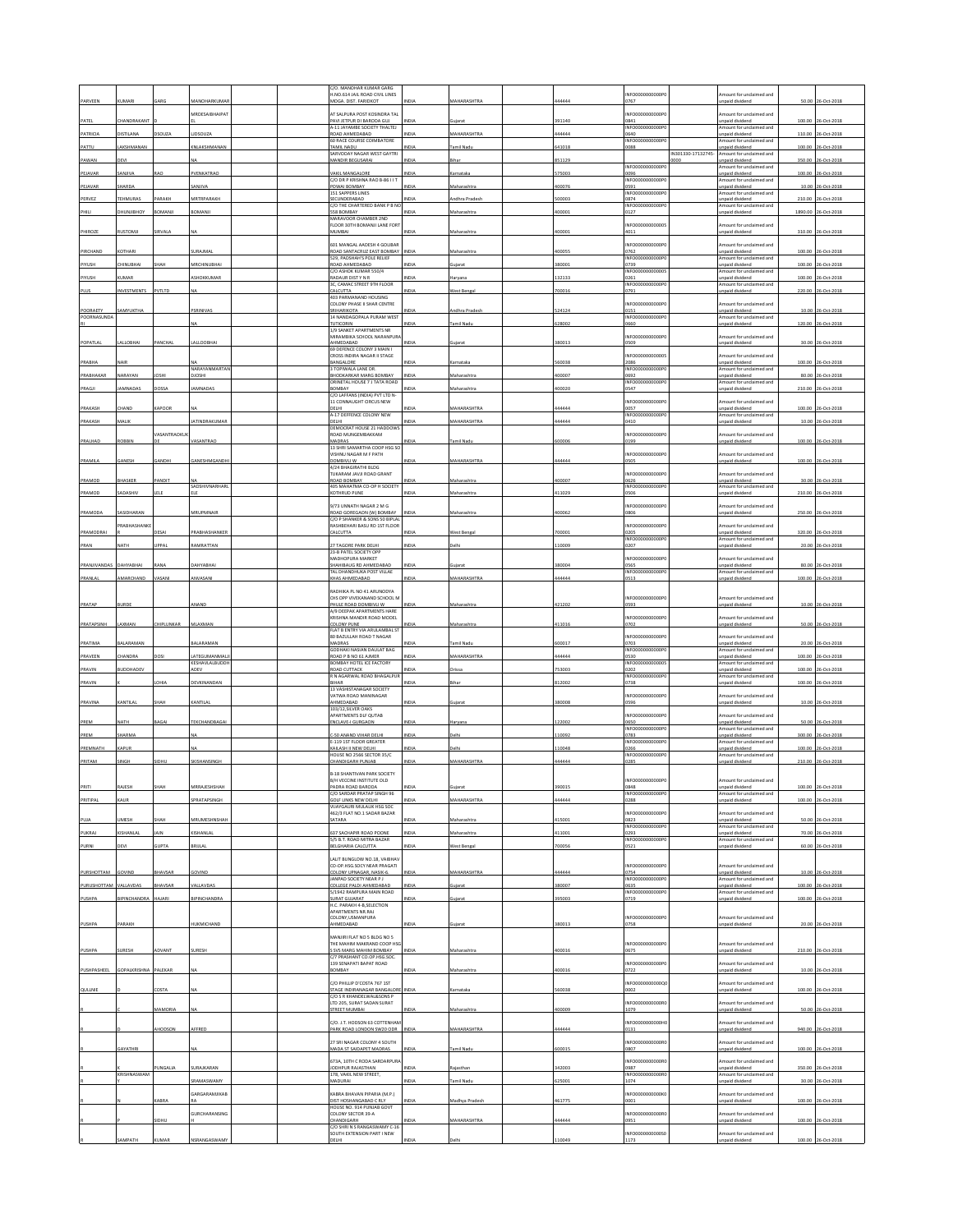|                         |                  |                |                               | C/O. MANOHAR KUMAR GARG<br>H.NO.614 JAIL ROAD CIVIL LINES       |              |                    |        | NFO0000000000P                            |                    | mount for unclaimed and                                              |         |                                  |
|-------------------------|------------------|----------------|-------------------------------|-----------------------------------------------------------------|--------------|--------------------|--------|-------------------------------------------|--------------------|----------------------------------------------------------------------|---------|----------------------------------|
| PARVEEN                 | UMAR             |                |                               | MOGA, DIST, FARIDKOT                                            |              | <b>AAHARASHTRA</b> | 44444  | )767                                      |                    | npaid dividend                                                       | 50.00   |                                  |
|                         |                  |                | MRDESAIBHAIPAT                | AT SAI PURA POST KOSINDRA TAL                                   |              |                    |        | NFO0000000000P                            |                    | mount for unclaimed and                                              |         |                                  |
| PATEL                   | CHANDRAKANT      |                |                               | PAVI JETPUR DI BARODA GUJ<br>A-11 JAYAMBE SOCIETY THALTEJ       | NDIA         | Suiara             | 391140 | 0841<br>INFO0000000000P0                  |                    | npaid dividend<br>Amount for unclaimed and                           |         | 100.00 26-Oct-201                |
| PATRICIA                | DISTILANA        | DSOUZA         | LIDSOUZA                      | ROAD AHMEDABAD<br>60 RACE COURSE COIMBATORE                     | NDIA         | <b>MAHARASHTR</b>  | 144444 | 0640<br>INFO0000000000PC                  |                    | npaid dividend<br>mount for unclaimed and                            | 110.00  | 26-Oct-201<br>100.00 26-Oct-2018 |
| PATTU                   | LAKSHMANAN       |                | <b>INLAKSHMANAN</b>           | <b>FAMIL NADU</b><br>SARVODAY NAGAR WEST GAYTRI                 | NDIA         | amil Nadu          | 41018  | 0088                                      | IN301330-17132745- | npaid dividend<br>mount for undaimed and                             |         |                                  |
| PAWAN                   | <b>DEVI</b>      |                |                               | MANDIR BEGUSARAI                                                | NDIA         | ihar               | 51129  | INFO000000000P                            | oоc                | npaid dividend<br>mount for undaimed and                             | 350.00  | 26-Oct-2018                      |
| PEJAVAR                 | ANJIVA           | RAO            | PVENKATRAO                    | VAKIL MANGALORE<br>C/O DR P KRISHNA RAO B-86 I I 1              | NDIA         | amataka            | 75003  | 0096<br>INFO0000000000P                   |                    | npaid dividend<br>mount for unclaimed and                            |         | 100.00 26-Oct-2018               |
| PEJAVAR                 | HARDA            |                | ANJIVA                        | POWAI BOMBAY<br>151 SAPPERS LINES                               | NDIA         | Maharashtra        | 100076 | 0591<br>INFO0000000000P                   |                    | npaid dividend<br>Amount for unclaimed and                           | 10.00   | 26-Oct-201                       |
| PERVEZ                  | EHMURAS          | ARAKH          | ARTRPARAKH                    | ECUNDERABAD<br>C/O THE CHARTERED BANK P B NO                    | NDIA         | dhra Prade:        | 00003  | 0874<br>INFO0000000000P                   |                    | npaid dividend<br>mount for unclaimed and                            | 210.00  | 26-Oct-2018                      |
| PHILI                   | <b>HUNJIBHOY</b> | <b>JAANJ</b>   | <b>ILIANDE</b>                | 558 BOMBAY<br>MARAVOOR CHAMBER 2ND                              | <b>VIDIA</b> | taharashtr         | 00001  | 127                                       |                    | npaid dividend                                                       | 1890.00 | 26-Oct-201                       |
| PHIROZE                 | <b>LINOTED</b>   | <b>IRVALA</b>  |                               | FLOOR 30TH BOMANJI LANE FORT<br>MUMBAI                          | NDIA         | faharashtra        | 00001  | INFO00000000000<br>4011                   |                    | mount for unclaimed and<br>npaid dividend                            |         | 310.00 26-Oct-2018               |
|                         |                  |                |                               | 601 MANGAL AADESH 4 GOLIBAR                                     |              |                    |        | INFO0000000000F                           |                    | mount for undaimed and                                               |         |                                  |
| PIRCHAND                | <b>COTHARI</b>   |                | URAJMAI                       | ROAD SANTACRUZ EAST BOMBAY<br>529, PADSHAH'S POLE RELIEF        | NDIA         | Maharashtra        | 100055 | 1762<br>INFO000000000P                    |                    | npaid dividend<br>Amount for unclaimed and                           |         | 100.00 26-Oct-201                |
| PIYUSH                  | HINUBHAI         | нан            | <b>MRCHINUBHAI</b>            | ROAD AHMEDABAD<br>C/O ASHOK KUMAR 550/4                         | NDLA         | ijara              | 80001  | 0739<br>INFO0000000000                    |                    | npaid dividend<br>mount for unclaimed and                            | 100.00  | 26-Oct-201                       |
| IYUSH                   | UMAR             |                | SHOKKUMAR                     | ADAUR DISTYN R<br>3C. CAMAC STREET 9TH FLOOR                    | <b>VIDIA</b> | aryan              | 32133  | 0261<br>INFO0000000000P                   |                    | npaid dividend<br>Amount for unclaimed and                           | 100.00  | 0-Oct-201                        |
| PLUS                    | NVESTMENTS       | PVTLTD         |                               | CALCUTTA<br>103 PARMANAND HOUSING                               | NDIA         | Vest Benga         | 00016  | 0791                                      |                    | npaid dividend                                                       |         | 220.00 26-Oct-201                |
|                         |                  |                |                               | COLONY PHASE II SHAR CENTRE                                     |              |                    |        | NFO0000000000P                            |                    | mount for unclaimed and                                              |         |                                  |
| POORAETY<br>POORNASUND/ | AMYUKTHA         |                | <b>SRINIVAS</b>               | RIHARIKOTA<br>14 NANDAGOPALA PURAM WEST                         | <b>IDIA</b>  | dhra Pradesi       | 24124  | 151<br>INFO0000000000PC                   |                    | npaid dividend<br>Amount for unclaimed and                           | 10.00   | 26-Oct-2018                      |
|                         |                  |                |                               | <b>TUTICORIN</b><br>1/9 SANKET APARTMENTS NR                    | <b>VDM</b>   | amil Nadı          | 28002  | 0360                                      |                    | npaid dividend                                                       |         | 120.00 26-Oct-2018               |
| POPATLAL                | ALLOBHAI         | <b>ANCHAL</b>  | ALLOOBHAI                     | MIRAMBIKA SCHOOL NARANPUR<br>AHMEDABAD                          |              |                    | 80013  | NFO0000000000P<br>9020                    |                    | mount for undaimed and<br>npaid divident                             | 30.00   | 26-Oct-201                       |
|                         |                  |                |                               | 69 DEFENCE COLONY 3 MAIN I<br>CROSS INDIRA NAGAR II STAGE       |              |                    |        | INFO00000000000                           |                    | mount for unclaimed and                                              |         |                                  |
| PRABHA                  |                  |                | NARAYANMARTA                  | BANGALORE<br>3 TOPIWALA LANE DR                                 | NDIA         | ırnatak            | 60038  | 2086<br>INFO0000000000P                   |                    | npaid dividend<br>mount for unclaimed and                            | 100.00  | 26-Oct-2018                      |
| PRABHAKAR               | <b>IARAYAN</b>   | nsu            | <b>JOSHI</b>                  | BHODKARKAR MARG BOMBAY<br>ORINETAL HOUSE 7 J TATA ROAD          | DIA          | aharashti          | 00007  | 1692<br>INFO000000000P                    |                    | npaid dividend<br>Amount for unclaimed and                           | 80.00   | 0-Oct-201                        |
| PRAGJI                  | AMNADAS          | OSSA           | AMNADAS                       | BOMBAY<br>C/O LAFFANS (INDIA) PVT LTD N-                        | VDIA         | laharashtra        | 00020  | 3547                                      |                    | npaid dividend                                                       |         | 210.00 26-Oct-2018               |
| PRAKASH                 | HAND             | APOOR          |                               | 11 CONNAUGHT CIRCUS NEW<br>DELHI                                | <b>IDIA</b>  | <b>MAHARASHTRA</b> | 44444  | NFO0000000000P<br>1057                    |                    | mount for undaimed and<br>npaid dividend                             | 100.00  | 26-Oct-201                       |
| PRAKASH                 | MALIK            |                | <b>JATINDRAKUMAR</b>          | A-17 DEFFENCE COLONY NEW<br>DELHI                               | NDIA         | MAHARASHTRA        | 44444  | INFO0000000000PC<br>0410                  |                    | Amount for unclaimed and<br>inpaid dividend                          |         | 10.00 26-Oct-2018                |
|                         |                  | ASANTRAOKU     |                               | DEMOCRAT HOUSE 21 HADDOW<br>ROAD MUNGEMBAKKAM                   |              |                    |        | NFO0000000000P                            |                    | mount for unclaimed and                                              |         |                                  |
| PRALHAD                 | ORRIN            |                | ASANTRAO                      | MADRAS<br>13 SHRI SAMARTHA COOP HSG SO                          |              | mil Nad            | 00006  | 199                                       |                    | npaid dividend                                                       | 100.00  | 26-Oct-201                       |
|                         | <b>GANESH</b>    | <b>GANDHI</b>  | <b>ANESHMGANDE</b>            | VISHNU NAGAR M F PATH                                           | NDIA         | <b>AAHARASHTRA</b> | 44444  | INFO0000000000P<br>0505                   |                    | Amount for unclaimed and                                             |         | 100.00 26-Oct-2018               |
| PRAMILA                 |                  |                |                               | <b>DOMBIVLI W</b><br>4/24 BHAGIRATHI BLDG                       |              |                    |        |                                           |                    | inpaid dividend<br>mount for unclaimed and                           |         |                                  |
| PRAMOD                  | BHASKER          | ANDIT          |                               | UKARAM JAVJI ROAD GRANT<br>ROAD BOMBAY                          | NDIA         | Maharashtra        | 100007 | NFO0000000000P<br>0626                    |                    | npaid dividend                                                       |         | 30.00 26-Oct-201                 |
| PRAMOD                  | ADASHIV          | ELE            | SADSHIVNARHARL                | 405 MAHATMA CO-OP H SOCIETY<br><b>COTHRUD PUNE</b>              | VDIA         | laharashtr         | 11029  | INFO0000000000P<br>SO6                    |                    | Amount for unclaimed and                                             |         | 210.00 26-Oct-201                |
|                         |                  |                |                               | 9/73 UNNATH NAGAR 2 M G                                         |              |                    |        | NFO0000000000P                            |                    | mount for unclaimed and                                              |         |                                  |
| PRAMODA                 | <b>ASIDHARAN</b> |                | MRUPMNAIR                     | ROAD GOREGAON (W) BOMBAY<br>C/O P SHANKER & SONS 50 BIPLAI      | NDIA         | Maharashtra        | 100062 | 0806                                      |                    | inpaid dividend                                                      |         | 250.00 26-Oct-201                |
| PRAMODRAI               | RABHASHANK       | ESAL           | PRABHASHANKER                 | ASHBEHARI BASU RD 1ST FLOOR<br>CALCUTTA                         | NDIA         | <b>Nest Bengal</b> | 700001 | NFO0000000000F<br>205                     |                    | nount for unclaimed and<br>inpaid dividend                           |         | 320.00 26-Oct-2018               |
| PRAN                    | <b>VATH</b>      | JPPAL          | RAMRATTAN                     | 7 TAGORE PARK DELHI                                             | NDIA         | elhi               | 10009  | INFO0000000000P<br>0207                   |                    | Amount for unclaimed and<br>npaid dividend                           | 20.00   | 26-Oct-201                       |
|                         |                  |                |                               | 23-B PATEL SOCIETY OPF<br>MADHOPURA MARKET                      |              |                    |        | NFO0000000000P                            |                    | nount for unclaimed and                                              |         |                                  |
| PRANJIVANDAS            | DAHYABHAI        | RANA           | DAHYABHA                      | HAHIBAUG RD AHMEDABAD<br>TAL DHANDHUKA POST VILLAE              | INDIA        | Sujarat            | 80004  | 3565<br>INFO0000000000P                   |                    | npaid dividend<br>Amount for unclaimed and                           |         | 80.00 26-Oct-2018                |
| PRANLAL                 | MARCHAND         | /ASANI         | <b>INVASAN</b>                | KHAS AHMEDABAD                                                  | <b>VDIA</b>  | <b>MAHARASHTRA</b> | 44444  | 0513                                      |                    | inpaid dividend                                                      |         | 100.00 26-Oct-201                |
|                         |                  |                |                               | ADHIKA PL NO 41 ARUNODYA<br>CHS OPP VIVEKANAND SCHOOL M         |              |                    |        | INFO0000000000P                           |                    | mount for unclaimed and                                              |         |                                  |
| PRATAP                  | <b>IURDE</b>     |                | <b>NAND</b>                   | HULE ROAD DOMBIVLI W<br>A/9 DEEPAK APARTMENTS HARE              | VDIA         | laharashtr         | 21202  | 0593                                      |                    | npaid dividend                                                       | 10.00   | 26-Oct-2018                      |
| PRATAPSINH              | AXMAN            | HIPLUNKAR      | MLAXMAN                       | KRISHNA MANDIR ROAD MODEL<br>COLONY PUNE                        |              | aharashtr          | 11016  | INFO0000000000P<br>0702                   |                    | mount for unclaimed and<br>npaid divident                            |         | 50.00 26-Oct-201                 |
|                         |                  |                |                               | FLAT B ENTRY VIA ARULAMBAL ST                                   |              |                    |        |                                           |                    | mount for unclaimed and                                              |         |                                  |
| PRATIMA                 | BALARAMAN        |                | BALARAMAN                     | 80 BAZULLAH ROAD T NAGAR<br>MADRAS<br>GODHAKI NASIAN DAULAT BAG | <b>VIDIA</b> | amil Nadu          | 500017 | NFO000000000P<br>0703<br>INFO000000000P   |                    | npaid dividend<br>Amount for unclaimed and                           | 20.00   | 26-Oct-201                       |
| PRAVEEN                 | HANDRA           |                | ATEGUMANMAL                   | ROAD P B NO 61 AJMER                                            | NDLA         | <b>AAHARASHTRA</b> | 44444  | 0530                                      |                    | inpaid dividend                                                      | 100.00  | 26-Oct-2018                      |
| PRAVIN                  | UDDHADEV         |                | KESHAVLALBUDDI<br><b>IDEV</b> | BOMBAY HOTEL ICE FACTORY<br>ROAD CUTTACK                        |              |                    | 53003  | INFO0000000000<br>1202                    |                    | mount for unclaimed and<br>npaid dividend                            | 100.00  | 6-Oct-201                        |
| PRAVIN                  |                  | OHIA           | DEVKINANDAN                   | R N AGARWAL ROAD BHAGALPUE<br>BIHAR                             | NDIA         | Bihar              | 812002 | INFO000000000P<br>0738                    |                    | Amount for unclaimed and<br>inpaid dividend                          |         | 100.00 26-Oct-2018               |
|                         |                  |                |                               | <b>13 VASHISTANAGAR SOCIETY</b><br>ATWA ROAD MANINAGAR          |              |                    |        | INFO000000000P                            |                    | mount for undaimed and                                               |         |                                  |
| PRAVINA                 | <b>ANTILAL</b>   | HAH            | <b>ANTILA</b>                 | HMEDABAD<br>103/12.SILVER OAKS                                  | <b>VIDIA</b> |                    | 80008  | )596                                      |                    | npaid dividend                                                       | 10.00   | 26-Oct-201                       |
| PREM                    | <b>VATH</b>      | AGA            | TEKCHANDBAGA                  | APARTMENTS DLF QUTAB<br><b>ENCLAVE-I GURGAON</b>                | NDL          | laryan:            | 22002  | INFO000000000P<br>0650                    |                    | mount for unclaimed and<br>Inpaid dividend                           |         | 50.00 26-Oct-201                 |
| PREM                    | HARMA            |                |                               | -50 ANAND VIHAR DELHI                                           | NDIA         | elhi               | 10092  | INFO0000000000P<br>0783                   |                    | mount for unclaimed and<br>npaid dividend                            | 300.00  | 26-Oct-201                       |
| PREMNATH                | KAPUR            |                |                               | E-119 1ST FLOOR GREATER<br>KAILASH II NEW DELHI                 | NDIA         | Delhi              | 10048  | INFO0000000000P<br>0266                   |                    | Amount for unclaimed and<br>Inpaid dividend                          |         | 100.00 26-Oct-2018               |
| PRITAM                  | <b>INGH</b>      | <b>SIDHL</b>   | SKISHANSINGH                  | HOUSE NO 2566 SECTOR 35/C<br>CHANDIGARH PUNJAB                  | INDIA        | <b>MAHARASHTRA</b> | 44444  | INFO0000000000P<br>0285                   |                    | mount for unclaimed and<br>inpaid dividend                           |         | 210.00 26-Oct-2018               |
|                         |                  |                |                               | <b>B-18 SHANTIVAN PARK SOCIETY</b>                              |              |                    |        |                                           |                    |                                                                      |         |                                  |
| PRITI                   | RAJESH           | SHAH           | MRRAJESHSHAH                  | <b>I/H VECCINE INSTITI</b><br>PADRA ROAD BARODA                 | <b>INDIA</b> | Gujarat            | 390015 | 0848                                      |                    | unpaid dividend                                                      |         | 100.00 26-Oct-2018               |
| PRITIPAL                | ALIR             |                | PRATAPSINGH                   | C/O SARDAR PRATAP SINGH 96                                      | <b>IDIA</b>  | <b>MAHARASHTRA</b> | 14444  | INFO0000000000P<br>0288                   |                    | mount for unclaimed and<br>paid dividend                             | 100.00  | 26-Oct-2018                      |
|                         |                  |                |                               | <b>SOLF LINKS NEW DELHI</b><br>VIJAYGAURI MULALIK HSG SOC       |              |                    |        |                                           |                    |                                                                      |         |                                  |
| PUJA                    | <b>JMESH</b>     | HAH            | MRUMESHNSHAH                  | 462/3 FLAT NO.1 SADAR BAZAR<br><b>ATARA</b>                     |              | faharashtra        | 15001  | NFO0000000000P<br>0823<br>INFO0000000000P |                    | mount for unclaimed and<br>npaid dividend<br>mount for unclaimed and |         | 50.00 26-Oct-2018                |
| PUKRAJ                  | <b>ISHANIAI</b>  | ΔIN            | ISHANLA                       | 37 SACHAPIR ROAD POONE                                          | VDIA         | laharashtr         | 11001  | 0293                                      |                    | npaid dividend                                                       | 70.00   | 26-Oct-2018                      |
| PURNI                   | DEVI             | <b>GUPTA</b>   | BRIJLAL                       | 5/5 B.T. ROAD MITRA BAZAR<br>BELGHARIA CALCUTTA                 | INDIA        | West Bengal        | '00056 | INFO0000000000PC<br>0521                  |                    | Amount for unclaimed and<br>inpaid dividend                          |         | 60.00 26-Oct-2018                |
|                         |                  |                |                               | LALIT BUNGLOW NO.18, VAIBHAV                                    |              |                    |        |                                           |                    |                                                                      |         |                                  |
| PURSHOTTAM              | GOVIND           | <b>HAVSAR</b>  | GOVIND                        | CO-OP.HSG.SOCY NEAR PRAGATI<br>COLONY UPNAGAR NASIK-6           | NDIA         | <b>MAHARASHTRA</b> | 44444  | INFO0000000000P<br>0754                   |                    | mount for unclaimed and<br>npaid dividend                            |         | 10.00 26-Oct-2018                |
| PURUSHOTTAM             | VALLAVDAS        | HAVSAR         | <b>ALLAVDAS</b>               | JANPAD SOCIETY NEAR PJ<br>COLLEGE PALDI AHMEDABAD               | NDIA         | iujarat            | 80007  | <b>INFO0000</b><br>00000F<br>0635         |                    | mount for unclaimed and<br>Inpaid dividend                           |         | 100.00 26-Oct-2018               |
| PUSHPA                  | INCHANDRA        | <b>AJARI</b>   | <b>IPINCHANDRA</b>            | 5/1942 RAMPURA MAIN ROAD<br>URAT GUJARAT                        | DIA          |                    | 95003  | INFO0000000000P<br>0719                   |                    | mount for unclaimed and<br>npaid dividend                            | 100.00  | 26-Oct-2018                      |
|                         |                  |                |                               | H.C. PARAKH 4-B.SELECTION<br>APARTMENTS NR.RAJ                  |              |                    |        |                                           |                    |                                                                      |         |                                  |
| PUSHPA                  | PARAKH           |                | HUKMICHAND                    | COLONY, USMANPURA<br>AHMEDABAD                                  | NDIA         | Sujarat            | 380013 | NFO0000000000P<br>0758                    |                    | mount for unclaimed and<br>inpaid dividend                           |         | 20.00 26-Oct-2018                |
|                         |                  |                |                               | MANJIRI FLAT NO 5 BLDG NO 5                                     |              |                    |        |                                           |                    |                                                                      |         |                                  |
| PUSHPA                  | URESH            | <b>DVANT</b>   | URESH                         | THE MAHIM MAKRAND COOP HSG<br>S SVS MARG MAHIM BOMBAY           | NDL          | faharashtra        | 00016  | INFO0000000000P<br>0675                   |                    | Amount for unclaimed and<br>inpaid dividend                          |         | 210.00 26-Oct-201                |
|                         |                  |                |                               | C/7 PRASHANT CO.OP.HSG.SOC.                                     |              |                    |        |                                           |                    | mount for unclaimed and                                              |         |                                  |
| PUSHPASHEEL             | GOPALKRISHNA     | PALEKAR        |                               | 139 SENAPATI BAPAT ROAD<br>BOMBAY                               | NDIA         | Aaharashtra        | 00016  | NFO000000000P<br>0722                     |                    | npaid dividend                                                       |         | 10.00 26-Oct-2018                |
|                         |                  |                |                               | C/O PHILLIP D'COSTA 767 1ST                                     |              |                    |        | NFO0000000000Q                            |                    | mount for unclaimed and                                              |         |                                  |
| QUILNIE                 |                  | COSTA          |                               | STAGE INDIRANAGAR BANGALORE<br>C/O S R KHANDELWAL&SONS P        | INDIA        | Carnataka          | 60038  | 0002                                      |                    | npaid dividend                                                       |         | 100.00 26-Oct-2018               |
|                         |                  | <b>MAMORIA</b> |                               | LTD 205, SURAT SADAN SURAT<br>STREET MUMBAI                     | NDIA         | Maharashtra        | 100009 | NFO0000000000R<br>1079                    |                    | mount for undaimed and<br>inpaid dividend                            |         | 50.00 26-Oct-2018                |
|                         |                  |                |                               | C/O. J.T. HODSON 63 COTTENHAM                                   |              |                    |        | NFO0000000000H                            |                    | mount for unclaimed and                                              |         |                                  |
|                         |                  | HODSON         | AFFRED                        | PARK ROAD LONDON SW20 ODR                                       | NDIA         | MAHARASHTRA        | 144444 | 0131                                      |                    | inpaid dividend                                                      |         | 940.00 26-Oct-2018               |
|                         | <b>GAYATHRI</b>  |                |                               | 27 SRI NAGAR COLONY 4 SOUTH<br>MADA ST SAIDAPET MADRAS          | NDIA         | <b>Tamil Nad</b>   | 00015  | INFO000000000R<br>0807                    |                    | Amount for unclaimed and<br>inpaid dividend                          |         | 100.00 26-Oct-2018               |
|                         |                  |                |                               | 673A, 10TH C RODA SARDARPURA                                    |              |                    |        | NFO000000000R                             |                    | mount for unclaimed and                                              |         |                                  |
|                         | KRISHNASWAM      | UNGALIA        | <b>URAJKARAN</b>              | JODHPUR RAJASTHAN<br>178. VAKIL NEW STREET.                     | NDIA         | lajasthan          | 42003  | 1987<br>INFO0000000000R                   |                    | npaid dividend<br>Amount for unclaimed and                           |         | 350.00 26-Oct-2018               |
|                         |                  |                | RAMASWAMY                     | MADURAI                                                         | NDIA         | amil Nadu          | 25001  | 1074                                      |                    | inpaid dividend                                                      |         | 30.00 26-Oct-2018                |
|                         |                  | ABRA           | GARGARAMJIKAB                 | KABRA BHAVAN PIPARIA (M.P.)<br>DIST HOSHANGABAD C RLY           | NDIA         | Aadhya Pradesh     | 61775  | NFO0000000000K<br>0001                    |                    | mount for undaimed and<br>inpaid dividend                            |         | 100.00 26-Oct-2018               |
|                         |                  |                | <b>GURCHARANSING</b>          | HOUSE NO. 914 PUNJAB GOVT<br>COLONY SECTOR 39-A                 |              |                    |        | NFO0000000000R                            |                    | mount for unclaimed and                                              |         |                                  |
|                         |                  | IDHU           |                               | CHANDIGARH<br>C/O SHRI N S RANGASWAMY C-16                      | NDIA         | MAHARASHTRA        | 44444  | 0951                                      |                    | inpaid dividend                                                      |         | 100.00 26-Oct-2018               |
|                         | AMPATH           | KUMAR          | NSRANGASWAMY                  | SOUTH EXTENSION PART I NEW<br>ELHI                              |              |                    | 10049  | NFO0000000000S<br>1173                    |                    | mount for unclaimed and<br>inpaid dividend                           |         | 100.00 26-Oct-2018               |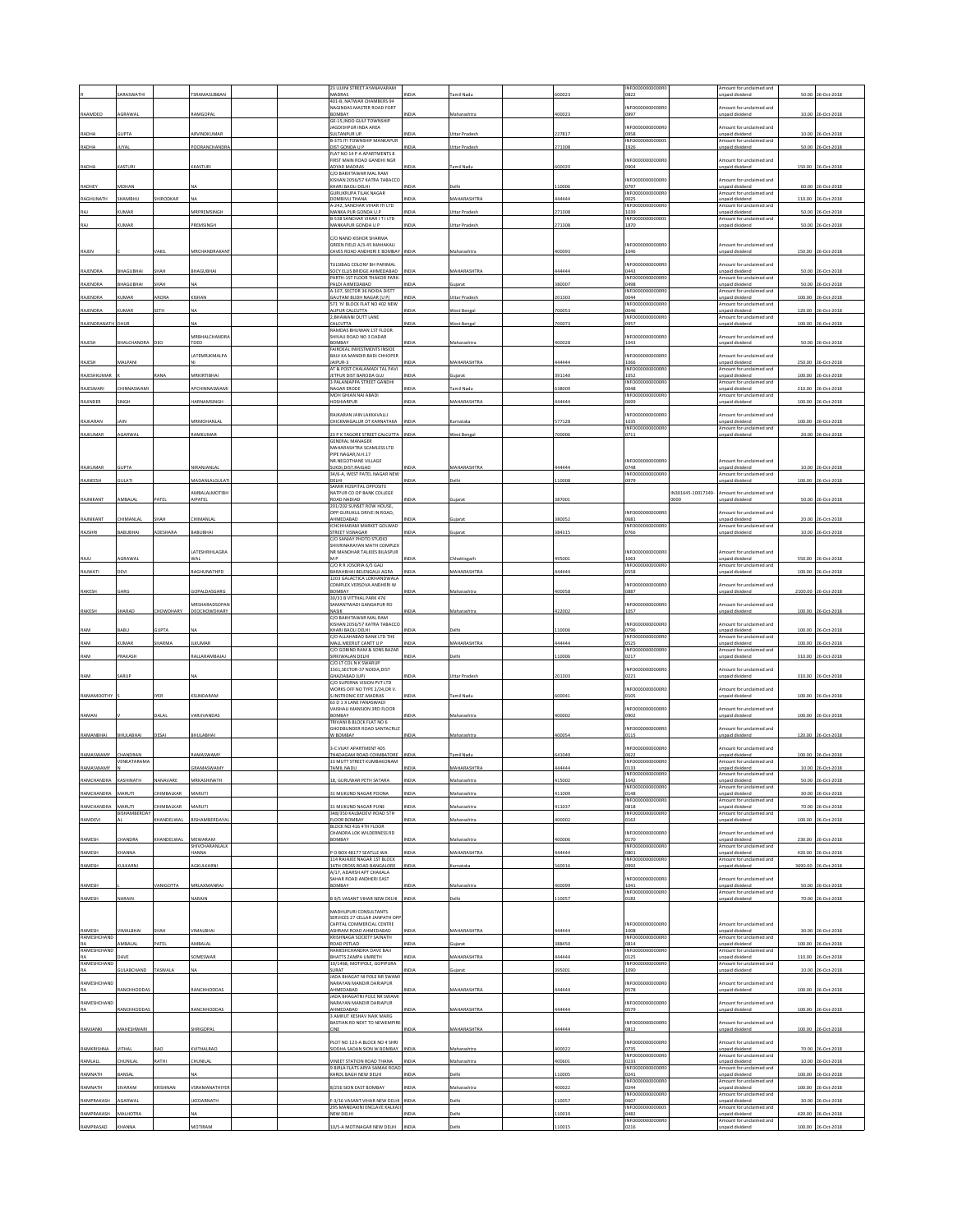|                          | ARASWATH                             |                        | <b>SRAMASUBBAI</b>                 | 23 UJJINI STREET AYANAVARAM<br>MADRAS                                              |              | amil Nad                        | 00023         | INFO0000000000R<br>0822                     |                    | mount for unclaimed and<br>npaid dividend                              | 50.00        | 26-Oct-201         |
|--------------------------|--------------------------------------|------------------------|------------------------------------|------------------------------------------------------------------------------------|--------------|---------------------------------|---------------|---------------------------------------------|--------------------|------------------------------------------------------------------------|--------------|--------------------|
|                          |                                      |                        |                                    | 401-B, NATWAR CHAMBERS 94<br><b>JAGINDAS MASTER ROAD FORT</b>                      |              |                                 |               | INFO0000000000R                             |                    | mount for unclaimed and                                                |              |                    |
| RAAMDEO                  | AGRAWAL                              |                        | RAMGOPAI                           | BOMBAY<br><b>GE-15, INDO GULF TOWNSHIP</b>                                         | NDIA         | Maharashtr                      | 00023         | 1997                                        |                    | npaid dividend                                                         |              | 10.00 26-Oct-2018  |
| RADHA                    | GUPTA                                |                        | ARVINDKUMAR                        | <b>JAGDISHPUR INDA AREA</b><br>SULTANPUR UP.                                       | NDIA         | <b>Jttar Prades</b>             | 27817         | NFO0000000000R<br>0958                      |                    | mount for unclaimed and<br>inpaid dividend                             |              | 10.00 26-Oct-2018  |
| RADHA                    | UYAL                                 |                        | POORANCHANDR                       | <b>B-375 ITI TOWNSHIP MANKAPUR</b><br>DIST GONDA U P                               | NDIA         | <b>Jttar Pradesh</b>            | 271308        | INFO00000000000<br>1926                     |                    | mount for unclaimed and<br>npaid dividend                              |              | 50.00 26-Oct-2018  |
|                          |                                      |                        |                                    | FLAT NO 14 P A APARTMENTS 8<br><b>FIRST MAIN ROAD GANDHI NGR</b>                   |              |                                 |               | NFO0000000000R                              |                    | mount for unclaimed and                                                |              |                    |
| RADHA                    | <b>CASTURI</b>                       |                        | KKASTURI                           | ADYAR MADRAS<br>C/O BAKHTAWAR MAL RAM                                              |              | amil Nad                        | 00020         | 1904                                        |                    | inpaid dividend                                                        |              | 150.00 26-Oct-2018 |
| RADHEY                   | <b>ADHAN</b>                         |                        |                                    | <b>KISHAN 2056/57 KATRA TABACCO</b><br>KHARI BAOLI DELHI                           | VDIA         | elhi                            | 10006         | INFO0000000000F<br>1797                     |                    | mount for unclaimed and<br>npaid dividend                              |              | 60.00 26-Oct-2018  |
| RAGHUNATH                | HAMBHU                               | HIRODKAR               |                                    | <b>GURUKRUPA TILAK NAGAR</b><br>DOMBIVLI THANA                                     | NDIA         | MAHARASHTRA                     | 144444        | INFO0000000000RD<br>0025                    |                    | Amount for unclaimed and<br>inpaid dividend                            | 110.00       | 26-Oct-2018        |
|                          | <b>JMAR</b>                          |                        | MRPREMSINGH                        | 4-242, SANCHAR VIHAR ITI LTD<br>MANKA PUR GONDA U.P.                               | NDIA         | <b>Ittar Prades</b>             | 71308         | <b>NFO000</b><br>1039                       |                    | mount for unclaimed and<br>npaid dividend                              | 50.00        | 26-Oct-201         |
| RAJ                      | UMAR                                 |                        | PREMSINGH                          | B-538 SANCHAR VIHAR I T I LTD<br>MANKAPUR GONDA U P                                | NDIA         | Uttar Pradesh                   | 71308         | INFO00000000000<br>1870                     |                    | Amount for unclaimed and<br>npaid dividend                             |              | 50.00 26-Oct-201   |
|                          |                                      |                        |                                    | C/O NAND KISHOR SHARMA                                                             |              |                                 |               |                                             |                    |                                                                        |              |                    |
| RAJEN                    |                                      | <b>AKIL</b>            | <b><i>MRCHANDRAKAN</i></b>         | SREEN FIELD A/3-45 MAHAKALI<br>CAVES ROAD ANDHERI E BOMBAY                         | NDIA         | faharashtr                      | 00093         | NFO0000000000R<br>1046                      |                    | mount for unclaimed and<br>npaid dividend                              |              | 150.00 26-Oct-2018 |
|                          |                                      |                        |                                    | ULSIBAG COLONY BH PARIMAL                                                          |              |                                 |               | NFO0000000000R                              |                    | mount for unclaimed and                                                |              |                    |
| RAJENDRA                 | <b>HAGUBHAI</b>                      | жан                    | <b>HAGUBHAI</b>                    | SOCY ELLIS BRIDGE AHMEDABAD<br>PARTH-1ST FLOOR THAKOR PARK                         | NDIA         | <b>ANHARASHTRA</b>              | 44444         | 1443<br>NFO00000<br>00000F                  |                    | inpaid dividend<br>mount for unclaimed and                             |              | 50.00 26-Oct-2018  |
| RAJENDRA                 | HAGUBHAI                             | HAH                    |                                    | PALDI AHMEDABAD<br>A-107. SECTOR 36 NOIDA DISTT                                    | VDIA         | ujarat                          | 80007         | 1498<br>INFOODDOODDOOR                      |                    | npaid dividend<br>mount for unclaimed and                              | 50.00        | 26-Oct-2018        |
| RAJENDRA                 | <b>CUMAR</b>                         | ARORA                  | KISHAN                             | <b>GAUTAM BUDH NAGAR (U P)</b><br>71 'N' BLOCK FLAT NO 402 NEV                     | NDIA         | Uttar Pradesh                   | 01303         | 0044<br>NFO00                               |                    | npaid dividend<br>mount for unclaimed and                              | 100.00       | 26-Oct-2018        |
| RAJENDRA                 | UMAR                                 | ETH                    |                                    | ALIPUR CALCUTTA<br>2, BHAWANI DUTT LANE                                            | NDIA         | Vest Benga                      | 00053         | 0046<br>INFO0000000000R                     |                    | npaid dividend<br>mount for unclaimed and                              | 120.00       | 26-Oct-201         |
| RAJENDRANATH             | DHUF                                 |                        |                                    | CALCUTTA<br>RAMDAS BHUWAN 1ST FLOOR                                                | NDIA         | <b>Nest Benga</b>               | 00073         | 1957                                        |                    | npaid dividend                                                         |              | 100.00 26-Oct-201  |
| RAJESH                   | <b>HALCHANDRA</b>                    |                        | <b><i>MRBHALCHANDR</i></b><br>TDEO | HIVAJI ROAD NO 3 DADAR<br>BOMBAY                                                   |              | Aaharashtr                      | 100028        | NFO0000000000R<br>1043                      |                    | mount for unclaimed and<br>npaid dividend                              |              | 50.00 26-Oct-201   |
|                          |                                      |                        | LATEMRJKMALPA                      | FAIRDEAL INVESTMENTS INSIDE<br>BAIJI KA MANDIR BADI CHHOPER                        |              |                                 |               | NFO0000000000R                              |                    | mount for unclaimed and                                                |              |                    |
| RAJESH                   | MALPANI                              |                        |                                    | JAIPUR-3<br>AT & POST CHALAMADI TAL PAVI                                           | NDIA         | MAHARASHTRA                     | 444444        | 1066<br><b>NFO0000</b>                      |                    | npaid dividend<br>mount for unclaimed and                              |              | 250.00 26-Oct-201  |
| RAJESHKUMA               |                                      |                        | MRKIRTIBHA                         | JETPUR DIST BARODA GUJ<br>3 PALANIAPPA STREET GANDHI                               | NDIA         | ujara                           | 91140         | 1052<br>INFO0000000000R                     |                    | npaid dividend<br>mount for unclaimed and                              | 100.00       | 6-Oct-201          |
| RAJESWARI                | <b>HINNASWAMI</b>                    |                        | APCHINNASWAM                       | NAGAR FRODE<br>MOH GHIAN NAI ABADI                                                 | NDIA         | amil Nadu<br><b>MAHARASHTRA</b> | 38009         | 048<br>INFO0000000000F                      |                    | npaid dividend<br>Amount for unclaimed and                             | 210.00       | 26-Oct-2018        |
| RAJINDER                 | <b>NGH</b>                           |                        | <b>IARNAMSINGH</b>                 | <b>IOSHIARPUR</b>                                                                  | NDIA         |                                 | 44444         | 0699                                        |                    | npaid dividend                                                         |              | 100.00 26-Oct-2018 |
| RAJKARAN                 | AIN                                  |                        | MRMOHANLAL                         | <b>RAJKARAN JAIN LAKKAVALLI</b><br>CHICKMAGALUR DT KARNATAKA                       | NDIA         | arnataka                        | 577128        | NFO0000000000R<br>1035<br><b>INFO0000</b>   |                    | mount for unclaimed and<br>npaid dividend<br>mount for unclaimed and   |              | 100.00 26-Oct-2018 |
| RAJKUMAR                 | GARWAL                               |                        | AMKUMAR                            | 23 P K TAGORE STREET CALCUTTA<br>GENERAL MANAGER                                   | <b>INDIA</b> | Vest Bengal                     | 00006         | 0711                                        |                    | npaid dividend                                                         |              | 20.00 26-Oct-2018  |
|                          |                                      |                        |                                    | MAHARASHTRA SCAMLESS LTD<br>PIPE NAGAR.N.H.17                                      |              |                                 |               |                                             |                    |                                                                        |              |                    |
| RAJKUMAR                 | <b>UPTA</b>                          |                        | <b>IIRANJANLA</b>                  | NR.NEGOTHANE VILLAGE<br>SUKDI, DIST.RAIGAD                                         | VDIA         | <b>AAHARASHTRA</b>              | 44444         | NFO0000000000R<br>0748                      |                    | mount for unclaimed and<br>npaid dividend                              |              | 10.00 26-Oct-201   |
| RAJNEESH                 | <b>TAJU</b>                          |                        | AADANLALGULAT                      | 34/6-A, WEST PATEL NAGAR NEW<br>DELHI                                              | NDIA         | elhi                            | 10008         | INFO000000000R0<br>0979                     |                    | mount for unclaimed and<br>npaid dividend                              | 100.00       | 26-Oct-2018        |
|                          |                                      |                        | MBALALMOTIBH                       | SAMIR HOSPITAL OPPOSITE<br>NATPUR CO OP BANK COLLEGE                               |              |                                 |               |                                             | IN301645-10017349- | mount for unclaimed and                                                |              |                    |
| RAJNIKANT                | MBALA                                | ATEL                   | <b>AIPATEL</b>                     | ROAD NADIAD<br>201/202 SUNSET ROW HOUSE,                                           | NDIA         | ujara                           | 387001        |                                             |                    | npaid dividend                                                         |              | 50.00 26-Oct-2018  |
| RAJNIKANT                | <b>HIMANLAL</b>                      | SHAH                   | CHIMANLAL                          | OPP GURUKUL DRIVE IN ROAD,<br>AHMEDABAD                                            | NDIA         | uiarat                          | 380052        | NFO000000000R<br>0681                       |                    | mount for unclaimed and<br>nnaid dividend                              |              | 20.00 26-Oct-2018  |
| RAJSHRI                  | <b>ABUBHAI</b>                       | <b>IDESHARA</b>        | ABUBHA                             | <b>ICHCHHARAM MARKET GOLWAD</b><br>STREET VISNAGAR                                 | NDIA         | iujarat                         | 84315         | <b>INFO0000</b><br>0766                     |                    | mount for unclaimed and<br>npaid dividend                              |              | 10.00 26-Oct-201   |
|                          |                                      |                        |                                    | C/O SANJAY PHOTO STUDIO<br>SHIVRINARAYAN MATH COMPLEX                              |              |                                 |               |                                             |                    |                                                                        |              |                    |
| RAJU                     | AGRAWAL                              |                        | LATESHRIHLAGRA<br>WAL              | NR MANOHAR TALKIES BILASPUR<br>MP                                                  | NDIA         | Chhattisgarh                    | 495001        | INFO000000000R<br>1063                      |                    | mount for unclaimed and<br>Inpaid dividend                             | 550.00       | 26-Oct-2018        |
| RAJWATI                  | <b>DEVI</b>                          |                        | AGHUNATHPL                         | C/O R R JOSORIA 6/5 GALI<br>BARAHBHAI BELENGAUJ AGRA<br>1203 GALACTICA LOKHANDWALA | NDIA         | <b>MAHARASHTR</b>               | 44444         | INFO0000000000R<br>)558                     |                    | Amount for unclaimed and<br>npaid dividend                             | 100.00       | 26-Oct-201         |
| RAKESH                   | GARG                                 |                        | SOPALDASGARG                       | COMPLEX VERSOVA ANDHERI W<br>BOMBAY                                                | NDIA         | Maharashtra                     | 400058        | INFO000000000R<br>0887                      |                    | mount for unclaimed and<br>inpaid dividend                             |              | 2100.00 26-Oct-201 |
|                          |                                      |                        | <b>IRSHARADSOPA</b>                | 30/31 B VITTHAL PARK 476<br>AMANTWADI GANGAPUR RD                                  |              |                                 |               | NFO0000000000F                              |                    | mount for undaimed and                                                 |              |                    |
| RAKESH                   | HARAD                                | HOWDHARY               | DEOCHOWDHARY                       | <b>NASIK</b><br>C/O BAKHTAWAR MAL RAM                                              | IDIA         | faharashti                      | 22002         | 1057                                        |                    | inpaid dividend                                                        | 100.00       | 26-Oct-2018        |
| RAM                      | <b>JABU</b>                          | <b>JUPTA</b>           |                                    | KISHAN 2056/57 KATRA TABACCO<br>KHARI BAOLI DELHI                                  | NDIA         | elhi                            | 10006         | NFO0000000000R<br>0796                      |                    | mount for unclaimed and<br>npaid dividend                              | 100.00       | 26-Oct-2018        |
| RAM                      | UMAR                                 | HARMA                  | LKUMAF                             | C/O ALLAHABAD BANK LTD THE<br>MALL MEERUT CANTT U P                                | <b>IDIA</b>  | <b>MAHARASHTRA</b>              | 44444         | INFO000000000R<br>0525                      |                    | mount for undaimed and<br>npaid dividend                               | 100.00       | 26-Oct-2018        |
| RAM                      | PRAKASH                              |                        | RALLARAMBAJA                       | C/O GOBIND RAM & SONS BAZAR<br>SIRKIWALAN DELHI                                    | NDIA         | <b>Delhi</b>                    | 10006         | INFO0000000000R<br>0217                     |                    | Amount for unclaimed and<br>inpaid dividend                            | 310.00       | 26-Oct-2018        |
|                          |                                      |                        |                                    | C/O LT COL N K SWARUF<br>561, SECTOR-37 NOIDA, DIST                                |              |                                 |               | NFO0000000000R                              |                    | mount for undaimed and                                                 |              |                    |
| RAM                      | SARUP                                |                        |                                    | GHAZIABAD (UP)<br>C/O SUPERNA VISION PVT LTD                                       | NDIA         | Uttar Pradesh                   | 01303         | 0221                                        |                    | npaid dividend                                                         |              | 310.00 26-Oct-2018 |
| RAMAMOOTHY               |                                      | <b>YER</b>             | SUNDARAM                           | WORKS OFF NO TYPE 2/24, DR V.<br>S.INSTRONIC EST.MADRAS                            | NDIA         | amil Nad                        | 00041         | NFO0000000000R<br>0105                      |                    | mount for unclaimed and<br>npaid divident                              |              | 100.00 26-Oct-2018 |
|                          |                                      |                        |                                    | 53 D 1 X LANE FANASWADI<br>VAISHALI MANSION 3RD FLOOR                              |              |                                 |               | NFO000000000R                               |                    | mount for undaimed and                                                 |              |                    |
| RAMAN                    |                                      | DALAL                  | VARJIVANDAS                        | BOMBAY<br>TRIVANI B BLOCK FLAT NO 6                                                | NDIA         | Maharashtra                     | 100002        | 1902                                        |                    | npaid dividend                                                         |              | 100.00 26-Oct-2018 |
| RAMANBHAI                | BHULABHAI                            | <b>DESAI</b>           | BHULABHA                           | GHODBUNDER ROAD SANTACRUD<br><b>N BOMBAY</b>                                       | NDIA         | Maharashtra                     | 100054        | NFO000000000R<br>0115                       |                    | mount for unclaimed and<br>inpaid dividend                             |              | 120.00 26-Oct-2018 |
|                          |                                      |                        |                                    | 3-C VIJAY APARTMENT 405<br>THADAGAM ROAD COIMBATORE                                |              |                                 |               | NFO0000000000R                              |                    | mount for unclaimed and                                                |              |                    |
| RAMASWAMY<br>RAMASWAMY   | <b>HANDRAN</b><br><b>VENKATARAMA</b> |                        | RAMASWAMY                          | 13 MUTT STREET KUMBAKONAM                                                          | INDIA        | Tamil Nadu                      | 541040        | 0622<br>INFO0000000000R                     |                    | npaid dividend<br>Amount for unclaimed and                             |              | 100.00 26-Oct-2018 |
|                          |                                      |                        | GRAMASWAMY                         | AMIL NADU                                                                          | NDIA         | <b>MAHARASHTR</b>               | 44444         | 0133<br>INFO0000000000R<br>142              |                    | npaid dividend<br>Amount for unclaimed and<br>naid dividend            | 10.0<br>50.0 | 26-Oct-201         |
|                          |                                      |                        |                                    |                                                                                    |              |                                 |               | INFO000000000RD                             |                    | mount for unclaimed and<br>npaid dividend                              |              |                    |
| RAMCHANDRA<br>RAMCHANDRA | MARUTI<br>MARUTI                     | HIMBALKAR<br>HIMBALKAR | MARUTI<br>MARUTI                   | 11 MUKUND NAGAR POONA<br>11 MUKUND NAGAR PUNE                                      | NDIA<br>NDIA | laharashtra<br>Aaharashtra      | 1009<br>11037 | 0148<br>NFO000000000R<br>0818               |                    | mount for unclaimed and<br>npaid dividend                              |              | 30.00 26-Oct-2018  |
|                          | <b>ISHAMBERDA</b>                    |                        |                                    | 348/350 KALBADEVI ROAD STH<br>VARIAGR ROOF                                         |              |                                 |               | INFO0000000000R                             |                    | mount for unclaimed and                                                |              | 70.00 26-Oct-2018  |
| RAMDEVI                  |                                      | HANDELWAL              | BISHAMBERDAYA                      | BLOCK NO 416 4TH FLOOR<br><b>HANDRA LOK WILDERNESS RD</b>                          | <b>VDIA</b>  | Aaharashtra                     | 00002         | 0162<br>NFO0000000000R                      |                    | npaid dividend<br>mount for unclaimed and                              |              | 100.00 26-Oct-2018 |
| RAMESH                   | HANDRA                               | <b>CHANDELWAL</b>      | MEWARAM<br>SHIVCHARANI AI K        | BOMBAY                                                                             | NDIA         | Maharashtra                     | 100006        | 0170                                        |                    | npaid dividend                                                         |              | 230.00 26-Oct-2018 |
| RAMESH                   | <b>HANNA</b>                         |                        | HANNA                              | O BOX 48177 SEATLLE WA<br>114 RAJAJEE NAGAR 1ST BLOCK                              | NDIA         | MAHARASHTRA                     | 44444         | INFO0000000000R0<br>0801<br>INFO0000000000R |                    | Amount for unclaimed and<br>npaid dividend<br>Amount for unclaimed and |              | 420.00 26-Oct-2018 |
| RAMESH                   | <b>ULKARNI</b>                       |                        | GKULKARN                           | 16TH CROSS ROAD BANGALORE<br>A/17. ADARSH APT CHAKALA                              | NDLA         | ırnataka                        | 60016         | 1992                                        |                    | npaid dividend                                                         | 3690.00      | 26-Oct-201         |
| RAMESH                   |                                      | <b>ANIGOTTA</b>        | MRLAXMANRAJ                        | SAHAR ROAD ANDHERLEAST<br>BOMBAY                                                   | NDIA         | Maharashtra                     | 100099        | NEODDDDDDDDDRC<br>1041                      |                    | mount for unclaimed and<br>npaid dividend                              |              | 50.00 26-Oct-2018  |
| RAMESH                   | NARAIN                               |                        | VARAIN                             | <b>9/5 VASANT VIHAR NEW DELHI</b>                                                  | NDIA         | <b>Jelhi</b>                    | 10057         | INFO0000000000R0<br>0182                    |                    | Amount for unclaimed and<br>inpaid dividend                            |              | 70.00 26-Oct-201   |
|                          |                                      |                        |                                    | MADHUPURI CONSULTANTS                                                              |              |                                 |               |                                             |                    |                                                                        |              |                    |
|                          |                                      |                        |                                    | SERVICES 27 CELLAR JANPATH OPF<br>CAPITAL COMMERCIAL CENTRE                        |              |                                 |               | INFO0000000000R                             |                    | Amount for unclaimed and                                               |              |                    |
| RAMESH<br>RAMESHCHAND    | <b>IMALBHAI</b>                      | ЖАН                    | <b>IMALBHAI</b>                    | ASHRAM ROAD AHMEDABAD<br>(RISHNAGA SOCIETY SAINATH                                 | NDIA         | <b>AAHARASHTRA</b>              | 44444         | 1008<br>INFO0000000000R                     |                    | Inpaid dividend<br>mount for unclaimed and                             |              | 30.00 26-Oct-2018  |
| RA<br>RAMESHCHAND        | <b>MRAIA</b>                         | ATEL                   | MRAI A                             | ROAD PETLAD<br>RAMESHCHANDRA DAVE BAJI                                             | <b>DIA</b>   |                                 | 88450         | 0814<br>INFO0000000000R                     |                    | npaid dividend<br>Amount for unclaimed and                             | 100.00       | 6-Oct-2018         |
| RA<br>RAMESHCHAND        |                                      |                        | OMESWAR                            | BHATTS ZAMPA UMRETH<br>10/1468, MOTIPOLE, GOPIPURA                                 | NDIA         | <b>MAHARASHTRA</b>              | 14444         | 0125<br>NFO0000000000R                      |                    | npaid dividend<br>mount for unclaimed and                              | 110.00       | 26-Oct-2018        |
| RA                       | <b>GULABCHAND</b>                    | TASWALA                |                                    | SURAT<br>JADA BHAGAT NI POLE NR SWAM                                               | NDIA         | iujarat                         | 95001         | 1090                                        |                    | npaid dividend                                                         |              | 10.00 26-Oct-2018  |
| RAMESHCHAND              | ANCHHODDA                            |                        | RANCHHODDAS                        | NARAYAN MANDIR DARIAPUR<br>AHMEDABAD                                               | VDIA         | <b>MAHARASHTRA</b>              | 44444         | NFO0000000000R<br>0578                      |                    | mount for unclaimed and<br>inpaid dividend                             |              | 100.00 26-Oct-2018 |
| RAMESHCHAND              |                                      |                        |                                    | ADA BHAGATNI POLE NR SWAMI<br>NARAYAN MANDIR DARIAPUR                              |              |                                 | 44444         | NFO0000000000R<br>0579                      |                    | mount for unclaimed and                                                |              |                    |
| RA                       | ANCHHODDA                            |                        | ANCHHODDAS                         | HMEDABAD<br>3 AMRUT KESHAV NAIK MARG<br>BASTIAN RD NEXT TO NEWEMPIRE               |              | <b>MAHARASHTRA</b>              |               | INFO0000000000R                             |                    | npaid dividend<br>Amount for unclaimed and                             | 100.00       | 26-Oct-2018        |
| RAMJANKI                 | MAHESHWAR                            |                        | HRIGOPAL                           | INE                                                                                | NDIA         | <b>MAHARASHTRA</b>              | 44444         | 0812                                        |                    | inpaid dividend                                                        |              | 100.00 26-Oct-2018 |
| RAMKRISHNA               | VITHAI                               | RAO                    | KVITHALRAO                         | PLOT NO 123-A BLOCK NO 4 SHRI<br>SIDDHA SADAN SION W BOMBAY                        | <b>NDM</b>   | Maharashtra                     | 100022        | NFO000000000R<br>0735                       |                    | mount for unclaimed and<br>Inpaid dividend                             |              | 70.00 26-Oct-2018  |
| RAMLALL                  | HUNILAL                              | <b>ATHI</b>            | <b>HUNILAL</b>                     | INEET STATION ROAD THANA                                                           | NDIA         | faharashtra                     | 00601         | INFO0000000000R<br>0233                     |                    | Amount for unclaimed and<br>npaid dividend                             | 10.00        | 26-Oct-2018        |
| RAMNATH                  | ANSAL                                |                        |                                    | <b>BIRLA FLATS ARYA SAMAK ROAD</b><br><b>AROL BAGH NEW DELHI</b>                   | <b>VIDIA</b> | elhi                            | 10005         | INFO0000000000R<br>0241                     |                    | mount for unclaimed and<br>npaid dividend                              | 100.00       | 6-Oct-2018         |
| RAMNATH                  | <b>IVARAM</b>                        | RISHNAN                | SRAMANATHIYER                      | 8/256 SION EAST BOMBAY                                                             | NDIA         | laharashtra                     | 00022         | INFO0000000000R<br>)244                     |                    | Amount for unclaimed and<br>inpaid dividend                            | 100.00       | 26-Oct-2018        |
| RAMPRAKASH               | AGARWAL                              |                        | KEDARNATH                          | 3/16 VASANT VIHAR NEW DELHI                                                        | NDIA         | elhi                            | 10057         | NFO000000000R<br>0607                       |                    | mount for unclaimed and<br>npaid dividend                              |              | 30.00 26-Oct-2018  |
| RAMPRAKASH               | <b>MALHOTRA</b>                      |                        |                                    | 295 MANDAKINI ENCLAVE KALKAJ<br>NEW DELHI                                          | NDIA         | elhi                            | 10019         | INFO000000000005<br>0482<br>INFO0000000000R |                    | mount for unclaimed and<br>npaid dividend<br>mount for unclaimed and   | 420.00       | 26-Oct-2018        |
| RAMPRASAD                |                                      |                        | <b>AOTIRAM</b>                     | 0/S-A MOTINAGAR NEW DELHI                                                          | NDIA         |                                 | 10015         | 0216                                        |                    | npaid divident                                                         |              | 100.00 26-Oct-2018 |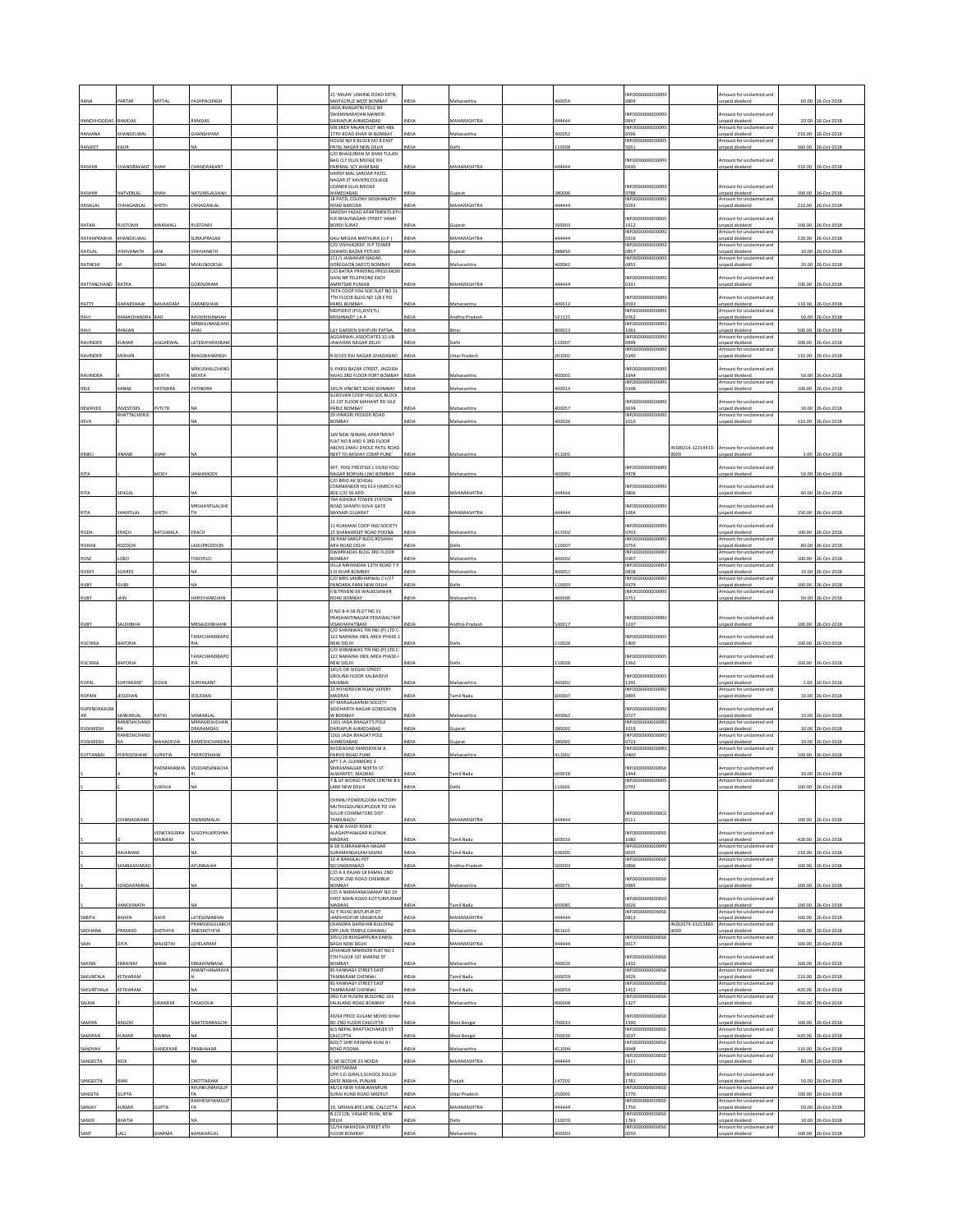| RANA             | ARTAE                    | <b>AITTA</b>    |                               |  | 15 'MILAN' LINKING ROAD EXTN,                                    |              |                     | 00054  | INFO0000000000R                             |                           | mount for unclaimed and                                                | 60.00  | 26-Oct-2018        |
|------------------|--------------------------|-----------------|-------------------------------|--|------------------------------------------------------------------|--------------|---------------------|--------|---------------------------------------------|---------------------------|------------------------------------------------------------------------|--------|--------------------|
|                  |                          |                 |                               |  | <b>SANTACRUZ WEST BOMBAY</b><br><b>IADA BHAGATNI POLE NR</b>     | NDIA         | iaharashtr          |        | 0804                                        |                           | <b>Inpaid dividend</b>                                                 |        |                    |
| RANCHHODDA:      | RAMDAS                   |                 | RAMDAS                        |  | <b>SWAMINARAYAN MANDIR</b><br>DARIAPUR AHMEDABAD                 | NDIA         | <b>MAHARASHTRA</b>  | 44444  | INFO000000000R<br>0647                      |                           | mount for unclaimed and<br>Inpaid dividend                             | 20.00  | 26-Oct-2018        |
| RANJANA          | KHANDELWA                |                 | <b>HANSHYAM</b>               |  | 9/B SNEH MILAN PLOT 485-486<br><b>7TH ROAD KHAR W BOMBAY</b>     | NDIA         | Maharashtr          | 00052  | INFO0000000000R<br>0596                     |                           | Amount for unclaimed and<br>unpaid dividend                            | 210.00 | 26-Oct-2018        |
| RANJEET          | KAUR                     |                 | NA                            |  | HOUSE NO 8 BLOCK NO 8 EAST<br>PATEL NAGAR NEW DELHI              | NDIA         | elhi                | 10008  | INFO00000000000<br>5051                     |                           | mount for unclaimed and<br>npaid dividend                              |        | 360.00 26-Oct-2018 |
|                  |                          |                 |                               |  | C/O BHAGUBHAI M SHAH TULASI                                      |              |                     |        |                                             |                           |                                                                        |        |                    |
| RASHMI           | CHANDRAKANT              | SHAH            | CHANDRAKANT                   |  | BAG CLY ELLIS BRIDGE BH<br>PARIMAL SCY AHM'BAD                   | INDIA        | <b>MAHARASHTRA</b>  | 44444  | INFO000000000R<br>0430                      |                           | mount for unclaimed and<br>unpaid dividend                             |        | 110.00 26-Oct-2018 |
|                  |                          |                 |                               |  | HARSH MAI SARDAR PATEL<br>NAGAR ST XAVIERS COLLEGE               |              |                     |        |                                             |                           |                                                                        |        |                    |
| RASHMI           | NATVERLAL                | HAH             | NATVARLALSHAH                 |  | CORNER ELLIS BRIDGE<br>AHMEDABAD                                 | NDIA         | iujarat             | 80006  | INFO0000000000R<br>0788                     |                           | Amount for unclaimed and<br>unpaid dividend                            | 100.00 | 26-Oct-2018        |
| RASIKLAL         | <b>HHAGANLAL</b>         | SHETH           | <b>HHAGANLAI</b>              |  | 18 PATEL COLONY SIDDHANATH<br>ROAD BARODA                        | NDIA         | <b>MAHARASHTRA</b>  | 44444  | INFO0000000000R<br>0293                     |                           | Amount for unclaimed and<br>npaid dividend                             |        |                    |
|                  |                          |                 |                               |  | SAROSH YAZAD APARTMENTS 8TH                                      |              |                     |        |                                             |                           |                                                                        |        | 210.00 26-Oct-2018 |
| RATAN            | <b>LINOTED</b>           | AARSHALI        | RUSTOMJI                      |  | <b>LR BHAVNAGARI STREET VANKI</b><br>BORDI SURAT                 | NDIA         | ujarat              | 95003  | INFO0000000000<br>1012                      |                           | Amount for unclaimed and<br>unpaid dividend                            | 100.00 | 26-Oct-2018        |
| RATANPRABHA      | KHANDELWAL               |                 | <b>URAJPRASAD</b>             |  | ALI MEGHA MATHURA (U.P.)                                         | NDIA         | <b>MAHARASHTRA</b>  | 44444  | INFO0000000000R<br>0316                     |                           | mount for undaimed and<br>Inpaid dividend                              |        | 220.00 26-Oct-2018 |
| RATILAL          | <b>ISHVANATH</b>         |                 | /ISHVANATH                    |  | C/O VISHVADEEP, N P TOWER<br>HAWDI BAZAR PETLAD                  | NDIA         | uiarat              | 88450  | INFO0000000000<br>0857                      |                           | mount for undaimed and<br>Inpaid dividend                              | 10.00  | 26-Oct-2018        |
|                  |                          |                 |                               |  | 211/1 JAWAHAR NAGAR,                                             |              |                     |        | INFO000000000R                              |                           | Amount for unclaimed and                                               |        |                    |
| RATNESH          |                          | DESAI           | MUKUNDDESA                    |  | <b>GOREGAON (WEST) BOMBAY</b><br>C/O BATRA PRINTING PRESS MOF    | NDIA         | faharashtra         | 00062  | 0853                                        |                           | inpaid dividend                                                        | 20.00  | 26-Oct-2018        |
| RATTANCHAND      | BATRA                    |                 | OBINDRAM                      |  | <b>SANJ NR TELEPHONE EXCH</b><br>AMRITSAR PUNJAB                 | NDIA         | <b>MAHARASHTRA</b>  | 144444 | <b>INFO00000</b><br>00000<br>0331           |                           | nount for undaimed and<br><b>Inpaid</b> dividend                       | 100.00 | 26-Oct-201         |
|                  |                          |                 |                               |  | TATA COOP HSG SOC FLAT NO 31<br>TH FLOOR BLDG NO 1/B E RD        |              |                     |        | INFO0000000000                              |                           | mount for unclaimed and                                                |        |                    |
| RATTY            | DARABSHAW                | BAVAADAM        | DARABSHAW                     |  | PAREL BOMBAY                                                     | NDIA         | Aaharashtra         | 00012  | 0593                                        |                           | unpaid dividend                                                        | 110.00 | 26-Oct-2018        |
| RAVI             | <b>AMACHANDRA</b>        | RAC             | RAVIKRISHNAIAH                |  | MOPIDEVI (PO), DIVI(TL)<br>KRISHNA(DT.) A.P                      | NDIA         | dhra Prade          | 21125  | INFO0000000000R<br>0762                     |                           | Amount for unclaimed and<br>Inpaid dividend                            | 50.00  | 26-Oct-201         |
| RAVI             | RANJAN                   |                 | MRBRAJNANDANS<br>AHAI         |  | <b>LILY GARDEN SHIVPURI PATNA</b>                                | NDIA         | hai                 | 00023  | INFO0000000000<br>1061                      |                           | Amount for unclaimed and<br>inpaid dividend                            | 500.00 | 26-Oct-2018        |
| RAVINDER         | <b>IMAR</b>              | GGARWAI         | ATESHPARASRAI                 |  | AGGARWAL ASSOCIATES 12-UB<br>AWAHAR NAGAR DELHI                  |              | elhi                | 10007  | INFO0000000000R<br>1998                     |                           | mount for unclaimed and<br>inpaid dividend                             | 200.00 | -Oct-2018          |
|                  |                          |                 |                               |  |                                                                  |              |                     |        | INFO0000000000R                             |                           | Amount for unclaimed and                                               |        |                    |
| RAVINDER         | <b>MOHAN</b>             |                 | <b>BHAGWANSING</b> H          |  | -9/103 RAJ NAGAR GHAZIABAD                                       | INDIA        | <b>Ittar Prades</b> | 01002  | 0340                                        |                           | inpaid dividend                                                        | 110.00 | 26-Oct-2018        |
| RAVINDRA         |                          | <b>AFHTA</b>    | MRKUSHALCHAND<br><b>MEHTA</b> |  | . PARSI BAZAR STREET, JAGDISH<br>NIVAS 3RD FLOOR FORT BOMBAY     | <b>IDIA</b>  | aharashtr           | 00001  | INFOODDOO<br>1044                           |                           | mount for unclaimed and<br>unpaid dividend                             | 50.00  | 6-Oct-2018         |
| RELE             | KANAK                    | ATINDRA         | YATINDRA                      |  | 165/A VINCNET ROAD BOMBAY                                        | NDIA         | laharashtra         | 00014  | INFO0000000000R<br>348                      |                           | Amount for unclaimed and<br>inpaid dividend                            | 100.00 | 26-Oct-2018        |
|                  |                          |                 |                               |  | SUJEEVAN COOP HSG SOC BLOCK                                      |              |                     |        | INFO000000000R                              |                           | mount for unclaimed and                                                |        |                    |
| RESERVED         | <b>INVESTORS</b>         | VTLTD           |                               |  | 11 1ST FLOOR MAHANT RD VILE<br>ARLE BOMBAY                       |              | taharashtr          | 00057  | 0634                                        |                           | unpaid dividend                                                        | 30.00  | 26-Oct-2018        |
| REVA             | BHATTACHERJE             |                 |                               |  | 29 HIMGIRI PEDDER ROAD<br>BOMBAY                                 | <b>INDIA</b> | Maharashtra         | 400026 | INFO0000000000R<br>1010                     |                           | Amount for unclaimed and<br><b>Inpaid dividend</b>                     |        | 110.00 26-Oct-2018 |
|                  |                          |                 |                               |  | 189 NEW NIRMAL APARTMENT                                         |              |                     |        |                                             |                           |                                                                        |        |                    |
|                  |                          |                 |                               |  | FLAT NO 8 AND 9 3RD FLOOR                                        |              |                     |        |                                             |                           |                                                                        |        |                    |
| RINKU            | ANAND                    | SHAH            |                               |  | ABOVE ZAMU DHOLE PATIL ROAD<br>NEXT TO AKSHAY COMP PUNE          | INDIA        | Maharashtra         | 411001 |                                             | N300214-12214413-<br>0000 | Amount for unclaimed and<br>inpaid dividend                            |        | 1.00 26-Oct-2018   |
|                  |                          |                 |                               |  | 107, YOGI PRESTIGE L 59/60 YOGI                                  |              |                     |        | INFO000000000R                              |                           | nount for unclaimed and                                                |        |                    |
| RITA             |                          | <b>AODY</b>     | ANAKMODY                      |  | NAGAR BORIVALI (W) BOMBAY<br>C/O BRIG AK SEHGAL                  |              | aharashti           | 00092  | 1975                                        |                           | paid divident                                                          | 50.00  | 6-Oct-201          |
|                  |                          |                 |                               |  | COMMANDER HO 614 (I)MECH AD                                      |              |                     |        | INFO000000000R                              |                           | mount for unclaimed and                                                |        |                    |
| RITA             | EHGAL                    |                 |                               |  | BDE C/O 56 APO<br>704 ASHOKA TOWER STATION                       | NDIA         | <b>MAHARASHTRA</b>  | 44444  |                                             |                           | <b>Inpaid dividend</b>                                                 |        | 40.00 26-Oct-2018  |
| <b>RITA</b>      | SHANTILAL                | <b>НЕТН</b>     | MRSHANTILALSHI                |  | ROAD SHANTH KUVA GATE<br>NAVSARI GUJARAT                         | NDIA         | MAHARASHTRA         | 144444 | INFO0000000000F<br>1064                     |                           | nount for unclaimed and<br>inpaid dividend                             |        | 150.00 26-Oct-2018 |
|                  |                          |                 |                               |  | 1 RUKMANI COOP HSG SOCIETY                                       |              |                     |        | NFO0000000000                               |                           | nount for unclaimed and                                                |        |                    |
| RODA             | RACH                     | BATLIWALA       | ERACH                         |  | 15 SHANKARSET ROAD POONA                                         | NDIA         | Maharashtra         | 11002  | 1703                                        |                           | unpaid dividend                                                        |        | 100.00 26-Oct-2018 |
| <b>ROHIN</b>     | ROZDON                   |                 | ADUPROZDON                    |  | 28 RAM SARUP BLDG ROSHAN<br>ARA ROAD DELHI                       | NDIA         | elhi                | 10007  | INFO0000000000R<br>0759                     |                           | mount for unclaimed and<br>Inpaid dividend                             | 80.00  | 26-Oct-2018        |
| ROSE             | OBO                      |                 | <b>HEOFILO</b>                |  | DWARKADAS BLDG 3RD FLOOR<br><b>OMBAY</b>                         |              |                     | 0002   | INFO000000000R<br>367                       |                           | Amount for unclaimed and<br>inpaid dividend                            | 100.00 | 06-Oct-2018        |
| ROXEY            | CARES                    |                 |                               |  | VILLA MAHINDRA 13TH ROAD T F<br>III KHAR BOMBAY                  | IDIA         |                     | 00052  | INFO0000000000R<br>0838                     |                           | mount for unclaimed and<br>inpaid dividend                             | 10.00  | 6-Oct-2018         |
|                  |                          |                 |                               |  | C/O MRS SAMBHARWAL C-I/27                                        |              |                     |        | INFO0000000000R                             |                           | Amount for unclaimed and                                               |        |                    |
| RUBY             | DUBE                     |                 | NA                            |  | PANDARA PARK NEW DELHI<br>/8 TRIVENI 66 WALKESHWAR               | NDIA         | Jelhi               | 10003  | 0379<br><b>INFO0000</b>                     |                           | unpaid dividend<br>mount for undaimed and                              |        | 100.00 26-Oct-2018 |
| RUBY             | IAIN                     |                 | HARICHANDJAIN                 |  | <b>ROAD BOMBAY</b>                                               | NDIA         | Maharashtr          | 00006  | 0751                                        |                           | <b>Inpaid dividend</b>                                                 |        | 50.00 26-Oct-2018  |
|                  |                          |                 |                               |  | NO 8-4-58 PLOT NO 31<br>PRASHANTINAGAR PEDAWALTAIR               |              |                     |        | INFO0000000000R                             |                           | Amount for unclaimed and                                               |        |                    |
| RUBY             | ALEHBHA                  |                 | MRSALEHBHAIH                  |  | VISAKHAPATNAM                                                    | NDIA         | dhra Prade          | 30017  | 1037                                        |                           | <b>Inpaid dividend</b>                                                 |        | 100.00 26-Oct-2018 |
|                  |                          |                 | TARACHANDBAPC                 |  | C/O SHRINIWAS TIN IND (P) LTD C<br>122 NARAINA INDL AREA PHASE-1 |              |                     |        | INFO0000000000                              |                           | nount for unclaimed and                                                |        |                    |
| RUCHIKA          | BAPORIA                  |                 |                               |  | NEW DELHI<br>C/O SHRINIWAS TIN IND (P) LTD C-                    | IDIA         |                     | 10028  | 1900                                        |                           | <b>Inpaid</b> dividend                                                 | 100.00 | 26-Oct-2018        |
| RUCHIKA          | <b>APORIA</b>            |                 | <b>ARACHANDBAPC</b>           |  | 122 NARAINA INDL AREA PHASE-I<br>NEW DELHI                       | <b>NDIA</b>  | elh                 | 10028  | NFO00000000000<br>1560                      |                           | mount for undaimed and<br><b>Inpaid dividend</b>                       |        | 100.00 26-Oct-2018 |
|                  |                          |                 |                               |  | 145/C DR VIEGAS STREET<br>GROUND FLOOR KALBADEVI                 |              |                     |        | INFO0000000000                              |                           | mount for undaimed and                                                 |        |                    |
| RUPAL            | SURYAKANT                | DOSHI           | SURYAKANT                     |  | MUMBAI                                                           | NDIA         | Maharashtra         | 100002 | 1292                                        |                           | unpaid dividend                                                        |        | 1.00 26-Oct-2018   |
| RUPANI           | ESUDIAN                  |                 | <b>ESUDIAN</b>                |  | 23 RITHERDON ROAD VEPERY<br>MADRAS                               | NDIA         | amil Nadu           | 00007  | INFO0000000000<br>1895                      |                           | mount for unclaimed and<br><b>Inpaid dividend</b>                      |        | 10.00 26-Oct-2018  |
| RUPENDRAKUN      |                          |                 |                               |  | 47 MARGALKARIM SOCIETY<br>SIDDHARTH NAGAR GOREGAON               |              |                     |        | INFO000000000R                              |                           | mount for unclaimed and                                                |        |                    |
| AR               | SANKARLAL<br>RAMESHCHAND | RATHI           | SANKARLAL<br>MRRAMESHCHAN     |  | W BOMBAY<br>1301 JADA BHAGAT'S POLE                              | INDIA        | Maharashtra         | 100062 | 0727<br>INFO000000000R                      |                           | unpaid dividend<br>Amount for unclaimed and                            |        | 10.00 26-Oct-2018  |
| <b>RUSHIKESH</b> |                          |                 | PRARAMDAS                     |  | DARIAPUR AHMEDABAD                                               | NDIA         | ujarat              | 80001  | 1016                                        |                           | unpaid dividend                                                        | 10.00  | 26-Oct-2018        |
| RUSHIKESH        | RAMESHCHAND<br>RΔ        | MAHADEVIA       | RAMESHCHANDRA                 |  | 1301 JADA BHAGAT POLE<br>AHMEDABAD                               | NDIA         | uiarat              | 80001  | INFO0000000000RD<br>0723                    |                           | mount for unclaimed and<br>Inpaid dividend                             | 10.00  | 26-Oct-2018        |
| RUTTANBAI        | <b>HEROZSHAW</b>         | URATIA          | <b>HEROZSHAW</b>              |  | <b>CHODADAD MANSION M A</b><br>PARVIS ROAD PUNE                  | <b>NDIA</b>  | faharashtra         | 11002  | <b>INFO0000</b><br>00000R<br>1400           |                           | Amount for unclaimed and<br><b>Inpaid</b> dividend                     | 100.00 | 26-Oct-2018        |
|                  |                          | PADMANABHA      | VSUDARSANACHA                 |  | APT 1-A, GLENMORE 3<br><b>CRIRAMNAGAR NORTH ST</b>               |              |                     |        | INFO0000000000S                             |                           |                                                                        |        |                    |
|                  |                          |                 |                               |  | ALWARPET, MADRAS                                                 | INDIA        | amil Nadu           | 00018  | 1444                                        |                           | mount for unclaimed and<br>Inpaid dividend                             |        | 10.00 26-Oct-2018  |
|                  |                          | SUKHIJA         |                               |  | LANE NEW DELHI                                                   | <b>INDIA</b> | Delhi               | 10001  | 0792                                        |                           | xunt for unda<br>unpaid dividend                                       |        | 100.00 26-Oct-2018 |
|                  |                          |                 |                               |  | HINNU POWERLOOM FACTORY                                          |              |                     |        |                                             |                           |                                                                        |        |                    |
|                  |                          |                 |                               |  | MUTHUGOUNDUPUDUR PO VIA<br>SULUR COIMBATORE DIST.                |              |                     |        | INFO0000000000C                             |                           | Amount for unclaimed and                                               |        |                    |
|                  | HINNASWAM                |                 | NSENNIMALAI                   |  | TAMILNADU<br><b>NEW AVADI ROAD</b>                               | NDL          | <b>AAHARASHTRA</b>  |        |                                             |                           | unpaid dividend                                                        |        | 100.00 26-Oct-2018 |
|                  |                          |                 |                               |  |                                                                  |              |                     | 44444  | 0111                                        |                           |                                                                        |        |                    |
|                  |                          | VENKTASUBRA     | <b>SVGOPALKRISHNA</b>         |  | ALAGAPPANAGAR KILPAUK                                            |              |                     |        | INFO000000000S                              |                           | mount for unclaimed and                                                |        |                    |
|                  |                          | <b>MANIAM</b>   |                               |  | <b>MADRAS</b><br><b>B-38 SUBRAMANIA NAGAR</b>                    | NDIA         | amil Nadu           | 00010  | 1080<br>INFO0000000000R                     |                           | unpaid dividend<br>Amount for unclaimed and                            | 420.00 | 26-Oct-2018        |
|                  | AJAMANI                  |                 |                               |  | SURAMANGALAM SALEM                                               | NDM          | amil Nadı           | 36005  | 0035                                        |                           | unpaid dividend                                                        | 210.00 | 26-Oct-2018        |
|                  | AMBASIVARA               |                 | APUNNAIAH                     |  | 22-A BANSILAL PET<br>ECUNDERABAD<br>C/O A K RAJAN 18 KAMAL 2ND   | <b>IDIA</b>  | dhra Pradesi        | 00003  | INFO000000000050<br>0896                    |                           | mount for unclaimed and<br>inpaid dividend                             | 100.00 | 26-Oct-2018        |
|                  |                          |                 |                               |  | <b>FLOOR 2ND ROAD CHEMBUR</b>                                    |              |                     |        | INFO0000000000S                             |                           | mount for unclaimed and                                                |        |                    |
|                  | <b>JUNDARAMBA</b>        |                 |                               |  | BOMBAY<br>C/O A NARAYANASWAMY NO 19                              | <b>IDIA</b>  | Aaharashtra         | 00071  | 0985                                        |                           | unpaid dividend                                                        |        | 100.00 26-Oct-2018 |
|                  | VANCHINATH               |                 |                               |  | FIRST MAIN ROAD KOTTURPURAM<br>MADRAS                            | NDIA         | amil Nadu           | 00085  | INFO0000000000V<br>0026                     |                           | mount for unclaimed and<br>Inpaid dividend                             | 100.00 |                    |
|                  |                          |                 |                               |  | 42 P ROAD BISTUPUR DT                                            |              |                     |        | INFO0000000000S                             |                           | Amount for unclaimed and                                               |        | 26-Oct-2018        |
| SABITA           | BAHEN                    | <b>JAVE</b>     | LATESOMABHAI<br>PRAMODGULABCH |  | JAMSHEDPUR SINGBHUM<br><b>HANDRA DARSHAN BUILDING</b>            | NDIA         | AAHARASHTRA         | 44444  | 0813                                        | IN302679-33215883-        | Inpaid dividend<br>mount for unclaimed and                             | 100.00 | 26-Oct-2018        |
| SADHANA          | PRAMOD                   | HETHIYA         | ANDSHETHIYA                   |  | <b>JPP JAIN TEMPLE DAHANU</b><br>3951/29 REHGARPURA KAROL        | NDIA         | faharashtra         | 01601  | INFO0000000000S0                            | 000                       | npaid dividend<br>mount for unclaimed and                              | 600.00 | 26-Oct-2018        |
| SAIN             | <b>DITA</b>              | <b>MALSETHI</b> | CHELARAM                      |  | BAGH NEW DELHI<br>JEHANGIR MANSION FLAT NO 1                     | NDIA         | MAHARASHTRA         | 44444  | 0017                                        |                           | inpaid dividend                                                        | 100.00 | 26-Oct-2018        |
|                  | FRRAHIM                  |                 | FRRAHIMMANA                   |  | STH FLOOR 1ST MARINE ST                                          |              |                     |        | INFO0000000000S                             |                           | mount for unclaimed and                                                |        |                    |
| SAKINA           |                          | NANA            | <b>ΔΝΔΝΤΗΔΝΑRΔΥ</b>           |  | BOMBAY<br>85 KANNAGY STREET EAST                                 | NDIA         | Maharashtra         | 100020 | 1432<br>INFO000000000050                    |                           | Inpaid dividend<br>Amount for unclaimed and                            | 100.00 | 26-Oct-2018        |
| SAKUNTALA        | KETHARAM                 |                 |                               |  | <b>TAMBARAM CHENNAI</b><br>85 KANNAGY STREET EAST                | NDIA         | amil Nadu           | 00059  | 0026<br>INFO0000000000S                     |                           | Inpaid dividend<br>Amount for unclaimed and                            |        | 210.00 26-Oct-2018 |
| SAKUNTHALA       | KETHARAM                 |                 |                               |  | AMBARAM CHENNAL<br>3RD FLR HUSENI BUILDING 163                   | NDIA         | amil Nadu           | 00059  | 1413<br>INFO0000000000S0                    |                           | unpaid dividend<br>Amount for unclaimed and                            |        | 420.00 26-Oct-2018 |
| SALMA            |                          | <b>IKANDER</b>  | TASADDUK                      |  | FALKLAND ROAD BOMBAY                                             | NDIA         | Maharashtra         | 00008  | 1327                                        |                           | unpaid dividend                                                        | 250.00 | 26-Oct-2018        |
|                  |                          |                 |                               |  | 19/64 PRICE GULAM MOHD SHAH                                      |              |                     |        | INFO0000000000S                             |                           | Amount for unclaimed and                                               |        |                    |
| SAMIRA           | <b>AGCHI</b>             |                 | <b>IBATOSHBAGCHI</b>          |  | RD 2ND FLOOR CALCUTTA<br>8/3 NEPAL BHATTACHARJEE ST              | NDIA         | Vest Bengal         | 00033  | 1590<br>INFO0000000000S                     |                           | unpaid dividend<br>Amount for unclaimed and                            |        | 100.00 26-Oct-2018 |
| SAMIRAN          | KUMAR                    | MANNA           |                               |  | CALCUTTA<br>820/7 SHRI KRISHNA KUNJ B I                          | NDIA         | Vest Bengal         | 00026  | 0037<br>INFO0000000000S0                    |                           | Inpaid dividend<br>Amount for undaimed and                             |        | 420.00 26-Oct-2018 |
| SANDYAH          |                          | ANDEKAR         | PRABHAKAF                     |  | ROAD POONA                                                       | NDIA         | faharashtra         | 11004  | 0048                                        |                           | unpaid dividend                                                        | 110.00 | 26-Oct-2018        |
| SANGEETA         | <b>BEDI</b>              |                 | мA                            |  | -90 SECTOR-23 NOIDA                                              | NDIA         | <b>MAHARASHTRA</b>  | 44444  | INFO0000000000S<br>1611                     |                           | mount for undaimed and<br>npaid dividend                               |        | 80.00 26-Oct-2018  |
|                  |                          |                 |                               |  | CHOTTARAM<br>OPP.S.D.GIRALS.SCHOOL DULLDI                        |              |                     |        | INFO0000000000S                             |                           | mount for unclaimed and                                                |        |                    |
| SANGEETA         | RANI                     |                 | CHOTTARAM<br>ARUNKUMARGU      |  | GATE NABHA, PUNJAB<br>8/16 NEW HANUMANPURI                       | NDIA         | unjab               | 47201  | 1781<br>INFO000000000050                    |                           | unpaid dividend<br>mount for undaimed and                              |        | 50.00 26-Oct-2018  |
| SANGITA          | <b>GLIPTA</b>            |                 | RADHESHYAMGUI                 |  | SURAJ KUND ROAD MEERUT                                           | NDIA         | Uttar Pradesh       | 50001  | 1770<br>INFO0000000000S0                    |                           | npaid dividend<br>Amount for unclaimed and                             | 100.00 | 26-Oct-2018        |
| SANJAY           | <b>UMAR</b>              | <b>SUPTA</b>    |                               |  | 9, SIRHAN BYE LANE, CALCUTTA                                     | NDIA         | MAHARASHTRA         | 44444  | 1756                                        |                           | inpaid dividend                                                        |        | 50.00 26-Oct-2018  |
| SANJIV           | BHATIA                   |                 |                               |  | B-2/2128, VASANT KUNJ, NEW<br>DELHI<br>52/54 NAKHODA STREET 4TH  | NDIA         | elhi                | 10070  | INFO0000000000S<br>1763<br>INFO0000000000S0 |                           | Amount for unclaimed and<br>unpaid dividend<br>mount for unclaimed and |        | 10.00 26-Oct-2018  |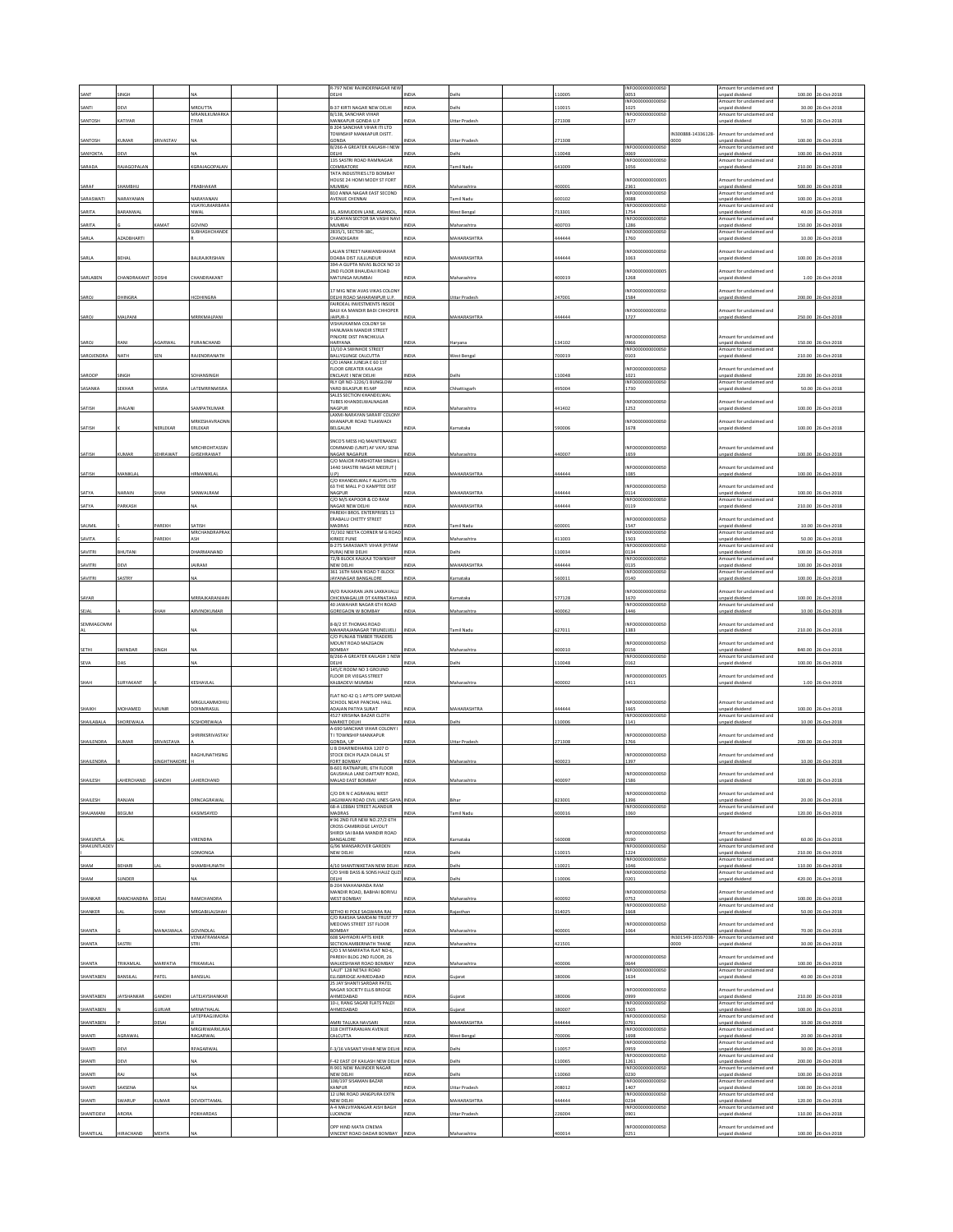|             |                   |                   |                                   |  | R-797 NEW RAJINDERNAGAR NEW<br>DELHI                         | NDIA         |                      | 10005  | INFO0000000000S<br>0053  |                            | mount for unclaimed and<br>npaid dividend   | 100.00 | 6-Oct-201          |
|-------------|-------------------|-------------------|-----------------------------------|--|--------------------------------------------------------------|--------------|----------------------|--------|--------------------------|----------------------------|---------------------------------------------|--------|--------------------|
| SANTI       | DEVI              |                   | MRDUTTA                           |  | <b>B-37 KIRTI NAGAR NEW DELHI</b>                            | NDIA         | elhi                 | 10015  | INFO0000000000S<br>1025  |                            | mount for unclaimed and<br>npaid dividend   | 30.00  | 26-Oct-2018        |
|             |                   |                   | MRANILKUMARK                      |  | B/138, SANCHAR VIHAR                                         |              |                      |        | INFO0000000000S          |                            | mount for undaimed and                      |        |                    |
| SANTOSH     | CATIYAR           |                   | <b>TIYAR</b>                      |  | MANKAPUR GONDA U.P<br>3 204 SANCHAR VIHAR ITI LTD            | NDIA         | <b>Ittar Prades</b>  | 71308  | 1677                     |                            | npaid dividend                              |        | 50.00 26-Oct-201   |
|             |                   |                   |                                   |  | TOWNSHIP MANKAPUR DISTT.                                     |              |                      |        |                          | IN300888-14336128-         | mount for unclaimed and                     |        |                    |
| SANTOSH     | <b>UMAR</b>       | <b>RIVASTAV</b>   |                                   |  | SONDA<br>B/266-A GREATER KAILASH-I NEW                       | NDIA         | <b>Jttar Pradesh</b> | 71308  | INFO0000000000S          | 0000                       | npaid dividend<br>mount for unclaimed and   |        | 100.00 26-Oct-2018 |
| SANYOKTA    | DEVI              |                   |                                   |  | DELHI<br>135 SASTRI ROAD RAMNAGAR                            | NDIA         | elhi                 | 10048  | 0069<br>NFO0000000000S   |                            | npaid dividend<br>mount for undaimed and    | 100.00 | 26-Oct-2018        |
| SARADA      | <b>AJAGOPALAN</b> |                   | GRAJAGOPALAN                      |  | COIMBATORE                                                   | <b>IDIA</b>  | mil Nadı             | 41009  | 1056                     |                            | npaid dividend                              |        | 210.00 26-Oct-2018 |
|             |                   |                   |                                   |  | TATA INDUSTRIES LTD BOMBAY<br>HOUSE 24 HOMI MODY ST FORT     |              |                      |        | NFO0000000000            |                            | mount for unclaimed and                     |        |                    |
| SARAF       | HAMBHU            |                   | RABHAKAR                          |  | MUMBAI                                                       | <b>IDIA</b>  | faharashtra          | 00001  | 2361<br>NFO0000000000S   |                            | npaid dividend                              |        | 500.00 26-Oct-2018 |
| SARASWATI   | NARAYANAN         |                   | VARAYANAN                         |  | <b>B10 ANNA NAGAR EAST SECOND</b><br>AVENUE CHENNAI          | NDIA         | amil Nadu            | 00102  | 0088                     |                            | mount for unclaimed and<br>npaid dividend   |        | 100.00 26-Oct-2018 |
| SARITA      | <b>BARANWAL</b>   |                   | VUAYKUMARBAR<br><b>WAI</b>        |  | 6. ASIMUDDIN LANE, ASANSOL                                   | NDIA         | Vest Benga           | 13301  | INFO0000000000S<br>1754  |                            | mount for unclaimed and<br>npaid dividend   | 40.00  | 26-Oct-201         |
|             |                   |                   |                                   |  | 9 UDAYAN SECTOR 9A VASHI NAV                                 |              |                      |        | INFO0000000000S          |                            | Amount for unclaimed and                    |        |                    |
| SARITA      |                   | AMAT              | GOVIND<br>SUBHASHCHANDE           |  | MUMBAI<br>2835/1, SECTOR-38C,                                | NDIA         | Maharashtra          | 100703 | 1286<br>INFO0000000000S  |                            | npaid dividend<br>mount for unclaimed and   | 150.00 | 26-Oct-2018        |
| SARLA       | <b>AZADBHARTI</b> |                   |                                   |  | CHANDIGARH                                                   | NDIA         | <b>MAHARASHTRA</b>   | 44444  | 1760                     |                            | npaid dividend                              |        | 10.00 26-Oct-2018  |
|             |                   |                   |                                   |  | ALIAN STREET NAWANSHAHAR                                     |              |                      |        | NFO0000000000S           |                            | mount for unclaimed and                     |        |                    |
| SARLA       | BEHAL             |                   | BALRAJKRISHAN                     |  | DOABA DIST JULLUNDUR<br>394-A GUPTA NIVAS BLOCK NO 10        | INDIA        | <b>MAHARASHTR</b>    | 44444  | 1063                     |                            | npaid dividen                               |        | 100.00 26-Oct-2018 |
|             |                   |                   |                                   |  | 2ND FLOOR BHAUDAJI ROAD                                      |              |                      |        | NEODDDDDDDDDD            |                            | mount for unclaimed and                     |        |                    |
| SARLABEN    | CHANDRAKANT       | DOSHI             | CHANDRAKANT                       |  | MATUNGA MUMBAI                                               | NDIA         | Maharashtra          | 400019 | 1268                     |                            | inpaid dividend                             |        | 1.00 26-Oct-2018   |
| SAROJ       | <b>HINGRA</b>     |                   | <b>ICDHINGRA</b>                  |  | 7 MIG NEW AVAS VIKAS COLON<br>DELHI ROAD SAHARANPUR U.P.     | NDIA         | Uttar Pradesh        | 47001  | NFO0000000000S<br>1584   |                            | mount for unclaimed and<br>npaid dividend   |        | 200.00 26-Oct-2018 |
|             |                   |                   |                                   |  | AIRDEAL INVESTMENTS INSIDE                                   |              |                      |        |                          |                            |                                             |        |                    |
| SAROJ       | MALPANI           |                   | <b>MRRKMALPANI</b>                |  | BAIJI KA MANDIR BADI CHHOPER<br>JAIPUR-3                     | NDIA         | <b>MAHARASHTRA</b>   | 44444  | NFO0000000000S<br>1727   |                            | mount for unclaimed and<br>npaid dividend   |        | 250.00 26-Oct-201  |
|             |                   |                   |                                   |  | VISHAVKARMA COLONY SH<br>HANUMAN MANDIR STREET               |              |                      |        |                          |                            |                                             |        |                    |
|             |                   |                   |                                   |  | PINJORE DIST PANCHKULA                                       |              |                      |        | NFO0000000000S           |                            | mount for unclaimed and                     |        |                    |
| SAROJ       | RANI              | GARWAL            | PURANCHAND                        |  | <b>HARYANA</b><br>13/10 A SWINHOE STREET                     | NDIA         | laryana              | 34102  | 1966<br>INFO000000000050 |                            | npaid dividend<br>Amount for unclaimed and  |        | 150.00 26-Oct-201  |
| SAROJENDRA  | NATH              |                   | RAJENDRANATH                      |  | BALLYGUNGE CALCUTTA                                          | <b>NDIA</b>  | Vest Benj            | 00019  | 103                      |                            | npaid dividen                               | 210.00 | 26-Oct-201         |
|             |                   |                   |                                   |  | C/O JANAK JUNEJA E 60 1ST<br><b>FLOOR GREATER KAILASH</b>    |              |                      |        | NFO0000000000S           |                            | mount for unclaimed and                     |        |                    |
| SAROOP      | <b>INGH</b>       |                   | <b>CHANSINGH</b>                  |  | ENCLAVE I NEW DELHI                                          | NDIA         | <b>Delhi</b>         | 10048  | 1021                     |                            | npaid dividend                              |        | 220.00 26-Oct-201  |
| SASANKA     | EKHAF             |                   | ATEMRRNMISR                       |  | RLY QR NO-1226/1 BUNGLOW<br>YARD BILASPUR RS MP              | NDIA         | hattisga             | 95004  | INFO0000000000S<br>1730  |                            | Amount for unclaimed and<br>npaid dividend  | 50.00  | 26-Oct-201         |
|             |                   |                   |                                   |  | SALES SECTION KHANDELWAL<br><b>TIRES KHANDELWALNAGAR</b>     |              |                      |        | NEODDDDDDDDDDSI          |                            | mount for unclaimed and                     |        |                    |
| SATISH      | HALANI            |                   | <b>SAMPATKUMAR</b>                |  | NAGPUR                                                       | NDIA         | Maharashtra          | 141402 | 1252                     |                            | inpaid dividend                             |        | 100.00 26-Oct-201  |
|             |                   |                   | ARKESHAVRAONI                     |  | LAXMI-NARAYAN SARAFF COLONY<br>HANAPUR ROAD TILAKWADI        |              |                      |        | NFO0000000000S           |                            | mount for unclaimed and                     |        |                    |
| SATISH      |                   | VERLEKAR          | ERLEKAR                           |  | BELGAUM                                                      | NDIA         | larnataka            | 90006  | 1678                     |                            | npaid dividend                              |        | 100.00 26-Oct-2018 |
|             |                   |                   |                                   |  | SNCO'S MESS HO MAINTENANCE                                   |              |                      |        |                          |                            |                                             |        |                    |
|             | UMAR              | EHRAWAT           | MRCHROHTASSIN<br>HSEHRAWAT        |  | COMMAND (UNIT) AF VAYU SENA                                  |              |                      | 40007  | INFO0000000000SC<br>1659 |                            | mount for unclaimed and                     |        | 100.00 26-Oct-2018 |
| SATISH      |                   |                   |                                   |  | NAGAR NAGAPUR<br>C/O MAJOR PARSHOTAM SINGH L                 | NDIA         | faharashtra          |        |                          |                            | npaid dividend                              |        |                    |
| SATISH      | MANIKLAL          |                   | <b>IRMANIKLAL</b>                 |  | 1440 SHASTRI NAGAR MEERUT (<br>U.PI                          | VDIA         | MAHARASHTRA          | 144444 | NFO0000000000S<br>1085   |                            | mount for unclaimed and<br>inpaid dividend  |        | 100.00 26-Oct-201  |
|             |                   |                   |                                   |  | C/O KHANDELWAL F ALLOYS LTD                                  |              |                      |        |                          |                            |                                             |        |                    |
| SATYA       | NARAIN            | ЖАН               | ANWALRAM                          |  | 63 THE MALL P O KAMPTEE DIST<br>NAGPUR                       | NDIA         | MAHARASHTRA          | 144444 | NFO0000000000S<br>0114   |                            | mount for unclaimed and<br>npaid dividend   |        | 100.00 26-Oct-2018 |
| SATYA       | <b>ARKASH</b>     |                   |                                   |  | C/O M/S KAPOOR & CO RAM<br>NAGAR NEW DELHI                   | NDIA         | <b>MAHARASHTRA</b>   | 44444  | INFO0000000000S<br>0119  |                            | Amount for unclaimed and<br>npaid dividend  | 210.00 | 26-Oct-201         |
|             |                   |                   |                                   |  | PAREKH BROS. ENTERPRISES 13                                  |              |                      |        |                          |                            |                                             |        |                    |
| SAUMIL      |                   | AREKH             | <b>ATISH</b>                      |  | RABALU CHETTY STREET<br>MADRAS                               | NDIA         | amil Nadu            | 00001  | NFO0000000000S<br>1547   |                            | mount for unclaimed and<br>npaid dividend   |        | 10.00 26-Oct-2018  |
|             |                   |                   | MRCHANDRAPRA                      |  | 72/302 NEETA CORNER M G ROAD                                 |              |                      | 11003  | INFO0000000000S          |                            | Amount for unclaimed and                    | 50.00  |                    |
| SAVITA      |                   | <b>AREKH</b>      |                                   |  | KIRKEE PUNE<br>B-275 SARASWATI VIHAR (PITAM                  | NDIA         | Maharashtra          |        | 1503<br>INFO0000000000S  |                            | npaid dividend<br>Amount for unclaimed and  |        | 26-Oct-201         |
| SAVITRI     | HUTAN             |                   | HARMANAND                         |  | URA) NEW DELHI<br>72/B BLOCK KALKAJI TOWNSHIP                | NDIA         |                      | 10034  | 0134<br>INFO0000000000S  |                            | npaid dividend<br>mount for unclaimed and   | 100.00 | 26-Oct-2018        |
| AVITRI      |                   |                   | <b>AIRAM</b>                      |  | NEW DELHI                                                    |              | <b>IAHARASHTRA</b>   | 44444  | 0135                     |                            | npaid dividend                              | 100.00 | 6-Oct-201          |
| SAVITRI     | ASTRY             |                   |                                   |  | 361 16TH MAIN ROAD T-BLOCK<br>JAYANAGAR BANGALORE            | NDIA         | ırnataka             | 60011  | INFO0000000000S<br>0140  |                            | Amount for unclaimed and<br>npaid dividend  |        | 100.00 26-Oct-201  |
|             |                   |                   |                                   |  | W/O RAJKARAN JAIN LAKKAVALLI                                 |              |                      |        | NFO0000000000S           |                            | mount for unclaimed and                     |        |                    |
| SAYAR       |                   |                   | <b>MRRAJKARANJAI</b>              |  | <b>HICKMAGALUR DT KARNATAKA</b>                              | VDIA         | matak                | 77128  | 1670                     |                            | npaid dividend                              | 100.00 | 06-Oct-201         |
| SEJAL       |                   | HAH               | RVINDKUMAR                        |  | 40 JAWAHAR NAGAR 6TH ROAD<br>GOREGAON W BOMBAY               | NDM          | laharashtra          | 00062  | INFO0000000000S<br>1446  |                            | Amount for unclaimed and<br>npaid dividend  |        | 10.00 26-Oct-2018  |
| SEMMAGOMM   |                   |                   |                                   |  | <b>ARIZ ST THOMAS ROAD</b>                                   |              |                      |        | NFO0000000000S           |                            | mount for unclaimed and                     |        |                    |
|             |                   |                   |                                   |  | MAHARAJANAGAR TIRUNELVELI                                    | NDIA         | amil Nad             | 27011  | 1383                     |                            | npaid dividend                              | 210.00 | 26-Oct-2018        |
|             |                   |                   |                                   |  | C/O PUNJAB TIMBER TRADERS<br>MOUNT ROAD MAZGAON              |              |                      |        | INFO0000000000S          |                            | mount for unclaimed and                     |        |                    |
|             | WINDAR            |                   |                                   |  | BOMBAY                                                       | NDIA         | faharashtra          | 00010  | 0156                     |                            | npaid dividend                              | 840.00 | 26-Oct-2018        |
| SETHI       |                   |                   |                                   |  | B/266-A GREATER KAILASH 1 NEW                                |              | elhi                 | 10048  | INFO0000000000S<br>0162  |                            | mount for unclaimed and                     |        |                    |
|             |                   |                   |                                   |  |                                                              |              |                      |        |                          |                            |                                             |        |                    |
| SEVA        |                   |                   |                                   |  | DELHI<br>145/C ROOM NO 3 GROUND                              |              |                      |        |                          |                            | paid dividend                               | 100.00 | 6-Oct-201          |
|             | <b>URYAKAN</b>    |                   | KESHAVLAI                         |  | <b>FLOOR DR VIEGAS STREET</b><br>ALBADEVI MUMBAI             | NDIA         | Aaharashtr           | 00002  | INFO00000000000<br>1411  |                            | mount for unclaimed and<br>inpaid dividend  |        | 1.00 26-Oct-201    |
| SHAH        |                   |                   |                                   |  |                                                              |              |                      |        |                          |                            |                                             |        |                    |
|             |                   |                   | MRGULAMMOHIL                      |  | FLAT NO 42 Q 1 APTS OPP SARDA<br>SCHOOL NEAR PANCHAL HALL    |              |                      |        | INFOODDDDDDDDSI          |                            | Amount for unclaimed and                    |        |                    |
| SHAIKH      | MOHAMED           | MUNIR             | DDINMRASUL                        |  | ADAJAN PATIYA SURAT                                          | NDIA         | MAHARASHTRA          | 144444 | 1665                     |                            | Inpaid dividend                             |        | 100.00 26-Oct-2018 |
| SHAILABALA  | HOREWALA          |                   | CSHOREWALA                        |  | <b>1527 KRISHNA BAZAR CLOTH</b><br>MARKET DELHI              | NDIA         | <b>Delhi</b>         | 10006  | NFO0000000000S<br>1141   |                            | mount for unclaimed and<br>npaid dividend   |        | 10.00 26-Oct-2018  |
|             |                   |                   | HRIRKSRIVASTAV                    |  | 4-690 SANCHAR VIHAR COLONY I<br>I I TOWNSHIP MANKAPUR        |              |                      |        | INFO0000000000S          |                            | mount for unclaimed and                     |        |                    |
| SHAILENDRA  | KUMAR             | SRIVASTAVA        |                                   |  | GONDA, UP                                                    | INDIA        | Uttar Pradesh        | 271308 | 1766                     |                            | inpaid dividend                             |        | 200.00 26-Oct-2018 |
|             |                   |                   | AGHUNATHSING                      |  | J B DHARNIDHARKA 1207 D<br><b>STOCK EXCH PLAZA DALAL ST</b>  |              |                      |        | NFO0000000000S0          |                            | mount for unclaimed and                     |        |                    |
| SHAILENDRA  |                   | <b>VGHTHAKORI</b> |                                   |  | FORT BOMBAY<br>B-601 RATNAPURI, 6TH FLOOR                    | DIA          |                      | 00023  | 1397                     |                            | npaid dividend                              | 10.00  | 26-Oct-201         |
|             |                   |                   |                                   |  | GAUSHALA LANE DAFTARY ROAD                                   |              |                      |        | INFO0000000000S0         |                            | Amount for unclaimed and                    |        |                    |
|             |                   |                   |                                   |  |                                                              |              |                      |        |                          |                            |                                             |        |                    |
|             |                   |                   |                                   |  | MO DR N C AGRAWAL WEST                                       |              |                      |        | NFO0000000000S           |                            | nount for unclaimed and                     |        |                    |
| SHAILESH    | RANJAN            |                   | <b>RNCAGRAWAL</b>                 |  | AGJIWAN ROAD CIVIL LINES GAYA<br>68-A LEBBAI STREET ALANDUR  | <b>INDIA</b> | Bihar                | 23001  | 1396<br>INFO0000000000S0 |                            | npaid dividend<br>Amount for unclaimed and  |        | 20.00 26-Oct-2018  |
| SHAJAMANI   | <b>BEGUM</b>      |                   | ASIMSAYED                         |  | MADRAS<br>#96 2ND FLR NEW NO.27/2 6TH                        | VDIA         | mil Nad              | 00016  | 1060                     |                            | npaid divident                              |        | 120.00 26-Oct-2018 |
|             |                   |                   |                                   |  | CROSS CAMBRIDGE LAYOUT                                       |              |                      |        |                          |                            |                                             |        |                    |
| SHAKUNTLA   |                   |                   | VIRENDRA                          |  | SHIRDI SAI RARA MANDIR ROAD<br>BANGALORE                     | NDIA         | Karnataka            | 60008  | INFOOD0000000050<br>0190 |                            | Amount for unclaimed and<br>unpaid dividend |        | 60.00 26-Oct-2018  |
| SHAKUNTLADE |                   |                   | <b>DMONGA</b>                     |  | 5/96 MANSAROVER GARDEN                                       | NDIA         | elhi                 |        | <b>NFO0000</b><br>1224   |                            | mount for unclaimed and                     |        |                    |
|             |                   |                   |                                   |  | NEW DELHI                                                    |              |                      | 10015  | INFO0000000000S          |                            | inpaid dividend<br>Amount for unclaimed and |        | 210.00 26-Oct-2018 |
| SHAM        | BEHARI            |                   | SHAMBHUNATH                       |  | /10 SHANTINIKETAN NEW DELHI<br>C/O SHIB DASS & SONS HAUZ QUZ | <b>INDIA</b> | elhi                 | 10021  | 1046<br>INFO0000000000S0 |                            | npaid dividend<br>Amount for unclaimed and  |        | 110.00 26-Oct-201  |
| SHAM        | UNDER             |                   |                                   |  | DELHI                                                        | NDIA         | elhi                 | 10006  | 0201                     |                            | inpaid dividend                             |        | 420.00 26-Oct-2018 |
|             |                   |                   |                                   |  | B-204 MAHANANDA RAM<br>MANDIR ROAD, BABHAI BORIVLI           |              |                      |        | NFO0000000000S           |                            | mount for unclaimed and                     |        |                    |
| SHANKAR     | RAMCHANDRA        | DESAI             | RAMCHANDRA                        |  | WEST BOMBAY                                                  | NDIA         | Maharashtra          | 100092 | 0752<br>INFO0000000000S0 |                            | inpaid dividend<br>Amount for unclaimed and |        | 100.00 26-Oct-2018 |
| SHANKER     |                   | HAH               | <b>IRGABILALSHAH</b>              |  | ETHO KI POLE SAGWARA RAJ                                     | NDIA         | jasthar              | 14025  | 1668                     |                            | npaid dividend                              |        | 50.00 26-Oct-201   |
|             |                   |                   |                                   |  | C/O RAKSHA SAMDANI TRUST 77<br>MEDOWS STREET 1ST FLOOR       |              |                      |        | NFO0000000000S           |                            | mount for unclaimed and                     |        |                    |
| SHANTA      |                   | VIANASWALA        | GOVINDIAL<br><b>VENKATRAMANSA</b> |  | BOMBAY<br><b>608 SAHYADRI APTS KHER</b>                      | NDIA         | Maharashtra          | 100001 | 1064                     |                            | npaid dividend<br>Amount for unclaimed and  |        | 70.00 26-Oct-2018  |
| SHANTA      | ASTRI             |                   | <b>TRI</b>                        |  | SECTION AMBERNATH THANE                                      | NDIA         | faharashtra          | 21501  |                          | IN301549-16557038-<br>0000 | npaid dividend                              |        | 30.00 26-Oct-2018  |
|             |                   |                   |                                   |  | C/O S M MARFATIA FLAT NO-6,<br>PAREKH BLDG 2ND FLOOR, 26     |              |                      |        | NFO0000000000S           |                            | mount for unclaimed and                     |        |                    |
| SHANTA      | <b>RIKAMLAL</b>   | MARFATIA          | TRIKAMLAL                         |  | WALKESHWAR ROAD BOMBAY                                       | NDIA         | Aaharashtra          | 100006 | 0644                     |                            | npaid dividend                              |        | 100.00 26-Oct-2018 |
| SHANTABEN   | <b>JANSILAL</b>   | ATEL              | BANSILAI                          |  | LALIT 128 NETAJI ROAD<br>ELLISBRIDGE AHMEDABAD               | NDIA         | iujarat              | 80006  | INFO0000000000S<br>1634  |                            | mount for unclaimed and<br>npaid dividend   |        | 40.00 26-Oct-2018  |
|             |                   |                   |                                   |  | 25 JAY SHANTI SARDAR PATEL                                   |              |                      |        |                          |                            |                                             |        |                    |
| SHANTABEN   | AYSHANKAR         | <b>GANDHI</b>     | ATEJAYSHANKAR                     |  | NAGAR SOCIETY ELLIS BRIDGE<br>AHMEDABAD                      | NDIA         | ujarat               | 80006  | NFO0000000000S<br>1999   |                            | mount for unclaimed and<br>npaid dividend   |        | 210.00 26-Oct-2018 |
| SHANTABEN   |                   | <b>JURJAR</b>     | MRNATHALAL                        |  | 10-J, RANG SAGAR FLATS PALDI<br>AHMEDABAD                    | NDIA         | iujarat              | 80007  | INFO0000000000S<br>1505  |                            | Amount for unclaimed and<br>Inpaid dividend | 100.00 | 26-Oct-2018        |
|             |                   |                   | LATEPRAGJIMORJ                    |  |                                                              | <b>NDIA</b>  |                      |        | INFO0000000000S          |                            | mount for unclaimed and                     |        |                    |
| SHANTABEN   |                   | ESAI              | MRGIRIWARKUM                      |  | MRI TALUKA NAVSARI<br>318 CHITTARANJAN AVENUE                |              | <b>MAHARASHTRA</b>   | 44444  | 0791<br>INFO0000000000S  |                            | npaid dividend<br>Amount for unclaimed and  | 10.00  | 26-Oct-2018        |
| SHANTI      | AGRAWAL           |                   | RAGARWAL                          |  | CALCUTTA                                                     | NDIA         | West Bengal          | 00006  | 1698<br>INFO0000000000S  |                            | Inpaid dividend<br>Amount for unclaimed and |        | 20.00 26-Oct-2018  |
| SHANTI      | <b>EVI</b>        |                   | RAGARWAL                          |  | 3/16 VASANT VIHAR NEW DELHI                                  | INDIA        | elhi                 | 10057  | )959                     |                            | inpaid dividend                             | 30.00  | 26-Oct-2018        |
| SHANTI      | <b>DEVI</b>       |                   |                                   |  | -42 EAST OF KAILASH NEW DELHI                                | NDIA         | elhi                 | 10065  | INFO0000000000S<br>1261  |                            | Amount for unclaimed and<br>npaid dividend  |        | 200.00 26-Oct-2018 |
|             | LAS               |                   |                                   |  | R-901 NEW RAJINDER NAGAR<br>NEW DELHI                        | NDM          | elhi                 |        | <b>INFO0000</b><br>000S  |                            | mount for undaimed and<br>Inpaid dividend   | 100.00 | 26-Oct-2018        |
| SHANTI      |                   |                   |                                   |  | 108/197 SISAMAN BAZAR                                        |              |                      | 10060  | 0230<br>INFO0000000000S  |                            | mount for unclaimed and                     |        |                    |
| HANTI       | <b>AKSENA</b>     |                   |                                   |  | CANPUR<br>12 LINK ROAD JANGPURA EXTN                         | <b>JOJA</b>  | Ittar Pradesh        | 08012  | 1407<br>INFO0000000000S  |                            | npaid dividend<br>Amount for unclaimed and  | 100.00 | 26-Oct-2018        |
| SHANTI      | WARUP             | <b>UMAR</b>       | DEVIDITTAMAL                      |  | NEW DELHI                                                    | NDIA         | MAHARASHTRA          | 44444  | 0234                     |                            | Inpaid dividend                             |        | 120.00 26-Oct-2018 |
| SHANTIDEVI  | RORA              |                   | OKHARDAS                          |  | 4-4 MALVIYANAGAR AISH BAGH<br><b>UCKNOW</b>                  | NDIA         | <b>Ittar Pradesh</b> | 26004  | INFO0000000000S<br>0901  |                            | mount for unclaimed and<br>npaid dividend   |        | 110.00 26-Oct-2018 |
| SHANTILAL   | HIRACHAND         | MEHTA             |                                   |  | OPP HIND MATA CINEMA<br>VINCENT ROAD DADAR BOMBAY INDIA      |              | Maharashtra          | 100014 | NFO0000000000S<br>0251   |                            | mount for unclaimed and<br>npaid dividend   |        | 100.00 26-Oct-2018 |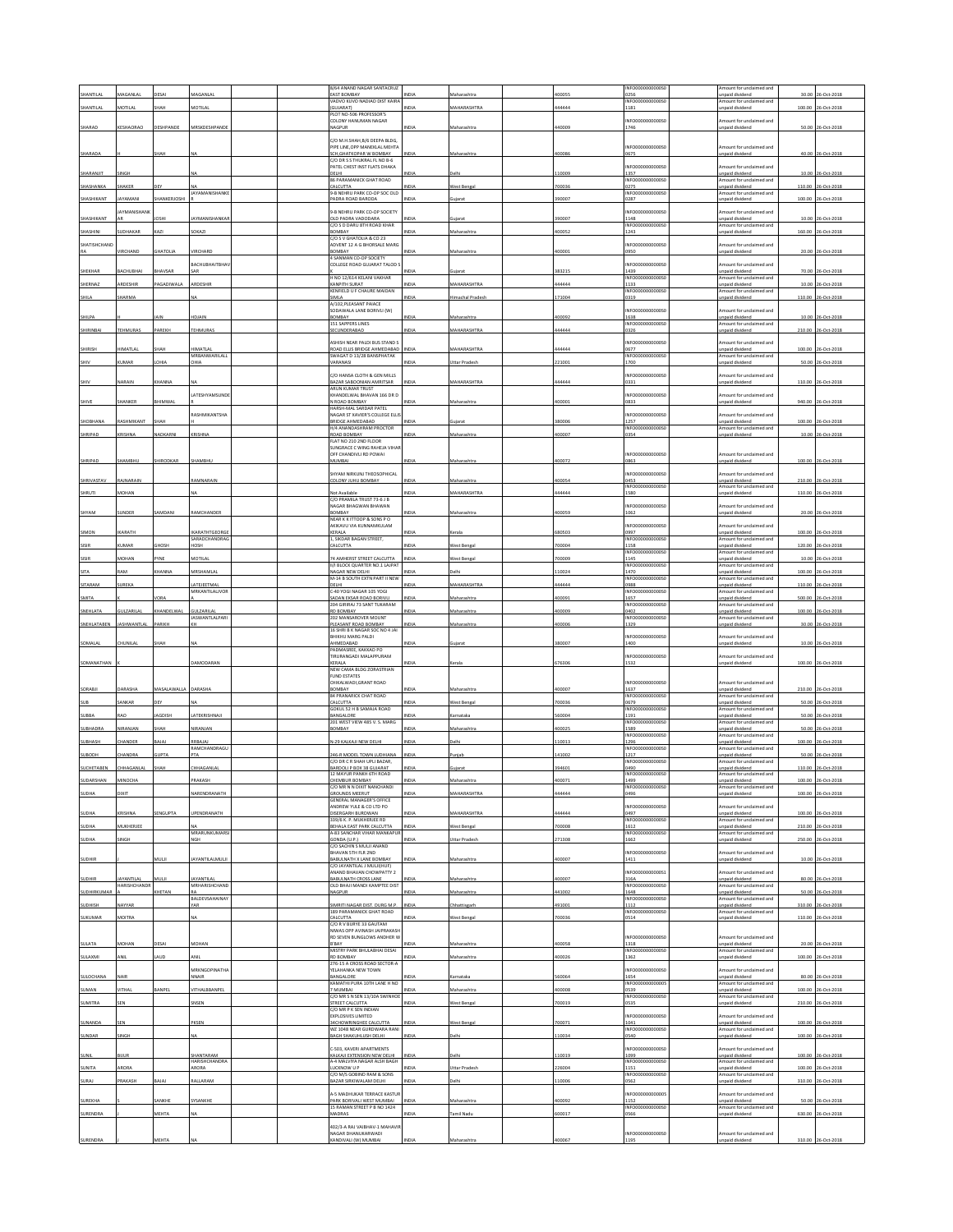| SHANTILAI                 |                          |              |                                        | 8/64 ANAND NAGAR SANTACRUZ<br>EAST BOMBAY<br>ADVO KUVO NADIAD DIST KAIRA             | NDIA                 | Aaharashtr                   | 00055           | NFO0000000000S<br>0256<br>INFO0000000000S  | mount for unclaimed and<br>npaid dividend<br>mount for unclaimed and   | 30.0             | 06-Oct-201                               |
|---------------------------|--------------------------|--------------|----------------------------------------|--------------------------------------------------------------------------------------|----------------------|------------------------------|-----------------|--------------------------------------------|------------------------------------------------------------------------|------------------|------------------------------------------|
| SHANTILAL                 | MOTILAL                  | жан          | MOTILAL                                | <b>GUJARATI</b><br>PLOT NO-506 PROFESSOR'S                                           | NDIA                 | MAHARASHTRA                  | 44444           | 1181                                       | npaid dividend                                                         | 100.00           | 26-Oct-2018                              |
| SHARAD                    | KESHAORAO                | DESHPANDE    | MRSKDESHPAND                           | COLONY HANUMAN NAGAR<br>NAGPUR                                                       | NDIA                 | Maharashtra                  | 40009           | NFO0000000000S<br>1746                     | mount for unclaimed and<br>inpaid dividend                             |                  | 50.00 26-Oct-2018                        |
|                           |                          |              |                                        | C/O M.H.SHAH.B/6 DEEPA BLDG<br>PIPE LINE, OPP MANEKLAL MEHTA                         |                      |                              |                 | INFO0000000000S                            | mount for unclaimed and                                                |                  |                                          |
| SHARADA                   |                          | НАН          |                                        | SCH, GHATKOPAR W BOMBAY<br>C/O DR S S THUKRAL FL NO B-6                              | NDIA                 | faharashtra                  | 00086           | 0675                                       | inpaid dividend<br>mount for unclaimed and                             |                  | 40.00 26-Oct-2018                        |
| SHARANJIT                 | <b>INGH</b>              |              |                                        | PATEL CHEST INST FLATS DHAKA<br>DELHI<br>86 PARAMANICK GHAT ROAD                     | NDIA                 | <b>Jelhi</b>                 | 10009           | NFO0000000000S<br>1357<br>NFO0000000000S   | npaid dividend<br>mount for unclaimed and                              |                  | 10.00 26-Oct-2018                        |
| SHASHANKA                 | HAKER                    |              | AYAMANISHANK                           | CALCUTTA<br>-B NEHRU PARK CO-OP SOC OLD                                              |                      | Vest Benga                   | 00036           | 0275<br>INFO0000000000S                    | npaid dividend<br>mount for unclaimed and                              | 110.00           | 26-Oct-201                               |
| SHASHIKANT                | AYAMANI<br>AYMANISHANI   | HANKERJOSHI  |                                        | PADRA ROAD BARODA<br>-B NEHRU PARK CO-OP SOCIETY                                     | NDIA                 | ujara                        | 90007           | 0287<br>NFO0000000000S                     | npaid dividend<br>mount for unclaimed and                              |                  | 100.00 26-Oct-2018                       |
| SHASHIKANT                |                          | OSHI         | AYMANISHANKA                           | OLD PADRA VADODARA<br>C/O S D DARU 8TH ROAD KHAR                                     | NDIA                 | ujarat                       | 90007           | 1148<br>NFO0000000000S                     | inpaid dividend<br>mount for unclaimed and                             |                  | 10.00 26-Oct-2018                        |
| SHASHINI                  | UDHAKAR                  | (AZI         | OKAZI                                  | BOMBAY<br>C/O S V GHATOUA & CO 23                                                    | NDIA                 | faharashtr                   | 100052          | 1243                                       | npaid dividend                                                         |                  | 160.00 26-Oct-2018                       |
| SHATISHCHAND<br>RA        | <b>IRCHAND</b>           | HATOLIA      | <b>/IRCHARD</b>                        | ADVENT 12 A G BHORSALE MARG<br>BOMBAY<br>SANMAN CO-OP SOCIETY                        | NDIA                 | faharashtra                  | 00001           | NFO0000000000S<br>0950                     | mount for unclaimed and<br>inpaid dividend                             |                  | 20.00 26-Oct-2018                        |
| SHEKHAR                   | <b>ACHUBHAI</b>          | HAVSAR       | BACHUBHAITBHA<br>AR.                   | COLLEGE ROAD GUJARAT TALOD:                                                          | NDIA                 | uiarat                       | 383215          | NFO0000000000S<br>1439                     | mount for unclaimed and<br>npaid dividend                              |                  | 70.00 26-Oct-2018                        |
| SHERNAZ                   | RDESHIR                  | AGADIWALA    | ARDESHIR                               | H NO 12/614 KELANI VAKHAR<br>KANPITH SURAT<br><b>CENFIELD U F CHAURE MAIDAN</b>      | NDIA                 | <b>MAHARASHTRA</b>           | 44444           | INFOODDOODDOOSC<br>1133<br>NFO0000000000S  | Amount for unclaimed and<br>npaid dividend<br>mount for unclaimed and  |                  | 10.00 26-Oct-201                         |
| SHILA                     | HARMA                    |              | ۷A                                     | <b>SIMLA</b><br>A/102.PLEASANT PAIACE                                                | NDIA                 | limachal Pradesh             | 71004           | 0319                                       | npaid dividend                                                         |                  | 110.00 26-Oct-2018                       |
| SHILPA                    |                          |              | <b>IDJAIN</b>                          | SODAWALA LANE BORIVLI (W)<br>BOMBAY                                                  | NDIA                 | faharashtra                  | 00092           | NFO0000000000S<br>1638                     | mount for unclaimed and<br>inpaid dividend                             |                  | 10.00 26-Oct-201                         |
| SHIRINBAI                 | <b><i>EHMURAS</i></b>    | AREKH        | <b><i>EHMURAS</i></b>                  | <b>151 SAPPERS LINES</b><br>SECUNDERABAD                                             | NDIA                 | <b>MAHARASHTRA</b>           | 44444           | INFO0000000000S<br>0326                    | mount for unclaimed and<br>npaid dividend                              |                  | 210.00 26-Oct-2018                       |
| SHIRISH                   | IIMATLAL                 | ЖАН          | <b>IMATLAL</b>                         | ASHISH NEAR PALDI BUS STAND S<br>ROAD ELUS BRIDGE AHMEDABAD                          | INDIA                | MAHARASHTRA                  | 44444           | NFO0000000000S<br>0677                     | mount for unclaimed and<br>npaid dividend                              |                  | 100.00 26-Oct-2018                       |
| SHIV                      | UMAR                     | OHIA         | <b>MRBANWARILALL</b><br><b>OHIA</b>    | WAGAT D 13/28 BANSPHATAK<br><b>VARANASI</b>                                          | NDIA                 | <b>Jttar Pradesh</b>         | 21001           | NFO0000000000S<br>1700                     | mount for undaimed and<br>npaid dividend                               |                  | 50.00 26-Oct-2018                        |
| SHIV                      | <b>IARAIN</b>            | HANNA        |                                        | C/O HANSA CLOTH & GEN MILLS<br>BAZAR SABOONIAN AMRITSAR                              | NDIA                 | <b>AAHARASHTRA</b>           | 44444           | NFO0000000000S<br>0331                     | mount for unclaimed and<br>inpaid dividend                             |                  | 110.00 26-Oct-2018                       |
|                           |                          |              | ATESHYAMSUND                           | ARUN KUMAR TRUST<br>KHANDELWAL BHAVAN 166 DR D                                       |                      |                              |                 | NFO0000000000S                             | mount for unclaimed and                                                |                  |                                          |
| SHIVE                     | HANKER                   | HIMWAL       | RASHMIKANTSHA                          | N ROAD BOMBAY<br>HARSH-MAL SARDAR PATEL<br>NAGAR ST XAVIER'S COLLEGE ELLIS           | NDIA                 | Maharashtra                  | 100001          | 0833<br>INFO0000000000S                    | inpaid dividend                                                        |                  | 940.00 26-Oct-2018                       |
| SHOBHANA                  | <b>ASHMIKANT</b>         | НАН          |                                        | RIDGE AHMEDABAD<br>H/4 ANANDASHRAM PROCTOR                                           | NDIA                 | ujarat                       | 80006           | 1257<br>INFO0000000000S                    | mount for unclaimed and<br>Inpaid dividend<br>mount for unclaimed and  | 100.00           | 26-Oct-2018                              |
| SHRIPAD                   | <b>CRISHNA</b>           | VADKARNI     | <b>CRISHNA</b>                         | ROAD BOMBAY<br>FLAT NO 210 2ND FLOOR                                                 | NDIA                 | Aaharashtra                  | 100007          | 0354                                       | npaid dividend                                                         | 10.00            | 26-Oct-2018                              |
| SHRIPAD                   | HAMBHU                   | HIRODKAR     | SHAMBHU                                | SUNGRACE C WING RAHEJA VIHAR<br>OFF CHANDIVLI RD POWAI<br>MUMBAI                     | NDIA                 | Maharashtra                  | 100072          | NFO0000000000S<br>0863                     | mount for unclaimed and<br>npaid dividend                              |                  | 100.00 26-Oct-2018                       |
|                           |                          |              |                                        | SHYAM NIRKUNJ THEOSOPHICAL                                                           |                      |                              |                 | NEODDDDDDDDDDSI                            | mount for unclaimed and                                                |                  |                                          |
| SHRIVASTAV                | AJNARAIN                 |              | RAMNARAIN<br>u۸                        | COLONY JUHU BOMBAY<br><b>Int Available</b>                                           | NDIA                 | faharashtra                  | 00054           | 1453<br>NFO0000000000S                     | npaid dividend<br>mount for unclaimed and                              |                  | 210.00 26-Oct-2018                       |
| SHRUTI                    | MOHAN                    |              |                                        | C/O PRAMILA TRUST 73-6 J B<br>NAGAR RHAGWAN RHAWAN                                   | NDIA                 | <b>MAHARASHTRA</b>           | 144444          | 1580<br>NEODDDDDDDDDDSI                    | npaid dividend<br>mount for unclaimed and                              |                  | 110.00 26-Oct-2018                       |
| SHYAM                     | UNDER                    | AMDANI       | RAMCHANDEI                             | BOMBAY<br>NEAR K K ITTOOP & SONS PO                                                  | NDIA                 | laharashtra                  | 00059           | 1062                                       | npaid dividend                                                         |                  | 20.00 26-Oct-201                         |
| <b>MON</b>                | KARATH                   |              | KARATHTGEORG                           | AKIKAVU VIA KUNNAMKULAM<br>CERALA                                                    | <b>DIA</b>           |                              | 80503           | NFO0000000000S<br>1997                     | mount for unclaimed and<br>npaid dividend                              | 100.00           | 6-Oct-2018                               |
| SISIR                     | UMAR                     | HOSH         | SARADCHANDRAC<br><b>IOSH</b>           | 1. SIKDAR BAGAN STREET.<br><b>ALCUTTA</b>                                            | NDIA                 | Vest Bengal                  | 00004           | INFO0000000000S<br>1158<br>NFO0000000000S  | Amount for unclaimed and<br>inpaid dividend<br>mount for unclaimed and | 120.00           | 26-Oct-201                               |
| SISIR                     | <b>MOHAN</b>             | <b>YNE</b>   | MOTILAL                                | 4 AMHERST STREET CALCUTTA<br>II/I BLOCK QUARTER NO.1 LAJPAT                          | NDIA                 | Vest Bengal                  | 00009           | 1145<br>INFO0000000000S                    | inpaid dividend<br>Amount for unclaimed and                            | 10.00            | 26-Oct-2018                              |
| <b>SITA</b>               | MA <sup>S</sup>          | <b>HANNA</b> | VIRSHAMLAL                             | NAGAR NEW DELHI<br>M-14 B SOUTH EXTN PART II NEW                                     | NDIA                 | elhi                         | 10024           | 1470<br>INFO0000000000S                    | inpaid dividend<br>Amount for unclaimed and                            | 100.00           | 26-Oct-201                               |
| SITARAM                   | UREKA                    | ORA          | ATEJEETMAL<br>MRKANTILALIVOI           | DELHI<br>C-40 YOGI NAGAR 105 YOGI                                                    | VDIA                 | <b>MAHARASHTRA</b>           | 44444           | )988<br>INFO0000000000S                    | npaid dividend<br>mount for unclaimed and                              | 110.00           | 26-Oct-201                               |
| SMITA<br>SNEHLATA         | ULZARILA                 | HANDELWAL    | <b>GULZARILAL</b>                      | ADAN EKSAR ROAD BORIVLI<br>204 GIRIRAJ 73 SANT TUKARAM<br>RD BOMBAY                  | <b>VDIA</b><br>VDIA  | laharashtra                  | 00091<br>00009  | 1657<br>INFO0000000000S<br>1402            | npaid dividend<br>Amount for unclaimed and<br>npaid dividend           | 500.00<br>100.00 | 6-Oct-2018<br>26-Oct-201                 |
| SNEHLATABEN               | ASHWANTLAL               | ARIKH        | <b>ASWANTLALPAR</b>                    | 202 MANSAROVER MOUNT<br>PLEASANT ROAD BOMBAY                                         | NDIA                 | Aaharashtra                  | 100006          | NFO0000000000S<br>1329                     | mount for unclaimed and<br>npaid dividend                              |                  | 30.00 26-Oct-2018                        |
| SOMALAL                   | HUNILAL                  |              |                                        | 16 SHRI B K NAGAR SOC NO 4 JAI<br><b>BHIKHU MARG PALDI</b><br>AHMEDABAD              | NDIA                 |                              | 80007           | NFO0000000000S                             | mount for undaimed and                                                 |                  | 10.00 26-Oct-201                         |
|                           |                          | нан          |                                        | ADMASREE, KAKKAD PO<br>TIRURANGADI MALAPPURAM                                        |                      | ujarat                       |                 | 1400<br>NFO0000000000S                     | npaid dividend<br>mount for unclaimed and                              |                  |                                          |
| SOMANATHAM                |                          |              | AMODARAN                               | CERALA<br>NEW CAMA BLDG ZORASTRIAN                                                   |                      |                              | 76306           | 1532                                       | npaid dividend                                                         | 100.00           | 0-Oct-201                                |
| SORABJI                   | DARASHA                  | MASALAWALLA  | DARASHA                                | <b>FUND ESTATES</b><br>CHIKALWADI, GRANT ROAD<br>BOMBAY                              | NDIA                 | Maharashtra                  | 100007          | NFO0000000000S<br>1637                     | mount for unclaimed and<br>npaid dividend                              |                  | 210.00 26-Oct-2018                       |
| SUB                       | <b>ANKAR</b>             | <b>IFY</b>   |                                        | 84 PRANARICK CHAT ROAD<br>CALCUTTA                                                   | NDIA                 | West Bengal                  | 700036          | INFO0000000000S0<br>1679                   | Amount for unclaimed and<br>inpaid dividend                            | 50.00            | 26-Oct-201                               |
| SUBBA                     |                          |              | ATEKRISHNAJ                            | GOKUL 52 H B SAMAJA ROAD<br><b>ANGALORE</b>                                          |                      |                              | 60004           | INFO0000000000S<br>1191                    | Amount for unclaimed and<br>inpaid dividend                            | 50.00            | 6-Oct-201                                |
| SUBHADRA                  | <b>IIRANJAN</b>          | HAH          | <b>IRANJAN</b>                         | 201 WEST VIEW 485 V.S. MARG<br>BOMBAY                                                | <b>IDIA</b>          |                              | 00025           | INFO0000000000S<br>1589<br>INFO0000000000S | mount for unclaimed and<br>npaid dividend<br>Amount for unclaimed and  | 50.00            | 6-Oct-201                                |
| SUBHASH                   | <b>HANDER</b>            | BAJAJ        | RRBAJAJ<br><b>AMCHANDRAGL</b>          | N-29 KALKAJI NEW DELHI                                                               | INDIA                | Delhi                        | 10013           | 1296<br>NFO00                              | inpaid dividend                                                        |                  | 100.00 26-Oct-2018                       |
| SUBODH                    | HANDRA                   | <b>SUPTA</b> |                                        | 46-R MODEL TOWN LUDHIANA<br>C/O DR C R SHAH UPLI BAZAR,                              | NDIA                 | unjat                        |                 |                                            | nount for undair                                                       |                  |                                          |
| SUCHETABEN                | <b>HHAGANLAI</b>         | HAH          | <b>HHAGANLA</b>                        | BARDOLLP BOX 38 GUIARAT<br>12 MAYUR PANKH 6TH ROAD                                   | NDIA                 | uiara                        | 41002           | 1217<br>INFO0000000000S0                   | inpaid dividend<br>Amount for unclaimed and                            | 50.00            | 26-Oct-2018                              |
| SUDHA                     | <b>HXIT</b>              |              |                                        |                                                                                      |                      |                              | 94601           | 0490<br>INFO0000000000S                    | npaid dividend<br>Amount for unclaimed and                             | 110.00           | 26-Oct-201                               |
|                           |                          |              |                                        | C/O MR N N DIXIT NANCHANDI                                                           | <b>DIA</b>           |                              | 14444           | NFO0000000000S                             | mount for unclaimed and                                                |                  |                                          |
| <b>SUDHA</b>              |                          |              | <b>ARENDRANATH</b>                     | <b>SROUNDS MEERUT</b><br><b>GENERAL MANAGER'S OFFICE</b><br>ANDREW YULE & CO LTD PO  |                      | <b>IAHARASHTRA</b>           |                 | 1496<br>INFO0000000000S                    | paid dividend<br>mount for unclaimed and                               | 100.00           | 6-Oct-2018                               |
|                           |                          | ENGUPTA      | JPENDRANATH                            | <b>JISERGARH BURDWAN</b><br>339/6 K. P. MUKHERJEE RD                                 |                      | <b>AAHARASHTRA</b>           | 44444           | 1497<br>INFO0000000000S                    | inpaid dividend<br>mount for unclaimed and                             | 100.00           | 06-Oct-201                               |
| <b>SUDHA</b><br>SUDHA     | NUKHERJEE<br><b>INGH</b> |              | MRARUNKUMARS<br>NGH                    | BEHALA EAST PARK CALCUTTA<br><b>4-83 SANCHAR VIHAR MANKAPLIK</b><br>GONDA (U.P.)     | <b>VIDIA</b><br>NDIA | Vest Bengal<br>Uttar Pradesh | 00008<br>271308 | 1612<br>INFO0000000000S<br>1662            | npaid dividend<br>Amount for unclaimed and<br>inpaid dividend          | 210.00           | 26-Oct-2018<br>250.00 26-Oct-2018        |
|                           |                          |              |                                        | C/O SACHIN S MULJI ANAND<br><b>BHAVAN STH FLR 2ND</b>                                |                      |                              |                 | NFO0000000000SC                            | mount for unclaimed and                                                |                  |                                          |
| <b>SUDHIR</b>             |                          | 41 II II     | AYANTILALMULJ                          | BABULNATH X LANE BOMBAY<br>C/O JAYANTILAL J MULJI(HUF)                               | <b>IDIA</b>          | laharashtr                   | 00007           | 1411                                       | npaid dividend                                                         | 10.00            | 26-Oct-2018                              |
| <b>SUDHIR</b>             | AYANTILAL                | <b>AULI</b>  | AYANTILAL                              | ANAND BHAVAN CHOWPATTY 2<br>BABULNATH CROSS LANE                                     | NDIA                 | faharashtra                  | 00007           | INFO0000000000S<br>316A                    | Amount for unclaimed and<br>inpaid dividend                            | 80.00            | 26-Oct-2018                              |
| UDHIRKUMAI                | <b>IARISHCHAND</b>       | HETAN        | MRHARISHCHAND<br><b>BALDEVSAHAINAY</b> | OLD BHAJI MANDI KAMPTEE DIST<br>NAGPUR                                               |                      | harashtr                     | 11002           | INFO0000000000S<br>1648<br>INFO0000000000S | mount for unclaimed and<br>npaid dividend<br>Amount for unclaimed and  | 50.00            | 6-Oct-2018                               |
| SUDHISH                   | NAYYAR                   |              | <b>YAR</b>                             | SIMRITI NAGAR DIST. DURG M.P.<br>189 PARAMANICK GHAT ROAD                            | INDIA                | Chhattisgarh                 | 191001          | 1112<br>'NFO0000000000S                    | npaid dividend<br>mount for unclaimed and                              |                  | 310.00 26-Oct-2018                       |
| SUKUMAR                   | <b>AOITRA</b>            |              |                                        | CALCUTTA<br>C/O R V BURYE 33 GAUTAM                                                  | NDIA                 | Vest Bengal                  | 00036           | 0514                                       | npaid dividend                                                         |                  | 110.00 26-Oct-2018                       |
| SULATA                    | MOHAN                    | <b>DESAI</b> | MOHAN                                  | NIWAS OPP AVINASH JAIPRAKASH<br>RD SEVEN BUNGLOWS ANDHER W<br>B'BAY                  | NDIA                 | Aaharashtra                  | 00058           | INFO0000000000S<br>1318                    | Amount for unclaimed and<br>Inpaid dividend                            |                  | 20.00 26-Oct-2018                        |
| SULAXMI                   | MI                       | ALID         |                                        | MISTRY PARK BHULABHAI DESAI<br>RD BOMBAY                                             | <b>IDIA</b>          | aharashtr                    | 00026           | INFO0000000000S<br>1362                    | mount for unclaimed and<br>npaid dividend                              | 100.00           | 26-Oct-2018                              |
|                           | NAIR                     |              | <b>MRKNGOPINATHA</b>                   | 276-15 A CROSS ROAD SECTOR-A<br>YELAHANKA NEW TOWN                                   | NDIA                 |                              |                 | INFO0000000000S                            | mount for unclaimed and                                                |                  | 80.00 26-Oct-2018                        |
| SULOCHANA<br><b>JUMAN</b> | <b>ITHA</b>              | ANPEL        | NNAIR<br><b>ITHALBBANPEI</b>           | BANGALORE<br>(AMATHI PURA 10TH LANE H NO<br>MUMBAI                                   |                      | larnataka<br>aharashti       | 60064<br>0008   | 1654<br>INFO0000000000<br>0539             | Inpaid dividend<br>mount for unclaimed and<br>npaid dividend           | 100.00           | 0-Oct-2018                               |
| SUMITRA                   | SEN                      |              | SNSEN                                  | C/O MR S N SEN 13/10A SWINHO<br>STREET CALCUTTA                                      | NDIA                 | West Bengal                  | '00019          | INFO0000000000S<br>0535                    | Amount for unclaimed and<br>inpaid dividend                            |                  | 210.00 26-Oct-2018                       |
|                           | <b>SFN</b>               |              |                                        | C/O MR P K SEN INDIAN<br>EXPLOSIVES LIMITED                                          |                      |                              |                 | NFO0000000000S0                            | nount for unclaimed and                                                |                  |                                          |
| SUNANDA<br>SUNDAR         | <b>INGH</b>              |              | <b>KSEN</b><br>٧A                      | <b>34CHOWRINGHEE CALCUTTA</b><br>WZ 1048 NEAR GURDWARA RANI<br>BAGH SHAKUHLUSH DELHI | VDIA<br>NDIA         | Vest Beng<br>Delhi           | 00071<br>10034  | 1041<br>INFO0000000000S<br>0540            | npaid dividend<br>Amount for unclaimed and<br>inpaid dividend          | 100.00           | 26-Oct-2018<br>100.00 26-Oct-2018        |
|                           |                          |              |                                        | -503, KAVERI APARTMENTS                                                              |                      |                              |                 | NFO0000000000SC                            | mount for unclaimed and                                                |                  |                                          |
| <b>JUNIL</b>              | <b>JUIR</b>              |              | HANTARAM<br>HARISHCHANDRA              | KALKAJI EXTENSION NEW DELHI<br>A-4 MALVIYA NAGAR ALSH BAGH                           | <b>IDIA</b>          | elhi                         | 10019           | 1099<br>INFO0000000000S0                   | inpaid dividend<br>Amount for unclaimed and                            | 100.00           | 26-Oct-2018                              |
| SUNITA<br>SURAJ           | ARORA<br><b>RAKASH</b>   | BAJAJ        | ARORA<br>ALLARAM                       | LUCKNOW U P<br>C/O M/S GOBIND RAM & SONS<br>BAZAR SIRKIWALAM DELHI                   | NDIA<br>NDIA         | Uttar Pradesh                | 26004<br>10006  | 1151<br>INFO0000000000S<br>0562            | Inpaid dividend<br>mount for unclaimed and<br>npaid dividend           |                  | 100.00 26-Oct-2018<br>310.00 26-Oct-2018 |
|                           |                          |              |                                        | 4-5 MADHUKAR TERRACE KASTUR                                                          |                      |                              |                 | NFO00000000000                             | mount for undaimed and                                                 |                  |                                          |
| SUREKHA                   |                          | SANKHE       | SYSANKHE                               | PARK BORIVALI WEST MUMBAI<br>15 RAMAN STREET P B NO 1424                             | INDIA                | Maharashtra                  | 100092          | 1152<br>INFO0000000000S                    | unpaid dividend<br>Amount for unclaimed and                            |                  | 50.00 26-Oct-2018                        |
| SURENDRA                  |                          | MEHTA        |                                        | MADRAS<br>402/3-A RAJ VAIBHAV-1 MAHAVIF<br>NAGAR DHANUKARWADI                        | NDLA                 | amil Nadu                    | 00017           | 0566<br>INFO0000000000S0                   | npaid dividend<br>Amount for unclaimed and                             |                  | 630.00 26-Oct-2018                       |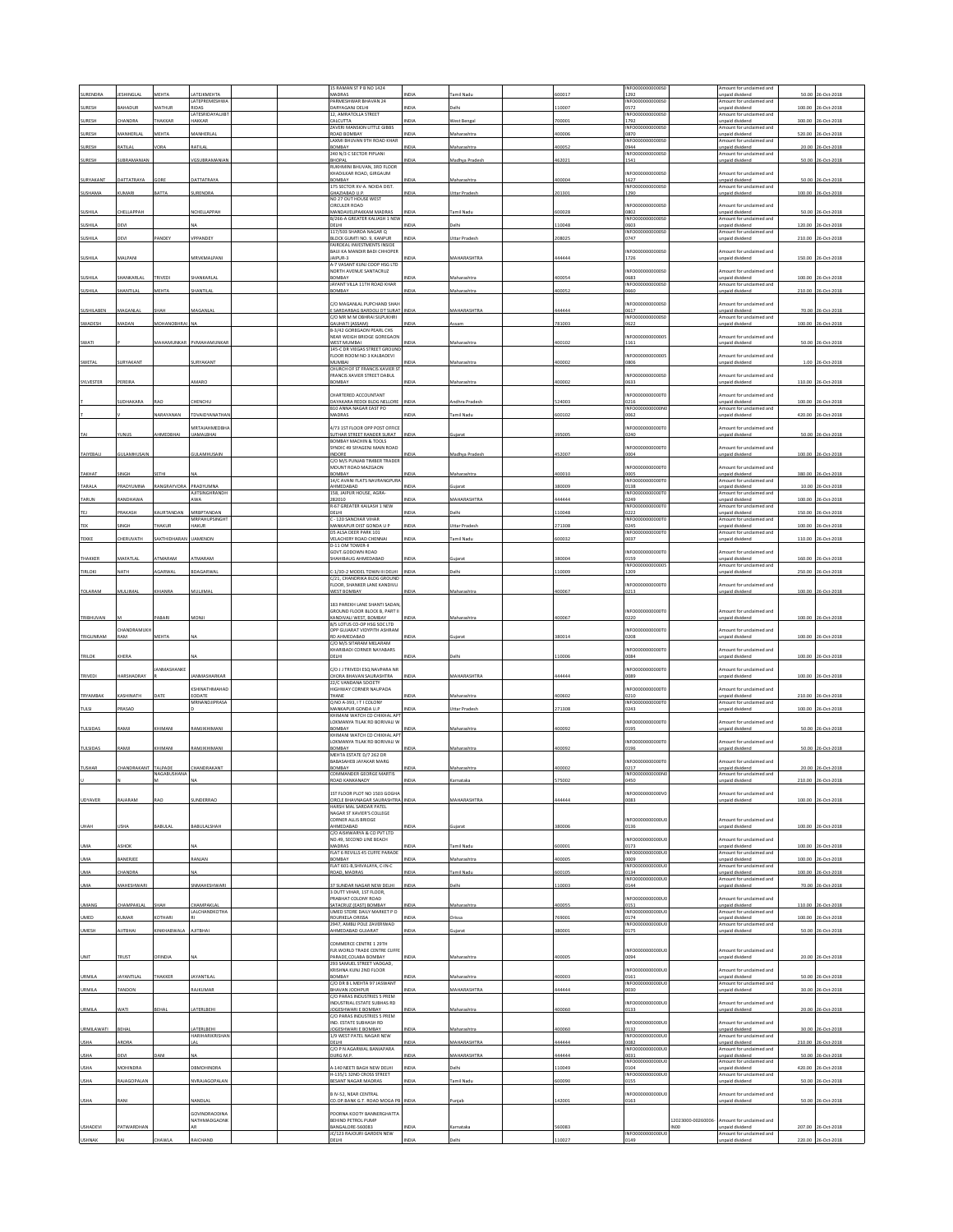|                   |                               |                        |                                     |  | 15 RAMAN ST P B NO 1424                                             |              |                      |        | INFO0000000000S                           |                            |                                                                       |        |                    |
|-------------------|-------------------------------|------------------------|-------------------------------------|--|---------------------------------------------------------------------|--------------|----------------------|--------|-------------------------------------------|----------------------------|-----------------------------------------------------------------------|--------|--------------------|
| SURENDRA          | ESHINGLA                      | MEHTA                  | ATEJKMEHTA                          |  | MADRAS                                                              | NDI.         | amil Nad             | 00017  | 1292                                      |                            | Amount for unclaimed and<br>unpaid dividend                           | 50.00  | 26-Oct-2018        |
| SURESH            | <b>AHADUR</b>                 | MATHUR                 | LATEPREMESHW/<br><b>ZACIS</b>       |  | PARMESHWAR BHAVAN 24<br>DARYAGANJ DELHI                             | <b>NDIA</b>  | alh                  | 10007  | INFO0000000000S<br>0572                   |                            | mount for undaimed and<br>npaid dividend                              | 100.00 | 26-Oct-2018        |
|                   |                               |                        | <b>LATESRIDAYALJIBT</b>             |  | 12. AMRATOLLA STREET                                                |              |                      |        | INFO0000000000S                           |                            | Amount for unclaimed and                                              |        |                    |
| SURESH            | <b>HANDRA</b>                 | THAKKAR                | HAKKAR                              |  | CALCUTTA<br>ZAVERI MANSION LITTLE GIBBS                             | <b>VDIA</b>  | Vest Benga           | '00001 | 1792<br>INFO0000000000S                   |                            | npaid dividend<br>Amount for unclaimed and                            | 300.00 | 26-Oct-2018        |
| SURESH            | AANHERLAL                     | MEHTA                  | MANHERLAI                           |  | ROAD BOMBAY<br>LAXMI BHUVAN 9TH ROAD KHAR                           |              | laharashtr.          | 00006  | 0870<br>INFO0000000000S                   |                            | inpaid dividend<br>Amount for unclaimed and                           | 520.00 | 26-Oct-201         |
| SURESH            | ATILAL                        | /ORA                   | RATILAL                             |  | BOMBAY                                                              | NDIA         | Maharashtra          | 100052 | 0944                                      |                            | Inpaid dividend                                                       | 20.00  | 26-Oct-2018        |
| SURESH            | <b>JUBRAMANIA</b>             |                        | <b>GSUBRAMANIA</b>                  |  | 240 N/3 C SECTOR PIPLANI<br>BHOPAL                                  |              | ladhya Prades        | 162021 | INFO0000000000S0<br>1541                  |                            | Amount for unclaimed and<br>inpaid dividend                           | 50.00  | 26-Oct-201         |
|                   |                               |                        |                                     |  | RUKHMINI BHUVAN, 3RD FLOOR<br>KHADILKAR ROAD, GIRGAUM               |              |                      |        | <b>INFO0000</b><br>00000SC                |                            | mount for unclaimed and                                               |        |                    |
| SURYAKANT         | <b>JATTATRAYA</b>             | GORE                   | DATTATRAYA                          |  | YABNOE                                                              |              | Maharashtra          | 100004 | 1627                                      |                            | inpaid dividend                                                       | 50.00  | 26-Oct-2018        |
| SUSHAMA           | <b>CUMARI</b>                 | <b>BATTA</b>           | <b>URENDRA</b>                      |  | 175 SECTOR XV-A. NOIDA DIST.<br>GHAZIABAD U.P.                      | NDI          | Uttar Prades         | 201301 | INFO0000000000S<br>1290                   |                            | Amount for unclaimed and<br>unpaid dividend                           | 100.00 | 26-Oct-201         |
|                   |                               |                        |                                     |  | NO 27 OUT HOUSE WEST                                                |              |                      |        |                                           |                            |                                                                       |        |                    |
| <b>SUSHILA</b>    | HELLAPPAH                     |                        | <b>VCHELLAPPAH</b>                  |  | <b>CIRCULER ROAD</b><br>MANDAVELIPAKKAM MADRAS                      | NDIA         | Tamil Nad            | 00028  | INFO0000000000S<br>0802                   |                            | mount for unclaimed and<br>inpaid dividend                            | 50.00  | 26-Oct-201         |
| SUSHILA           | DEVI                          |                        |                                     |  | B/266-A GREATER KALIASH 1 NEW<br>DELHI                              |              |                      | 10048  | INFO0000000000S0<br>0603                  |                            | Amount for unclaimed and<br>unpaid dividend                           | 120.00 | 26-Oct-201         |
|                   |                               |                        |                                     |  | 117/503 SHARDA NAGAR Q                                              |              |                      |        | INFO0000000000S                           |                            | mount for unclaimed and                                               |        |                    |
| SUSHILA           | <b>DEVI</b>                   | ANDEY                  | /PPANDEY                            |  | BLOCK GUMTI NO. 9, KANPUR<br>FAIRDEAL INVESTMENTS INSIDE            | <b>VIDIA</b> | Uttar Pradesl        | 08025  | 0747                                      |                            | npaid dividend                                                        | 210.00 | 26-Oct-2018        |
| SUSHILA           | MALPANI                       |                        | <b><i>MRVKMALPAN</i></b>            |  | BAIJI KA MANDIR BADI CHHOPER<br>JAIPUR-3                            |              | <b>AAHARASHTRA</b>   | 44444  | INFO00000000005<br>1726                   |                            | mount for unclaimed and<br>inpaid dividend                            |        | 150.00 26-Oct-201  |
|                   |                               |                        |                                     |  | A-7 VASANT KUNJ COOP HSG LTD                                        |              |                      |        |                                           |                            |                                                                       |        |                    |
| SUSHILA           | HANKARLAL                     | RIVEDI                 | HANKARLAI                           |  | NORTH AVENUE SANTACRUZ<br>BOMBAY                                    |              | faharashtr           | 00054  | INFO0000000000S<br>0683                   |                            | int for unclaimed and<br>npaid dividend                               | 100.00 | 26-Oct-201         |
| SUSHILA           | HANTILA                       | MEHTA                  | HANTILA                             |  | IAYANT VIII A 11TH ROAD KHAR<br>BOMBAY                              | NDL          | Maharashtra          | 100052 | INFO0000000000S<br>0660                   |                            | Amount for unclaimed and<br><b>Inpaid</b> dividend                    | 210.00 | 26-Oct-201         |
|                   |                               |                        |                                     |  |                                                                     |              |                      |        |                                           |                            |                                                                       |        |                    |
| SUSHILABEN        | MAGANLAL                      | НАН                    | MAGANLAL                            |  | C/O MAGANLAL PUPCHAND SHAH<br>E SARDARBAG BARDOLI DT SURAT INDIA    |              | MAHARASHTRA          | 44444  | <b>INFO0000</b><br>00000S<br>0617         |                            | nount for unclaimed and<br>inpaid dividend                            | 70.00  | 26-Oct-201         |
| SWADESH           | MADAN                         | <b>MOHANOBHRA</b>      |                                     |  | C/O MR M M OBHRAI SILPUKHRI<br>GAUHATI (ASSAM)                      |              |                      | 781003 | INFO0000000000S<br>0622                   |                            | Amount for unclaimed and<br>inpaid dividend                           | 100.00 | 26-Oct-201         |
|                   |                               |                        |                                     |  | B-3/42 GOREGAON PEARL CHS                                           |              |                      |        |                                           |                            |                                                                       |        |                    |
| SWATI             |                               | <b>MAHAMUNKAR</b>      | PVMAHAMUNKAI                        |  | NEAR WEIGH BRIDGE GOREGAON<br>WEST MUMBAI                           |              | Aaharashtr           | 00102  | INFO0000000000<br>1161                    |                            | mount for unclaimed and<br>inpaid dividend                            | 50.00  | 26-Oct-201         |
|                   |                               |                        |                                     |  | 145-C DR VIEGAS STREET GROUND<br>FLOOR ROOM NO 3 KALBADEVI          |              |                      |        | INFO0000000000                            |                            | mount for unclaimed and                                               |        |                    |
| SWETAL            | SURYAKANT                     |                        | SURYAKANT                           |  | MUMBAI                                                              | <b>IDIA</b>  | Maharashtra          | 100002 | 0806                                      |                            | <b>Inpaid dividend</b>                                                |        | 1.00 26-Oct-2018   |
|                   |                               |                        |                                     |  | CHURCH OF ST FRANCIS XAVIER ST<br><b>RANCIS XAVIER STREET DABUL</b> |              |                      |        | INFO000000000S                            |                            | mount for unclaimed and                                               |        |                    |
| SYLVESTER         | PEREIRA                       |                        | AMARC                               |  | BOMBAY                                                              |              | Aaharashtr           | 100002 | 0633                                      |                            | inpaid dividend                                                       |        | 110.00 26-Oct-2018 |
|                   |                               |                        |                                     |  | CHARTERED ACCOUNTANT                                                |              |                      |        | INFO0000000000T                           |                            | mount for undaimed and                                                |        |                    |
|                   | <b>JUDHAKARA</b>              | 140                    | CHENCHU                             |  | DAYAKARA REDDI BLDG NELLORE<br>B10 ANNA NAGAR EAST PO               | <b>NDL</b>   | ndhra Prades         | 24003  | 0216<br>INFO0000000000M                   |                            | npaid dividend<br>Amount for unclaimed and                            | 100.00 | 26-Oct-2018        |
|                   |                               | VARAYANAN              | TDVAIDYANATHAI                      |  | MADRAS                                                              | NDIA         | amil Nadu            | 500102 | 0062                                      |                            | npaid dividend                                                        |        | 420.00 26-Oct-2018 |
|                   |                               |                        | <b>MRTAIAHMEDBH</b>                 |  | 4/73 1ST FLOOR OPP POST OFFICE                                      |              |                      |        | INFO0000000000T                           |                            | nount for unclaimed and                                               |        |                    |
| TAI               | runus                         | HMEDBHAI               | <b>JAMALBHAI</b>                    |  | SUTHAR STREET RANDER SURAT                                          | <b>INDIA</b> |                      | 395005 | 0240                                      |                            | inpaid dividend                                                       |        | 50.00 26-Oct-2018  |
|                   |                               |                        |                                     |  | <b>BOMBAY MACHIN &amp; TOOLS</b><br>SYNDIC 49 SIYAGENJ MAIN ROAD    |              |                      |        | INFO00000000007                           |                            | mount for unclaimed and                                               |        |                    |
| TAIYEBALI         | GULAMHUSAIN                   |                        | GULAMHUSAIN                         |  | INDORE<br>C/O M/S PUNJAB TIMBER TRADER                              | <b>INDIA</b> | Madhya Pradesi       | 452007 | 0004                                      |                            | unpaid dividend                                                       |        | 100.00 26-Oct-2018 |
|                   |                               |                        |                                     |  | MOUNT ROAD MAZGAON                                                  |              |                      |        | INFO0000000000T                           |                            | mount for unclaimed and                                               |        |                    |
| <b>ТАКНАТ</b>     | <b>NGH</b>                    | ETHI                   |                                     |  | BOMBAY<br>14/C AVANI FLATS NAVRANGPURA                              |              | faharashtr           | 00010  | 0005<br><b>INFO0000</b><br><b>10000TO</b> |                            | inpaid dividend<br>Amount for unclaimed and                           | 380.00 | 26-Oct-201         |
| TARALA            | PRADYUMNA                     | RANGRAYVORA            | PRADYUMNA<br>AJITSINGHRANDI         |  | AHMEDABAD<br>158, JAIPUR HOUSE, AGRA-                               | <b>INDIA</b> | Suiarat              | 80009  | 0138<br>INFO000000000                     |                            | unpaid dividend<br>mount for undaimed and                             | 10.00  | 26-Oct-2018        |
| TARUM             | ANDHAW                        |                        |                                     |  | 282010                                                              |              | <b>AHARASHTRA</b>    | 4444   | 0249                                      |                            | unpaid dividend                                                       | 100.00 | 6-Oct-201          |
| <b>TF1</b>        | <b>RAKASH</b>                 | CAURTANDAN             | MRBPTANDAN                          |  | R-67 GREATER KAILASH 1 NEW<br>DELHI                                 | <b>NDL</b>   |                      | 10048  | INFO0000000000T<br>0222                   |                            | Amount for unclaimed and<br>inpaid dividend                           | 150.00 | 26-Oct-2018        |
|                   |                               |                        | <b>MRPAHUPSINGHT</b>                |  | C - 120 SANCHAR VIHAR                                               |              |                      |        | INFO0000000000T0                          |                            | Amount for unclaimed and                                              |        |                    |
| TEK               | INGH                          | <b>HAKUR</b>           | HAKUR                               |  | MANKAPUR DIST GONDA U P<br>DS ALSA DEER PARK 101                    | NDIA         | <b>Ittar Pradesh</b> | 71308  | 0245<br>INFO0000000000T                   |                            | inpaid dividend<br>mount for unclaimed and                            |        | 100.00 26-Oct-2018 |
| TEKKE             | <b>HERUVATH</b>               | AKTHIDHARAN            | JAMENON                             |  | VELACHERY ROAD CHENNA<br>D-11 OM TOWER-II                           | NDIA         | mil Nad              | 00032  | 0037                                      |                            | inpaid dividend                                                       | 110.00 | 26-Oct-2018        |
|                   |                               |                        |                                     |  | GOVT.GODOWN ROAD                                                    |              |                      |        | INFO00000<br>0000T                        |                            | Amount for unclaimed and                                              |        |                    |
| THAKKER           | MAFATLAL                      | <b>TMARAM</b>          | ATMARAM                             |  | SHAHIBAUG AHMEDABAD                                                 | NDIA         | ujarat               | 180004 | 0159<br>INFO000000000005                  |                            | unpaid dividend<br>mount for unclaimed and                            |        | 160.00 26-Oct-2018 |
| <b>TIRLOKI</b>    | <b>IATH</b>                   | GARWAL                 | BDAGARWAL                           |  | 1/3D-2 MODEL TOWN III DELHI                                         | NDIA         | elhi                 | 10009  | 1209                                      |                            | npaid dividend                                                        | 250.00 | 26-Oct-2018        |
|                   |                               |                        |                                     |  | C/21. CHANDRIKA BLDG GROUND<br>FLOOR, SHANKER LANE KANDIVLI         |              |                      |        | INFO0000000000T                           |                            | Amount for unclaimed and                                              |        |                    |
| TOLARAM           | MULJIMAI                      | <b>HIANRA</b>          | MULJIMAI                            |  | <b>NEST BOMBAY</b>                                                  |              | Aaharashtra          | 00067  | 0213                                      |                            | inpaid dividend                                                       |        | 100.00 26-Oct-2018 |
|                   |                               |                        |                                     |  | 183 PAREKH LANE SHANTI SADAN                                        |              |                      |        |                                           |                            |                                                                       |        |                    |
| TRIBHUVAN         |                               | PABARI                 | MONJI                               |  | GROUND FLOOR BLOCK B. PART II<br>KANDIVALI WEST, BOMBAY             | INDIA        | Maharashtra          | 400067 | INFO0000000000T<br>0220                   |                            | Amount for unclaimed and<br>unpaid dividend                           | 100.00 | 26-Oct-2018        |
|                   |                               |                        |                                     |  | 8/5 LOTUS CO-OP HSG SOC LTD                                         |              |                      |        |                                           |                            |                                                                       |        |                    |
| TRIGUNRAM         | <b>HANDRAMUR</b><br><b>AM</b> | MEHTA                  |                                     |  | OPP GUJARAT VIDYPITH ASHRAM<br><b>RD AHMEDABAD</b>                  |              |                      | 80014  | INFO0000000000T<br>0208                   |                            | mount for unclaimed and<br>npaid dividend                             | 100.00 | 26-Oct-201         |
|                   |                               |                        |                                     |  | C/O M/S SITARAM MELARAM<br>KHARIBADI CORNER NAYABARS                |              |                      |        | INFO0000000000T                           |                            | mount for unclaimed and                                               |        |                    |
| TRILOK            | KHERA                         |                        |                                     |  | DELHI                                                               | NDIA         | elh                  | 10006  | 0084                                      |                            | inpaid dividend                                                       |        | 100.00 26-Oct-2018 |
|                   |                               | ANMASHANKE             |                                     |  | C/O J J TRIVEDI ESO NAVPARA NR                                      |              |                      |        | INFO0000000000T                           |                            | mount for unclaimed and                                               |        |                    |
| TRIVEDI           | HARSHADRAY                    |                        | ANMASHARKAR                         |  | CHORA BHAVAN SAURASHTRA                                             | <b>INDIA</b> | MAHARASHTRA          | 444444 | 0089                                      |                            | npaid dividend                                                        |        | 100.00 26-Oct-2018 |
|                   |                               |                        | KSHINATHMAHAD                       |  | 22/C VANDANA SOCIETY<br><b>IIGHWAY CORNER NAUPADA</b>               |              |                      |        | INFO0000000000T                           |                            | nount for unclaimed and                                               |        |                    |
| TRYAMBAK          | CASHINATH                     |                        | EODATE<br>MRNANDJIPRASA             |  | <b>THANE</b><br>Q NO A-393, IT I COLONY                             |              | laharashtr           | 00602  | 0210                                      |                            | unpaid dividend                                                       | 210.00 | 26-Oct-201         |
| TULSI             | <b>RASAD</b>                  |                        |                                     |  | MANKAPUR GONDA U.P                                                  | NDIA         | Uttar Pradesi        | 71308  | INFO0000000000T0<br>0243                  |                            | Amount for unclaimed and<br>npaid dividend                            | 100.00 | 26-Oct-2018        |
|                   |                               |                        |                                     |  | KHIMANI WATCH CO CHIKHAL APT<br>LOKMANYA TILAK RD BORIVALI W        |              |                      |        | <b>INFO0000</b><br>0000T                  |                            | Amount for unclaimed and                                              |        |                    |
| TULSIDAS          | LMAS                          | CHIMAN                 | RAMJIKHIMAN                         |  | BOMBAY                                                              |              | Maharashtr           | 100092 | 0195                                      |                            | unpaid dividend                                                       |        | 50.00 26-Oct-2018  |
|                   |                               |                        |                                     |  | KHIMANI WATCH CO CHIKHAL APT<br>LOKMANYA TILAK RD BORIVALI W        |              |                      |        | INFO00000000007                           |                            | Amount for unclaimed and                                              |        |                    |
| TULSIDAS          | RAMJI                         | KHIMAN                 | RAMJIKHIMANI                        |  | BOMBAY                                                              | INDIA        | Maharashtra          | 400092 | 0196                                      |                            | unpaid dividend                                                       |        | 50.00 26-Oct-2018  |
|                   |                               |                        |                                     |  | MEHTA ESTATE D/7 262 DR<br>BABASAHEB JAYAKAR MARG                   |              |                      |        | INFO0000000000T0                          |                            | mount for unclaimed and                                               |        |                    |
| <b>TUSHAR</b>     | <b>HANDRAKANT</b>             | TALPADE<br>NAGABUSHANA | CHANDRAKANT                         |  | BOMBAY<br>COMMANDER GEORGE MARTIS                                   |              |                      | 00002  | 0217<br>INFO0000000000NO                  |                            | inpaid dividend<br>Amount for unclaimed and                           | 20.00  | 26-Oct-2018        |
|                   |                               |                        |                                     |  |                                                                     |              | arnataka             |        |                                           |                            |                                                                       |        |                    |
|                   |                               |                        |                                     |  | IST FLOOR PLOT NO 1503 GOGHA                                        |              |                      |        | INFO0000000000V                           |                            | nount for unclaimed and                                               |        |                    |
| <b>UDYAVER</b>    | <b>AJARAM</b>                 | <b>DAS</b>             | <b>UNDERRAO</b>                     |  | CIRCLE BHAVNAGAR SAURASHTRA<br>HARSH MAI SARDAR PATEL               | INDIA        | MAHARASHTRA          | 44444  | 0083                                      |                            | npaid dividend                                                        |        | 100.00 26-Oct-2018 |
|                   |                               |                        |                                     |  | NAGAR ST XAVIER'S COLLEGE                                           |              |                      |        |                                           |                            |                                                                       |        |                    |
| UHAH              | <b>JSHA</b>                   | ABULAL                 | BABULALSHAH                         |  | CORNER ALLIS BRIDGE<br>AHMEDABAD                                    |              | ujara                | 8000   | INFO0000000000U<br>0136                   |                            | Amount for unclaimed and<br>inpaid divident                           |        | 100.00 26-Oct-2018 |
|                   |                               |                        |                                     |  | C/O AISHWARYA & CO PVT LTD                                          |              |                      |        |                                           |                            |                                                                       |        |                    |
| UMA               | ASHOK                         |                        |                                     |  | NO.49. SECOND LINE BEACH<br>MADRAS                                  | NDIA         | Tamil Nadu           | 600001 | INFO00000000001<br>0173                   |                            | Amount for unclaimed and<br>unpaid dividend                           | 100.00 | 26-Oct-2018        |
| <b>UMA</b>        | <b>ANERJEE</b>                |                        | ANJAN                               |  | FLAT 6 REVILLS 45 CUFFE PARADE<br>BOMBAY                            |              |                      | 0000   | INFO0000000000U                           |                            | Amount for unclaimed and                                              | 100.00 | 6-Oct-201          |
|                   |                               |                        |                                     |  | FLAT 601-B, SHIVALAYA, C-IN-C                                       |              | laharashtr           |        | 0009<br>INFO0000000000U0                  |                            | inpaid dividend<br>Amount for unclaimed and                           |        |                    |
| UMA               |                               |                        |                                     |  | <b>2490AM 0408</b>                                                  |              |                      |        |                                           |                            | npaid dividend<br>Amount for unclaimed and                            | 100.00 | 26-Oct-2018        |
|                   | CHANDRA                       |                        |                                     |  |                                                                     | NDIA         | amil Nadu            | 500105 | 0134<br>INFO000000000U                    |                            |                                                                       |        |                    |
| <b>UMA</b>        | <b>AAHESHWARI</b>             |                        | SNMAHESHWARI                        |  | 37 SUNDAR NAGAR NEW DELHI                                           | <b>NDM</b>   |                      | 10003  | 0144                                      |                            | npaid dividend                                                        |        | 70.00 26-Oct-201   |
|                   |                               |                        |                                     |  | 3 DUTT VIHAR, 1ST FLOOR,<br>PRABHAT COLONY ROAD                     |              |                      |        | INFO0000000000U                           |                            | mount for unclaimed and                                               |        |                    |
| UMANG             | <b>HAMPAKLAL</b>              | HAH                    | CHAMPAKLAL                          |  | <b>SATACRUZ (EAST) BOMBAY</b>                                       | <b>VDIA</b>  | Maharashtra          | 00055  | 0151                                      |                            | Inpaid dividend                                                       |        | 110.00 26-Oct-2018 |
| <b>UMED</b>       | <b>UMAR</b>                   | <b>COTHARL</b>         | LALCHANDKOTHA                       |  | UMED STORE DAILY MARKET P O<br>ROURKELA ORISSA                      | NDIA         | rissa                | 69001  | INFO0000<br>0000U<br>0174                 |                            | Amount for unclaimed and<br>Inpaid dividend                           | 100.00 | 26-Oct-2018        |
| UMESH             | <b>AHETIL</b>                 | <b>CINKHABWALA</b>     | AJITBHAI                            |  | 2947, AMBLI POLE ZAVERIWAD<br>AHMEDABAD GUJARAT                     | NDIA         | ujara                | 80001  | INFO0000000000U<br>0175                   |                            | mount for undaimed and<br>npaid dividend                              |        |                    |
|                   |                               |                        |                                     |  |                                                                     |              |                      |        |                                           |                            |                                                                       |        | 50.00 26-Oct-2018  |
|                   |                               |                        |                                     |  | COMMERCE CENTRE 1 29TH<br>FLR. WORLD TRADE CENTRE CUFFE             |              |                      |        | INFO0000000000U                           |                            | Amount for unclaimed and                                              |        |                    |
| UNIT              | <b>RUST</b>                   | FINDIA                 |                                     |  | PARADE, COLABA BOMBAY<br>293 SAMUEL STREET VADGAD                   |              | laharashtr           | 0000   | 0094                                      |                            | inpaid dividend                                                       |        | 20.00 26-Oct-201   |
|                   |                               |                        |                                     |  | KRISHNA KUNJ 2ND FLOOR                                              |              |                      |        | INFO00000000001                           |                            | mount for unclaimed and                                               |        |                    |
| URMILA            | AYANTILAI                     | THAKKER                | <b>AYANTILAL</b>                    |  | BOMBAY                                                              |              | Maharashtr.          | 100003 | 0161<br>INFO0000000000U                   |                            | npaid dividend<br>Amount for unclaimed and                            |        | 50.00 26-Oct-201   |
| URMILA            | <b>ANDOM</b>                  |                        | AJKUMAR                             |  | C/O DR B L MEHTA 97 JASWANT<br><b>BHAVAN JODHPUR</b>                |              | <b>MAHARASHTRA</b>   | 4444   | 0030                                      |                            | inpaid divident                                                       | 30.00  | 26-Oct-201         |
|                   |                               |                        |                                     |  | C/O PARAS INDUSTRIES 5 PREM<br><b>INDUSTRIAL ESTATE SUBHAS RD</b>   |              |                      |        | INFO0000000000U                           |                            | mount for unclaimed and                                               |        |                    |
| URMILA            | <b>NATI</b>                   | BEHAL                  | ATERLBEHI                           |  | OGESHWARI E BOMBAY                                                  |              | Maharashtra          | 100060 | 0133                                      |                            | inpaid dividend                                                       | 20.00  | 26-Oct-2018        |
|                   |                               |                        |                                     |  | C/O PARAS INDUSTRIES 5 PREM<br>ND. ESTATE SUBHASH RD                |              |                      |        | INFO0000000000U                           |                            | mount for unclaimed and                                               |        |                    |
| <b>URMILAWATI</b> | BEHAL                         |                        | <b>ATFRIREHI</b><br>HARIHARIKRISHAI |  | JOGESHWARI E BOMBAY<br>1/9 WEST PATEL NAGAR NEW                     | NDIA         | Maharashtra          | 100060 | 0132<br>INFO0000000000U                   |                            | inpaid dividend<br>Amount for unclaimed and                           |        | 30.00 26-Oct-2018  |
| <b>USHA</b>       | ARORA                         |                        |                                     |  | DELHI                                                               | VDM          | MAHARASHTRA          | 44444  | 0082                                      |                            | Inpaid dividend                                                       | 210.00 | 26-Oct-2018        |
| USHA              |                               |                        |                                     |  | C/O P N AGARWAL BANIAPARA<br>DURG M.P.                              |              | <b>IAHARASHTRA</b>   | 44444  | INFO0000000000U<br>0031                   |                            | Amount for unclaimed and<br>inpaid dividend                           | 50.00  | 26-Oct-201         |
|                   |                               |                        |                                     |  |                                                                     |              | elh                  |        | INFO0000000000U0                          |                            | Amount for unclaimed and                                              |        |                    |
| <b>USHA</b>       | MOHINDRA                      |                        | DBMOHINDRA                          |  | 4-140 NEETI BAGH NEW DELHI<br>H-135/1 32ND CROSS STREET             | NDIA         |                      | 10049  | 0104<br>INFO0000000000U                   |                            | npaid dividend<br>Amount for unclaimed and                            | 420.00 | 26-Oct-2018        |
| <b>USHA</b>       | AJAGOPALAN                    |                        | NVRAJAGOPALAN                       |  | BESANT NAGAR MADRA                                                  | VDL          | amil Nad             | 00090  | 0155                                      |                            | npaid dividend                                                        |        | 50.00 26-Oct-2018  |
|                   |                               |                        |                                     |  | <b>BIV-52, NEAR CENTRAL</b>                                         |              |                      |        | INFO0000000000U                           |                            | mount for unclaimed and                                               |        |                    |
| <b>USHA</b>       | RANI                          |                        | NANDLAL                             |  | CO.OP.BANK G.T. ROAD MOGA PB INDIA                                  |              | niab                 | 42001  | 0163                                      |                            | inpaid dividend                                                       |        | 50.00 26-Oct-2018  |
|                   |                               |                        | GOVINDRAODINA                       |  | POORNA KOOTY BANNERGHATTA                                           |              |                      |        |                                           |                            |                                                                       |        |                    |
| USHADEVI          | PATWARDHAN                    |                        | NATHMADGAONK<br>ΔR                  |  | BEHIND PETROL PUMP<br>BANGALORE-560083<br>JC/123 RAJOURI GARDEN NEW | NDIA         | Karnataka            | 560083 | INFO0000000000UC                          | 12023000-00260006-<br>INO0 | mount for unclaimed and<br>Inpaid dividend<br>Amount for undaimed and |        | 207.00 26-Oct-2018 |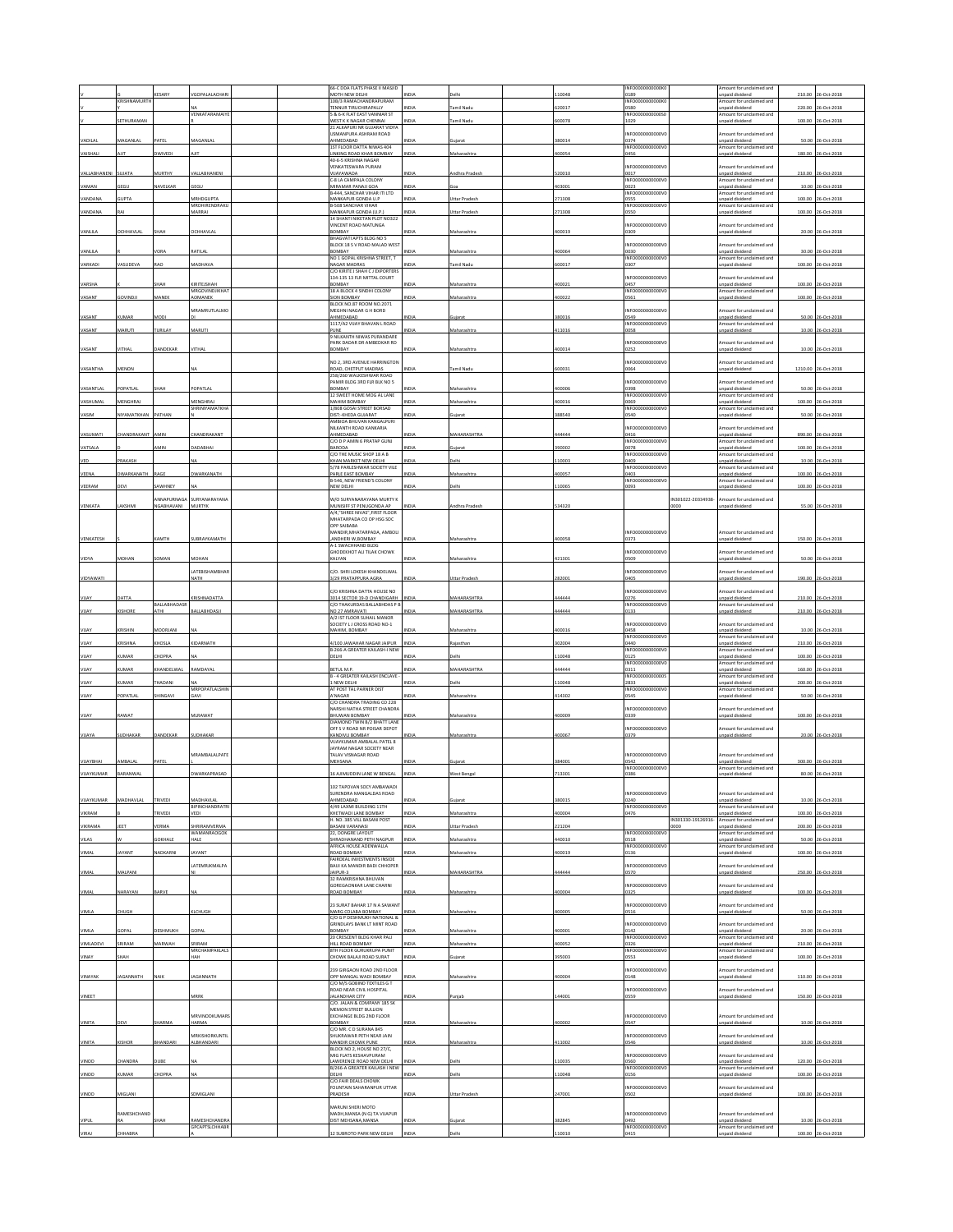|                       | <b>CRISHNAMURT</b>      | ESARY                           | GOPALALACHA                                                 | 66-C DDA FLATS PHASE II MASJID<br>MOTH NEW DELHI<br>10B/3 RAMACHANDRAPURAM        | NDLA                |                                     | 10048           | INFO0000000000K<br>0189<br>INFO0000000000K   |                            | mount for unclaimed and<br>inpaid dividend<br>mount for unclaimed and  | 210.00          | 06-Oct-201                               |
|-----------------------|-------------------------|---------------------------------|-------------------------------------------------------------|-----------------------------------------------------------------------------------|---------------------|-------------------------------------|-----------------|----------------------------------------------|----------------------------|------------------------------------------------------------------------|-----------------|------------------------------------------|
|                       |                         |                                 | VENKATARAMAIY                                               | <b>TENNUR TIRUCHIRAPALLY</b><br>5 & 6-K FLAT EAST VANNIAR ST                      | NDIA                | amil Nadu                           | 20017           | 3580<br>INFO0000000000S                      |                            | npaid dividend<br>mount for undaimed and                               | 220.00          | 26-Oct-2018                              |
|                       | ETHURAMAN               |                                 |                                                             | WEST K K NAGAR CHENNAI<br>21 ALKAPURI NR GUJARAT VIDYA                            | NDIA                | amil Nadı                           | 00078           | 1029                                         |                            | npaid dividend                                                         |                 | 100.00 26-Oct-201                        |
| VADILAL               | MAGANLAL                | ATEL                            | MAGANLAL                                                    | USMANPURA ASHRAM ROAD<br>AHMEDABAD<br>1ST FLOOR DATTA NIWAS 404                   | NDIA                | uiarat                              | 380014          | NFO0000000000V<br>0374                       |                            | mount for unclaimed and<br>npaid dividend                              |                 | 50.00 26-Oct-2018                        |
| VAISHALI              | uπ                      | <b>WIVEDI</b>                   | NП                                                          | LINKING ROAD KHAR BOMBAY<br>10-6-5 KRISHNA NAGAR                                  | <b>NDIA</b>         | faharashtra                         | 00054           | INFO0000000000V<br>0456                      |                            | mount for undaimed and<br>npaid dividend                               |                 | 180.00 26-Oct-2018                       |
| VALLABHANENI          | SUJATA                  | MURTHY                          | <b>VALLARHANENI</b>                                         | VENKATESWARA PURAM<br>AGAWAYAN                                                    | NDIA                | ndhra Pradesh                       | 520010          | NFO0000000000V<br>1017                       |                            | mount for unclaimed and<br>npaid dividend                              |                 | 210.00 26-Oct-2018                       |
| VAMAN                 | <b>EGL</b>              | <b>JAVELKAR</b>                 | EGL                                                         | C-8 LA CAMPALA COLONY<br>MIRAMAR PANAJI GOA                                       | NDIA                |                                     | 03001           | NFO0000000000V<br>0023                       |                            | mount for unclaimed and<br>npaid dividend                              |                 | 10.00 26-Oct-201                         |
| VANDANA               | <b>SUPTA</b>            |                                 | MRHDGUPTA<br>MRDHIRENDRAKL                                  | -444, SANCHAR VIHAR ITI LTD<br>MANKAPUR GONDA U.P<br><b>B-508 SANCHAR VIHAR</b>   | NDIA                | <b>Jttar Pradesh</b>                | 71308           | NFO0000000000V<br>0555<br>INFO0000000000V    |                            | mount for unclaimed and<br>npaid dividend<br>Amount for unclaimed and  |                 | 100.00 26-Oct-2018                       |
| VANDANA               |                         |                                 | MARRAI                                                      | MANKAPUR GONDA (U.P.)<br>14 SHANTI NIKETAN PLOT NO322                             | NDIA                | <b>Jttar Prades</b>                 | 71308           | 0550                                         |                            | npaid dividend                                                         |                 | 100.00 26-Oct-201                        |
| VANLILA               | OCHHAVLAL               | SHAH                            | OCHHAVLAI                                                   | INCENT ROAD MATUNGA<br>BOMBAY                                                     | NDIA                | Maharashtra                         | 100019          | NFO0000000000V<br>0309                       |                            | mount for unclaimed and<br>npaid dividend                              |                 | 20.00 26-Oct-2018                        |
| VANLILA               |                         | <b>ORA</b>                      | RATILAL                                                     | BHAGVATI APTS BLDG NO 5<br>BLOCK 18 S V ROAD MALAD WEST                           |                     |                                     | 00064           | NFO0000000000V                               |                            | mount for undaimed and                                                 |                 | 30.00 26-Oct-2018                        |
| VARKADI               | <b>ASUDEVA</b>          | RAO                             | MADHAVA                                                     | BOMBAY<br>NO 1 GOPAL KRISHNA STREET, T<br>NAGAR MADRAS                            | NDIA<br>NDIA        | faharashtra<br>amil Nadu            | 00017           | 0030<br>INFO0000000000W<br>0307              |                            | inpaid dividend<br>mount for unclaimed and<br>npaid dividend           |                 | 100.00 26-Oct-2018                       |
|                       |                         |                                 |                                                             | C/O KIRITE J SHAH C J EXPORTERS<br>134-135 13 FLR MITTAL COURT                    |                     |                                     |                 | NEODDDDDDDDDDV                               |                            | mount for unclaimed and                                                |                 |                                          |
| VARSHA<br>VASANT      | <b>ILOWING</b>          | НАН<br>MANEK                    | <b>GRITEJSHAH</b><br><b>MRGOVINDJIKHA</b><br><b>AOMANEK</b> | BOMBAY<br>18 A BLOCK 4 SINDHI COLONY<br><b>SION BOMBAY</b>                        | NDIA<br>NDIA        | laharashtra<br>Aaharashtra          | 00021<br>00022  | 0457<br>NFO0000000000V<br>0561               |                            | inpaid dividend<br>mount for undaimed and<br>npaid dividend            |                 | 100.00 26-Oct-2018<br>100.00 26-Oct-2018 |
|                       |                         |                                 | <b>MRAMRUTLALMC</b>                                         | BLOCK NO.87 ROOM NO.2071<br>MEGHNI NAGAR G H BORD                                 |                     |                                     |                 | NFO0000000000V                               |                            | mount for undaimed and                                                 |                 |                                          |
| VASANT                | UMAR                    | <b>AODI</b>                     |                                                             | AHMEDABAD<br>117/A2 VUAY BHAVAN L ROAD                                            | NDIA                | ujarat                              | 80016           | 0549<br>INFO0000000000V                      |                            | Inpaid dividend<br>mount for unclaimed and                             |                 | 50.00 26-Oct-201                         |
| VASANT                | MARUTI                  | <b>URILAY</b>                   | MARUTI                                                      | UNE<br>9 NILKANTH NIWAS PURANDARE                                                 | NDIA                | Aaharashtra                         | 11016           | 0058                                         |                            | npaid dividend                                                         | 10.00           | 26-Oct-2018                              |
| VASANT                | /ITHAL                  | ANDEKAR                         | VITHAI                                                      | PARK DADAR DR AMBEDKAR RD<br>BOMBAY                                               | NDIA                | Aaharashtra                         | 00014           | NFO0000000000V<br>0252                       |                            | mount for unclaimed and<br>inpaid dividend                             |                 | 10.00 26-Oct-2018                        |
| VASANTHA              | MENON                   |                                 |                                                             | NO 2. 3RD AVENUE HARRINGTON<br>ROAD, CHETPUT MADRAS                               | NDIA                | amil Nadu                           | 500031          | NFO0000000000V<br>0064                       |                            | mount for unclaimed and<br>npaid dividend                              |                 | 1210.00 26-Oct-2018                      |
|                       |                         |                                 |                                                             | 258/260 WALKESHWAR ROAD<br>PAMIR BLDG 3RD FLR BLK NO 5                            |                     |                                     |                 | NFO0000000000V                               |                            | mount for unclaimed and                                                |                 |                                          |
| VASANTLAL<br>VASHUMAL | OPATLAL<br>MENGHRAJ     | HAH                             | POPATLA<br>MENGHRAJ                                         | BOMBAY<br>12 SWEET HOME MOG AL LANE<br><b>MAHIM BOMBAY</b>                        | VDIA<br>NDIA        | Aaharashtr<br>Aaharashtra           | 00006<br>100016 | 398<br>INFO0000000000VO<br>069               |                            | inpaid dividend<br>Amount for unclaimed and<br>npaid dividend          | 50.00           | 26-Oct-201<br>100.00 26-0ct-2018         |
| VASIM                 | <b>IYAMATKHAN</b>       | PATHAN                          | SHRINIYAMATKHA                                              | 1/808 GOSAI STREET BORSAD<br>DIST:-KHEDA GUJARAT                                  | NDIA                | iujarat                             | 88540           | INFO0000000000VO<br>)540                     |                            | Amount for unclaimed and<br>npaid dividend                             |                 | 50.00 26-Oct-201                         |
|                       |                         |                                 |                                                             | MBIOA BHUVAN KANGALPURI<br>NILKANTH ROAD KANKARIA                                 |                     |                                     |                 | NFO0000000000V                               |                            | mount for unclaimed and                                                |                 |                                          |
| VASUMATI<br>VATSALA   | CHANDRAKANT             | AMIN<br>MIN                     | <b>HANDRAKANT</b><br>ADABHAI                                | AHMEDABAD<br>C/O D P AMIN 6 PRATAP GUNJ<br>BARODA                                 | NDIA<br>NDIA        | MAHARASHTRA<br>ujarat               | 144444<br>90002 | 0416<br>INFOODDDDDDDDV<br>0078               |                            | npaid dividend<br>Amount for unclaimed and<br>inpaid dividend          | 100.00          | 890.00 26-Oct-2018<br>26-Oct-2018        |
| VED                   | PRAKASH                 |                                 |                                                             | C/O THE MUSIC SHOP 18 A B<br>KHAN MARKET NEW DELHI                                | NDIA                | elhi                                | 10003           | NFO0000000000V<br>0409                       |                            | mount for unclaimed and<br>npaid dividend                              |                 | 10.00 26-Oct-2018                        |
| VEENA                 | <b>OWARKANATH</b>       | RAGE                            | <b>WARKANATH</b>                                            | 5/78 PARLESHWAR SOCIETY VILE<br>PARLE EAST BOMBAY                                 | NDIA                | Maharashtra                         | 00057           | INFO0000000000W<br>1403                      |                            | Amount for unclaimed and<br>npaid dividend                             |                 | 100.00 26-Oct-201                        |
| VEERAM                |                         | AWHNEY                          |                                                             | B-546, NEW FRIEND'S COLONY<br><b>VEW DELHI</b>                                    | NDIA                |                                     | 10065           | INFO0000000000VO<br>0093                     |                            | Amount for unclaimed and<br>npaid dividen                              |                 | 100.00 26-Oct-201                        |
| VENKATA               | AKSHMI                  | <b>NNAPURNAGA</b><br>NGABHAVANI | SURYANARAYANA<br><b>MURTYK</b>                              | W/O SURYANARAYANA MURTY K<br>MUNISIFF ST PENUGONDA AP                             | NDIA                | Andhra Prades                       | 534320          |                                              | IN301022-20334938-<br>cooc | mount for unclaimed and<br>inpaid dividend                             |                 | 55.00 26-Oct-201                         |
|                       |                         |                                 |                                                             | A/4."SHREE NIVAS", FIRST FLOOR<br>MHATARPADA CO OP HSG SOC                        |                     |                                     |                 |                                              |                            |                                                                        |                 |                                          |
|                       |                         |                                 |                                                             | OPP SAIBABA<br>MANDIR, MHATARPADA, AMBOLI                                         |                     |                                     |                 | NFO0000000000V                               |                            | mount for unclaimed and                                                |                 |                                          |
| VENKATESH             |                         | <b>CAMTH</b>                    | <b>JUBRAYKAMATH</b>                                         | ANDHERI W.BOMBAY<br>A-1 SWACHHAND BLDG<br><b>SHODEKHOT ALI TILAK CHOWK</b>        | NDIA                | Maharashtra                         | 100058          | 0373<br>NFO0000000000V                       |                            | npaid dividend<br>mount for unclaimed and                              |                 | 150.00 26-Oct-201                        |
| VIDYA                 | MOHAN                   | <b>OMAN</b>                     | MOHAN                                                       | KALYAN                                                                            | NDIA                | Maharashtra                         | 121301          | 0509                                         |                            | npaid dividend                                                         |                 | 50.00 26-Oct-2018                        |
| VIDYAWATI             |                         |                                 | LATEBISHAMBHAI<br><b>VATH</b>                               | C/O. SHRI LOKESH KHANDELWAI<br>3/29 PRATAPPURA AGRA                               | NDIA                | Uttar Pradesh                       | 282001          | NFO0000000000V<br>1405                       |                            | mount for undaimed and<br>inpaid dividend                              |                 | 190.00 26-Oct-2018                       |
| VIJAY                 | <b>ATTA</b>             |                                 | RISHNADATTA                                                 | C/O KRISHNA DATTA HOUSE NO<br>014 SECTOR 19-D CHANDIGARH                          | VDIA                | <b>AAHARASHTRA</b>                  | 44444           | NFO0000000000V<br>0276                       |                            | mount for unclaimed and<br>npaid dividend                              | 210.00          | 26-Oct-201                               |
| VIJAY                 | <b>USHORE</b>           | BALLABHADASP<br><b>THI</b>      | <b>ALLABHDASJI</b>                                          | C/O THAKURDAS BALLABHDAS P B<br>NO 27 AMRAVATI                                    | NDIA                | AAHARASHTRA                         | 44444           | INFO0000000000VO<br>0133                     |                            | Amount for unclaimed and<br>npaid dividend                             |                 | 210.00 26-Oct-201                        |
|                       |                         |                                 |                                                             | A/2 IST FLOOR SUHAIL MANOR<br>SOCIETY LJ CROSS ROAD NO-1                          |                     |                                     |                 | NFO0000000000V                               |                            | mount for unclaimed and                                                |                 |                                          |
| YALM<br>VIJAY         | <b>RISHIN</b><br>RISHNA | <b>AOORJANI</b><br>HOSLA        | <b>IDARNATH</b>                                             | MAHIM, BOMBAY<br>4/100 JAWAHAR NAGAR JAIPUR                                       | <b>IDIA</b><br>NDIA | laharashtr<br>ajasthan              | 00016<br>02004  | 1458<br>INFO0000000000V<br>0440              |                            | npaid dividend<br>Amount for unclaimed and<br>npaid dividend           | 10.00<br>210.00 | 26-Oct-2018<br>26-Oct-201                |
| YALIV                 | <b>UMAR</b>             | <b>HOPRA</b>                    |                                                             | B-266-A GREATER KAILASH-I NEW<br>DELHI                                            | NDIA                | <b>Jelhi</b>                        | 10048           | NFO0000000000V<br>0125                       |                            | mount for unclaimed and<br>npaid dividend                              |                 | 100.00 26-Oct-2018                       |
| VIJAY                 | UMAR                    | <b>HANDELWAL</b>                | RAMDAYAI                                                    | BETUL M.P.                                                                        | NDIA                | <b>MAHARASHTRA</b>                  | 44444           | INFO0000000000V<br>0311                      |                            | Amount for unclaimed and<br>npaid dividend                             | 160.00          | 26-Oct-201                               |
| VIJAY                 | UMAR                    | HADAN                           | MRPOPATLALSHI                                               | <b>B - 4 GREATER KAILASH ENCLAVE</b><br>NEW DELHI<br>AT POST TAL PARNER DIST      | NDLA                |                                     | 10048           | INFO00000000000<br>2833<br>INFO0000000000V   |                            | Amount for unclaimed and<br>inpaid dividend<br>mount for unclaimed and | 200.00          | 26-Oct-201                               |
| VIJAY                 | OPATLAL                 | IINGAVI                         |                                                             | VNAGAR<br>C/O CHANDRA TRADING CO 228                                              | <b>IDIA</b>         | laharashtr                          | 14302           | 3545                                         |                            | npaid dividend                                                         | 50.00           | 26-Oct-201                               |
| VIJAY                 | AWAT                    |                                 | <b>MLRAWAT</b>                                              | NARSHI NATHA STREET CHANDRA<br>BHUWAN BOMBAY                                      |                     | laharashti                          | 00009           | INFO0000000000V<br>0339                      |                            | mount for unclaimed and<br>npaid dividen                               |                 | 100.00 26-Oct-201                        |
|                       |                         |                                 |                                                             | DIAMOND TWIN B/2 BHATT LANE<br>OFF S V ROAD NR POISAR DEPOT<br>KANDIVI I ROMRAY   |                     |                                     |                 | NF00000000000V                               |                            | mount for unclaimed and                                                |                 | 20.00 26-0ct-2018                        |
| VIJAYA                | <b>JUDHAKAR</b>         | <b>JANDEKAR</b>                 | SUDHAKAR                                                    | VIJAYKUMAR AMBALAL PATEL 8<br>AYRAM NAGAR SOCIETY NEAR                            | <b>VIDIZ</b>        | Maharashtra                         | 100067          | 0379                                         |                            | npaid dividend                                                         |                 |                                          |
| VIJAYBHAI             | MBALAI                  | ATEL                            | <b>MRAMBALALPATE</b>                                        | ALAV VISNAGAR ROAD<br>MEHSANA                                                     |                     |                                     | 84001           | INFO0000000000V<br>)542                      |                            | mount for unclaimed and<br>npaid dividend                              | 300.00          | 26-Oct-2018                              |
| VIJAYKUMAR            | BARANWAL                |                                 | DWARKAPRASAD                                                | 16 AJIMUDDIN LANE W BENGAL                                                        | <b>INDIA</b>        | West Bengal                         | 13301           | INFO0000000000V<br>0386                      |                            | Amount for unclaimed and<br>inpaid dividend                            |                 | 80.00 26-Oct-2018                        |
|                       |                         |                                 |                                                             | 102 TAPOVAN SOCY AMBAWADI<br>SURENDRA MANGALDAS ROAD                              |                     |                                     |                 | NFO0000000000V                               |                            | mount for undaimed and                                                 |                 |                                          |
| VIJAYKUMAR            | MADHAVLAL               | TRIVED                          | MADHAVLAL<br>BIPINCHANDRATR                                 | AHMEDABAD<br>4/49 LAXMI BUILDING 11TH                                             | NDIA                | Sujarat                             | 380015          | 0240<br>INFO0000000000VO                     |                            | npaid dividend<br>Amount for unclaimed and                             |                 | 10.00 26-Oct-2018                        |
| VIKRAM                | <b>FFT</b>              | RIVEDI<br><b>ERMA</b>           |                                                             | .<br>KHETWADI LANE BOMBAY<br>H. NO. 385 VILL BASANI POST<br>ASANI VARANASI        | VDM<br><b>VIDIA</b> | taharashtr                          | 0004            | 0476                                         | IN301330-19126916-         | npaid dividend<br>mount for unclaimed and                              | 100.00          | 26-Oct-2018<br>06-Oct-2018               |
| VIKRAMA<br>VILAS      |                         | <b>GOKHALE</b>                  | HRIRAMVERMA<br>WAMANRAOGOK<br>HALE                          | 22 DONGRE LAYOUT<br>SHRADHANAND PETH NAGPUR                                       | INDIA               | <b>Ittar Pradesh</b><br>Maharashtra | 21204<br>140010 | INFO0000000000VO<br>0518                     |                            | npaid dividend<br>mount for unclaimed and<br>npaid dividend            | 200.00          | 50.00 26-Oct-2018                        |
| VIMAL                 | AYANT                   | VADKARNI                        | AYANT                                                       | FRICA HOUSE ADENWALLA<br>ROAD BOMBAY                                              | NDIA                | Maharashtra                         | 00019           | <b>NFO000</b><br>0136                        |                            | mount for undaimed and<br>npaid dividend                               |                 | 100.00 26-Oct-2018                       |
|                       | MALPANI                 |                                 | LATEMRJKMALPA                                               | FAIRDEAL INVESTMENTS INSIDE<br><b>BAILKA MANDIR BADLCHHOPER</b><br>JAIPUR-3       |                     | MAHARASHTRA                         |                 | INFO0000000000V                              |                            | mount for unclaimed and                                                |                 | 250.00 26-Oct-2018                       |
| VIMAL                 |                         |                                 |                                                             | 32 RAMKRISHNA BHUVAN<br>GOREGAONKAR LANE CHARNI                                   | INDIA               |                                     | 144444          | 0570<br>NFO0000000000W                       |                            | npaid dividend<br>nount for unclaimed and                              |                 |                                          |
| VIMAL                 | <b>IARAYAN</b>          | <b>ARVE</b>                     |                                                             | <b>ROAD BOMBAY</b>                                                                | <b>VIDIA</b>        | laharashtr                          | 0004            | 325                                          |                            | paid dividend                                                          | 100.00          | 26-Oct-2018                              |
| VIMLA                 | <b>HUGH</b>             |                                 | <b>(LCHUGH</b>                                              | 23 SURAT BAHAR 17 N A SAWANT<br>MARG COLABA BOMBAY                                | NDIA                | laharashtra                         | 00005           | INFO0000000000VC<br>0516                     |                            | mount for unclaimed and<br>npaid dividend                              |                 | 50.00 26-Oct-2018                        |
| VIMLA                 | <b>GOPAL</b>            | ESHMUKH                         | CPAL                                                        | C/O G P DESHMUKH NATIONAL &<br>GRINDLAYS BANK LT MINT ROAD<br>BOMBAY              | NDIA                | Maharashtra                         | 100001          | NFO0000000000V<br>142                        |                            | mount for unclaimed and<br>npaid dividend                              |                 | 20.00 26-Oct-2018                        |
| VIMLADEVI             | RIRAM                   | <b>MARWAH</b>                   | SRIRAM                                                      | 20 CRESCENT BLDG KHAR PALI<br>HILL ROAD BOMBAY                                    | NDIA                | faharashtra                         | 00052           | <b>INFO0000</b><br>10000V<br>0326            |                            | mount for undaimed and<br>npaid dividend                               | 210.00          | 26-Oct-201                               |
| VINAY                 | жан                     |                                 | MRCHAMPAKLALS                                               | STH FLOOR GURUKRUPA PUNIT<br><b>HOWK BALAJI ROAD SURAT</b>                        | <b>IDIA</b>         |                                     | 95003           | INFO0000000000W<br>3553                      |                            | mount for unclaimed and<br>npaid dividend                              | 100.00          | 26-Oct-2018                              |
| VINAYAK               | <b>AGANNATH</b>         | NAJK                            | <b>JAGANNATH</b>                                            | 239 GIRGAON ROAD 2ND FLOOR<br>OPP MANGAL WADI BOMBAY                              | NDIA                | Aaharashtra                         | 00004           | INFO0000000000V<br>0148                      |                            | mount for unclaimed and<br>npaid dividend                              |                 | 110.00 26-Oct-2018                       |
|                       |                         |                                 |                                                             | C/O M/S GOBIND TEXTILES G T<br>ROAD NEAR CIVIL HOSPITAL                           |                     |                                     |                 | NFO0000000000V                               |                            | mount for undaimed and                                                 |                 |                                          |
| VINEET                |                         |                                 | <b>MRRK</b>                                                 | <b>JALANDHAR CITY</b><br>C/O. JALAN & COMPANY 185 SK                              | NDIA                | uniab                               | 44001           | 0559                                         |                            | npaid dividend                                                         |                 | 150.00 26-Oct-2018                       |
| <b>ANITA</b>          | <b>DEVI</b>             | HARMA                           | ARVINODKUMAR<br><b>ARMA</b>                                 | MEMON STREET BULLION<br>EXCHANGE BLDG 2ND FLOOR<br>BOMBAY                         | <b>VDIA</b>         | laharashtr                          | 0002            | NFO0000000000V<br>3547                       |                            | mount for unclaimed and<br>npaid dividend                              | 10.00           | 26-Oct-2018                              |
|                       |                         |                                 | MRKISHORKUNTIL                                              | C/O MR. C D SURANA 845<br>SHUKRAWAR PETH NEAR JAIN                                |                     |                                     |                 | NFO0000000000V                               |                            | mount for unclaimed and                                                |                 |                                          |
| VINITA                | <b>USHOR</b>            | HANDARI                         | LBHANDAR                                                    | MANDIR CHOWK PUNE<br>BLOCK NO 2, HOUSE NO 27/C,                                   | <b>VDM</b>          | laharashtra                         | 11002           | 0546                                         |                            | npaid dividend                                                         |                 | 10.00 26-Oct-201                         |
| VINOD                 | <b>HANDRA</b>           | <b>JUBE</b>                     |                                                             | MIG FLATS KESHAVPURAM<br>AWERENCE ROAD NEW DELHI<br>B/266-A GREATER KAILASH I NEW | NDIA                | elhi                                | 10035           | NFO0000000000V<br>3560<br>INFO0000<br>10000V |                            | mount for undaimed and<br>npaid dividend<br>mount for unclaimed and    |                 | 120.00 26-Oct-2018                       |
| VINOD                 | <b>UMAR</b>             | HOPRA                           |                                                             | DELHI<br>C/O.FAIR DEALS CHOWK                                                     | NDIA                | elhi                                | 10048           | 0156                                         |                            | npaid dividend                                                         | 100.00          | 26-Oct-2018                              |
| <b>UNDD</b>           | MIGLANI                 |                                 | <b>DMIGLANI</b>                                             | FOUNTAIN SAHARANPUR UTTAR<br>PRADESH                                              | NDIA                | <b>Jttar Pradesh</b>                | 47001           | NFO0000000000V<br>0502                       |                            | mount for unclaimed and<br>inpaid dividend                             |                 | 100.00 26-Oct-2018                       |
|                       | <b>AMESHCHAND</b>       |                                 |                                                             | MARUNI SHERI MOTO<br>MADH,MANSA (N G) TA VIJAPUR                                  |                     |                                     |                 | NFO0000000000V                               |                            | mount for unclaimed and                                                |                 |                                          |
| VIPUL                 |                         |                                 | <b>IAMESHCHANDR</b><br><b>GPCAPTSLCHHABE</b>                | <b>JIST MEHSANA, MANSA</b>                                                        |                     |                                     | 82845           | 1492<br>INFO0000000000VO                     |                            | npaid dividend<br>Amount for unclaimed and                             | 10.00           | 26-Oct-2018                              |
| VIRAJ                 | CHHABRA                 |                                 |                                                             | 12 SUBROTO PARK NEW DELHI                                                         | INDIA               | Delhi                               | 10010           | 0415                                         |                            | npaid dividend                                                         |                 | 100.00 26-Oct-2018                       |